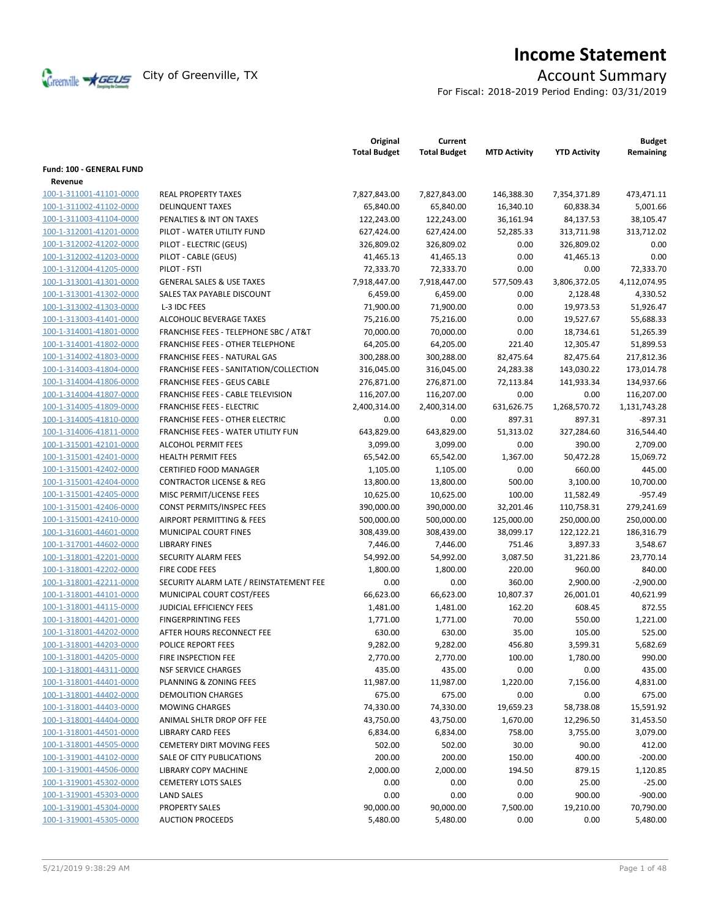

# **Income Statement**

For Fiscal: 2018-2019 Period Ending: 03/31/2019

|                          |                                                  | Original<br><b>Total Budget</b> | Current<br><b>Total Budget</b> | <b>MTD Activity</b> | <b>YTD Activity</b> | <b>Budget</b><br>Remaining |
|--------------------------|--------------------------------------------------|---------------------------------|--------------------------------|---------------------|---------------------|----------------------------|
| Fund: 100 - GENERAL FUND |                                                  |                                 |                                |                     |                     |                            |
| Revenue                  |                                                  |                                 |                                |                     |                     |                            |
| 100-1-311001-41101-0000  | <b>REAL PROPERTY TAXES</b>                       | 7,827,843.00                    | 7,827,843.00                   | 146,388.30          | 7,354,371.89        | 473,471.11                 |
| 100-1-311002-41102-0000  | <b>DELINQUENT TAXES</b>                          | 65,840.00                       | 65,840.00                      | 16,340.10           | 60,838.34           | 5,001.66                   |
| 100-1-311003-41104-0000  | PENALTIES & INT ON TAXES                         | 122,243.00                      | 122,243.00                     | 36,161.94           | 84,137.53           | 38,105.47                  |
| 100-1-312001-41201-0000  | PILOT - WATER UTILITY FUND                       | 627,424.00                      | 627,424.00                     | 52,285.33           | 313,711.98          | 313,712.02                 |
| 100-1-312002-41202-0000  | PILOT - ELECTRIC (GEUS)                          | 326,809.02                      | 326,809.02                     | 0.00                | 326,809.02          | 0.00                       |
| 100-1-312002-41203-0000  | PILOT - CABLE (GEUS)                             | 41,465.13                       | 41,465.13                      | 0.00                | 41,465.13           | 0.00                       |
| 100-1-312004-41205-0000  | PILOT - FSTI                                     | 72,333.70                       | 72,333.70                      | 0.00                | 0.00                | 72,333.70                  |
| 100-1-313001-41301-0000  | <b>GENERAL SALES &amp; USE TAXES</b>             | 7,918,447.00                    | 7,918,447.00                   | 577,509.43          | 3,806,372.05        | 4,112,074.95               |
| 100-1-313001-41302-0000  | SALES TAX PAYABLE DISCOUNT                       | 6,459.00                        | 6,459.00                       | 0.00                | 2,128.48            | 4,330.52                   |
| 100-1-313002-41303-0000  | L-3 IDC FEES                                     | 71,900.00                       | 71,900.00                      | 0.00                | 19,973.53           | 51,926.47                  |
| 100-1-313003-41401-0000  | ALCOHOLIC BEVERAGE TAXES                         | 75,216.00                       | 75,216.00                      | 0.00                | 19,527.67           | 55,688.33                  |
| 100-1-314001-41801-0000  | <b>FRANCHISE FEES - TELEPHONE SBC / AT&amp;T</b> | 70,000.00                       | 70,000.00                      | 0.00                | 18,734.61           | 51,265.39                  |
| 100-1-314001-41802-0000  | <b>FRANCHISE FEES - OTHER TELEPHONE</b>          | 64,205.00                       | 64,205.00                      | 221.40              | 12,305.47           | 51,899.53                  |
| 100-1-314002-41803-0000  | FRANCHISE FEES - NATURAL GAS                     | 300,288.00                      | 300,288.00                     | 82,475.64           | 82,475.64           | 217,812.36                 |
| 100-1-314003-41804-0000  | FRANCHISE FEES - SANITATION/COLLECTION           | 316,045.00                      | 316,045.00                     | 24,283.38           | 143,030.22          | 173,014.78                 |
| 100-1-314004-41806-0000  | <b>FRANCHISE FEES - GEUS CABLE</b>               | 276,871.00                      | 276,871.00                     | 72,113.84           | 141,933.34          | 134,937.66                 |
| 100-1-314004-41807-0000  | FRANCHISE FEES - CABLE TELEVISION                | 116,207.00                      | 116,207.00                     | 0.00                | 0.00                | 116,207.00                 |
| 100-1-314005-41809-0000  | <b>FRANCHISE FEES - ELECTRIC</b>                 | 2,400,314.00                    | 2,400,314.00                   | 631,626.75          | 1,268,570.72        | 1,131,743.28               |
| 100-1-314005-41810-0000  | <b>FRANCHISE FEES - OTHER ELECTRIC</b>           | 0.00                            | 0.00                           | 897.31              | 897.31              | $-897.31$                  |
| 100-1-314006-41811-0000  | FRANCHISE FEES - WATER UTILITY FUN               | 643,829.00                      | 643,829.00                     | 51,313.02           | 327,284.60          | 316,544.40                 |
| 100-1-315001-42101-0000  | <b>ALCOHOL PERMIT FEES</b>                       | 3,099.00                        | 3,099.00                       | 0.00                | 390.00              | 2,709.00                   |
| 100-1-315001-42401-0000  | <b>HEALTH PERMIT FEES</b>                        | 65,542.00                       | 65,542.00                      | 1.367.00            | 50,472.28           | 15,069.72                  |
| 100-1-315001-42402-0000  | <b>CERTIFIED FOOD MANAGER</b>                    | 1,105.00                        | 1,105.00                       | 0.00                | 660.00              | 445.00                     |
| 100-1-315001-42404-0000  | <b>CONTRACTOR LICENSE &amp; REG</b>              | 13,800.00                       | 13,800.00                      | 500.00              | 3,100.00            | 10,700.00                  |
| 100-1-315001-42405-0000  | MISC PERMIT/LICENSE FEES                         | 10,625.00                       | 10,625.00                      | 100.00              | 11,582.49           | $-957.49$                  |
| 100-1-315001-42406-0000  | CONST PERMITS/INSPEC FEES                        | 390,000.00                      | 390,000.00                     | 32,201.46           | 110,758.31          | 279,241.69                 |
| 100-1-315001-42410-0000  | AIRPORT PERMITTING & FEES                        | 500,000.00                      | 500,000.00                     | 125,000.00          | 250,000.00          | 250,000.00                 |
| 100-1-316001-44601-0000  | MUNICIPAL COURT FINES                            | 308,439.00                      | 308,439.00                     | 38,099.17           | 122,122.21          | 186,316.79                 |
| 100-1-317001-44602-0000  | <b>LIBRARY FINES</b>                             | 7,446.00                        | 7,446.00                       | 751.46              | 3,897.33            | 3,548.67                   |
| 100-1-318001-42201-0000  | <b>SECURITY ALARM FEES</b>                       | 54,992.00                       | 54,992.00                      | 3,087.50            | 31,221.86           | 23,770.14                  |
| 100-1-318001-42202-0000  | <b>FIRE CODE FEES</b>                            | 1,800.00                        | 1,800.00                       | 220.00              | 960.00              | 840.00                     |
| 100-1-318001-42211-0000  | SECURITY ALARM LATE / REINSTATEMENT FEE          | 0.00                            | 0.00                           | 360.00              | 2,900.00            | $-2,900.00$                |
| 100-1-318001-44101-0000  | MUNICIPAL COURT COST/FEES                        | 66,623.00                       | 66,623.00                      | 10,807.37           | 26,001.01           | 40,621.99                  |
| 100-1-318001-44115-0000  | JUDICIAL EFFICIENCY FEES                         | 1,481.00                        | 1,481.00                       | 162.20              | 608.45              | 872.55                     |
| 100-1-318001-44201-0000  | <b>FINGERPRINTING FEES</b>                       | 1,771.00                        | 1,771.00                       | 70.00               | 550.00              | 1,221.00                   |
| 100-1-318001-44202-0000  | AFTER HOURS RECONNECT FEE                        | 630.00                          | 630.00                         | 35.00               | 105.00              | 525.00                     |
| 100-1-318001-44203-0000  | POLICE REPORT FEES                               | 9,282.00                        | 9,282.00                       | 456.80              | 3,599.31            | 5,682.69                   |
| 100-1-318001-44205-0000  | FIRE INSPECTION FEE                              | 2,770.00                        | 2,770.00                       | 100.00              | 1,780.00            | 990.00                     |
| 100-1-318001-44311-0000  | <b>NSF SERVICE CHARGES</b>                       | 435.00                          | 435.00                         | 0.00                | 0.00                | 435.00                     |
| 100-1-318001-44401-0000  | PLANNING & ZONING FEES                           | 11,987.00                       | 11,987.00                      | 1,220.00            | 7,156.00            | 4,831.00                   |
| 100-1-318001-44402-0000  | <b>DEMOLITION CHARGES</b>                        | 675.00                          | 675.00                         | 0.00                | 0.00                | 675.00                     |
| 100-1-318001-44403-0000  | <b>MOWING CHARGES</b>                            | 74,330.00                       | 74,330.00                      | 19,659.23           | 58,738.08           | 15,591.92                  |
| 100-1-318001-44404-0000  | ANIMAL SHLTR DROP OFF FEE                        | 43,750.00                       | 43,750.00                      | 1,670.00            | 12,296.50           | 31,453.50                  |
| 100-1-318001-44501-0000  | <b>LIBRARY CARD FEES</b>                         | 6,834.00                        | 6,834.00                       | 758.00              | 3,755.00            | 3,079.00                   |
| 100-1-318001-44505-0000  | <b>CEMETERY DIRT MOVING FEES</b>                 | 502.00                          | 502.00                         | 30.00               | 90.00               | 412.00                     |
| 100-1-319001-44102-0000  | SALE OF CITY PUBLICATIONS                        | 200.00                          | 200.00                         | 150.00              | 400.00              | $-200.00$                  |
| 100-1-319001-44506-0000  | LIBRARY COPY MACHINE                             | 2,000.00                        | 2,000.00                       | 194.50              | 879.15              | 1,120.85                   |
| 100-1-319001-45302-0000  | <b>CEMETERY LOTS SALES</b>                       | 0.00                            | 0.00                           | 0.00                | 25.00               | $-25.00$                   |
| 100-1-319001-45303-0000  | <b>LAND SALES</b>                                | 0.00                            | 0.00                           | 0.00                | 900.00              | $-900.00$                  |
| 100-1-319001-45304-0000  | <b>PROPERTY SALES</b>                            | 90,000.00                       | 90,000.00                      | 7,500.00            | 19,210.00           | 70,790.00                  |
| 100-1-319001-45305-0000  | <b>AUCTION PROCEEDS</b>                          | 5,480.00                        | 5,480.00                       | 0.00                | 0.00                | 5,480.00                   |
|                          |                                                  |                                 |                                |                     |                     |                            |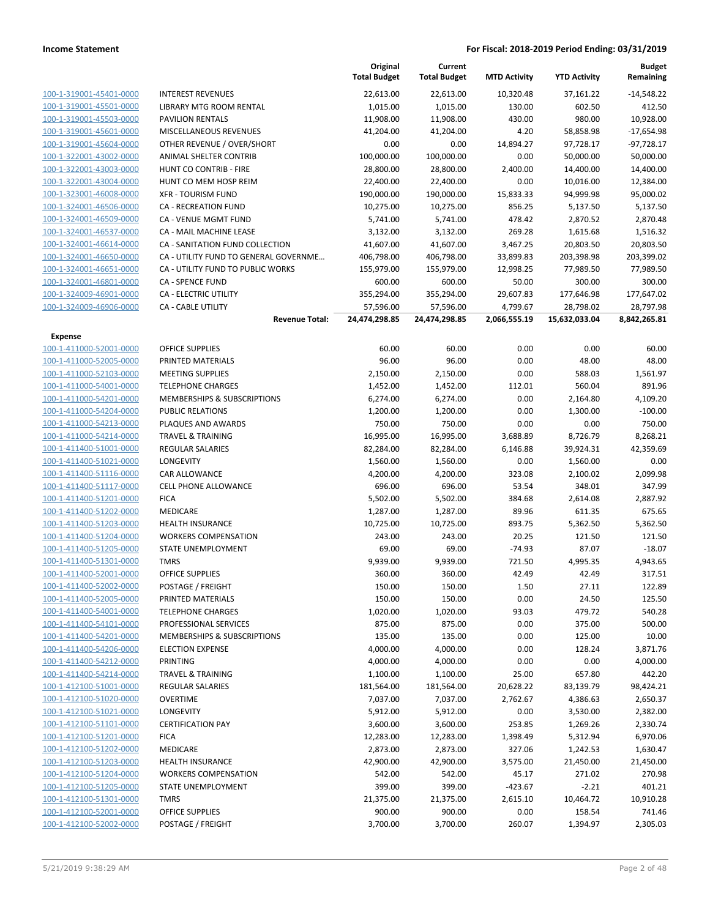|                         |                                       | Original<br><b>Total Budget</b> | Current<br><b>Total Budget</b> | <b>MTD Activity</b> | <b>YTD Activity</b> | <b>Budget</b><br>Remaining |
|-------------------------|---------------------------------------|---------------------------------|--------------------------------|---------------------|---------------------|----------------------------|
| 100-1-319001-45401-0000 | <b>INTEREST REVENUES</b>              | 22,613.00                       | 22,613.00                      | 10,320.48           | 37,161.22           | $-14,548.22$               |
| 100-1-319001-45501-0000 | LIBRARY MTG ROOM RENTAL               | 1,015.00                        | 1,015.00                       | 130.00              | 602.50              | 412.50                     |
| 100-1-319001-45503-0000 | <b>PAVILION RENTALS</b>               | 11,908.00                       | 11,908.00                      | 430.00              | 980.00              | 10,928.00                  |
| 100-1-319001-45601-0000 | <b>MISCELLANEOUS REVENUES</b>         | 41,204.00                       | 41,204.00                      | 4.20                | 58,858.98           | $-17,654.98$               |
| 100-1-319001-45604-0000 | OTHER REVENUE / OVER/SHORT            | 0.00                            | 0.00                           | 14,894.27           | 97,728.17           | $-97,728.17$               |
| 100-1-322001-43002-0000 | ANIMAL SHELTER CONTRIB                | 100,000.00                      | 100,000.00                     | 0.00                | 50,000.00           | 50,000.00                  |
| 100-1-322001-43003-0000 | HUNT CO CONTRIB - FIRE                | 28,800.00                       | 28,800.00                      | 2,400.00            | 14,400.00           | 14,400.00                  |
| 100-1-322001-43004-0000 | HUNT CO MEM HOSP REIM                 | 22,400.00                       | 22,400.00                      | 0.00                | 10,016.00           | 12,384.00                  |
| 100-1-323001-46008-0000 | <b>XFR - TOURISM FUND</b>             | 190,000.00                      | 190,000.00                     | 15,833.33           | 94,999.98           | 95,000.02                  |
| 100-1-324001-46506-0000 | CA - RECREATION FUND                  | 10,275.00                       | 10,275.00                      | 856.25              | 5,137.50            | 5,137.50                   |
| 100-1-324001-46509-0000 | CA - VENUE MGMT FUND                  | 5,741.00                        | 5,741.00                       | 478.42              | 2,870.52            | 2,870.48                   |
| 100-1-324001-46537-0000 | CA - MAIL MACHINE LEASE               | 3,132.00                        | 3,132.00                       | 269.28              | 1,615.68            | 1,516.32                   |
| 100-1-324001-46614-0000 | CA - SANITATION FUND COLLECTION       | 41,607.00                       | 41,607.00                      | 3,467.25            | 20,803.50           | 20,803.50                  |
| 100-1-324001-46650-0000 | CA - UTILITY FUND TO GENERAL GOVERNME | 406,798.00                      | 406,798.00                     | 33,899.83           | 203,398.98          | 203,399.02                 |
| 100-1-324001-46651-0000 | CA - UTILITY FUND TO PUBLIC WORKS     | 155,979.00                      | 155,979.00                     | 12,998.25           | 77,989.50           | 77,989.50                  |
| 100-1-324001-46801-0000 | <b>CA - SPENCE FUND</b>               | 600.00                          | 600.00                         | 50.00               | 300.00              | 300.00                     |
| 100-1-324009-46901-0000 | <b>CA - ELECTRIC UTILITY</b>          | 355,294.00                      | 355,294.00                     | 29,607.83           | 177,646.98          | 177,647.02                 |
| 100-1-324009-46906-0000 | <b>CA - CABLE UTILITY</b>             | 57,596.00                       | 57,596.00                      | 4,799.67            | 28,798.02           | 28,797.98                  |
|                         | <b>Revenue Total:</b>                 | 24,474,298.85                   | 24,474,298.85                  | 2,066,555.19        | 15,632,033.04       | 8,842,265.81               |
| Expense                 |                                       |                                 |                                |                     |                     |                            |
| 100-1-411000-52001-0000 | <b>OFFICE SUPPLIES</b>                | 60.00                           | 60.00                          | 0.00                | 0.00                | 60.00                      |
| 100-1-411000-52005-0000 | PRINTED MATERIALS                     | 96.00                           | 96.00                          | 0.00                | 48.00               | 48.00                      |
| 100-1-411000-52103-0000 | <b>MEETING SUPPLIES</b>               | 2,150.00                        | 2,150.00                       | 0.00                | 588.03              | 1,561.97                   |
| 100-1-411000-54001-0000 | <b>TELEPHONE CHARGES</b>              | 1,452.00                        | 1,452.00                       | 112.01              | 560.04              | 891.96                     |
| 100-1-411000-54201-0000 | MEMBERSHIPS & SUBSCRIPTIONS           | 6,274.00                        | 6,274.00                       | 0.00                | 2,164.80            | 4,109.20                   |
| 100-1-411000-54204-0000 | <b>PUBLIC RELATIONS</b>               | 1,200.00                        | 1,200.00                       | 0.00                | 1,300.00            | $-100.00$                  |
| 100-1-411000-54213-0000 | PLAQUES AND AWARDS                    | 750.00                          | 750.00                         | 0.00                | 0.00                | 750.00                     |
| 100-1-411000-54214-0000 | <b>TRAVEL &amp; TRAINING</b>          | 16,995.00                       | 16,995.00                      | 3,688.89            | 8,726.79            | 8,268.21                   |
| 100-1-411400-51001-0000 | <b>REGULAR SALARIES</b>               | 82,284.00                       | 82,284.00                      | 6,146.88            | 39,924.31           | 42,359.69                  |
| 100-1-411400-51021-0000 | LONGEVITY                             | 1,560.00                        | 1,560.00                       | 0.00                | 1,560.00            | 0.00                       |
| 100-1-411400-51116-0000 | CAR ALLOWANCE                         | 4,200.00                        | 4,200.00                       | 323.08              | 2,100.02            | 2,099.98                   |
| 100-1-411400-51117-0000 | <b>CELL PHONE ALLOWANCE</b>           | 696.00                          | 696.00                         | 53.54               | 348.01              | 347.99                     |
| 100-1-411400-51201-0000 | <b>FICA</b>                           | 5,502.00                        | 5,502.00                       | 384.68              | 2,614.08            | 2,887.92                   |
| 100-1-411400-51202-0000 | MEDICARE                              | 1,287.00                        | 1,287.00                       | 89.96               | 611.35              | 675.65                     |
| 100-1-411400-51203-0000 | <b>HEALTH INSURANCE</b>               | 10,725.00                       | 10,725.00                      | 893.75              | 5,362.50            | 5,362.50                   |
| 100-1-411400-51204-0000 | <b>WORKERS COMPENSATION</b>           | 243.00                          | 243.00                         | 20.25               | 121.50              | 121.50                     |
| 100-1-411400-51205-0000 | STATE UNEMPLOYMENT                    | 69.00                           | 69.00                          | $-74.93$            | 87.07               | $-18.07$                   |
| 100-1-411400-51301-0000 | <b>TMRS</b>                           | 9,939.00                        | 9,939.00                       | 721.50              | 4,995.35            | 4,943.65                   |
| 100-1-411400-52001-0000 | <b>OFFICE SUPPLIES</b>                | 360.00                          | 360.00                         | 42.49               | 42.49               | 317.51                     |
| 100-1-411400-52002-0000 | POSTAGE / FREIGHT                     | 150.00                          | 150.00                         | 1.50                | 27.11               | 122.89                     |
| 100-1-411400-52005-0000 | PRINTED MATERIALS                     | 150.00                          | 150.00                         | 0.00                | 24.50               | 125.50                     |
| 100-1-411400-54001-0000 | <b>TELEPHONE CHARGES</b>              | 1,020.00                        | 1,020.00                       | 93.03               | 479.72              | 540.28                     |
| 100-1-411400-54101-0000 | PROFESSIONAL SERVICES                 | 875.00                          | 875.00                         | 0.00                | 375.00              | 500.00                     |
| 100-1-411400-54201-0000 | MEMBERSHIPS & SUBSCRIPTIONS           | 135.00                          | 135.00                         | 0.00                | 125.00              | 10.00                      |
| 100-1-411400-54206-0000 | <b>ELECTION EXPENSE</b>               | 4,000.00                        | 4,000.00                       | 0.00                | 128.24              | 3,871.76                   |
| 100-1-411400-54212-0000 | <b>PRINTING</b>                       | 4,000.00                        | 4,000.00                       | 0.00                | 0.00                | 4,000.00                   |
| 100-1-411400-54214-0000 | <b>TRAVEL &amp; TRAINING</b>          | 1,100.00                        | 1,100.00                       | 25.00               | 657.80              | 442.20                     |
| 100-1-412100-51001-0000 | REGULAR SALARIES                      | 181,564.00                      | 181,564.00                     | 20,628.22           | 83,139.79           | 98,424.21                  |
| 100-1-412100-51020-0000 | <b>OVERTIME</b>                       | 7,037.00                        | 7,037.00                       | 2,762.67            | 4,386.63            | 2,650.37                   |
| 100-1-412100-51021-0000 | LONGEVITY                             | 5,912.00                        | 5,912.00                       | 0.00                | 3,530.00            | 2,382.00                   |
| 100-1-412100-51101-0000 | <b>CERTIFICATION PAY</b>              | 3,600.00                        | 3,600.00                       | 253.85              | 1,269.26            | 2,330.74                   |
| 100-1-412100-51201-0000 | <b>FICA</b>                           | 12,283.00                       | 12,283.00                      | 1,398.49            | 5,312.94            | 6,970.06                   |
| 100-1-412100-51202-0000 | MEDICARE                              | 2,873.00                        | 2,873.00                       | 327.06              | 1,242.53            | 1,630.47                   |
| 100-1-412100-51203-0000 | <b>HEALTH INSURANCE</b>               | 42,900.00                       | 42,900.00                      | 3,575.00            | 21,450.00           | 21,450.00                  |
| 100-1-412100-51204-0000 | <b>WORKERS COMPENSATION</b>           | 542.00                          | 542.00                         | 45.17               | 271.02              | 270.98                     |
| 100-1-412100-51205-0000 | STATE UNEMPLOYMENT                    | 399.00                          | 399.00                         | $-423.67$           | $-2.21$             | 401.21                     |
| 100-1-412100-51301-0000 | <b>TMRS</b>                           | 21,375.00                       | 21,375.00                      | 2,615.10            | 10,464.72           | 10,910.28                  |
| 100-1-412100-52001-0000 | <b>OFFICE SUPPLIES</b>                | 900.00                          | 900.00                         | 0.00                | 158.54              | 741.46                     |
| 100-1-412100-52002-0000 | POSTAGE / FREIGHT                     | 3,700.00                        | 3,700.00                       | 260.07              | 1,394.97            | 2,305.03                   |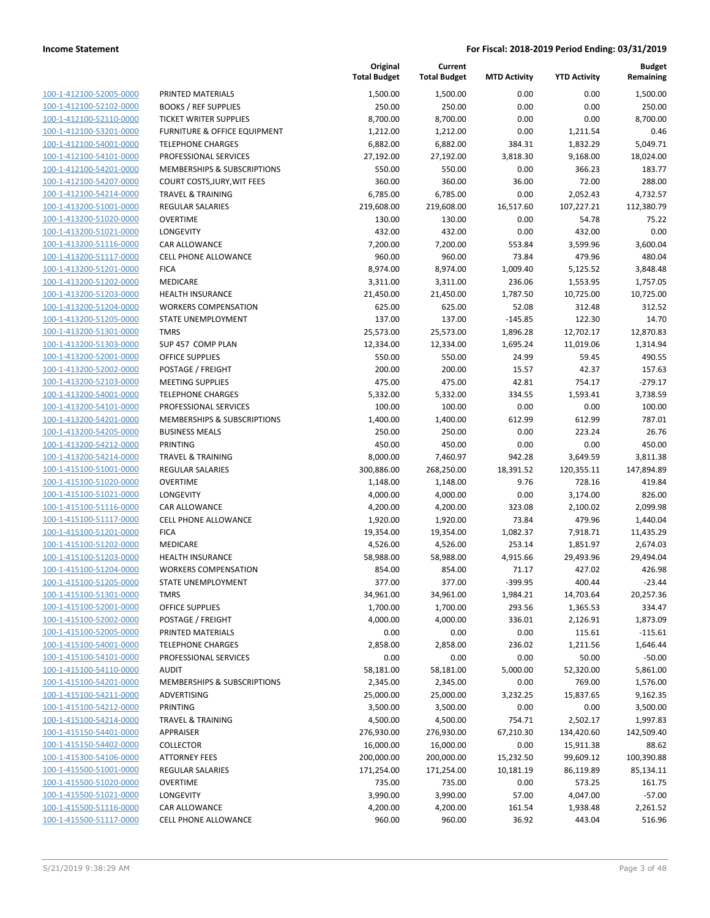|                                                    |                                              | Original<br><b>Total Budget</b> | Current<br><b>Total Budget</b> | <b>MTD Activity</b> | <b>YTD Activity</b> | Budget<br>Remaining |
|----------------------------------------------------|----------------------------------------------|---------------------------------|--------------------------------|---------------------|---------------------|---------------------|
| 100-1-412100-52005-0000                            | PRINTED MATERIALS                            | 1,500.00                        | 1,500.00                       | 0.00                | 0.00                | 1,500.00            |
| 100-1-412100-52102-0000                            | <b>BOOKS / REF SUPPLIES</b>                  | 250.00                          | 250.00                         | 0.00                | 0.00                | 250.00              |
| 100-1-412100-52110-0000                            | <b>TICKET WRITER SUPPLIES</b>                | 8,700.00                        | 8,700.00                       | 0.00                | 0.00                | 8,700.00            |
| 100-1-412100-53201-0000                            | <b>FURNITURE &amp; OFFICE EQUIPMENT</b>      | 1,212.00                        | 1,212.00                       | 0.00                | 1,211.54            | 0.46                |
| 100-1-412100-54001-0000                            | <b>TELEPHONE CHARGES</b>                     | 6,882.00                        | 6,882.00                       | 384.31              | 1,832.29            | 5,049.71            |
| 100-1-412100-54101-0000                            | PROFESSIONAL SERVICES                        | 27,192.00                       | 27,192.00                      | 3,818.30            | 9,168.00            | 18,024.00           |
| 100-1-412100-54201-0000                            | MEMBERSHIPS & SUBSCRIPTIONS                  | 550.00                          | 550.00                         | 0.00                | 366.23              | 183.77              |
| 100-1-412100-54207-0000                            | COURT COSTS, JURY, WIT FEES                  | 360.00                          | 360.00                         | 36.00               | 72.00               | 288.00              |
| 100-1-412100-54214-0000                            | <b>TRAVEL &amp; TRAINING</b>                 | 6,785.00                        | 6,785.00                       | 0.00                | 2,052.43            | 4,732.57            |
| 100-1-413200-51001-0000                            | <b>REGULAR SALARIES</b>                      | 219,608.00                      | 219,608.00                     | 16,517.60           | 107,227.21          | 112,380.79          |
| 100-1-413200-51020-0000                            | <b>OVERTIME</b>                              | 130.00                          | 130.00                         | 0.00                | 54.78               | 75.22               |
| 100-1-413200-51021-0000                            | LONGEVITY                                    | 432.00                          | 432.00                         | 0.00                | 432.00              | 0.00                |
| 100-1-413200-51116-0000                            | <b>CAR ALLOWANCE</b>                         | 7,200.00                        | 7,200.00                       | 553.84              | 3,599.96            | 3,600.04            |
| 100-1-413200-51117-0000                            | <b>CELL PHONE ALLOWANCE</b>                  | 960.00                          | 960.00                         | 73.84               | 479.96              | 480.04              |
| 100-1-413200-51201-0000                            | <b>FICA</b>                                  | 8,974.00                        | 8,974.00                       | 1,009.40            | 5,125.52            | 3,848.48            |
| 100-1-413200-51202-0000                            | MEDICARE                                     | 3,311.00                        | 3,311.00                       | 236.06              | 1,553.95            | 1,757.05            |
| 100-1-413200-51203-0000                            | <b>HEALTH INSURANCE</b>                      | 21,450.00                       | 21,450.00                      | 1,787.50            | 10,725.00           | 10,725.00           |
| 100-1-413200-51204-0000                            | <b>WORKERS COMPENSATION</b>                  | 625.00                          | 625.00                         | 52.08               | 312.48              | 312.52              |
| 100-1-413200-51205-0000                            | STATE UNEMPLOYMENT                           | 137.00                          | 137.00                         | $-145.85$           | 122.30              | 14.70               |
| 100-1-413200-51301-0000                            | <b>TMRS</b>                                  | 25,573.00                       | 25,573.00                      | 1,896.28            | 12,702.17           | 12,870.83           |
| 100-1-413200-51303-0000<br>100-1-413200-52001-0000 | SUP 457 COMP PLAN                            | 12,334.00                       | 12,334.00                      | 1,695.24            | 11,019.06           | 1,314.94            |
| 100-1-413200-52002-0000                            | <b>OFFICE SUPPLIES</b>                       | 550.00                          | 550.00                         | 24.99               | 59.45<br>42.37      | 490.55<br>157.63    |
| 100-1-413200-52103-0000                            | POSTAGE / FREIGHT<br><b>MEETING SUPPLIES</b> | 200.00<br>475.00                | 200.00<br>475.00               | 15.57<br>42.81      | 754.17              | $-279.17$           |
| 100-1-413200-54001-0000                            | <b>TELEPHONE CHARGES</b>                     | 5,332.00                        | 5,332.00                       | 334.55              | 1,593.41            | 3,738.59            |
| 100-1-413200-54101-0000                            | PROFESSIONAL SERVICES                        | 100.00                          | 100.00                         | 0.00                | 0.00                | 100.00              |
| 100-1-413200-54201-0000                            | MEMBERSHIPS & SUBSCRIPTIONS                  | 1,400.00                        | 1,400.00                       | 612.99              | 612.99              | 787.01              |
| 100-1-413200-54205-0000                            | <b>BUSINESS MEALS</b>                        | 250.00                          | 250.00                         | 0.00                | 223.24              | 26.76               |
| 100-1-413200-54212-0000                            | <b>PRINTING</b>                              | 450.00                          | 450.00                         | 0.00                | 0.00                | 450.00              |
| 100-1-413200-54214-0000                            | <b>TRAVEL &amp; TRAINING</b>                 | 8,000.00                        | 7,460.97                       | 942.28              | 3,649.59            | 3,811.38            |
| 100-1-415100-51001-0000                            | <b>REGULAR SALARIES</b>                      | 300,886.00                      | 268,250.00                     | 18,391.52           | 120,355.11          | 147,894.89          |
| 100-1-415100-51020-0000                            | <b>OVERTIME</b>                              | 1,148.00                        | 1,148.00                       | 9.76                | 728.16              | 419.84              |
| 100-1-415100-51021-0000                            | LONGEVITY                                    | 4,000.00                        | 4,000.00                       | 0.00                | 3,174.00            | 826.00              |
| 100-1-415100-51116-0000                            | <b>CAR ALLOWANCE</b>                         | 4,200.00                        | 4,200.00                       | 323.08              | 2,100.02            | 2,099.98            |
| 100-1-415100-51117-0000                            | CELL PHONE ALLOWANCE                         | 1,920.00                        | 1,920.00                       | 73.84               | 479.96              | 1,440.04            |
| 100-1-415100-51201-0000                            | <b>FICA</b>                                  | 19,354.00                       | 19,354.00                      | 1,082.37            | 7,918.71            | 11,435.29           |
| 100-1-415100-51202-0000                            | MEDICARE                                     | 4,526.00                        | 4,526.00                       | 253.14              | 1,851.97            | 2,674.03            |
| 100-1-415100-51203-0000                            | <b>HEALTH INSURANCE</b>                      | 58,988.00                       | 58,988.00                      | 4,915.66            | 29,493.96           | 29,494.04           |
| 100-1-415100-51204-0000                            | <b>WORKERS COMPENSATION</b>                  | 854.00                          | 854.00                         | 71.17               | 427.02              | 426.98              |
| 100-1-415100-51205-0000                            | STATE UNEMPLOYMENT                           | 377.00                          | 377.00                         | $-399.95$           | 400.44              | $-23.44$            |
| 100-1-415100-51301-0000                            | <b>TMRS</b>                                  | 34,961.00                       | 34,961.00                      | 1,984.21            | 14,703.64           | 20,257.36           |
| 100-1-415100-52001-0000                            | <b>OFFICE SUPPLIES</b>                       | 1,700.00                        | 1,700.00                       | 293.56              | 1,365.53            | 334.47              |
| 100-1-415100-52002-0000                            | POSTAGE / FREIGHT                            | 4,000.00                        | 4,000.00                       | 336.01              | 2,126.91            | 1,873.09            |
| 100-1-415100-52005-0000                            | PRINTED MATERIALS                            | 0.00                            | 0.00                           | 0.00                | 115.61              | $-115.61$           |
| 100-1-415100-54001-0000                            | <b>TELEPHONE CHARGES</b>                     | 2,858.00                        | 2,858.00                       | 236.02              | 1,211.56            | 1,646.44            |
| 100-1-415100-54101-0000                            | PROFESSIONAL SERVICES                        | 0.00                            | 0.00                           | 0.00                | 50.00               | -50.00              |
| 100-1-415100-54110-0000                            | <b>AUDIT</b>                                 | 58,181.00                       | 58,181.00                      | 5,000.00            | 52,320.00           | 5,861.00            |
| 100-1-415100-54201-0000                            | MEMBERSHIPS & SUBSCRIPTIONS                  | 2,345.00                        | 2,345.00                       | 0.00                | 769.00              | 1,576.00            |
| 100-1-415100-54211-0000                            | ADVERTISING                                  | 25,000.00                       | 25,000.00                      | 3,232.25            | 15,837.65           | 9,162.35            |
| 100-1-415100-54212-0000                            | <b>PRINTING</b>                              | 3,500.00                        | 3,500.00                       | 0.00                | 0.00                | 3,500.00            |
| 100-1-415100-54214-0000                            | <b>TRAVEL &amp; TRAINING</b>                 | 4,500.00                        | 4,500.00                       | 754.71              | 2,502.17            | 1,997.83            |
| 100-1-415150-54401-0000                            | <b>APPRAISER</b>                             | 276,930.00                      | 276,930.00                     | 67,210.30           | 134,420.60          | 142,509.40          |
| 100-1-415150-54402-0000                            | <b>COLLECTOR</b>                             | 16,000.00                       | 16,000.00                      | 0.00                | 15,911.38           | 88.62               |
| 100-1-415300-54106-0000                            | <b>ATTORNEY FEES</b>                         | 200,000.00                      | 200,000.00                     | 15,232.50           | 99,609.12           | 100,390.88          |
| 100-1-415500-51001-0000                            | REGULAR SALARIES                             | 171,254.00                      | 171,254.00                     | 10,181.19           | 86,119.89           | 85,134.11           |
| 100-1-415500-51020-0000                            | <b>OVERTIME</b>                              | 735.00                          | 735.00                         | 0.00                | 573.25              | 161.75              |
| 100-1-415500-51021-0000                            | LONGEVITY                                    | 3,990.00                        | 3,990.00                       | 57.00               | 4,047.00            | $-57.00$            |
| 100-1-415500-51116-0000                            | <b>CAR ALLOWANCE</b>                         | 4,200.00                        | 4,200.00                       | 161.54              | 1,938.48            | 2,261.52            |
| 100-1-415500-51117-0000                            | CELL PHONE ALLOWANCE                         | 960.00                          | 960.00                         | 36.92               | 443.04              | 516.96              |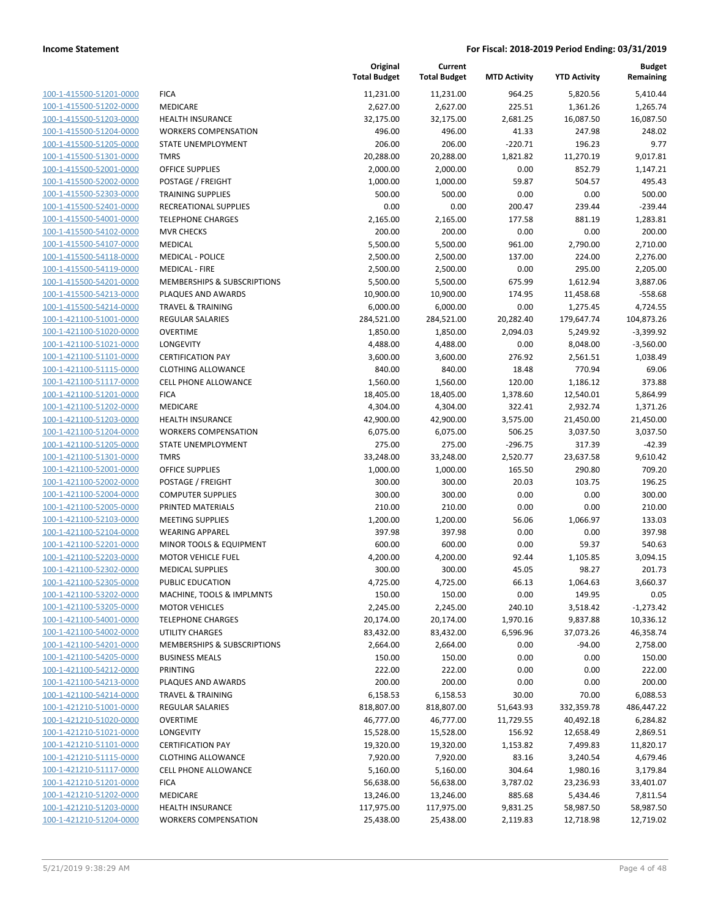| 100-1-415500-51201-0000        |
|--------------------------------|
| 100-1-415500-51202-0000        |
| 100-1-415500-51203-0000        |
| 100-1-415500-51204-0000        |
| 100-1-415500-51205-0000        |
| 100-1-415500-51301-0000        |
| 100-1-415500-52001-0000        |
| 100-1-415500-52002-0000        |
| 100-1-415500-52303-0000        |
| 100-1-415500-52401-0000        |
| 100-1-415500-54001-0000        |
| 100-1-415500-54102-0000        |
| 100-1-415500-54107-0000        |
| 100-1-415500-54118-0000        |
|                                |
| 100-1-415500-54119-0000        |
| 100-1-415500-54201-0000        |
| 100-1-415500-54213-0000        |
| 100-1-415500-54214-0000        |
| 100-1-421100-51001-0000        |
| 100-1-421100-51020-0000        |
| 100-1-421100-51021-0000        |
| 100-1-421100-51101-0000        |
| 100-1-421100-51115-0000        |
| 100-1-421100-51117-0000        |
| 100-1-421100-51201-0000        |
| 100-1-421100-51202-0000        |
| 100-1-421100-51203-0000        |
| 100-1-421100-51204-0000        |
| 100-1-421100-51205-0000        |
| 100-1-421100-51301-0000        |
| 100-1-421100-52001-0000        |
| 100-1-421100-52002-0000        |
| 100-1-421100-52004-0000        |
| 100-1-421100-52005-0000        |
| 100-1-421100-52103-0000        |
| 100-1-421100-52104-0000        |
| 100-1-421100-52201-0000        |
| 100-1-421100-52203-0000        |
|                                |
| 100-1-421100-52302-0000        |
| 100-1-421100-52305-0000        |
| 100-1-421100-53202-0000        |
| <u>100-1-421100-53205-0000</u> |
| 100-1-421100-54001-0000        |
| 100-1-421100-54002-0000        |
| <u>100-1-421100-54201-0000</u> |
| <u>100-1-421100-54205-0000</u> |
| <u>100-1-421100-54212-0000</u> |
| <u>100-1-421100-54213-0000</u> |
| <u>100-1-421100-54214-0000</u> |
| <u>100-1-421210-51001-0000</u> |
| <u>100-1-421210-51020-0000</u> |
| <u>100-1-421210-51021-0000</u> |
| <u>100-1-421210-51101-0000</u> |
| 100-1-421210-51115-0000        |
| <u>100-1-421210-51117-0000</u> |
| <u>100-1-421210-51201-0000</u> |
| <u>100-1-421210-51202-0000</u> |
| <u>100-1-421210-51203-0000</u> |
|                                |
| <u>100-1-421210-51204-0000</u> |

|                         |                              | Original<br><b>Total Budget</b> | Current<br><b>Total Budget</b> | <b>MTD Activity</b> | <b>YTD Activity</b> | <b>Budget</b><br>Remaining |
|-------------------------|------------------------------|---------------------------------|--------------------------------|---------------------|---------------------|----------------------------|
| 100-1-415500-51201-0000 | <b>FICA</b>                  | 11,231.00                       | 11,231.00                      | 964.25              | 5,820.56            | 5,410.44                   |
| 100-1-415500-51202-0000 | MEDICARE                     | 2,627.00                        | 2,627.00                       | 225.51              | 1,361.26            | 1,265.74                   |
| 100-1-415500-51203-0000 | HEALTH INSURANCE             | 32,175.00                       | 32,175.00                      | 2,681.25            | 16,087.50           | 16,087.50                  |
| 100-1-415500-51204-0000 | <b>WORKERS COMPENSATION</b>  | 496.00                          | 496.00                         | 41.33               | 247.98              | 248.02                     |
| 100-1-415500-51205-0000 | STATE UNEMPLOYMENT           | 206.00                          | 206.00                         | $-220.71$           | 196.23              | 9.77                       |
| 100-1-415500-51301-0000 | <b>TMRS</b>                  | 20,288.00                       | 20,288.00                      | 1,821.82            | 11,270.19           | 9,017.81                   |
| 100-1-415500-52001-0000 | <b>OFFICE SUPPLIES</b>       | 2,000.00                        | 2,000.00                       | 0.00                | 852.79              | 1,147.21                   |
| 100-1-415500-52002-0000 | POSTAGE / FREIGHT            | 1,000.00                        | 1,000.00                       | 59.87               | 504.57              | 495.43                     |
| 100-1-415500-52303-0000 | <b>TRAINING SUPPLIES</b>     | 500.00                          | 500.00                         | 0.00                | 0.00                | 500.00                     |
| 100-1-415500-52401-0000 | RECREATIONAL SUPPLIES        | 0.00                            | 0.00                           | 200.47              | 239.44              | $-239.44$                  |
| 100-1-415500-54001-0000 | <b>TELEPHONE CHARGES</b>     | 2,165.00                        | 2,165.00                       | 177.58              | 881.19              | 1,283.81                   |
| 100-1-415500-54102-0000 | <b>MVR CHECKS</b>            | 200.00                          | 200.00                         | 0.00                | 0.00                | 200.00                     |
| 100-1-415500-54107-0000 | MEDICAL                      | 5,500.00                        | 5,500.00                       | 961.00              | 2,790.00            | 2,710.00                   |
| 100-1-415500-54118-0000 | <b>MEDICAL - POLICE</b>      | 2,500.00                        | 2,500.00                       | 137.00              | 224.00              | 2,276.00                   |
| 100-1-415500-54119-0000 | <b>MEDICAL - FIRE</b>        | 2,500.00                        | 2,500.00                       | 0.00                | 295.00              | 2,205.00                   |
| 100-1-415500-54201-0000 | MEMBERSHIPS & SUBSCRIPTIONS  | 5,500.00                        | 5,500.00                       | 675.99              | 1,612.94            | 3,887.06                   |
| 100-1-415500-54213-0000 | PLAQUES AND AWARDS           | 10,900.00                       | 10,900.00                      | 174.95              | 11,458.68           | $-558.68$                  |
| 100-1-415500-54214-0000 | <b>TRAVEL &amp; TRAINING</b> | 6,000.00                        | 6,000.00                       | 0.00                | 1,275.45            | 4,724.55                   |
| 100-1-421100-51001-0000 | <b>REGULAR SALARIES</b>      | 284,521.00                      | 284,521.00                     | 20,282.40           | 179,647.74          | 104,873.26                 |
| 100-1-421100-51020-0000 | <b>OVERTIME</b>              | 1,850.00                        | 1,850.00                       | 2,094.03            | 5,249.92            | $-3,399.92$                |
| 100-1-421100-51021-0000 | <b>LONGEVITY</b>             | 4,488.00                        | 4,488.00                       | 0.00                | 8,048.00            | $-3,560.00$                |
| 100-1-421100-51101-0000 | <b>CERTIFICATION PAY</b>     | 3,600.00                        | 3,600.00                       | 276.92              | 2,561.51            | 1,038.49                   |
| 100-1-421100-51115-0000 | <b>CLOTHING ALLOWANCE</b>    | 840.00                          | 840.00                         | 18.48               | 770.94              | 69.06                      |
| 100-1-421100-51117-0000 | <b>CELL PHONE ALLOWANCE</b>  | 1,560.00                        | 1,560.00                       | 120.00              | 1,186.12            | 373.88                     |
| 100-1-421100-51201-0000 | <b>FICA</b>                  | 18,405.00                       | 18,405.00                      | 1,378.60            | 12,540.01           | 5,864.99                   |
| 100-1-421100-51202-0000 | MEDICARE                     | 4,304.00                        | 4,304.00                       | 322.41              | 2,932.74            | 1,371.26                   |
| 100-1-421100-51203-0000 | <b>HEALTH INSURANCE</b>      | 42,900.00                       | 42,900.00                      | 3,575.00            | 21,450.00           | 21,450.00                  |
| 100-1-421100-51204-0000 | <b>WORKERS COMPENSATION</b>  | 6,075.00                        | 6,075.00                       | 506.25              | 3,037.50            | 3,037.50                   |
| 100-1-421100-51205-0000 | STATE UNEMPLOYMENT           | 275.00                          | 275.00                         | $-296.75$           | 317.39              | $-42.39$                   |
| 100-1-421100-51301-0000 | <b>TMRS</b>                  | 33,248.00                       | 33,248.00                      | 2,520.77            | 23,637.58           | 9,610.42                   |
| 100-1-421100-52001-0000 | <b>OFFICE SUPPLIES</b>       | 1,000.00                        | 1,000.00                       | 165.50              | 290.80              | 709.20                     |
| 100-1-421100-52002-0000 | POSTAGE / FREIGHT            | 300.00                          | 300.00                         | 20.03               | 103.75              | 196.25                     |
| 100-1-421100-52004-0000 | <b>COMPUTER SUPPLIES</b>     | 300.00                          | 300.00                         | 0.00                | 0.00                | 300.00                     |
| 100-1-421100-52005-0000 | PRINTED MATERIALS            | 210.00                          | 210.00                         | 0.00                | 0.00                | 210.00                     |
| 100-1-421100-52103-0000 | <b>MEETING SUPPLIES</b>      | 1,200.00                        | 1,200.00                       | 56.06               | 1,066.97            | 133.03                     |
| 100-1-421100-52104-0000 | <b>WEARING APPAREL</b>       | 397.98                          | 397.98                         | 0.00                | 0.00                | 397.98                     |
| 100-1-421100-52201-0000 | MINOR TOOLS & EQUIPMENT      | 600.00                          | 600.00                         | 0.00                | 59.37               | 540.63                     |
| 100-1-421100-52203-0000 | <b>MOTOR VEHICLE FUEL</b>    | 4,200.00                        | 4,200.00                       | 92.44               | 1,105.85            | 3,094.15                   |
| 100-1-421100-52302-0000 | <b>MEDICAL SUPPLIES</b>      | 300.00                          | 300.00                         | 45.05               | 98.27               | 201.73                     |
| 100-1-421100-52305-0000 | PUBLIC EDUCATION             | 4,725.00                        | 4,725.00                       | 66.13               | 1,064.63            | 3,660.37                   |
| 100-1-421100-53202-0000 | MACHINE, TOOLS & IMPLMNTS    | 150.00                          | 150.00                         | 0.00                | 149.95              | 0.05                       |
| 100-1-421100-53205-0000 | <b>MOTOR VEHICLES</b>        | 2,245.00                        | 2,245.00                       | 240.10              | 3,518.42            | $-1,273.42$                |
| 100-1-421100-54001-0000 | <b>TELEPHONE CHARGES</b>     | 20,174.00                       | 20,174.00                      | 1,970.16            | 9,837.88            | 10,336.12                  |
| 100-1-421100-54002-0000 | UTILITY CHARGES              | 83,432.00                       | 83,432.00                      | 6,596.96            | 37,073.26           | 46,358.74                  |
| 100-1-421100-54201-0000 | MEMBERSHIPS & SUBSCRIPTIONS  | 2,664.00                        | 2,664.00                       | 0.00                | $-94.00$            | 2,758.00                   |
| 100-1-421100-54205-0000 | <b>BUSINESS MEALS</b>        | 150.00                          | 150.00                         | 0.00                | 0.00                | 150.00                     |
| 100-1-421100-54212-0000 | PRINTING                     | 222.00                          | 222.00                         | 0.00                | 0.00                | 222.00                     |
| 100-1-421100-54213-0000 | PLAQUES AND AWARDS           | 200.00                          | 200.00                         | 0.00                | 0.00                | 200.00                     |
| 100-1-421100-54214-0000 | <b>TRAVEL &amp; TRAINING</b> | 6,158.53                        | 6,158.53                       | 30.00               | 70.00               | 6,088.53                   |
| 100-1-421210-51001-0000 | <b>REGULAR SALARIES</b>      | 818,807.00                      | 818,807.00                     | 51,643.93           | 332,359.78          | 486,447.22                 |
| 100-1-421210-51020-0000 | <b>OVERTIME</b>              | 46,777.00                       | 46,777.00                      | 11,729.55           | 40,492.18           | 6,284.82                   |
| 100-1-421210-51021-0000 | LONGEVITY                    | 15,528.00                       | 15,528.00                      | 156.92              | 12,658.49           | 2,869.51                   |
| 100-1-421210-51101-0000 | <b>CERTIFICATION PAY</b>     | 19,320.00                       | 19,320.00                      | 1,153.82            | 7,499.83            | 11,820.17                  |
| 100-1-421210-51115-0000 | <b>CLOTHING ALLOWANCE</b>    | 7,920.00                        | 7,920.00                       | 83.16               | 3,240.54            | 4,679.46                   |
| 100-1-421210-51117-0000 | CELL PHONE ALLOWANCE         | 5,160.00                        | 5,160.00                       | 304.64              | 1,980.16            | 3,179.84                   |
| 100-1-421210-51201-0000 | <b>FICA</b>                  | 56,638.00                       | 56,638.00                      | 3,787.02            | 23,236.93           | 33,401.07                  |
| 100-1-421210-51202-0000 | MEDICARE                     | 13,246.00                       | 13,246.00                      | 885.68              |                     | 7,811.54                   |
|                         |                              |                                 |                                |                     | 5,434.46            |                            |
| 100-1-421210-51203-0000 | HEALTH INSURANCE             | 117,975.00                      | 117,975.00                     | 9,831.25            | 58,987.50           | 58,987.50                  |
| 100-1-421210-51204-0000 | <b>WORKERS COMPENSATION</b>  | 25,438.00                       | 25,438.00                      | 2,119.83            | 12,718.98           | 12,719.02                  |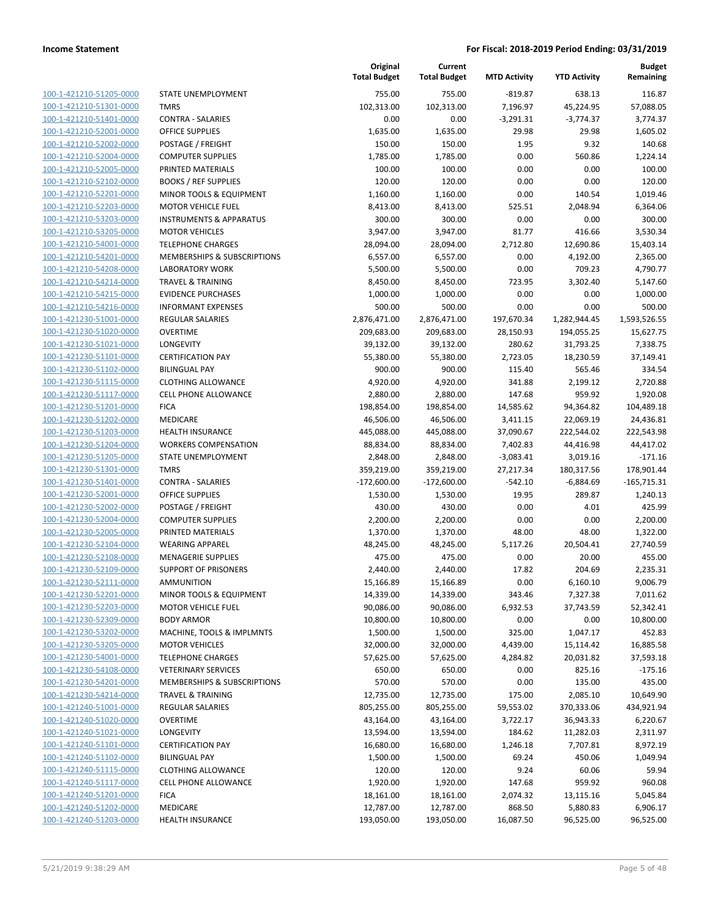100-1-421210-51205-0000 100-1-421210-51301-0000 100-1-421210-51401-0000 100-1-421210-52001-0000 100-1-421210-52002-0000 100-1-421210-52004-0000 100-1-421210-52005-0000 PRINTED MATERIALS 100.00 100.00 0.00 0.00 100.00 100-1-421210-52102-0000 100-1-421210-52201-0000 100-1-421210-52203-0000 100-1-421210-53203-0000 100-1-421210-53205-0000 100-1-421210-54001-0000 100-1-421210-54201-0000 100-1-421210-54208-0000 100-1-421210-54214-0000 100-1-421210-54215-0000 100-1-421210-54216-0000 100-1-421230-51001-0000 100-1-421230-51020-0000 100-1-421230-51021-0000 100-1-421230-51101-0000 100-1-421230-51102-0000 BILINGUAL PAY 900.00 900.00 115.40 565.46 334.54 100-1-421230-51115-0000 100-1-421230-51117-0000 100-1-421230-51201-0000 100-1-421230-51202-0000 100-1-421230-51203-0000 100-1-421230-51204-0000 100-1-421230-51205-0000 100-1-421230-51301-0000 100-1-421230-51401-0000 100-1-421230-52001-0000 100-1-421230-52002-0000 100-1-421230-52004-0000 100-1-421230-52005-0000 100-1-421230-52104-0000 100-1-421230-52108-0000 100-1-421230-52109-0000 100-1-421230-52111-0000 100-1-421230-52201-0000 100-1-421230-52203-0000 100-1-421230-52309-0000 100-1-421230-53202-0000 100-1-421230-53205-0000 100-1-421230-54001-0000 100-1-421230-54108-0000 100-1-421230-54201-0000 100-1-421230-54214-0000 100-1-421240-51001-0000 100-1-421240-51020-0000 100-1-421240-51021-0000 100-1-421240-51101-0000 100-1-421240-51102-0000 100-1-421240-51115-0000 100-1-421240-51117-0000 100-1-421240-51201-0000 100-1-421240-51202-0000 100-1-421240-51203-0000

|                                    | Original<br><b>Total Budget</b> | Current<br><b>Total Budget</b> | <b>MTD Activity</b> | <b>YTD Activity</b> | <b>Budget</b><br>Remaining |
|------------------------------------|---------------------------------|--------------------------------|---------------------|---------------------|----------------------------|
| STATE UNEMPLOYMENT                 | 755.00                          | 755.00                         | $-819.87$           | 638.13              | 116.87                     |
| <b>TMRS</b>                        | 102,313.00                      | 102,313.00                     | 7,196.97            | 45,224.95           | 57,088.05                  |
| <b>CONTRA - SALARIES</b>           | 0.00                            | 0.00                           | $-3,291.31$         | $-3,774.37$         | 3,774.37                   |
| <b>OFFICE SUPPLIES</b>             | 1,635.00                        | 1,635.00                       | 29.98               | 29.98               | 1,605.02                   |
| POSTAGE / FREIGHT                  | 150.00                          | 150.00                         | 1.95                | 9.32                | 140.68                     |
| <b>COMPUTER SUPPLIES</b>           | 1,785.00                        | 1,785.00                       | 0.00                | 560.86              | 1,224.14                   |
| PRINTED MATERIALS                  | 100.00                          | 100.00                         | 0.00                | 0.00                | 100.00                     |
| <b>BOOKS / REF SUPPLIES</b>        | 120.00                          | 120.00                         | 0.00                | 0.00                | 120.00                     |
| MINOR TOOLS & EQUIPMENT            | 1,160.00                        | 1,160.00                       | 0.00                | 140.54              | 1,019.46                   |
| <b>MOTOR VEHICLE FUEL</b>          | 8,413.00                        | 8,413.00                       | 525.51              | 2,048.94            | 6,364.06                   |
| <b>INSTRUMENTS &amp; APPARATUS</b> | 300.00                          | 300.00                         | 0.00                | 0.00                | 300.00                     |
| <b>MOTOR VEHICLES</b>              | 3,947.00                        | 3,947.00                       | 81.77               | 416.66              | 3,530.34                   |
| <b>TELEPHONE CHARGES</b>           | 28,094.00                       | 28,094.00                      | 2,712.80            | 12,690.86           | 15,403.14                  |
| MEMBERSHIPS & SUBSCRIPTIONS        | 6,557.00                        | 6,557.00                       | 0.00                | 4,192.00            | 2,365.00                   |
| <b>LABORATORY WORK</b>             | 5,500.00                        | 5,500.00                       | 0.00                | 709.23              | 4,790.77                   |
| <b>TRAVEL &amp; TRAINING</b>       | 8,450.00                        | 8,450.00                       | 723.95              | 3,302.40            | 5,147.60                   |
| <b>EVIDENCE PURCHASES</b>          | 1,000.00                        | 1,000.00                       | 0.00                | 0.00                | 1,000.00                   |
| <b>INFORMANT EXPENSES</b>          | 500.00                          | 500.00                         | 0.00                | 0.00                | 500.00                     |
| <b>REGULAR SALARIES</b>            | 2,876,471.00                    | 2,876,471.00                   | 197,670.34          | 1,282,944.45        | 1,593,526.55               |
| <b>OVERTIME</b>                    | 209,683.00                      | 209,683.00                     | 28,150.93           | 194,055.25          | 15,627.75                  |
| <b>LONGEVITY</b>                   | 39,132.00                       | 39,132.00                      | 280.62              | 31,793.25           | 7,338.75                   |
| <b>CERTIFICATION PAY</b>           | 55,380.00                       | 55,380.00                      | 2,723.05            | 18,230.59           | 37,149.41                  |
| <b>BILINGUAL PAY</b>               | 900.00                          | 900.00                         | 115.40              | 565.46              | 334.54                     |
| <b>CLOTHING ALLOWANCE</b>          | 4,920.00                        | 4,920.00                       | 341.88              | 2,199.12            | 2,720.88                   |
| CELL PHONE ALLOWANCE               | 2,880.00                        | 2,880.00                       | 147.68              | 959.92              | 1,920.08                   |
| <b>FICA</b>                        | 198,854.00                      | 198,854.00                     | 14,585.62           | 94,364.82           | 104,489.18                 |
| <b>MEDICARE</b>                    | 46,506.00                       | 46,506.00                      | 3,411.15            | 22,069.19           | 24,436.81                  |
| <b>HEALTH INSURANCE</b>            | 445,088.00                      | 445,088.00                     | 37,090.67           | 222,544.02          | 222,543.98                 |
| <b>WORKERS COMPENSATION</b>        | 88,834.00                       | 88,834.00                      | 7,402.83            | 44,416.98           | 44,417.02                  |
| STATE UNEMPLOYMENT                 | 2,848.00                        | 2,848.00                       | $-3,083.41$         | 3,019.16            | $-171.16$                  |
| <b>TMRS</b>                        | 359,219.00                      | 359,219.00                     | 27,217.34           | 180,317.56          | 178,901.44                 |
| <b>CONTRA - SALARIES</b>           | $-172,600.00$                   | $-172,600.00$                  | $-542.10$           | $-6,884.69$         | $-165,715.31$              |
| <b>OFFICE SUPPLIES</b>             | 1,530.00                        | 1,530.00                       | 19.95               | 289.87              | 1,240.13                   |
| POSTAGE / FREIGHT                  | 430.00                          | 430.00                         | 0.00                | 4.01                | 425.99                     |
| <b>COMPUTER SUPPLIES</b>           | 2,200.00                        | 2,200.00                       | 0.00                | 0.00                | 2,200.00                   |
| PRINTED MATERIALS                  | 1,370.00                        | 1,370.00                       | 48.00               | 48.00               | 1,322.00                   |
| <b>WEARING APPAREL</b>             | 48,245.00                       | 48,245.00                      | 5,117.26            | 20,504.41           | 27,740.59                  |
| <b>MENAGERIE SUPPLIES</b>          | 475.00                          | 475.00                         | 0.00                | 20.00               | 455.00                     |
| <b>SUPPORT OF PRISONERS</b>        | 2,440.00                        | 2,440.00                       | 17.82               | 204.69              | 2,235.31                   |
| <b>AMMUNITION</b>                  | 15,166.89                       | 15,166.89                      | 0.00                | 6,160.10            | 9,006.79                   |
| MINOR TOOLS & EQUIPMENT            | 14,339.00                       | 14,339.00                      | 343.46              | 7,327.38            | 7,011.62                   |
| <b>MOTOR VEHICLE FUEL</b>          | 90,086.00                       | 90,086.00                      | 6,932.53            | 37,743.59           | 52,342.41                  |
| <b>BODY ARMOR</b>                  | 10,800.00                       | 10,800.00                      | 0.00                | 0.00                | 10,800.00                  |
| MACHINE, TOOLS & IMPLMNTS          | 1,500.00                        | 1,500.00                       | 325.00              | 1,047.17            | 452.83                     |
| <b>MOTOR VEHICLES</b>              | 32,000.00                       | 32,000.00                      | 4,439.00            | 15,114.42           | 16,885.58                  |
| <b>TELEPHONE CHARGES</b>           | 57,625.00                       | 57,625.00                      | 4,284.82            | 20,031.82           | 37,593.18                  |
| <b>VETERINARY SERVICES</b>         | 650.00                          | 650.00                         | 0.00                | 825.16              | $-175.16$                  |
| MEMBERSHIPS & SUBSCRIPTIONS        | 570.00                          | 570.00                         | 0.00                | 135.00              | 435.00                     |
| <b>TRAVEL &amp; TRAINING</b>       | 12,735.00                       | 12,735.00                      | 175.00              | 2,085.10            | 10,649.90                  |
| <b>REGULAR SALARIES</b>            | 805,255.00                      | 805,255.00                     | 59,553.02           | 370,333.06          | 434,921.94                 |
| OVERTIME                           | 43,164.00                       | 43,164.00                      | 3,722.17            | 36,943.33           | 6,220.67                   |
| LONGEVITY                          | 13,594.00                       | 13,594.00                      | 184.62              | 11,282.03           | 2,311.97                   |
| <b>CERTIFICATION PAY</b>           | 16,680.00                       | 16,680.00                      | 1,246.18            | 7,707.81            | 8,972.19                   |
| <b>BILINGUAL PAY</b>               | 1,500.00                        | 1,500.00                       | 69.24               | 450.06              | 1,049.94                   |
| <b>CLOTHING ALLOWANCE</b>          | 120.00                          | 120.00                         | 9.24                | 60.06               | 59.94                      |
| CELL PHONE ALLOWANCE               | 1,920.00                        | 1,920.00                       | 147.68              | 959.92              | 960.08                     |
| <b>FICA</b>                        | 18,161.00                       | 18,161.00                      | 2,074.32            | 13,115.16           | 5,045.84                   |
| MEDICARE                           | 12,787.00                       | 12,787.00                      | 868.50              | 5,880.83            | 6,906.17                   |
| <b>HEALTH INSURANCE</b>            | 193,050.00                      | 193,050.00                     | 16,087.50           | 96,525.00           | 96,525.00                  |
|                                    |                                 |                                |                     |                     |                            |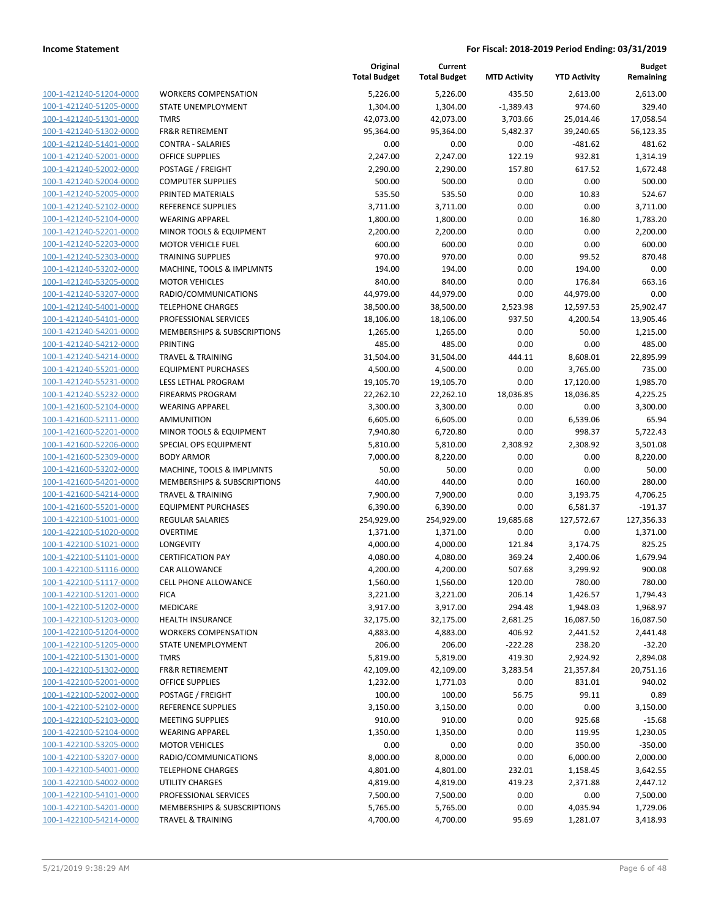100-1-421240-51204-0000 100-1-421240-51205-0000 100-1-421240-51301-0000 100-1-421240-51302-0000 100-1-421240-51401-0000 100-1-421240-52001-0000 100-1-421240-52002-0000 100-1-421240-52004-0000 100-1-421240-52005-0000 PRINTED MATERIALS 535.50 535.50 0.00 10.83 524.67 100-1-421240-52102-0000 100-1-421240-52104-0000 100-1-421240-52201-0000 100-1-421240-52203-0000 100-1-421240-52303-0000 100-1-421240-53202-0000 100-1-421240-53205-0000 100-1-421240-53207-0000 100-1-421240-54001-0000 100-1-421240-54101-0000 100-1-421240-54201-0000 100-1-421240-54212-0000 100-1-421240-54214-0000 100-1-421240-55201-0000 100-1-421240-55231-0000 100-1-421240-55232-0000 100-1-421600-52104-0000 100-1-421600-52111-0000 100-1-421600-52201-0000 100-1-421600-52206-0000 100-1-421600-52309-0000 100-1-421600-53202-0000 100-1-421600-54201-0000 100-1-421600-54214-0000 100-1-421600-55201-0000 100-1-422100-51001-0000 100-1-422100-51020-0000 100-1-422100-51021-0000 100-1-422100-51101-0000 100-1-422100-51116-0000 100-1-422100-51117-0000 100-1-422100-51201-0000 100-1-422100-51202-0000 100-1-422100-51203-0000 100-1-422100-51204-0000 100-1-422100-51205-0000 100-1-422100-51301-0000 100-1-422100-51302-0000 100-1-422100-52001-0000 100-1-422100-52002-0000 100-1-422100-52102-0000 100-1-422100-52103-0000 100-1-422100-52104-0000 100-1-422100-53205-0000 100-1-422100-53207-0000 100-1-422100-54001-0000 100-1-422100-54002-0000 100-1-422100-54101-0000 100-1-422100-54201-0000 100-1-422100-54214-0000

|                              | Original<br><b>Total Budget</b> | Current<br><b>Total Budget</b> | <b>MTD Activity</b> | <b>YTD Activity</b> | <b>Budget</b><br>Remaining |
|------------------------------|---------------------------------|--------------------------------|---------------------|---------------------|----------------------------|
|                              |                                 |                                |                     |                     |                            |
| <b>WORKERS COMPENSATION</b>  | 5,226.00                        | 5,226.00                       | 435.50              | 2,613.00            | 2,613.00                   |
| STATE UNEMPLOYMENT           | 1,304.00                        | 1,304.00                       | $-1,389.43$         | 974.60              | 329.40                     |
| <b>TMRS</b>                  | 42,073.00                       | 42,073.00                      | 3,703.66            | 25,014.46           | 17,058.54                  |
| <b>FR&amp;R RETIREMENT</b>   | 95,364.00                       | 95,364.00                      | 5,482.37            | 39,240.65           | 56,123.35                  |
| <b>CONTRA - SALARIES</b>     | 0.00                            | 0.00                           | 0.00                | $-481.62$           | 481.62                     |
| <b>OFFICE SUPPLIES</b>       | 2,247.00                        | 2,247.00                       | 122.19              | 932.81              | 1,314.19                   |
| POSTAGE / FREIGHT            | 2,290.00                        | 2,290.00                       | 157.80              | 617.52              | 1,672.48                   |
| <b>COMPUTER SUPPLIES</b>     | 500.00                          | 500.00                         | 0.00                | 0.00                | 500.00                     |
| PRINTED MATERIALS            | 535.50                          | 535.50                         | 0.00                | 10.83               | 524.67                     |
| <b>REFERENCE SUPPLIES</b>    | 3,711.00                        | 3,711.00                       | 0.00                | 0.00                | 3,711.00                   |
| <b>WEARING APPAREL</b>       | 1,800.00                        | 1,800.00                       | 0.00                | 16.80               | 1,783.20                   |
| MINOR TOOLS & EQUIPMENT      | 2,200.00                        | 2,200.00                       | 0.00                | 0.00                | 2,200.00                   |
| <b>MOTOR VEHICLE FUEL</b>    | 600.00                          | 600.00                         | 0.00                | 0.00                | 600.00                     |
| <b>TRAINING SUPPLIES</b>     | 970.00                          | 970.00                         | 0.00                | 99.52               | 870.48                     |
| MACHINE, TOOLS & IMPLMNTS    | 194.00                          | 194.00                         | 0.00                | 194.00              | 0.00                       |
| <b>MOTOR VEHICLES</b>        | 840.00                          | 840.00                         | 0.00                | 176.84              | 663.16                     |
| RADIO/COMMUNICATIONS         | 44,979.00                       | 44,979.00                      | 0.00                | 44,979.00           | 0.00                       |
| <b>TELEPHONE CHARGES</b>     | 38,500.00                       | 38,500.00                      | 2,523.98            | 12,597.53           | 25,902.47                  |
| PROFESSIONAL SERVICES        | 18,106.00                       | 18,106.00                      | 937.50              | 4,200.54            | 13,905.46                  |
| MEMBERSHIPS & SUBSCRIPTIONS  | 1,265.00                        | 1,265.00                       | 0.00                | 50.00               | 1,215.00                   |
| PRINTING                     | 485.00                          | 485.00                         | 0.00                | 0.00                | 485.00                     |
| <b>TRAVEL &amp; TRAINING</b> | 31,504.00                       | 31,504.00                      | 444.11              | 8,608.01            | 22,895.99                  |
| <b>EQUIPMENT PURCHASES</b>   | 4,500.00                        | 4,500.00                       | 0.00                | 3,765.00            | 735.00                     |
| LESS LETHAL PROGRAM          | 19,105.70                       | 19,105.70                      | 0.00                | 17,120.00           | 1,985.70                   |
| <b>FIREARMS PROGRAM</b>      | 22,262.10                       | 22,262.10                      | 18,036.85           | 18,036.85           | 4,225.25                   |
| <b>WEARING APPAREL</b>       | 3,300.00                        | 3,300.00                       | 0.00                | 0.00                | 3,300.00                   |
| <b>AMMUNITION</b>            | 6,605.00                        | 6,605.00                       | 0.00                | 6,539.06            | 65.94                      |
| MINOR TOOLS & EQUIPMENT      | 7,940.80                        | 6,720.80                       | 0.00                | 998.37              | 5,722.43                   |
| SPECIAL OPS EQUIPMENT        | 5,810.00                        | 5,810.00                       | 2,308.92            | 2,308.92            | 3,501.08                   |
| <b>BODY ARMOR</b>            | 7,000.00                        | 8,220.00                       | 0.00                | 0.00                | 8,220.00                   |
| MACHINE, TOOLS & IMPLMNTS    | 50.00                           | 50.00                          | 0.00                | 0.00                | 50.00                      |
| MEMBERSHIPS & SUBSCRIPTIONS  | 440.00                          | 440.00                         | 0.00                | 160.00              | 280.00                     |
| <b>TRAVEL &amp; TRAINING</b> | 7,900.00                        | 7,900.00                       | 0.00                | 3,193.75            | 4,706.25                   |
| <b>EQUIPMENT PURCHASES</b>   | 6,390.00                        | 6,390.00                       | 0.00                | 6,581.37            | $-191.37$                  |
| <b>REGULAR SALARIES</b>      | 254,929.00                      | 254,929.00                     | 19,685.68           | 127,572.67          | 127,356.33                 |
| <b>OVERTIME</b>              | 1,371.00                        | 1,371.00                       | 0.00                | 0.00                | 1,371.00                   |
| LONGEVITY                    | 4,000.00                        | 4,000.00                       | 121.84              | 3,174.75            | 825.25                     |
| <b>CERTIFICATION PAY</b>     | 4,080.00                        | 4,080.00                       | 369.24              | 2,400.06            | 1,679.94                   |
| <b>CAR ALLOWANCE</b>         | 4,200.00                        | 4,200.00                       | 507.68              | 3,299.92            | 900.08                     |
| CELL PHONE ALLOWANCE         | 1,560.00                        | 1,560.00                       | 120.00              | 780.00              | 780.00                     |
| <b>FICA</b>                  | 3,221.00                        | 3,221.00                       | 206.14              | 1,426.57            | 1,794.43                   |
| MEDICARE                     | 3,917.00                        | 3,917.00                       | 294.48              | 1,948.03            | 1,968.97                   |
| <b>HEALTH INSURANCE</b>      | 32,175.00                       | 32,175.00                      | 2,681.25            | 16,087.50           | 16,087.50                  |
| <b>WORKERS COMPENSATION</b>  | 4,883.00                        | 4,883.00                       | 406.92              | 2,441.52            | 2,441.48                   |
| STATE UNEMPLOYMENT           | 206.00                          | 206.00                         | $-222.28$           | 238.20              | $-32.20$                   |
| <b>TMRS</b>                  | 5,819.00                        | 5,819.00                       | 419.30              | 2,924.92            | 2,894.08                   |
| FR&R RETIREMENT              | 42,109.00                       | 42,109.00                      | 3,283.54            | 21,357.84           | 20,751.16                  |
| OFFICE SUPPLIES              | 1,232.00                        | 1,771.03                       | 0.00                | 831.01              | 940.02                     |
| POSTAGE / FREIGHT            | 100.00                          | 100.00                         | 56.75               | 99.11               | 0.89                       |
| REFERENCE SUPPLIES           | 3,150.00                        | 3,150.00                       | 0.00                | 0.00                | 3,150.00                   |
| <b>MEETING SUPPLIES</b>      | 910.00                          | 910.00                         | 0.00                | 925.68              | $-15.68$                   |
| <b>WEARING APPAREL</b>       | 1,350.00                        | 1,350.00                       | 0.00                | 119.95              | 1,230.05                   |
| <b>MOTOR VEHICLES</b>        | 0.00                            | 0.00                           | 0.00                | 350.00              | $-350.00$                  |
| RADIO/COMMUNICATIONS         | 8,000.00                        | 8,000.00                       | 0.00                | 6,000.00            | 2,000.00                   |
| <b>TELEPHONE CHARGES</b>     | 4,801.00                        | 4,801.00                       | 232.01              | 1,158.45            | 3,642.55                   |
| UTILITY CHARGES              | 4,819.00                        | 4,819.00                       | 419.23              | 2,371.88            | 2,447.12                   |
| PROFESSIONAL SERVICES        | 7,500.00                        | 7,500.00                       | 0.00                | 0.00                | 7,500.00                   |
| MEMBERSHIPS & SUBSCRIPTIONS  | 5,765.00                        | 5,765.00                       | 0.00                | 4,035.94            | 1,729.06                   |
| <b>TRAVEL &amp; TRAINING</b> | 4,700.00                        | 4,700.00                       | 95.69               | 1,281.07            | 3,418.93                   |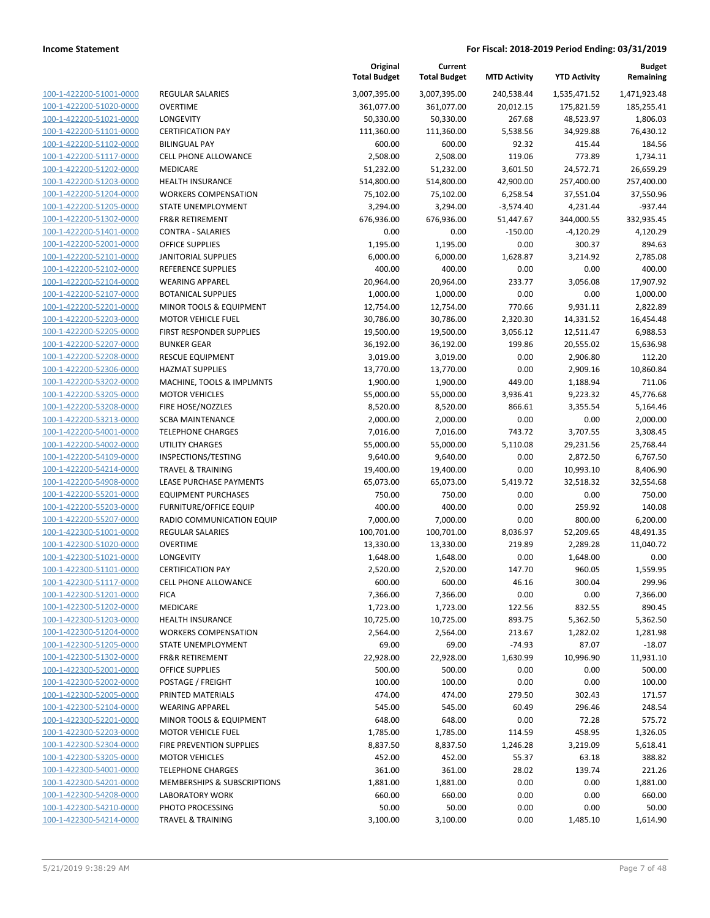| 100-1-422200-51001-0000         |
|---------------------------------|
| 100-1-422200-51020-0000         |
| 100-1-422200-51021-0000         |
| 100-1-422200-51101-0000         |
| 100-1-422200-51102-0000         |
| 100-1-422200-51117-0000         |
|                                 |
| 100-1-422200-51202-0000         |
| 100-1-422200-51203-0000         |
| 100-1-422200-51204-0000         |
| 100-1-422200-51205-0000         |
| 100-1-422200-51302-0000         |
| 100-1-422200-51401-0000         |
| 100-1-422200-52001-0000         |
| 100-1-422200-52101-0000         |
| 100-1-422200-52102-0000         |
|                                 |
| 100-1-422200-52104-0000         |
| 100-1-422200-52107-0000         |
| 100-1-422200-52201-0000         |
| 100-1-422200-52203-0000         |
| $100 - 1$<br>-422200-52205-0000 |
| 100-1-422200-52207-0000         |
| 100-1-422200-52208-0000         |
| 100-1-422200-52306-0000         |
| 100-1-422200-53202-0000         |
| 100-1-422200-53205-0000         |
| 100-1-422200-53208-0000         |
|                                 |
| 100-1-422200-53213-0000         |
| 100-1-422200-54001-0000         |
| 100-1-422200-54002-0000         |
| $100 - 1$<br>-422200-54109-0000 |
| 100-1-422200-54214-0000         |
| 100-1-422200-54908-0000         |
| 100-1-422200-55201-0000         |
| 100-1-422200-55203-0000         |
| 100-1-422200-55207-0000         |
| 100-1-422300-51001-0000         |
| 100-1-422300-51020-0000         |
|                                 |
| 100-1-422300-51021-0000         |
| 100-1-422300-51101-0000         |
| 100-1-422300-51117-0000         |
| 100-1-422300-51201-0000         |
| 100-1-422300-51202-0000         |
| 100-1-422300-51203-0000         |
| 100-1-422300-51204-0000         |
| 100-1-422300-51205-0000         |
| 100-1-422300-51302-0000         |
| 100-1-422300-52001-0000         |
|                                 |
| <u>100-1-422300-52002-0000</u>  |
| 100-1-422300-52005-0000         |
| 100-1-422300-52104-0000         |
| 100-1-422300-52201-0000         |
| 100-1-422300-52203-0000         |
| 100-1-422300-52304-0000         |
| 100-1-422300-53205-0000         |
| 100-1-422300-54001-0000         |
| 100-1-422300-54201-0000         |
| 100-1-422300-54208-0000         |
| <u>100-1-422300-54210-0000</u>  |
|                                 |
| 100-1-422300-54214-0000         |

| REGULAR SALARIES                      |
|---------------------------------------|
| OVERTIME                              |
| LONGEVITY                             |
| CERTIFICATION PAY                     |
| BILINGUAL PAY                         |
| CELL PHONE ALLOWANCE                  |
| MEDICARE                              |
| HEALTH INSURANCE                      |
| WORKERS COMPENSATION                  |
| <b>STATE UNEMPLOYMENT</b>             |
| FR&R RETIREMENT                       |
| CONTRA - SALARIES                     |
| OFFICE SUPPLIES                       |
| <b>IANITORIAL SUPPLIES</b>            |
| REFERENCE SUPPLIES                    |
| WEARING APPAREL                       |
| BOTANICAL SUPPLIES                    |
| MINOR TOOLS & EQUIPMENT               |
| <b>MOTOR VEHICLE FUEL</b>             |
| FIRST RESPONDER SUPPLIES              |
| BUNKER GEAR                           |
| RESCUE EQUIPMENT                      |
| <b>HAZMAT SUPPLIES</b>                |
| MACHINE, TOOLS & IMPLMNTS             |
| MOTOR VEHICLES                        |
| FIRE HOSE/NOZZLES<br>SCBA MAINTENANCE |
| <b>TELEPHONE CHARGES</b>              |
| UTILITY CHARGES                       |
| INSPECTIONS/TESTING                   |
| <b>TRAVEL &amp; TRAINING</b>          |
| LEASE PURCHASE PAYMENTS               |
| EQUIPMENT PURCHASES                   |
| FURNITURE/OFFICE EQUIP                |
| RADIO COMMUNICATION EQUIP             |
| REGULAR SALARIES                      |
| OVERTIME                              |
| LONGEVITY                             |
| <b>CERTIFICATION PAY</b>              |
| CELL PHONE ALLOWANCE                  |
| FICA                                  |
| MEDICARE                              |
| HEALTH INSURANCE                      |
| WORKERS COMPENSATION                  |
| STATE UNEMPLOYMENT                    |
| FR&R RETIREMENT                       |
| OFFICE SUPPLIES                       |
| POSTAGE / FREIGHT                     |
| PRINTED MATERIALS<br>WEARING APPAREL  |
| MINOR TOOLS & EQUIPMENT               |
| MOTOR VEHICLE FUEL                    |
| FIRE PREVENTION SUPPLIES              |
| MOTOR VEHICLES                        |
| TELEPHONE CHARGES                     |
| MEMBERSHIPS & SUBSCRIPTIONS           |
| LABORATORY WORK                       |
| PHOTO PROCESSING                      |
|                                       |

|                         |                               | Original<br><b>Total Budget</b> | Current<br><b>Total Budget</b> | <b>MTD Activity</b> | <b>YTD Activity</b> | <b>Budget</b><br>Remaining |
|-------------------------|-------------------------------|---------------------------------|--------------------------------|---------------------|---------------------|----------------------------|
| 100-1-422200-51001-0000 | REGULAR SALARIES              | 3,007,395.00                    | 3,007,395.00                   | 240,538.44          | 1,535,471.52        | 1,471,923.48               |
| 100-1-422200-51020-0000 | <b>OVERTIME</b>               | 361,077.00                      | 361,077.00                     | 20,012.15           | 175,821.59          | 185,255.41                 |
| 100-1-422200-51021-0000 | LONGEVITY                     | 50,330.00                       | 50,330.00                      | 267.68              | 48,523.97           | 1,806.03                   |
| 100-1-422200-51101-0000 | <b>CERTIFICATION PAY</b>      | 111,360.00                      | 111,360.00                     | 5,538.56            | 34,929.88           | 76,430.12                  |
| 100-1-422200-51102-0000 | <b>BILINGUAL PAY</b>          | 600.00                          | 600.00                         | 92.32               | 415.44              | 184.56                     |
| 100-1-422200-51117-0000 | CELL PHONE ALLOWANCE          | 2,508.00                        | 2,508.00                       | 119.06              | 773.89              | 1,734.11                   |
| 100-1-422200-51202-0000 | MEDICARE                      | 51,232.00                       | 51,232.00                      | 3,601.50            | 24,572.71           | 26,659.29                  |
| 100-1-422200-51203-0000 | <b>HEALTH INSURANCE</b>       | 514,800.00                      | 514,800.00                     | 42,900.00           | 257,400.00          | 257,400.00                 |
| 100-1-422200-51204-0000 | <b>WORKERS COMPENSATION</b>   | 75,102.00                       | 75,102.00                      | 6,258.54            | 37,551.04           | 37,550.96                  |
| 100-1-422200-51205-0000 | STATE UNEMPLOYMENT            | 3,294.00                        | 3,294.00                       | $-3,574.40$         | 4,231.44            | $-937.44$                  |
| 100-1-422200-51302-0000 | <b>FR&amp;R RETIREMENT</b>    | 676,936.00                      | 676,936.00                     | 51,447.67           | 344,000.55          | 332,935.45                 |
| 100-1-422200-51401-0000 | <b>CONTRA - SALARIES</b>      | 0.00                            | 0.00                           | $-150.00$           | $-4,120.29$         | 4,120.29                   |
| 100-1-422200-52001-0000 | <b>OFFICE SUPPLIES</b>        | 1,195.00                        | 1,195.00                       | 0.00                | 300.37              | 894.63                     |
| 100-1-422200-52101-0000 | <b>JANITORIAL SUPPLIES</b>    | 6,000.00                        | 6,000.00                       | 1,628.87            | 3,214.92            | 2,785.08                   |
| 100-1-422200-52102-0000 | REFERENCE SUPPLIES            | 400.00                          | 400.00                         | 0.00                | 0.00                | 400.00                     |
| 100-1-422200-52104-0000 | <b>WEARING APPAREL</b>        | 20,964.00                       | 20,964.00                      | 233.77              | 3,056.08            | 17,907.92                  |
| 100-1-422200-52107-0000 | <b>BOTANICAL SUPPLIES</b>     | 1,000.00                        | 1,000.00                       | 0.00                | 0.00                | 1,000.00                   |
| 100-1-422200-52201-0000 | MINOR TOOLS & EQUIPMENT       | 12,754.00                       | 12,754.00                      | 770.66              | 9,931.11            | 2,822.89                   |
| 100-1-422200-52203-0000 | <b>MOTOR VEHICLE FUEL</b>     | 30,786.00                       | 30,786.00                      | 2,320.30            | 14,331.52           | 16,454.48                  |
| 100-1-422200-52205-0000 | FIRST RESPONDER SUPPLIES      | 19,500.00                       | 19,500.00                      | 3,056.12            | 12,511.47           | 6,988.53                   |
| 100-1-422200-52207-0000 | <b>BUNKER GEAR</b>            | 36,192.00                       | 36,192.00                      | 199.86              | 20,555.02           | 15,636.98                  |
| 100-1-422200-52208-0000 | <b>RESCUE EQUIPMENT</b>       | 3,019.00                        | 3,019.00                       | 0.00                | 2,906.80            | 112.20                     |
| 100-1-422200-52306-0000 | <b>HAZMAT SUPPLIES</b>        | 13,770.00                       | 13,770.00                      | 0.00                | 2,909.16            | 10,860.84                  |
| 100-1-422200-53202-0000 | MACHINE, TOOLS & IMPLMNTS     | 1,900.00                        | 1,900.00                       | 449.00              | 1,188.94            | 711.06                     |
| 100-1-422200-53205-0000 | <b>MOTOR VEHICLES</b>         | 55,000.00                       | 55,000.00                      | 3,936.41            | 9,223.32            | 45,776.68                  |
| 100-1-422200-53208-0000 | FIRE HOSE/NOZZLES             | 8,520.00                        | 8,520.00                       | 866.61              | 3,355.54            | 5,164.46                   |
| 100-1-422200-53213-0000 | <b>SCBA MAINTENANCE</b>       | 2,000.00                        | 2,000.00                       | 0.00                | 0.00                | 2,000.00                   |
| 100-1-422200-54001-0000 | <b>TELEPHONE CHARGES</b>      | 7,016.00                        | 7,016.00                       | 743.72              | 3,707.55            | 3,308.45                   |
| 100-1-422200-54002-0000 | <b>UTILITY CHARGES</b>        | 55,000.00                       | 55,000.00                      | 5,110.08            | 29,231.56           | 25,768.44                  |
| 100-1-422200-54109-0000 | INSPECTIONS/TESTING           | 9,640.00                        | 9,640.00                       | 0.00                | 2,872.50            | 6,767.50                   |
| 100-1-422200-54214-0000 | <b>TRAVEL &amp; TRAINING</b>  | 19,400.00                       | 19,400.00                      | 0.00                | 10,993.10           | 8,406.90                   |
| 100-1-422200-54908-0000 | LEASE PURCHASE PAYMENTS       | 65,073.00                       | 65,073.00                      | 5,419.72            | 32,518.32           | 32,554.68                  |
| 100-1-422200-55201-0000 | <b>EQUIPMENT PURCHASES</b>    | 750.00                          | 750.00                         | 0.00                | 0.00                | 750.00                     |
| 100-1-422200-55203-0000 | <b>FURNITURE/OFFICE EQUIP</b> | 400.00                          | 400.00                         | 0.00                | 259.92              | 140.08                     |
| 100-1-422200-55207-0000 | RADIO COMMUNICATION EQUIP     | 7,000.00                        | 7,000.00                       | 0.00                | 800.00              | 6,200.00                   |
| 100-1-422300-51001-0000 | REGULAR SALARIES              | 100,701.00                      | 100,701.00                     | 8,036.97            | 52,209.65           | 48,491.35                  |
| 100-1-422300-51020-0000 | <b>OVERTIME</b>               | 13,330.00                       | 13,330.00                      | 219.89              | 2,289.28            | 11,040.72                  |
| 100-1-422300-51021-0000 | <b>LONGEVITY</b>              | 1,648.00                        | 1,648.00                       | 0.00                | 1,648.00            | 0.00                       |
| 100-1-422300-51101-0000 | <b>CERTIFICATION PAY</b>      | 2,520.00                        | 2,520.00                       | 147.70              | 960.05              | 1,559.95                   |
| 100-1-422300-51117-0000 | <b>CELL PHONE ALLOWANCE</b>   | 600.00                          | 600.00                         | 46.16               | 300.04              | 299.96                     |
| 100-1-422300-51201-0000 | <b>FICA</b>                   | 7,366.00                        | 7,366.00                       | 0.00                | 0.00                | 7,366.00                   |
| 100-1-422300-51202-0000 | MEDICARE                      | 1,723.00                        | 1,723.00                       | 122.56              | 832.55              | 890.45                     |
| 100-1-422300-51203-0000 | <b>HEALTH INSURANCE</b>       | 10,725.00                       | 10,725.00                      | 893.75              | 5,362.50            | 5,362.50                   |
| 100-1-422300-51204-0000 | <b>WORKERS COMPENSATION</b>   | 2,564.00                        | 2,564.00                       | 213.67              | 1,282.02            | 1,281.98                   |
| 100-1-422300-51205-0000 | STATE UNEMPLOYMENT            | 69.00                           | 69.00                          | $-74.93$            | 87.07               | $-18.07$                   |
| 100-1-422300-51302-0000 | <b>FR&amp;R RETIREMENT</b>    | 22,928.00                       | 22,928.00                      | 1,630.99            | 10,996.90           | 11,931.10                  |
| 100-1-422300-52001-0000 | <b>OFFICE SUPPLIES</b>        | 500.00                          | 500.00                         | 0.00                | 0.00                | 500.00                     |
| 100-1-422300-52002-0000 | POSTAGE / FREIGHT             | 100.00                          | 100.00                         | 0.00                | 0.00                | 100.00                     |
| 100-1-422300-52005-0000 | PRINTED MATERIALS             | 474.00                          | 474.00                         | 279.50              | 302.43              | 171.57                     |
| 100-1-422300-52104-0000 | <b>WEARING APPAREL</b>        | 545.00                          | 545.00                         | 60.49               | 296.46              | 248.54                     |
| 100-1-422300-52201-0000 | MINOR TOOLS & EQUIPMENT       | 648.00                          | 648.00                         | 0.00                | 72.28               | 575.72                     |
| 100-1-422300-52203-0000 | <b>MOTOR VEHICLE FUEL</b>     | 1,785.00                        | 1,785.00                       | 114.59              | 458.95              | 1,326.05                   |
| 100-1-422300-52304-0000 | FIRE PREVENTION SUPPLIES      | 8,837.50                        | 8,837.50                       | 1,246.28            | 3,219.09            | 5,618.41                   |
| 100-1-422300-53205-0000 | <b>MOTOR VEHICLES</b>         | 452.00                          | 452.00                         | 55.37               | 63.18               | 388.82                     |
| 100-1-422300-54001-0000 | <b>TELEPHONE CHARGES</b>      | 361.00                          | 361.00                         | 28.02               | 139.74              | 221.26                     |
| 100-1-422300-54201-0000 | MEMBERSHIPS & SUBSCRIPTIONS   | 1,881.00                        | 1,881.00                       | 0.00                | 0.00                | 1,881.00                   |
| 100-1-422300-54208-0000 | <b>LABORATORY WORK</b>        | 660.00                          | 660.00                         | 0.00                | 0.00                | 660.00                     |
| 100-1-422300-54210-0000 | PHOTO PROCESSING              | 50.00                           | 50.00                          | 0.00                | 0.00                | 50.00                      |
| 100-1-422300-54214-0000 | <b>TRAVEL &amp; TRAINING</b>  | 3,100.00                        | 3,100.00                       | 0.00                | 1,485.10            | 1,614.90                   |
|                         |                               |                                 |                                |                     |                     |                            |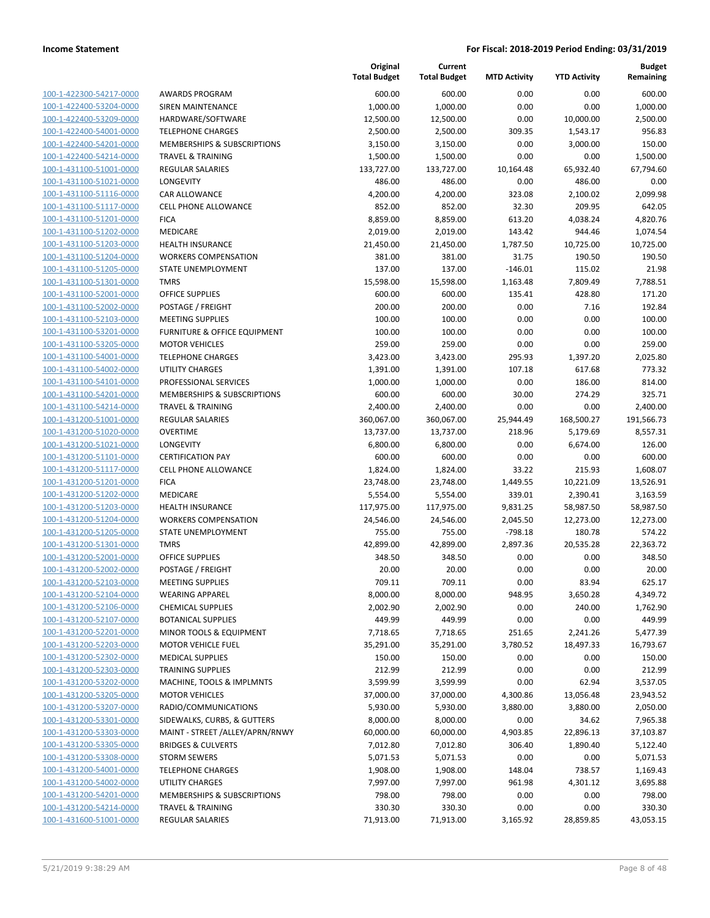| 100-1-422300-54217-0000        |
|--------------------------------|
| 100-1-422400-53204-0000        |
| 100-1-422400-53209-0000        |
| 100-1-422400-54001-0000        |
| 100-1-422400-54201-0000        |
| 100-1-422400-54214-0000        |
|                                |
| 100-1-431100-51001-0000        |
| 100-1-431100-51021-0000        |
| 100-1-431100-51116-0000        |
| 100-1-431100-51117-0000        |
| 100-1-431100-51201-0000        |
| <u>100-1-431100-51202-0000</u> |
| 100-1-431100-51203-0000        |
| 100-1-431100-51204-0000        |
| 100-1-431100-51205-0000        |
| 100-1-431100-51301-0000        |
|                                |
| 100-1-431100-52001-0000        |
| 100-1-431100-52002-0000        |
| 100-1-431100-52103-0000        |
| 100-1-431100-53201-<br>-0000   |
| 100-1-431100-53205-0000        |
| 100-1-431100-54001-0000        |
| 100-1-431100-54002-0000        |
| 100-1-431100-54101-0000        |
| 100-1-431100-54201-<br>-0000   |
| 100-1-431100-54214-0000        |
|                                |
| 100-1-431200-51001-0000        |
| 100-1-431200-51020-0000        |
| 100-1-431200-51021-0000        |
| 100-1-431200-51101<br>-0000    |
| 100-1-431200-51117-0000        |
| <u>100-1-431200-51201-0000</u> |
| 100-1-431200-51202-0000        |
| 100-1-431200-51203-0000        |
| 100-1-431200-51204-0000        |
| 100-1-431200-51205-0000        |
|                                |
| 100-1-431200-51301-0000        |
| 100-1-431200-52001-0000        |
| 100-1-431200-52002-0000        |
| 100-1-431200-52103-0000        |
| 100-1-431200-52104-0000        |
| 100-1-431200-52106-0000        |
| 100-1-431200-52107-0000        |
| <u>100-1-431200-52201-0000</u> |
| 100-1-431200-52203-0000        |
| 100-1-431200-52302-0000        |
|                                |
| 100-1-431200-52303-0000        |
| <u>100-1-431200-53202-0000</u> |
| <u>100-1-431200-53205-0000</u> |
| 100-1-431200-53207-0000        |
| 100-1-431200-53301-0000        |
| 100-1-431200-53303-0000        |
| <u>100-1-431200-53305-0000</u> |
| 100-1-431200-53308-0000        |
| 100-1-431200-54001-0000        |
|                                |
| 100-1-431200-54002-0000        |
| 100-1-431200-54201-0000        |
| <u>100-1-431200-54214-0000</u> |
| 100-1-431600-51001-0000        |

|                                                    |                                                      | Original<br><b>Total Budget</b> | Current<br><b>Total Budget</b> | <b>MTD Activity</b> | <b>YTD Activity</b> | <b>Budget</b><br>Remaining |
|----------------------------------------------------|------------------------------------------------------|---------------------------------|--------------------------------|---------------------|---------------------|----------------------------|
| 100-1-422300-54217-0000                            | <b>AWARDS PROGRAM</b>                                | 600.00                          | 600.00                         | 0.00                | 0.00                | 600.00                     |
| 100-1-422400-53204-0000                            | SIREN MAINTENANCE                                    | 1,000.00                        | 1,000.00                       | 0.00                | 0.00                | 1,000.00                   |
| 100-1-422400-53209-0000                            | HARDWARE/SOFTWARE                                    | 12,500.00                       | 12,500.00                      | 0.00                | 10,000.00           | 2,500.00                   |
| 100-1-422400-54001-0000                            | <b>TELEPHONE CHARGES</b>                             | 2,500.00                        | 2,500.00                       | 309.35              | 1,543.17            | 956.83                     |
| 100-1-422400-54201-0000                            | <b>MEMBERSHIPS &amp; SUBSCRIPTIONS</b>               | 3,150.00                        | 3,150.00                       | 0.00                | 3,000.00            | 150.00                     |
| 100-1-422400-54214-0000                            | <b>TRAVEL &amp; TRAINING</b>                         | 1,500.00                        | 1,500.00                       | 0.00                | 0.00                | 1,500.00                   |
| 100-1-431100-51001-0000                            | REGULAR SALARIES                                     | 133,727.00                      | 133,727.00                     | 10,164.48           | 65,932.40           | 67,794.60                  |
| 100-1-431100-51021-0000                            | LONGEVITY                                            | 486.00                          | 486.00                         | 0.00                | 486.00              | 0.00                       |
| 100-1-431100-51116-0000                            | <b>CAR ALLOWANCE</b>                                 | 4,200.00                        | 4,200.00                       | 323.08              | 2,100.02            | 2,099.98                   |
| 100-1-431100-51117-0000                            | <b>CELL PHONE ALLOWANCE</b>                          | 852.00                          | 852.00                         | 32.30               | 209.95              | 642.05                     |
| 100-1-431100-51201-0000                            | <b>FICA</b>                                          | 8,859.00                        | 8,859.00                       | 613.20              | 4,038.24            | 4,820.76                   |
| 100-1-431100-51202-0000                            | <b>MEDICARE</b>                                      | 2,019.00                        | 2,019.00                       | 143.42              | 944.46              | 1,074.54                   |
| 100-1-431100-51203-0000                            | <b>HEALTH INSURANCE</b>                              | 21,450.00                       | 21,450.00                      | 1,787.50            | 10,725.00           | 10,725.00                  |
| 100-1-431100-51204-0000                            | <b>WORKERS COMPENSATION</b>                          | 381.00                          | 381.00                         | 31.75               | 190.50              | 190.50                     |
| 100-1-431100-51205-0000                            | STATE UNEMPLOYMENT                                   | 137.00                          | 137.00                         | $-146.01$           | 115.02              | 21.98                      |
| 100-1-431100-51301-0000                            | <b>TMRS</b>                                          | 15,598.00                       | 15,598.00                      | 1,163.48            | 7,809.49            | 7,788.51                   |
| 100-1-431100-52001-0000                            | OFFICE SUPPLIES                                      | 600.00                          | 600.00                         | 135.41              | 428.80              | 171.20                     |
| 100-1-431100-52002-0000                            | POSTAGE / FREIGHT                                    | 200.00                          | 200.00                         | 0.00                | 7.16                | 192.84                     |
| 100-1-431100-52103-0000                            | <b>MEETING SUPPLIES</b>                              | 100.00                          | 100.00                         | 0.00                | 0.00                | 100.00                     |
| 100-1-431100-53201-0000                            | FURNITURE & OFFICE EQUIPMENT                         | 100.00                          | 100.00                         | 0.00                | 0.00                | 100.00                     |
| 100-1-431100-53205-0000                            | <b>MOTOR VEHICLES</b>                                | 259.00                          | 259.00                         | 0.00                | 0.00                | 259.00                     |
| 100-1-431100-54001-0000                            | <b>TELEPHONE CHARGES</b>                             | 3,423.00                        | 3,423.00                       | 295.93              | 1,397.20            | 2,025.80                   |
| 100-1-431100-54002-0000                            | <b>UTILITY CHARGES</b>                               | 1,391.00                        | 1,391.00                       | 107.18              | 617.68              | 773.32                     |
| 100-1-431100-54101-0000                            | PROFESSIONAL SERVICES                                | 1,000.00                        | 1,000.00                       | 0.00                | 186.00              | 814.00                     |
| 100-1-431100-54201-0000                            | MEMBERSHIPS & SUBSCRIPTIONS                          | 600.00                          | 600.00                         | 30.00               | 274.29              | 325.71                     |
| 100-1-431100-54214-0000                            | <b>TRAVEL &amp; TRAINING</b>                         | 2,400.00                        | 2,400.00                       | 0.00                | 0.00                | 2,400.00                   |
| 100-1-431200-51001-0000                            | REGULAR SALARIES                                     | 360,067.00                      | 360,067.00                     | 25,944.49           | 168,500.27          | 191,566.73                 |
| 100-1-431200-51020-0000                            | <b>OVERTIME</b>                                      | 13,737.00                       | 13,737.00                      | 218.96              | 5,179.69            | 8,557.31                   |
| 100-1-431200-51021-0000                            | LONGEVITY                                            | 6,800.00                        | 6,800.00                       | 0.00                | 6,674.00            | 126.00                     |
| 100-1-431200-51101-0000                            | <b>CERTIFICATION PAY</b>                             | 600.00                          | 600.00                         | 0.00                | 0.00                | 600.00                     |
| 100-1-431200-51117-0000                            | <b>CELL PHONE ALLOWANCE</b>                          | 1,824.00                        | 1,824.00                       | 33.22               | 215.93              | 1,608.07                   |
| 100-1-431200-51201-0000                            | <b>FICA</b>                                          | 23,748.00                       | 23,748.00                      | 1,449.55            | 10,221.09           | 13,526.91                  |
| 100-1-431200-51202-0000                            | MEDICARE                                             | 5,554.00                        | 5,554.00                       | 339.01              | 2,390.41            | 3,163.59                   |
| 100-1-431200-51203-0000                            | <b>HEALTH INSURANCE</b>                              | 117,975.00                      | 117,975.00                     | 9,831.25            | 58,987.50           | 58,987.50                  |
| 100-1-431200-51204-0000                            | <b>WORKERS COMPENSATION</b>                          | 24,546.00                       | 24,546.00                      | 2,045.50            | 12,273.00           | 12,273.00                  |
| 100-1-431200-51205-0000                            | STATE UNEMPLOYMENT                                   | 755.00                          | 755.00                         | $-798.18$           | 180.78              | 574.22                     |
| 100-1-431200-51301-0000                            | <b>TMRS</b>                                          | 42,899.00                       | 42,899.00                      | 2,897.36            | 20,535.28           | 22,363.72                  |
| 100-1-431200-52001-0000                            | OFFICE SUPPLIES                                      | 348.50                          | 348.50                         | 0.00                | 0.00                | 348.50                     |
| 100-1-431200-52002-0000                            | POSTAGE / FREIGHT<br><b>MEETING SUPPLIES</b>         | 20.00                           | 20.00                          | 0.00                | 0.00                | 20.00                      |
| 100-1-431200-52103-0000                            |                                                      | 709.11                          | 709.11                         | 0.00                | 83.94               | 625.17                     |
| 100-1-431200-52104-0000                            | <b>WEARING APPAREL</b><br><b>CHEMICAL SUPPLIES</b>   | 8,000.00                        | 8,000.00                       | 948.95              | 3,650.28            | 4,349.72<br>1,762.90       |
| 100-1-431200-52106-0000                            |                                                      | 2,002.90                        | 2,002.90                       | 0.00                | 240.00              | 449.99                     |
| 100-1-431200-52107-0000<br>100-1-431200-52201-0000 | <b>BOTANICAL SUPPLIES</b><br>MINOR TOOLS & EQUIPMENT | 449.99                          | 449.99                         | 0.00                | 0.00                |                            |
| 100-1-431200-52203-0000                            | <b>MOTOR VEHICLE FUEL</b>                            | 7,718.65<br>35,291.00           | 7,718.65<br>35,291.00          | 251.65<br>3,780.52  | 2,241.26            | 5,477.39<br>16,793.67      |
| 100-1-431200-52302-0000                            | <b>MEDICAL SUPPLIES</b>                              | 150.00                          | 150.00                         | 0.00                | 18,497.33<br>0.00   | 150.00                     |
| 100-1-431200-52303-0000                            | <b>TRAINING SUPPLIES</b>                             | 212.99                          | 212.99                         | 0.00                | 0.00                | 212.99                     |
| 100-1-431200-53202-0000                            | MACHINE, TOOLS & IMPLMNTS                            | 3,599.99                        | 3,599.99                       | 0.00                | 62.94               | 3,537.05                   |
| 100-1-431200-53205-0000                            | <b>MOTOR VEHICLES</b>                                | 37,000.00                       | 37,000.00                      | 4,300.86            | 13,056.48           | 23,943.52                  |
| 100-1-431200-53207-0000                            | RADIO/COMMUNICATIONS                                 | 5,930.00                        | 5,930.00                       | 3,880.00            | 3,880.00            | 2,050.00                   |
| 100-1-431200-53301-0000                            | SIDEWALKS, CURBS, & GUTTERS                          | 8,000.00                        | 8,000.00                       | 0.00                | 34.62               | 7,965.38                   |
| 100-1-431200-53303-0000                            | MAINT - STREET /ALLEY/APRN/RNWY                      | 60,000.00                       | 60,000.00                      | 4,903.85            | 22,896.13           | 37,103.87                  |
| 100-1-431200-53305-0000                            | <b>BRIDGES &amp; CULVERTS</b>                        | 7,012.80                        | 7,012.80                       | 306.40              | 1,890.40            | 5,122.40                   |
| 100-1-431200-53308-0000                            | <b>STORM SEWERS</b>                                  | 5,071.53                        | 5,071.53                       | 0.00                | 0.00                | 5,071.53                   |
| 100-1-431200-54001-0000                            | <b>TELEPHONE CHARGES</b>                             | 1,908.00                        | 1,908.00                       | 148.04              | 738.57              | 1,169.43                   |
| 100-1-431200-54002-0000                            | UTILITY CHARGES                                      | 7,997.00                        | 7,997.00                       | 961.98              | 4,301.12            | 3,695.88                   |
| 100-1-431200-54201-0000                            | MEMBERSHIPS & SUBSCRIPTIONS                          | 798.00                          | 798.00                         | 0.00                | 0.00                | 798.00                     |
| 100-1-431200-54214-0000                            | <b>TRAVEL &amp; TRAINING</b>                         | 330.30                          | 330.30                         | 0.00                | 0.00                | 330.30                     |
| 100-1-431600-51001-0000                            | REGULAR SALARIES                                     | 71,913.00                       | 71,913.00                      | 3,165.92            | 28,859.85           | 43,053.15                  |
|                                                    |                                                      |                                 |                                |                     |                     |                            |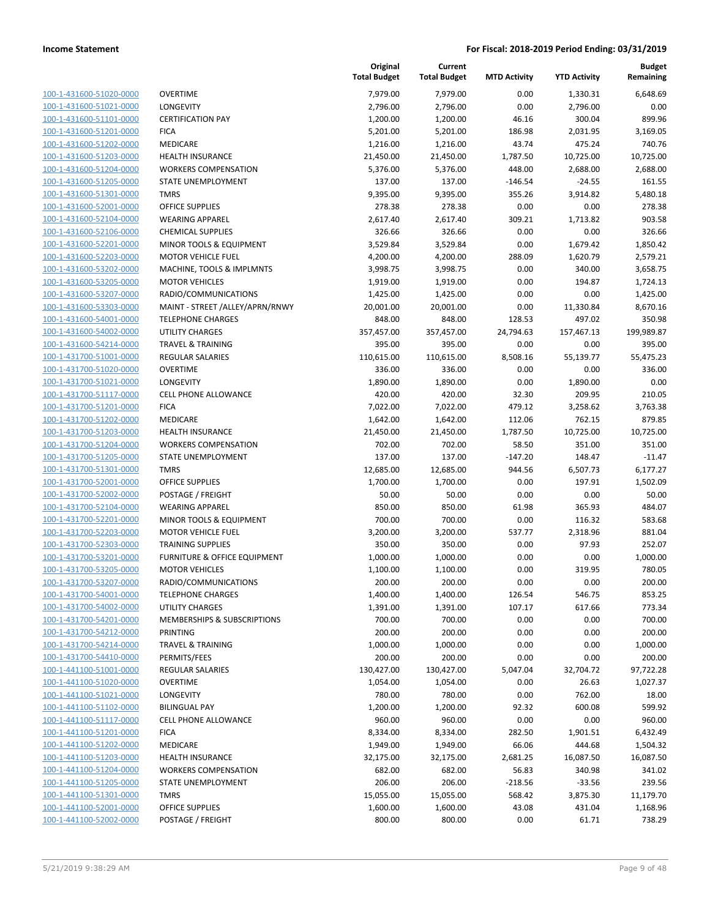| 100-1-431600-51020-0000        |
|--------------------------------|
| 100-1-431600-51021-0000        |
| 100-1-431600-51101-0000        |
| 100-1-431600-51201-0000        |
| 100-1-431600-51202-0000        |
| 100-1-431600-51203-0000        |
| 100-1-431600-51204-0000        |
| 100-1-431600-51205-0000        |
| 100-1-431600-51301-0000        |
| 100-1-431600-52001-0000        |
| 100-1-431600-52104-0000        |
| 100-1-431600-52106-0000        |
| 100-1-431600-52201-0000        |
| 100-1-431600-52203-0000        |
|                                |
| 100-1-431600-53202-0000        |
| 100-1-431600-53205-0000        |
| 100-1-431600-53207-0000        |
| 100-1-431600-53303-0000        |
| 100-1-431600-54001-0000        |
| 100-1-431600-54002-0000        |
| 100-1-431600-54214-0000        |
| 100-1-431700-51001-0000        |
| 100-1-431700-51020-0000        |
| 100-1-431700-51021-0000        |
| 100-1-431700-51117-0000        |
| 100-1-431700-51201-0000        |
| 100-1-431700-51202-0000        |
| 100-1-431700-51203-0000        |
| 100-1-431700-51204-0000        |
| 100-1-431700-51205-0000        |
| 100-1-431700-51301-0000        |
| 100-1-431700-52001-0000        |
|                                |
| 100-1-431700-52002-0000        |
| 100-1-431700-52104-0000        |
| 100-1-431700-52201-0000        |
| 100-1-431700-52203-0000        |
| 100-1-431700-52303-0000        |
| 100-1-431700-53201-0000        |
| 100-1-431700-53205-0000        |
| 100-1-431700-53207-0000        |
| <u>100-1-431700-54001-0000</u> |
| 100-1-431700-54002-0000        |
| 100-1-431700-54201-0000        |
| 100-1-431700-54212-0000        |
| 100-1-431700-54214-0000        |
| 100-1-431700-54410-0000        |
| 100-1-441100-51001-0000        |
| 100-1-441100-51020-0000        |
| 100-1-441100-51021-0000        |
| 100-1-441100-51102-0000        |
|                                |
| <u>100-1-441100-51117-0000</u> |
| 100-1-441100-51201-0000        |
| 100-1-441100-51202-0000        |
| 100-1-441100-51203-0000        |
| 100-1-441100-51204-0000        |
| <u>100-1-441100-51205-0000</u> |
| 100-1-441100-51301-0000        |
| <u>100-1-441100-52001-0000</u> |
| 100-1-441100-52002-0000        |
|                                |

|                                                    |                                                       | Original<br><b>Total Budget</b> | Current<br><b>Total Budget</b> | <b>MTD Activity</b> | <b>YTD Activity</b> | <b>Budget</b><br>Remaining |
|----------------------------------------------------|-------------------------------------------------------|---------------------------------|--------------------------------|---------------------|---------------------|----------------------------|
| 100-1-431600-51020-0000                            | <b>OVERTIME</b>                                       | 7,979.00                        | 7,979.00                       | 0.00                | 1,330.31            | 6,648.69                   |
| 100-1-431600-51021-0000                            | LONGEVITY                                             | 2,796.00                        | 2,796.00                       | 0.00                | 2,796.00            | 0.00                       |
| 100-1-431600-51101-0000                            | <b>CERTIFICATION PAY</b>                              | 1,200.00                        | 1,200.00                       | 46.16               | 300.04              | 899.96                     |
| 100-1-431600-51201-0000                            | <b>FICA</b>                                           | 5,201.00                        | 5,201.00                       | 186.98              | 2,031.95            | 3,169.05                   |
| 100-1-431600-51202-0000                            | <b>MEDICARE</b>                                       | 1,216.00                        | 1,216.00                       | 43.74               | 475.24              | 740.76                     |
| 100-1-431600-51203-0000                            | <b>HEALTH INSURANCE</b>                               | 21,450.00                       | 21,450.00                      | 1,787.50            | 10,725.00           | 10,725.00                  |
| 100-1-431600-51204-0000                            | <b>WORKERS COMPENSATION</b>                           | 5,376.00                        | 5,376.00                       | 448.00              | 2,688.00            | 2,688.00                   |
| 100-1-431600-51205-0000                            | <b>STATE UNEMPLOYMENT</b>                             | 137.00                          | 137.00                         | $-146.54$           | $-24.55$            | 161.55                     |
| 100-1-431600-51301-0000                            | <b>TMRS</b>                                           | 9,395.00                        | 9,395.00                       | 355.26              | 3,914.82            | 5,480.18                   |
| 100-1-431600-52001-0000                            | <b>OFFICE SUPPLIES</b>                                | 278.38                          | 278.38                         | 0.00                | 0.00                | 278.38                     |
| 100-1-431600-52104-0000                            | <b>WEARING APPAREL</b>                                | 2,617.40                        | 2,617.40                       | 309.21              | 1,713.82            | 903.58                     |
| 100-1-431600-52106-0000                            | <b>CHEMICAL SUPPLIES</b>                              | 326.66                          | 326.66                         | 0.00                | 0.00                | 326.66                     |
| 100-1-431600-52201-0000                            | MINOR TOOLS & EQUIPMENT                               | 3,529.84                        | 3,529.84                       | 0.00                | 1,679.42            | 1,850.42                   |
| 100-1-431600-52203-0000                            | <b>MOTOR VEHICLE FUEL</b>                             | 4,200.00                        | 4,200.00                       | 288.09              | 1,620.79            | 2,579.21                   |
| 100-1-431600-53202-0000                            | MACHINE, TOOLS & IMPLMNTS                             | 3,998.75                        | 3,998.75                       | 0.00                | 340.00              | 3,658.75                   |
| 100-1-431600-53205-0000                            | <b>MOTOR VEHICLES</b>                                 | 1,919.00                        | 1,919.00                       | 0.00                | 194.87              | 1,724.13                   |
| 100-1-431600-53207-0000                            | RADIO/COMMUNICATIONS                                  | 1,425.00                        | 1,425.00                       | 0.00                | 0.00                | 1,425.00                   |
| 100-1-431600-53303-0000                            | MAINT - STREET /ALLEY/APRN/RNWY                       | 20,001.00                       | 20,001.00                      | 0.00                | 11,330.84           | 8,670.16                   |
| 100-1-431600-54001-0000                            | <b>TELEPHONE CHARGES</b>                              | 848.00                          | 848.00                         | 128.53              | 497.02              | 350.98                     |
| 100-1-431600-54002-0000                            | <b>UTILITY CHARGES</b>                                | 357,457.00                      | 357,457.00                     | 24,794.63           | 157,467.13          | 199,989.87                 |
| 100-1-431600-54214-0000                            | <b>TRAVEL &amp; TRAINING</b>                          | 395.00                          | 395.00                         | 0.00                | 0.00                | 395.00                     |
| 100-1-431700-51001-0000                            | <b>REGULAR SALARIES</b>                               | 110,615.00                      | 110,615.00                     | 8,508.16            | 55,139.77           | 55,475.23                  |
| 100-1-431700-51020-0000                            | <b>OVERTIME</b>                                       | 336.00                          | 336.00                         | 0.00                | 0.00                | 336.00                     |
| 100-1-431700-51021-0000                            | <b>LONGEVITY</b>                                      | 1,890.00                        | 1,890.00                       | 0.00                | 1,890.00            | 0.00                       |
| 100-1-431700-51117-0000                            | <b>CELL PHONE ALLOWANCE</b>                           | 420.00                          | 420.00                         | 32.30               | 209.95              | 210.05                     |
| 100-1-431700-51201-0000                            | <b>FICA</b>                                           | 7,022.00                        | 7,022.00                       | 479.12              | 3,258.62            | 3,763.38                   |
| 100-1-431700-51202-0000                            | MEDICARE                                              | 1,642.00                        | 1,642.00                       | 112.06              | 762.15              | 879.85                     |
| 100-1-431700-51203-0000                            | <b>HEALTH INSURANCE</b>                               | 21,450.00                       | 21,450.00                      | 1,787.50            | 10,725.00           | 10,725.00                  |
| 100-1-431700-51204-0000                            | <b>WORKERS COMPENSATION</b>                           | 702.00                          | 702.00                         | 58.50               | 351.00              | 351.00                     |
| 100-1-431700-51205-0000                            | STATE UNEMPLOYMENT                                    | 137.00                          | 137.00                         | $-147.20$           | 148.47              | $-11.47$                   |
| 100-1-431700-51301-0000                            | <b>TMRS</b>                                           | 12,685.00                       | 12,685.00                      | 944.56              | 6,507.73            | 6,177.27                   |
| 100-1-431700-52001-0000                            | <b>OFFICE SUPPLIES</b>                                | 1,700.00                        | 1,700.00                       | 0.00                | 197.91              | 1,502.09                   |
| 100-1-431700-52002-0000                            | POSTAGE / FREIGHT                                     | 50.00                           | 50.00                          | 0.00                | 0.00                | 50.00                      |
| 100-1-431700-52104-0000                            | <b>WEARING APPAREL</b><br>MINOR TOOLS & EQUIPMENT     | 850.00                          | 850.00                         | 61.98               | 365.93              | 484.07                     |
| 100-1-431700-52201-0000                            |                                                       | 700.00<br>3,200.00              | 700.00                         | 0.00                | 116.32              | 583.68                     |
| 100-1-431700-52203-0000<br>100-1-431700-52303-0000 | <b>MOTOR VEHICLE FUEL</b><br><b>TRAINING SUPPLIES</b> |                                 | 3,200.00                       | 537.77<br>0.00      | 2,318.96<br>97.93   | 881.04                     |
| 100-1-431700-53201-0000                            | <b>FURNITURE &amp; OFFICE EQUIPMENT</b>               | 350.00<br>1,000.00              | 350.00<br>1,000.00             | 0.00                | 0.00                | 252.07<br>1,000.00         |
| 100-1-431700-53205-0000                            | <b>MOTOR VEHICLES</b>                                 | 1,100.00                        | 1,100.00                       | 0.00                | 319.95              | 780.05                     |
| 100-1-431700-53207-0000                            | RADIO/COMMUNICATIONS                                  | 200.00                          | 200.00                         | 0.00                | 0.00                | 200.00                     |
| 100-1-431700-54001-0000                            | <b>TELEPHONE CHARGES</b>                              | 1,400.00                        | 1,400.00                       | 126.54              | 546.75              | 853.25                     |
| 100-1-431700-54002-0000                            | UTILITY CHARGES                                       | 1,391.00                        | 1,391.00                       | 107.17              | 617.66              | 773.34                     |
| 100-1-431700-54201-0000                            | MEMBERSHIPS & SUBSCRIPTIONS                           | 700.00                          | 700.00                         | 0.00                | 0.00                | 700.00                     |
| 100-1-431700-54212-0000                            | <b>PRINTING</b>                                       | 200.00                          | 200.00                         | 0.00                | 0.00                | 200.00                     |
| 100-1-431700-54214-0000                            | <b>TRAVEL &amp; TRAINING</b>                          | 1,000.00                        | 1,000.00                       | 0.00                | 0.00                | 1,000.00                   |
| 100-1-431700-54410-0000                            | PERMITS/FEES                                          | 200.00                          | 200.00                         | 0.00                | 0.00                | 200.00                     |
| 100-1-441100-51001-0000                            | <b>REGULAR SALARIES</b>                               | 130,427.00                      | 130,427.00                     | 5,047.04            | 32,704.72           | 97,722.28                  |
| 100-1-441100-51020-0000                            | <b>OVERTIME</b>                                       | 1,054.00                        | 1,054.00                       | 0.00                | 26.63               | 1,027.37                   |
| 100-1-441100-51021-0000                            | LONGEVITY                                             | 780.00                          | 780.00                         | 0.00                | 762.00              | 18.00                      |
| 100-1-441100-51102-0000                            | <b>BILINGUAL PAY</b>                                  | 1,200.00                        | 1,200.00                       | 92.32               | 600.08              | 599.92                     |
| 100-1-441100-51117-0000                            | <b>CELL PHONE ALLOWANCE</b>                           | 960.00                          | 960.00                         | 0.00                | 0.00                | 960.00                     |
| 100-1-441100-51201-0000                            | <b>FICA</b>                                           | 8,334.00                        | 8,334.00                       | 282.50              | 1,901.51            | 6,432.49                   |
| 100-1-441100-51202-0000                            | MEDICARE                                              | 1,949.00                        | 1,949.00                       | 66.06               | 444.68              | 1,504.32                   |
| 100-1-441100-51203-0000                            | <b>HEALTH INSURANCE</b>                               | 32,175.00                       | 32,175.00                      | 2,681.25            | 16,087.50           | 16,087.50                  |
| 100-1-441100-51204-0000                            | <b>WORKERS COMPENSATION</b>                           | 682.00                          | 682.00                         | 56.83               | 340.98              | 341.02                     |
| 100-1-441100-51205-0000                            | STATE UNEMPLOYMENT                                    | 206.00                          | 206.00                         | $-218.56$           | $-33.56$            | 239.56                     |
| 100-1-441100-51301-0000                            | <b>TMRS</b>                                           | 15,055.00                       | 15,055.00                      | 568.42              | 3,875.30            | 11,179.70                  |
| 100-1-441100-52001-0000                            | <b>OFFICE SUPPLIES</b>                                | 1,600.00                        | 1,600.00                       | 43.08               | 431.04              | 1,168.96                   |
| 100-1-441100-52002-0000                            | POSTAGE / FREIGHT                                     | 800.00                          | 800.00                         | 0.00                | 61.71               | 738.29                     |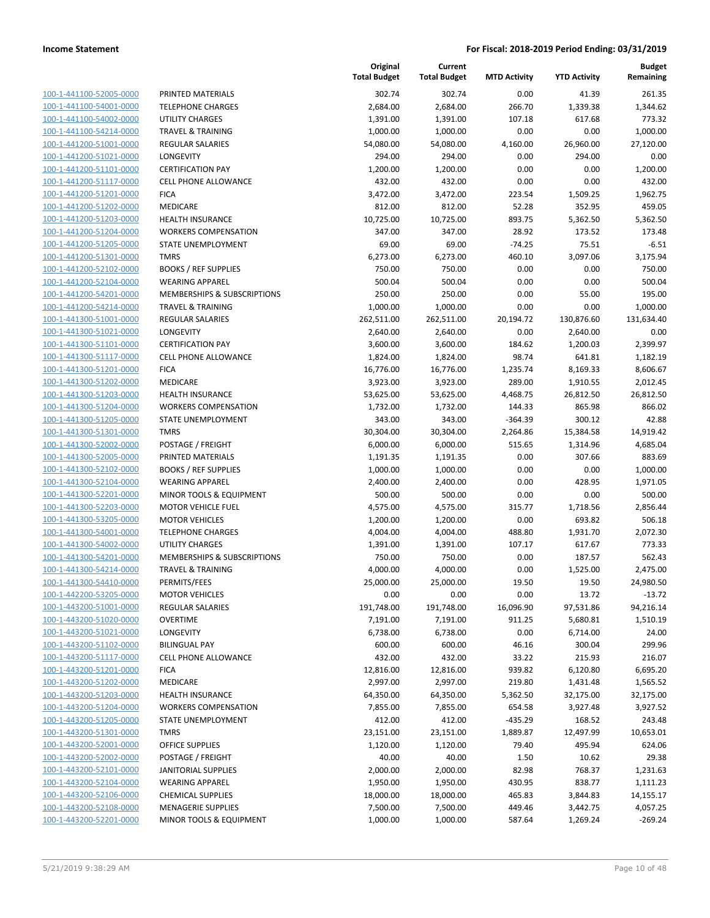| 100-1-441100-52005-0000        |
|--------------------------------|
| 100-1-441100-54001-0000        |
| 100-1-441100-54002-0000        |
| 100-1-441100-54214-0000        |
| 100-1-441200-51001-0000        |
| 100-1-441200-51021-0000        |
| 100-1-441200-51101-0000        |
| 100-1-441200-51117-0000        |
| 100-1-441200-51201-0000        |
| 100-1-441200-51202-0000        |
|                                |
| 100-1-441200-51203-0000        |
| 100-1-441200-51204-0000        |
| 100-1-441200-51205-0000        |
| 100-1-441200-51301-0000        |
| 100-1-441200-52102-0000        |
| 100-1-441200-52104-0000        |
| 100-1-441200-54201-0000        |
| 100-1-441200-54214-0000        |
| 100-1-441300-51001-0000        |
| 100-1-441300-51021-0000        |
| 100-1-441300-51101-0000        |
| 100-1-441300-51117-0000        |
|                                |
| 100-1-441300-51201-0000        |
| 100-1-441300-51202-0000        |
| 100-1-441300-51203-0000        |
| 100-1-441300-51204-0000        |
| 100-1-441300-51205-0000        |
| 100-1-441300-51301-0000        |
| 100-1-441300-52002-0000        |
| 100-1-441300-52005-0000        |
| 100-1-441300-52102-0000        |
| 100-1-441300-52104-0000        |
| 100-1-441300-52201-0000        |
| 100-1-441300-52203-0000        |
| 100-1-441300-53205-0000        |
| 100-1-441300-54001-0000        |
|                                |
| 100-1-441300-54002-0000        |
| 100-1-441300-54201-0000        |
| 100-1-441300-54214-0000        |
| 100-1-441300-54410-0000        |
| 100-1-442200-53205-0000        |
| 100-1-443200-51001-0000        |
| 100-1-443200-51020-0000        |
| <u>100-1-443200-51021-0000</u> |
| <u>100-1-443200-51102-0000</u> |
| <u>100-1-443200-51117-0000</u> |
| 100-1-443200-51201-0000        |
| <u>100-1-443200-51202-0000</u> |
| <u>100-1-443200-51203-0000</u> |
|                                |
| 100-1-443200-51204-0000        |
| 100-1-443200-51205-0000        |
| 100-1-443200-51301-0000        |
| <u>100-1-443200-52001-0000</u> |
| <u>100-1-443200-52002-0000</u> |
| <u>100-1-443200-52101-0000</u> |
| <u>100-1-443200-52104-0000</u> |
| 100-1-443200-52106-0000        |
| <u>100-1-443200-52108-0000</u> |
| <u>100-1-443200-52201-0000</u> |
|                                |

|                         |                                        | Original<br><b>Total Budget</b> | Current<br><b>Total Budget</b> | <b>MTD Activity</b> | <b>YTD Activity</b> | <b>Budget</b><br>Remaining |
|-------------------------|----------------------------------------|---------------------------------|--------------------------------|---------------------|---------------------|----------------------------|
| 100-1-441100-52005-0000 | PRINTED MATERIALS                      | 302.74                          | 302.74                         | 0.00                | 41.39               | 261.35                     |
| 100-1-441100-54001-0000 | <b>TELEPHONE CHARGES</b>               | 2,684.00                        | 2,684.00                       | 266.70              | 1,339.38            | 1,344.62                   |
| 100-1-441100-54002-0000 | <b>UTILITY CHARGES</b>                 | 1,391.00                        | 1,391.00                       | 107.18              | 617.68              | 773.32                     |
| 100-1-441100-54214-0000 | <b>TRAVEL &amp; TRAINING</b>           | 1,000.00                        | 1,000.00                       | 0.00                | 0.00                | 1,000.00                   |
| 100-1-441200-51001-0000 | <b>REGULAR SALARIES</b>                | 54,080.00                       | 54,080.00                      | 4,160.00            | 26,960.00           | 27,120.00                  |
| 100-1-441200-51021-0000 | LONGEVITY                              | 294.00                          | 294.00                         | 0.00                | 294.00              | 0.00                       |
| 100-1-441200-51101-0000 | <b>CERTIFICATION PAY</b>               | 1,200.00                        | 1,200.00                       | 0.00                | 0.00                | 1,200.00                   |
| 100-1-441200-51117-0000 | <b>CELL PHONE ALLOWANCE</b>            | 432.00                          | 432.00                         | 0.00                | 0.00                | 432.00                     |
| 100-1-441200-51201-0000 | <b>FICA</b>                            | 3,472.00                        | 3,472.00                       | 223.54              | 1,509.25            | 1,962.75                   |
| 100-1-441200-51202-0000 | MEDICARE                               | 812.00                          | 812.00                         | 52.28               | 352.95              | 459.05                     |
| 100-1-441200-51203-0000 | <b>HEALTH INSURANCE</b>                | 10,725.00                       | 10,725.00                      | 893.75              | 5,362.50            | 5,362.50                   |
| 100-1-441200-51204-0000 | <b>WORKERS COMPENSATION</b>            | 347.00                          | 347.00                         | 28.92               | 173.52              | 173.48                     |
| 100-1-441200-51205-0000 | STATE UNEMPLOYMENT                     | 69.00                           | 69.00                          | $-74.25$            | 75.51               | $-6.51$                    |
| 100-1-441200-51301-0000 | <b>TMRS</b>                            | 6,273.00                        | 6,273.00                       | 460.10              | 3,097.06            | 3,175.94                   |
| 100-1-441200-52102-0000 | <b>BOOKS / REF SUPPLIES</b>            | 750.00                          | 750.00                         | 0.00                | 0.00                | 750.00                     |
| 100-1-441200-52104-0000 | <b>WEARING APPAREL</b>                 | 500.04                          | 500.04                         | 0.00                | 0.00                | 500.04                     |
| 100-1-441200-54201-0000 | <b>MEMBERSHIPS &amp; SUBSCRIPTIONS</b> | 250.00                          | 250.00                         | 0.00                | 55.00               | 195.00                     |
| 100-1-441200-54214-0000 | <b>TRAVEL &amp; TRAINING</b>           | 1,000.00                        | 1,000.00                       | 0.00                | 0.00                | 1,000.00                   |
| 100-1-441300-51001-0000 | REGULAR SALARIES                       | 262,511.00                      | 262,511.00                     | 20,194.72           | 130,876.60          | 131,634.40                 |
| 100-1-441300-51021-0000 | LONGEVITY                              | 2,640.00                        | 2,640.00                       | 0.00                | 2,640.00            | 0.00                       |
| 100-1-441300-51101-0000 | <b>CERTIFICATION PAY</b>               | 3,600.00                        | 3,600.00                       | 184.62              | 1,200.03            | 2,399.97                   |
| 100-1-441300-51117-0000 | <b>CELL PHONE ALLOWANCE</b>            | 1,824.00                        | 1,824.00                       | 98.74               | 641.81              | 1,182.19                   |
| 100-1-441300-51201-0000 | <b>FICA</b>                            | 16,776.00                       | 16,776.00                      | 1,235.74            | 8,169.33            | 8,606.67                   |
| 100-1-441300-51202-0000 | <b>MEDICARE</b>                        | 3,923.00                        | 3,923.00                       | 289.00              | 1,910.55            | 2,012.45                   |
| 100-1-441300-51203-0000 | <b>HEALTH INSURANCE</b>                | 53,625.00                       | 53,625.00                      | 4,468.75            | 26,812.50           | 26,812.50                  |
| 100-1-441300-51204-0000 | <b>WORKERS COMPENSATION</b>            | 1,732.00                        | 1,732.00                       | 144.33              | 865.98              | 866.02                     |
| 100-1-441300-51205-0000 | STATE UNEMPLOYMENT                     | 343.00                          | 343.00                         | $-364.39$           | 300.12              | 42.88                      |
| 100-1-441300-51301-0000 | <b>TMRS</b>                            | 30,304.00                       | 30,304.00                      | 2,264.86            | 15,384.58           | 14,919.42                  |
| 100-1-441300-52002-0000 | POSTAGE / FREIGHT                      | 6,000.00                        | 6,000.00                       | 515.65              | 1,314.96            | 4,685.04                   |
| 100-1-441300-52005-0000 | PRINTED MATERIALS                      | 1,191.35                        | 1,191.35                       | 0.00                | 307.66              | 883.69                     |
| 100-1-441300-52102-0000 | <b>BOOKS / REF SUPPLIES</b>            | 1,000.00                        | 1,000.00                       | 0.00                | 0.00                | 1,000.00                   |
| 100-1-441300-52104-0000 | <b>WEARING APPAREL</b>                 | 2,400.00                        | 2,400.00                       | 0.00                | 428.95              | 1,971.05                   |
| 100-1-441300-52201-0000 | MINOR TOOLS & EQUIPMENT                | 500.00                          | 500.00                         | 0.00                | 0.00                | 500.00                     |
| 100-1-441300-52203-0000 | <b>MOTOR VEHICLE FUEL</b>              | 4,575.00                        | 4,575.00                       | 315.77              | 1,718.56            | 2,856.44                   |
| 100-1-441300-53205-0000 | <b>MOTOR VEHICLES</b>                  | 1,200.00                        | 1,200.00                       | 0.00                | 693.82              | 506.18                     |
| 100-1-441300-54001-0000 | <b>TELEPHONE CHARGES</b>               | 4,004.00                        | 4,004.00                       | 488.80              | 1,931.70            | 2,072.30                   |
| 100-1-441300-54002-0000 | <b>UTILITY CHARGES</b>                 | 1,391.00                        | 1,391.00                       | 107.17              | 617.67              | 773.33                     |
| 100-1-441300-54201-0000 | <b>MEMBERSHIPS &amp; SUBSCRIPTIONS</b> | 750.00                          | 750.00                         | 0.00                | 187.57              | 562.43                     |
| 100-1-441300-54214-0000 | <b>TRAVEL &amp; TRAINING</b>           | 4,000.00                        | 4,000.00                       | 0.00                | 1,525.00            | 2,475.00                   |
| 100-1-441300-54410-0000 | PERMITS/FEES                           | 25,000.00                       | 25,000.00                      | 19.50               | 19.50               | 24,980.50                  |
| 100-1-442200-53205-0000 | <b>MOTOR VEHICLES</b>                  | 0.00                            | 0.00                           | 0.00                | 13.72               | $-13.72$                   |
| 100-1-443200-51001-0000 | <b>REGULAR SALARIES</b>                | 191,748.00                      | 191,748.00                     | 16,096.90           | 97,531.86           | 94,216.14                  |
| 100-1-443200-51020-0000 | <b>OVERTIME</b>                        | 7,191.00                        | 7,191.00                       | 911.25              | 5,680.81            | 1,510.19                   |
| 100-1-443200-51021-0000 | LONGEVITY                              | 6,738.00                        | 6,738.00                       | 0.00                | 6,714.00            | 24.00                      |
| 100-1-443200-51102-0000 | <b>BILINGUAL PAY</b>                   | 600.00                          | 600.00                         | 46.16               | 300.04              | 299.96                     |
| 100-1-443200-51117-0000 | <b>CELL PHONE ALLOWANCE</b>            | 432.00                          | 432.00                         | 33.22               | 215.93              | 216.07                     |
| 100-1-443200-51201-0000 | <b>FICA</b>                            | 12,816.00                       | 12,816.00                      | 939.82              | 6,120.80            | 6,695.20                   |
| 100-1-443200-51202-0000 | <b>MEDICARE</b>                        | 2,997.00                        | 2,997.00                       | 219.80              | 1,431.48            | 1,565.52                   |
| 100-1-443200-51203-0000 | HEALTH INSURANCE                       | 64,350.00                       | 64,350.00                      | 5,362.50            | 32,175.00           | 32,175.00                  |
| 100-1-443200-51204-0000 | <b>WORKERS COMPENSATION</b>            | 7,855.00                        | 7,855.00                       | 654.58              | 3,927.48            | 3,927.52                   |
| 100-1-443200-51205-0000 | STATE UNEMPLOYMENT                     | 412.00                          | 412.00                         | $-435.29$           | 168.52              | 243.48                     |
| 100-1-443200-51301-0000 | <b>TMRS</b>                            | 23,151.00                       | 23,151.00                      | 1,889.87            | 12,497.99           | 10,653.01                  |
| 100-1-443200-52001-0000 | <b>OFFICE SUPPLIES</b>                 | 1,120.00                        | 1,120.00                       | 79.40               | 495.94              | 624.06                     |
| 100-1-443200-52002-0000 | POSTAGE / FREIGHT                      | 40.00                           | 40.00                          | 1.50                | 10.62               | 29.38                      |
| 100-1-443200-52101-0000 | <b>JANITORIAL SUPPLIES</b>             | 2,000.00                        | 2,000.00                       | 82.98               | 768.37              | 1,231.63                   |
| 100-1-443200-52104-0000 | <b>WEARING APPAREL</b>                 | 1,950.00                        | 1,950.00                       | 430.95              | 838.77              | 1,111.23                   |
| 100-1-443200-52106-0000 | <b>CHEMICAL SUPPLIES</b>               | 18,000.00                       | 18,000.00                      | 465.83              | 3,844.83            | 14,155.17                  |
| 100-1-443200-52108-0000 | <b>MENAGERIE SUPPLIES</b>              | 7,500.00                        | 7,500.00                       | 449.46              | 3,442.75            | 4,057.25                   |
| 100-1-443200-52201-0000 | MINOR TOOLS & EQUIPMENT                | 1,000.00                        | 1,000.00                       | 587.64              | 1,269.24            | $-269.24$                  |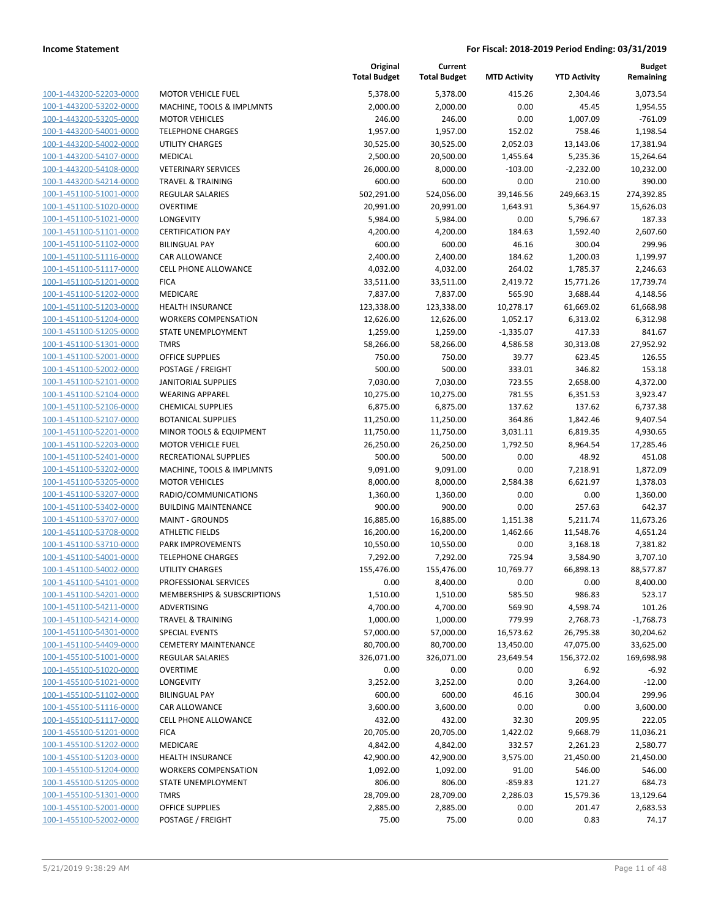| 100-1-443200-52203-0000                                          |
|------------------------------------------------------------------|
| 100-1-443200-53202-0000                                          |
| 100-1-443200-53205-0000                                          |
| <u>100-1-443200-54001-0000</u>                                   |
| 100-1-443200-54002-0000                                          |
| 100-1-443200-54107-0000                                          |
| 100-1-443200-54108-0000                                          |
| 100-1-443200-54214-0000                                          |
| <u>100-1-451100-51001-0000</u>                                   |
| 100-1-451100-51020-0000                                          |
| 100-1-451100-51021-0000                                          |
| 100-1-451100-51101-0000                                          |
| 100-1-451100-51102-0000                                          |
| 100-1-451100-51116-0000                                          |
| 100-1-451100-51117-0000                                          |
| 100-1-451100-51201-0000                                          |
| 100-1-451100-51202-0000                                          |
| 100-1-451100-51203-0000                                          |
| 100-1-451100-51204-0000                                          |
| 100-1-451100-51205-0000                                          |
| 100-1-451100-51301<br>-0000                                      |
| 100-1-451100-52001-0000                                          |
| 100-1-451100-52002-0000                                          |
|                                                                  |
| <u>100-1-451100-52101-0000</u>                                   |
| 100-1-451100-52104-0000                                          |
| 100-1-451100-52106-0000                                          |
| 100-1-451100-52107-0000                                          |
| 100-1-451100-52201-0000                                          |
| 100-1-451100-52203-0000                                          |
| 100-1-451100-52401-0000                                          |
| 100-1-451100-53202-0000                                          |
| 100-1-451100-53205-0000                                          |
| 100-1-451100-53207-0000                                          |
| 100-1-451100-53402-0000                                          |
| 100-1-451100-53707-0000                                          |
| 100-1-451100-53708-0000                                          |
| 100-1-451100-53710-0000                                          |
| 100-1-451100-54001-0000                                          |
| 100-1-451100-54002-0000                                          |
| 100-1-451100-54101-0000                                          |
| 100-1-451100-54201-0000                                          |
| <u>100-1-451100-54211-0000</u>                                   |
| <u>100-1-451100-54214-0000</u>                                   |
| 100-1-451100-54301-0000                                          |
| <u>100-1-451100-54409-0000</u>                                   |
| 100-1-455100-51001-0000                                          |
| 100-1-455100-51020-0000                                          |
| <u>100-1-455100-51021-0000</u>                                   |
| <u>100-1-455100-51102-0000</u>                                   |
|                                                                  |
| 100-1-455100-51116-0000                                          |
| 100-1-455100-51117-0000                                          |
| 100-1-455100-51201-0000                                          |
|                                                                  |
| <u>100-1-455100-51202-0000</u>                                   |
| <u>100-1-455100-51203-0000</u>                                   |
| <u>100-1-455100-51204-0000</u>                                   |
| 1-455100-51205-0000<br><u> 100-</u>                              |
| 100-1-455100-51301-0000                                          |
| <u>100-1-455100-52001-0000</u><br><u>100-1-455100-52002-0000</u> |

|                                                    |                                                    | Original<br><b>Total Budget</b> | Current<br><b>Total Budget</b> | <b>MTD Activity</b> | <b>YTD Activity</b> | <b>Budget</b><br>Remaining |
|----------------------------------------------------|----------------------------------------------------|---------------------------------|--------------------------------|---------------------|---------------------|----------------------------|
| 100-1-443200-52203-0000                            | <b>MOTOR VEHICLE FUEL</b>                          | 5,378.00                        | 5,378.00                       | 415.26              | 2,304.46            | 3,073.54                   |
| 100-1-443200-53202-0000                            | MACHINE, TOOLS & IMPLMNTS                          | 2,000.00                        | 2,000.00                       | 0.00                | 45.45               | 1,954.55                   |
| 100-1-443200-53205-0000                            | <b>MOTOR VEHICLES</b>                              | 246.00                          | 246.00                         | 0.00                | 1,007.09            | $-761.09$                  |
| 100-1-443200-54001-0000                            | <b>TELEPHONE CHARGES</b>                           | 1,957.00                        | 1,957.00                       | 152.02              | 758.46              | 1,198.54                   |
| 100-1-443200-54002-0000                            | <b>UTILITY CHARGES</b>                             | 30,525.00                       | 30,525.00                      | 2,052.03            | 13,143.06           | 17,381.94                  |
| 100-1-443200-54107-0000                            | MEDICAL                                            | 2,500.00                        | 20,500.00                      | 1,455.64            | 5,235.36            | 15,264.64                  |
| 100-1-443200-54108-0000                            | <b>VETERINARY SERVICES</b>                         | 26,000.00                       | 8,000.00                       | $-103.00$           | $-2,232.00$         | 10,232.00                  |
| 100-1-443200-54214-0000                            | <b>TRAVEL &amp; TRAINING</b>                       | 600.00                          | 600.00                         | 0.00                | 210.00              | 390.00                     |
| 100-1-451100-51001-0000                            | <b>REGULAR SALARIES</b>                            | 502,291.00                      | 524,056.00                     | 39,146.56           | 249,663.15          | 274,392.85                 |
| 100-1-451100-51020-0000                            | <b>OVERTIME</b>                                    | 20,991.00                       | 20,991.00                      | 1,643.91            | 5,364.97            | 15,626.03                  |
| 100-1-451100-51021-0000                            | LONGEVITY                                          | 5,984.00                        | 5,984.00                       | 0.00                | 5,796.67            | 187.33                     |
| 100-1-451100-51101-0000                            | <b>CERTIFICATION PAY</b>                           | 4,200.00                        | 4,200.00                       | 184.63              | 1,592.40            | 2,607.60                   |
| 100-1-451100-51102-0000                            | <b>BILINGUAL PAY</b>                               | 600.00                          | 600.00                         | 46.16               | 300.04              | 299.96                     |
| 100-1-451100-51116-0000                            | <b>CAR ALLOWANCE</b>                               | 2,400.00                        | 2,400.00                       | 184.62              | 1,200.03            | 1,199.97                   |
| 100-1-451100-51117-0000                            | <b>CELL PHONE ALLOWANCE</b>                        | 4,032.00                        | 4,032.00                       | 264.02              | 1,785.37            | 2,246.63                   |
| 100-1-451100-51201-0000                            | <b>FICA</b>                                        | 33,511.00                       | 33,511.00                      | 2,419.72            | 15,771.26           | 17,739.74                  |
| 100-1-451100-51202-0000                            | <b>MEDICARE</b>                                    | 7,837.00                        | 7,837.00                       | 565.90              | 3,688.44            | 4,148.56                   |
| 100-1-451100-51203-0000                            | <b>HEALTH INSURANCE</b>                            | 123,338.00                      | 123,338.00                     | 10,278.17           | 61,669.02           | 61,668.98                  |
| 100-1-451100-51204-0000                            | <b>WORKERS COMPENSATION</b>                        | 12,626.00                       | 12,626.00                      | 1,052.17            | 6,313.02            | 6,312.98                   |
| 100-1-451100-51205-0000                            | STATE UNEMPLOYMENT                                 | 1,259.00                        | 1,259.00                       | $-1,335.07$         | 417.33              | 841.67                     |
| 100-1-451100-51301-0000                            | <b>TMRS</b>                                        | 58,266.00                       | 58,266.00                      | 4,586.58            | 30,313.08           | 27,952.92                  |
| 100-1-451100-52001-0000                            | <b>OFFICE SUPPLIES</b>                             | 750.00                          | 750.00                         | 39.77               | 623.45              | 126.55                     |
| 100-1-451100-52002-0000                            | POSTAGE / FREIGHT                                  | 500.00                          | 500.00                         | 333.01              | 346.82              | 153.18                     |
| 100-1-451100-52101-0000                            | <b>JANITORIAL SUPPLIES</b>                         | 7,030.00                        | 7,030.00                       | 723.55              | 2,658.00            | 4,372.00                   |
| 100-1-451100-52104-0000                            | <b>WEARING APPAREL</b>                             | 10,275.00                       | 10,275.00                      | 781.55              | 6,351.53            | 3,923.47                   |
| 100-1-451100-52106-0000                            | <b>CHEMICAL SUPPLIES</b>                           | 6,875.00                        | 6,875.00                       | 137.62              | 137.62              | 6,737.38                   |
| 100-1-451100-52107-0000                            | <b>BOTANICAL SUPPLIES</b>                          | 11,250.00                       | 11,250.00                      | 364.86              | 1,842.46            | 9,407.54                   |
| 100-1-451100-52201-0000                            | MINOR TOOLS & EQUIPMENT                            | 11,750.00                       | 11,750.00                      | 3,031.11            | 6,819.35            | 4,930.65                   |
| 100-1-451100-52203-0000                            | <b>MOTOR VEHICLE FUEL</b>                          | 26,250.00                       | 26,250.00                      | 1,792.50            | 8,964.54            | 17,285.46                  |
| 100-1-451100-52401-0000                            | RECREATIONAL SUPPLIES                              | 500.00                          | 500.00                         | 0.00                | 48.92               | 451.08                     |
| 100-1-451100-53202-0000<br>100-1-451100-53205-0000 | MACHINE, TOOLS & IMPLMNTS<br><b>MOTOR VEHICLES</b> | 9,091.00                        | 9,091.00                       | 0.00                | 7,218.91            | 1,872.09                   |
| 100-1-451100-53207-0000                            | RADIO/COMMUNICATIONS                               | 8,000.00                        | 8,000.00                       | 2,584.38<br>0.00    | 6,621.97<br>0.00    | 1,378.03<br>1,360.00       |
| 100-1-451100-53402-0000                            | <b>BUILDING MAINTENANCE</b>                        | 1,360.00<br>900.00              | 1,360.00<br>900.00             | 0.00                | 257.63              | 642.37                     |
| 100-1-451100-53707-0000                            | <b>MAINT - GROUNDS</b>                             | 16,885.00                       | 16,885.00                      | 1,151.38            | 5,211.74            | 11,673.26                  |
| 100-1-451100-53708-0000                            | <b>ATHLETIC FIELDS</b>                             | 16,200.00                       | 16,200.00                      | 1,462.66            | 11,548.76           | 4,651.24                   |
| 100-1-451100-53710-0000                            | PARK IMPROVEMENTS                                  | 10,550.00                       | 10,550.00                      | 0.00                | 3,168.18            | 7,381.82                   |
| 100-1-451100-54001-0000                            | <b>TELEPHONE CHARGES</b>                           | 7,292.00                        | 7,292.00                       | 725.94              | 3,584.90            | 3,707.10                   |
| 100-1-451100-54002-0000                            | <b>UTILITY CHARGES</b>                             | 155,476.00                      | 155,476.00                     | 10,769.77           | 66,898.13           | 88,577.87                  |
| 100-1-451100-54101-0000                            | PROFESSIONAL SERVICES                              | 0.00                            | 8,400.00                       | 0.00                | 0.00                | 8,400.00                   |
| 100-1-451100-54201-0000                            | MEMBERSHIPS & SUBSCRIPTIONS                        | 1,510.00                        | 1,510.00                       | 585.50              | 986.83              | 523.17                     |
| 100-1-451100-54211-0000                            | ADVERTISING                                        | 4,700.00                        | 4,700.00                       | 569.90              | 4,598.74            | 101.26                     |
| 100-1-451100-54214-0000                            | <b>TRAVEL &amp; TRAINING</b>                       | 1,000.00                        | 1,000.00                       | 779.99              | 2,768.73            | $-1,768.73$                |
| 100-1-451100-54301-0000                            | <b>SPECIAL EVENTS</b>                              | 57,000.00                       | 57,000.00                      | 16,573.62           | 26,795.38           | 30,204.62                  |
| 100-1-451100-54409-0000                            | <b>CEMETERY MAINTENANCE</b>                        | 80,700.00                       | 80,700.00                      | 13,450.00           | 47,075.00           | 33,625.00                  |
| 100-1-455100-51001-0000                            | REGULAR SALARIES                                   | 326,071.00                      | 326,071.00                     | 23,649.54           | 156,372.02          | 169,698.98                 |
| 100-1-455100-51020-0000                            | <b>OVERTIME</b>                                    | 0.00                            | 0.00                           | 0.00                | 6.92                | $-6.92$                    |
| 100-1-455100-51021-0000                            | LONGEVITY                                          | 3,252.00                        | 3,252.00                       | 0.00                | 3,264.00            | $-12.00$                   |
| 100-1-455100-51102-0000                            | <b>BILINGUAL PAY</b>                               | 600.00                          | 600.00                         | 46.16               | 300.04              | 299.96                     |
| 100-1-455100-51116-0000                            | CAR ALLOWANCE                                      | 3,600.00                        | 3,600.00                       | 0.00                | 0.00                | 3,600.00                   |
| 100-1-455100-51117-0000                            | <b>CELL PHONE ALLOWANCE</b>                        | 432.00                          | 432.00                         | 32.30               | 209.95              | 222.05                     |
| 100-1-455100-51201-0000                            | <b>FICA</b>                                        | 20,705.00                       | 20,705.00                      | 1,422.02            | 9,668.79            | 11,036.21                  |
| 100-1-455100-51202-0000                            | MEDICARE                                           | 4,842.00                        | 4,842.00                       | 332.57              | 2,261.23            | 2,580.77                   |
| 100-1-455100-51203-0000                            | <b>HEALTH INSURANCE</b>                            | 42,900.00                       | 42,900.00                      | 3,575.00            | 21,450.00           | 21,450.00                  |
| 100-1-455100-51204-0000                            | <b>WORKERS COMPENSATION</b>                        | 1,092.00                        | 1,092.00                       | 91.00               | 546.00              | 546.00                     |
| 100-1-455100-51205-0000                            | STATE UNEMPLOYMENT                                 | 806.00                          | 806.00                         | $-859.83$           | 121.27              | 684.73                     |
| 100-1-455100-51301-0000                            | <b>TMRS</b>                                        | 28,709.00                       | 28,709.00                      | 2,286.03            | 15,579.36           | 13,129.64                  |
| 100-1-455100-52001-0000                            | <b>OFFICE SUPPLIES</b>                             | 2,885.00                        | 2,885.00                       | 0.00                | 201.47              | 2,683.53                   |
| 100-1-455100-52002-0000                            | POSTAGE / FREIGHT                                  | 75.00                           | 75.00                          | 0.00                | 0.83                | 74.17                      |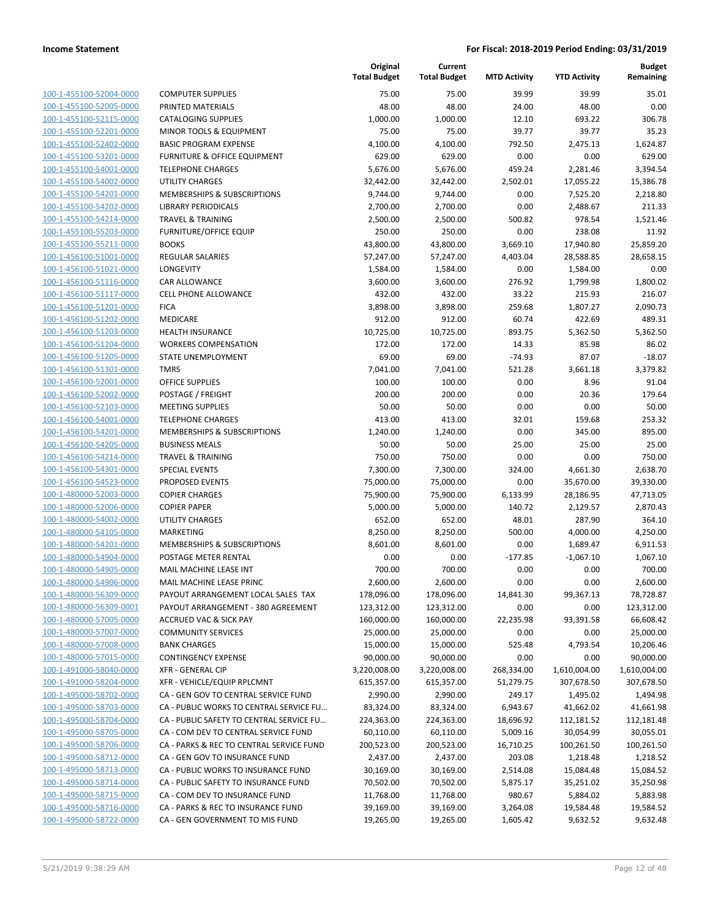| 100-1-455100-52004-0000        |
|--------------------------------|
| 100-1-455100-52005-0000        |
| 100-1-455100-52115-0000        |
| <u>100-1-455100-52201-0000</u> |
| 100-1-455100-52402-0000        |
| 100-1-455100-53201-0000        |
| 100-1-455100-54001-0000        |
| 100-1-455100-54002-0000        |
| 100-1-455100-54201-0000        |
| 100-1-455100-54202-0000        |
| 100-1-455100-54214-0000        |
| 100-1-455100-55203-0000        |
| 100-1-455100-55211-0000        |
| <u>100-1-456100-51001-0000</u> |
| 100-1-456100-51021-0000        |
| 100-1-456100-51116-0000        |
| 100-1-456100-51117-0000        |
| 100-1-456100-51201-0000        |
|                                |
| 100-1-456100-51202-0000        |
| 100-1-456100-51203-0000        |
| 100-1-456100-51204-0000        |
| 100-1-456100-51205-0000        |
| 100-1-456100-51301-0000        |
| <u>100-1-456100-52001-0000</u> |
| 100-1-456100-52002-0000        |
| 100-1-456100-52103-0000        |
| 100-1-456100-54001-0000        |
| 100-1-456100-54201-0000        |
| 100-1-456100-54205-0000        |
| 100-1-456100-54214-0000        |
| 100-1-456100-54301-0000        |
| 100-1-456100-54523-0000        |
| 100-1-480000-52003-0000        |
| <u>100-1-480000-52006-0000</u> |
| 100-1-480000-54002-0000        |
| 100-1-480000-54105-0000        |
| 100-1-480000-54201-0000        |
| 100-1-480000-54904-0000        |
| 100-1-480000-54905-0000        |
| 100-1-480000-54906-0000        |
| 100-1-480000-56309-0000        |
| 100-1-480000-56309-0001        |
|                                |
| <u>100-1-480000-57005-0000</u> |
| <u>100-1-480000-57007-0000</u> |
| <u>100-1-480000-57008-0000</u> |
| <u>100-1-480000-57015-0000</u> |
| 100-1-491000-58040-0000        |
| <u>100-1-491000-58204-0000</u> |
| <u>100-1-495000-58702-0000</u> |
| 100-1-495000-58703-0000        |
| 100-1-495000-58704-0000        |
| 100-1-495000-58705-0000        |
| 100-1-495000-58706-0000        |
| <u>100-1-495000-58712-0000</u> |
| <u>100-1-495000-58713-0000</u> |
| <u>100-1-495000-58714-0000</u> |
| 100-1-495000-58715-0000        |
| 100-1-495000-58716-0000        |
| <u>100-1-495000-58722-0000</u> |
|                                |

|                                                    |                                                                          | Original<br><b>Total Budget</b> | Current<br><b>Total Budget</b> | <b>MTD Activity</b> | <b>YTD Activity</b> | Budget<br>Remaining     |
|----------------------------------------------------|--------------------------------------------------------------------------|---------------------------------|--------------------------------|---------------------|---------------------|-------------------------|
| 100-1-455100-52004-0000                            | <b>COMPUTER SUPPLIES</b>                                                 | 75.00                           | 75.00                          | 39.99               | 39.99               | 35.01                   |
| 100-1-455100-52005-0000                            | PRINTED MATERIALS                                                        | 48.00                           | 48.00                          | 24.00               | 48.00               | 0.00                    |
| 100-1-455100-52115-0000                            | <b>CATALOGING SUPPLIES</b>                                               | 1,000.00                        | 1,000.00                       | 12.10               | 693.22              | 306.78                  |
| 100-1-455100-52201-0000                            | <b>MINOR TOOLS &amp; EQUIPMENT</b>                                       | 75.00                           | 75.00                          | 39.77               | 39.77               | 35.23                   |
| 100-1-455100-52402-0000                            | <b>BASIC PROGRAM EXPENSE</b>                                             | 4,100.00                        | 4,100.00                       | 792.50              | 2,475.13            | 1,624.87                |
| 100-1-455100-53201-0000                            | <b>FURNITURE &amp; OFFICE EQUIPMENT</b>                                  | 629.00                          | 629.00                         | 0.00                | 0.00                | 629.00                  |
| 100-1-455100-54001-0000                            | <b>TELEPHONE CHARGES</b>                                                 | 5,676.00                        | 5,676.00                       | 459.24              | 2,281.46            | 3,394.54                |
| 100-1-455100-54002-0000                            | <b>UTILITY CHARGES</b>                                                   | 32,442.00                       | 32,442.00                      | 2,502.01            | 17,055.22           | 15,386.78               |
| 100-1-455100-54201-0000                            | <b>MEMBERSHIPS &amp; SUBSCRIPTIONS</b>                                   | 9,744.00                        | 9,744.00                       | 0.00                | 7,525.20            | 2,218.80                |
| 100-1-455100-54202-0000                            | <b>LIBRARY PERIODICALS</b>                                               | 2,700.00                        | 2,700.00                       | 0.00                | 2,488.67            | 211.33                  |
| 100-1-455100-54214-0000                            | <b>TRAVEL &amp; TRAINING</b>                                             | 2,500.00                        | 2,500.00                       | 500.82              | 978.54              | 1,521.46                |
| 100-1-455100-55203-0000                            | <b>FURNITURE/OFFICE EQUIP</b>                                            | 250.00                          | 250.00                         | 0.00                | 238.08              | 11.92                   |
| 100-1-455100-55211-0000                            | <b>BOOKS</b>                                                             | 43,800.00                       | 43,800.00                      | 3,669.10            | 17,940.80           | 25,859.20               |
| 100-1-456100-51001-0000                            | <b>REGULAR SALARIES</b>                                                  | 57,247.00                       | 57,247.00                      | 4,403.04            | 28,588.85           | 28,658.15               |
| 100-1-456100-51021-0000                            | LONGEVITY                                                                | 1,584.00                        | 1,584.00                       | 0.00                | 1,584.00            | 0.00                    |
| 100-1-456100-51116-0000                            | CAR ALLOWANCE                                                            | 3,600.00                        | 3,600.00                       | 276.92              | 1,799.98            | 1,800.02                |
| 100-1-456100-51117-0000                            | <b>CELL PHONE ALLOWANCE</b>                                              | 432.00                          | 432.00                         | 33.22               | 215.93              | 216.07                  |
| 100-1-456100-51201-0000                            | <b>FICA</b>                                                              | 3,898.00                        | 3,898.00                       | 259.68              | 1,807.27            | 2,090.73                |
| 100-1-456100-51202-0000                            | MEDICARE                                                                 | 912.00                          | 912.00                         | 60.74               | 422.69              | 489.31                  |
| 100-1-456100-51203-0000                            | <b>HEALTH INSURANCE</b>                                                  | 10,725.00                       | 10,725.00                      | 893.75              | 5,362.50            | 5,362.50                |
| 100-1-456100-51204-0000                            | <b>WORKERS COMPENSATION</b>                                              | 172.00                          | 172.00                         | 14.33               | 85.98               | 86.02                   |
| 100-1-456100-51205-0000                            | STATE UNEMPLOYMENT                                                       | 69.00                           | 69.00                          | $-74.93$            | 87.07               | $-18.07$                |
| 100-1-456100-51301-0000                            | <b>TMRS</b>                                                              | 7,041.00                        | 7,041.00                       | 521.28              | 3,661.18            | 3,379.82                |
| 100-1-456100-52001-0000                            | <b>OFFICE SUPPLIES</b>                                                   | 100.00                          | 100.00                         | 0.00                | 8.96                | 91.04                   |
| 100-1-456100-52002-0000                            | POSTAGE / FREIGHT                                                        | 200.00                          | 200.00                         | 0.00                | 20.36               | 179.64                  |
| 100-1-456100-52103-0000                            | <b>MEETING SUPPLIES</b>                                                  | 50.00                           | 50.00                          | 0.00                | 0.00                | 50.00                   |
| 100-1-456100-54001-0000                            | <b>TELEPHONE CHARGES</b>                                                 | 413.00                          | 413.00                         | 32.01               | 159.68              | 253.32                  |
| 100-1-456100-54201-0000                            | MEMBERSHIPS & SUBSCRIPTIONS                                              | 1,240.00                        | 1,240.00                       | 0.00                | 345.00              | 895.00                  |
| 100-1-456100-54205-0000                            | <b>BUSINESS MEALS</b>                                                    | 50.00                           | 50.00                          | 25.00               | 25.00               | 25.00                   |
| 100-1-456100-54214-0000                            | <b>TRAVEL &amp; TRAINING</b>                                             | 750.00                          | 750.00                         | 0.00                | 0.00                | 750.00                  |
| 100-1-456100-54301-0000                            | <b>SPECIAL EVENTS</b>                                                    | 7,300.00                        | 7,300.00                       | 324.00              | 4,661.30            | 2,638.70                |
| 100-1-456100-54523-0000                            | PROPOSED EVENTS                                                          | 75,000.00                       | 75,000.00                      | 0.00                | 35,670.00           | 39,330.00               |
| 100-1-480000-52003-0000                            | <b>COPIER CHARGES</b>                                                    | 75,900.00                       | 75,900.00                      | 6,133.99            | 28,186.95           | 47,713.05               |
| 100-1-480000-52006-0000                            | <b>COPIER PAPER</b>                                                      | 5,000.00                        | 5,000.00                       | 140.72              | 2,129.57            | 2,870.43                |
| 100-1-480000-54002-0000                            | <b>UTILITY CHARGES</b>                                                   | 652.00                          | 652.00                         | 48.01               | 287.90              | 364.10                  |
| 100-1-480000-54105-0000                            | <b>MARKETING</b>                                                         | 8,250.00                        | 8,250.00                       | 500.00              | 4,000.00            | 4,250.00                |
| 100-1-480000-54201-0000                            | <b>MEMBERSHIPS &amp; SUBSCRIPTIONS</b>                                   | 8,601.00                        | 8,601.00                       | 0.00                | 1,689.47            | 6,911.53                |
| 100-1-480000-54904-0000                            | POSTAGE METER RENTAL                                                     | 0.00                            | 0.00                           | $-177.85$           | $-1,067.10$         | 1,067.10                |
| 100-1-480000-54905-0000                            | MAIL MACHINE LEASE INT                                                   | 700.00                          | 700.00                         | 0.00                | 0.00                | 700.00                  |
| 100-1-480000-54906-0000                            | MAIL MACHINE LEASE PRINC                                                 | 2,600.00                        | 2,600.00                       | 0.00                | 0.00<br>99,367.13   | 2,600.00<br>78,728.87   |
| 100-1-480000-56309-0000<br>100-1-480000-56309-0001 | PAYOUT ARRANGEMENT LOCAL SALES TAX<br>PAYOUT ARRANGEMENT - 380 AGREEMENT | 178,096.00                      | 178,096.00                     | 14,841.30           |                     |                         |
| 100-1-480000-57005-0000                            | <b>ACCRUED VAC &amp; SICK PAY</b>                                        | 123,312.00<br>160,000.00        | 123,312.00<br>160,000.00       | 0.00<br>22,235.98   | 0.00                | 123,312.00<br>66,608.42 |
| 100-1-480000-57007-0000                            | <b>COMMUNITY SERVICES</b>                                                | 25,000.00                       | 25,000.00                      | 0.00                | 93,391.58           | 25,000.00               |
| 100-1-480000-57008-0000                            | <b>BANK CHARGES</b>                                                      | 15,000.00                       | 15,000.00                      | 525.48              | 0.00<br>4,793.54    | 10,206.46               |
| 100-1-480000-57015-0000                            | <b>CONTINGENCY EXPENSE</b>                                               | 90,000.00                       | 90,000.00                      | 0.00                | 0.00                | 90,000.00               |
| 100-1-491000-58040-0000                            | <b>XFR - GENERAL CIP</b>                                                 | 3,220,008.00                    | 3,220,008.00                   | 268,334.00          | 1,610,004.00        | 1,610,004.00            |
| 100-1-491000-58204-0000                            | XFR - VEHICLE/EQUIP RPLCMNT                                              | 615,357.00                      | 615,357.00                     | 51,279.75           | 307,678.50          | 307,678.50              |
| 100-1-495000-58702-0000                            | CA - GEN GOV TO CENTRAL SERVICE FUND                                     | 2,990.00                        | 2,990.00                       | 249.17              | 1,495.02            | 1,494.98                |
| 100-1-495000-58703-0000                            | CA - PUBLIC WORKS TO CENTRAL SERVICE FU                                  | 83,324.00                       | 83,324.00                      | 6,943.67            | 41,662.02           | 41,661.98               |
| 100-1-495000-58704-0000                            | CA - PUBLIC SAFETY TO CENTRAL SERVICE FU                                 | 224,363.00                      | 224,363.00                     | 18,696.92           | 112,181.52          | 112,181.48              |
| 100-1-495000-58705-0000                            | CA - COM DEV TO CENTRAL SERVICE FUND                                     | 60,110.00                       | 60,110.00                      | 5,009.16            | 30,054.99           | 30,055.01               |
| 100-1-495000-58706-0000                            | CA - PARKS & REC TO CENTRAL SERVICE FUND                                 | 200,523.00                      | 200,523.00                     | 16,710.25           | 100,261.50          | 100,261.50              |
| 100-1-495000-58712-0000                            | CA - GEN GOV TO INSURANCE FUND                                           | 2,437.00                        | 2,437.00                       | 203.08              | 1,218.48            | 1,218.52                |
| 100-1-495000-58713-0000                            | CA - PUBLIC WORKS TO INSURANCE FUND                                      | 30,169.00                       | 30,169.00                      | 2,514.08            | 15,084.48           | 15,084.52               |
| 100-1-495000-58714-0000                            | CA - PUBLIC SAFETY TO INSURANCE FUND                                     | 70,502.00                       | 70,502.00                      | 5,875.17            | 35,251.02           | 35,250.98               |
| 100-1-495000-58715-0000                            | CA - COM DEV TO INSURANCE FUND                                           | 11,768.00                       | 11,768.00                      | 980.67              | 5,884.02            | 5,883.98                |
| 100-1-495000-58716-0000                            | CA - PARKS & REC TO INSURANCE FUND                                       | 39,169.00                       | 39,169.00                      | 3,264.08            | 19,584.48           | 19,584.52               |
| 100-1-495000-58722-0000                            | CA - GEN GOVERNMENT TO MIS FUND                                          | 19,265.00                       | 19,265.00                      | 1,605.42            | 9,632.52            | 9,632.48                |
|                                                    |                                                                          |                                 |                                |                     |                     |                         |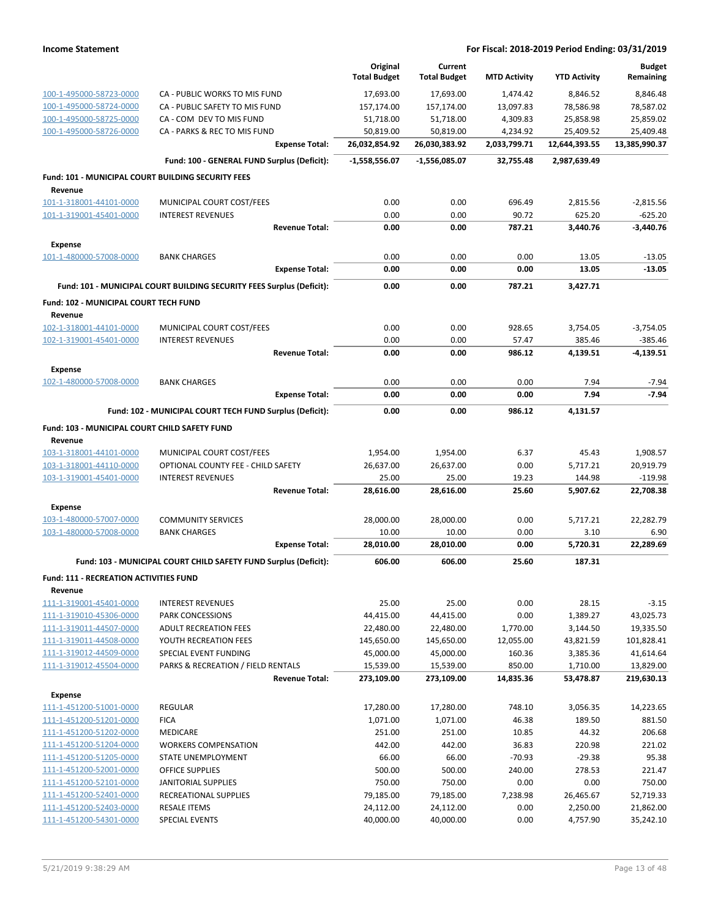|                                                    |                                                                       | Original            | Current             |                     |                     | <b>Budget</b>   |
|----------------------------------------------------|-----------------------------------------------------------------------|---------------------|---------------------|---------------------|---------------------|-----------------|
|                                                    |                                                                       | <b>Total Budget</b> | <b>Total Budget</b> | <b>MTD Activity</b> | <b>YTD Activity</b> | Remaining       |
| 100-1-495000-58723-0000                            | CA - PUBLIC WORKS TO MIS FUND                                         | 17,693.00           | 17,693.00           | 1,474.42            | 8,846.52            | 8,846.48        |
| 100-1-495000-58724-0000                            | CA - PUBLIC SAFETY TO MIS FUND                                        | 157,174.00          | 157,174.00          | 13,097.83           | 78,586.98           | 78,587.02       |
| 100-1-495000-58725-0000                            | CA - COM DEV TO MIS FUND                                              | 51,718.00           | 51,718.00           | 4,309.83            | 25,858.98           | 25,859.02       |
| 100-1-495000-58726-0000                            | CA - PARKS & REC TO MIS FUND                                          | 50,819.00           | 50,819.00           | 4,234.92            | 25,409.52           | 25,409.48       |
|                                                    | <b>Expense Total:</b>                                                 | 26,032,854.92       | 26,030,383.92       | 2,033,799.71        | 12,644,393.55       | 13,385,990.37   |
|                                                    | Fund: 100 - GENERAL FUND Surplus (Deficit):                           | -1,558,556.07       | -1,556,085.07       | 32,755.48           | 2,987,639.49        |                 |
| Fund: 101 - MUNICIPAL COURT BUILDING SECURITY FEES |                                                                       |                     |                     |                     |                     |                 |
| Revenue                                            |                                                                       |                     |                     |                     |                     |                 |
| 101-1-318001-44101-0000                            | MUNICIPAL COURT COST/FEES                                             | 0.00                | 0.00                | 696.49              | 2,815.56            | $-2,815.56$     |
| 101-1-319001-45401-0000                            | <b>INTEREST REVENUES</b>                                              | 0.00                | 0.00                | 90.72               | 625.20              | $-625.20$       |
|                                                    | <b>Revenue Total:</b>                                                 | 0.00                | 0.00                | 787.21              | 3,440.76            | -3,440.76       |
| <b>Expense</b>                                     |                                                                       |                     |                     |                     |                     |                 |
| 101-1-480000-57008-0000                            | <b>BANK CHARGES</b>                                                   | 0.00                | 0.00                | 0.00                | 13.05               | $-13.05$        |
|                                                    | <b>Expense Total:</b>                                                 | 0.00                | 0.00                | 0.00                | 13.05               | $-13.05$        |
|                                                    | Fund: 101 - MUNICIPAL COURT BUILDING SECURITY FEES Surplus (Deficit): | 0.00                | 0.00                | 787.21              | 3,427.71            |                 |
| Fund: 102 - MUNICIPAL COURT TECH FUND              |                                                                       |                     |                     |                     |                     |                 |
| Revenue                                            |                                                                       |                     |                     |                     |                     |                 |
| 102-1-318001-44101-0000                            | MUNICIPAL COURT COST/FEES                                             | 0.00                | 0.00                | 928.65              | 3,754.05            | $-3,754.05$     |
| 102-1-319001-45401-0000                            | <b>INTEREST REVENUES</b>                                              | 0.00                | 0.00                | 57.47               | 385.46              | $-385.46$       |
|                                                    | <b>Revenue Total:</b>                                                 | 0.00                | 0.00                | 986.12              | 4,139.51            | $-4,139.51$     |
| <b>Expense</b>                                     |                                                                       |                     |                     |                     |                     |                 |
| 102-1-480000-57008-0000                            | <b>BANK CHARGES</b>                                                   | 0.00                | 0.00                | 0.00                | 7.94                | $-7.94$         |
|                                                    | <b>Expense Total:</b>                                                 | 0.00                | 0.00                | 0.00                | 7.94                | $-7.94$         |
|                                                    | Fund: 102 - MUNICIPAL COURT TECH FUND Surplus (Deficit):              | 0.00                | 0.00                | 986.12              | 4,131.57            |                 |
| Fund: 103 - MUNICIPAL COURT CHILD SAFETY FUND      |                                                                       |                     |                     |                     |                     |                 |
| Revenue                                            |                                                                       |                     |                     |                     |                     |                 |
| 103-1-318001-44101-0000                            | MUNICIPAL COURT COST/FEES                                             | 1,954.00            | 1,954.00            | 6.37                | 45.43               | 1,908.57        |
| 103-1-318001-44110-0000                            | OPTIONAL COUNTY FEE - CHILD SAFETY                                    | 26,637.00           | 26,637.00           | 0.00                | 5,717.21            | 20,919.79       |
| 103-1-319001-45401-0000                            | <b>INTEREST REVENUES</b>                                              | 25.00               | 25.00               | 19.23               | 144.98              | $-119.98$       |
|                                                    | <b>Revenue Total:</b>                                                 | 28,616.00           | 28,616.00           | 25.60               | 5,907.62            | 22,708.38       |
| <b>Expense</b>                                     |                                                                       |                     |                     |                     |                     |                 |
| 103-1-480000-57007-0000                            | <b>COMMUNITY SERVICES</b>                                             | 28,000.00           | 28,000.00           | 0.00                | 5,717.21            | 22,282.79       |
| 103-1-480000-57008-0000                            | <b>BANK CHARGES</b>                                                   | 10.00               | 10.00               | 0.00                | 3.10                | 6.90            |
|                                                    | <b>Expense Total:</b>                                                 | 28,010.00           | 28,010.00           | 0.00                | 5,720.31            | 22,289.69       |
|                                                    | Fund: 103 - MUNICIPAL COURT CHILD SAFETY FUND Surplus (Deficit):      | 606.00              | 606.00              | 25.60               | 187.31              |                 |
| Fund: 111 - RECREATION ACTIVITIES FUND             |                                                                       |                     |                     |                     |                     |                 |
| Revenue                                            |                                                                       |                     |                     |                     |                     |                 |
| 111-1-319001-45401-0000                            | <b>INTEREST REVENUES</b>                                              | 25.00               | 25.00               | 0.00                | 28.15               | $-3.15$         |
| 111-1-319010-45306-0000                            | PARK CONCESSIONS                                                      | 44,415.00           | 44,415.00           | 0.00                | 1,389.27            | 43,025.73       |
| 111-1-319011-44507-0000                            | <b>ADULT RECREATION FEES</b>                                          | 22,480.00           | 22,480.00           | 1,770.00            | 3,144.50            | 19,335.50       |
| 111-1-319011-44508-0000                            | YOUTH RECREATION FEES                                                 | 145,650.00          | 145,650.00          | 12,055.00           | 43,821.59           | 101,828.41      |
| 111-1-319012-44509-0000                            | SPECIAL EVENT FUNDING                                                 | 45,000.00           | 45,000.00           | 160.36              | 3,385.36            | 41,614.64       |
| 111-1-319012-45504-0000                            | PARKS & RECREATION / FIELD RENTALS                                    | 15,539.00           | 15,539.00           | 850.00              | 1,710.00            | 13,829.00       |
|                                                    | <b>Revenue Total:</b>                                                 | 273,109.00          | 273,109.00          | 14,835.36           | 53,478.87           | 219,630.13      |
| <b>Expense</b>                                     |                                                                       |                     |                     |                     |                     |                 |
| 111-1-451200-51001-0000                            | <b>REGULAR</b>                                                        | 17,280.00           | 17,280.00           | 748.10              | 3,056.35            | 14,223.65       |
| 111-1-451200-51201-0000                            | <b>FICA</b>                                                           | 1,071.00            | 1,071.00            | 46.38               | 189.50              | 881.50          |
| 111-1-451200-51202-0000                            | MEDICARE                                                              | 251.00              | 251.00              | 10.85               | 44.32               | 206.68          |
| 111-1-451200-51204-0000                            | <b>WORKERS COMPENSATION</b>                                           | 442.00              | 442.00              | 36.83               | 220.98              | 221.02<br>95.38 |
| 111-1-451200-51205-0000<br>111-1-451200-52001-0000 | STATE UNEMPLOYMENT<br>OFFICE SUPPLIES                                 | 66.00<br>500.00     | 66.00<br>500.00     | $-70.93$<br>240.00  | $-29.38$<br>278.53  | 221.47          |
| 111-1-451200-52101-0000                            | <b>JANITORIAL SUPPLIES</b>                                            | 750.00              | 750.00              | 0.00                | 0.00                | 750.00          |
| 111-1-451200-52401-0000                            | RECREATIONAL SUPPLIES                                                 | 79,185.00           | 79,185.00           | 7,238.98            | 26,465.67           | 52,719.33       |
| 111-1-451200-52403-0000                            | <b>RESALE ITEMS</b>                                                   | 24,112.00           | 24,112.00           | 0.00                | 2,250.00            | 21,862.00       |
| 111-1-451200-54301-0000                            | <b>SPECIAL EVENTS</b>                                                 | 40,000.00           | 40,000.00           | 0.00                | 4,757.90            | 35,242.10       |
|                                                    |                                                                       |                     |                     |                     |                     |                 |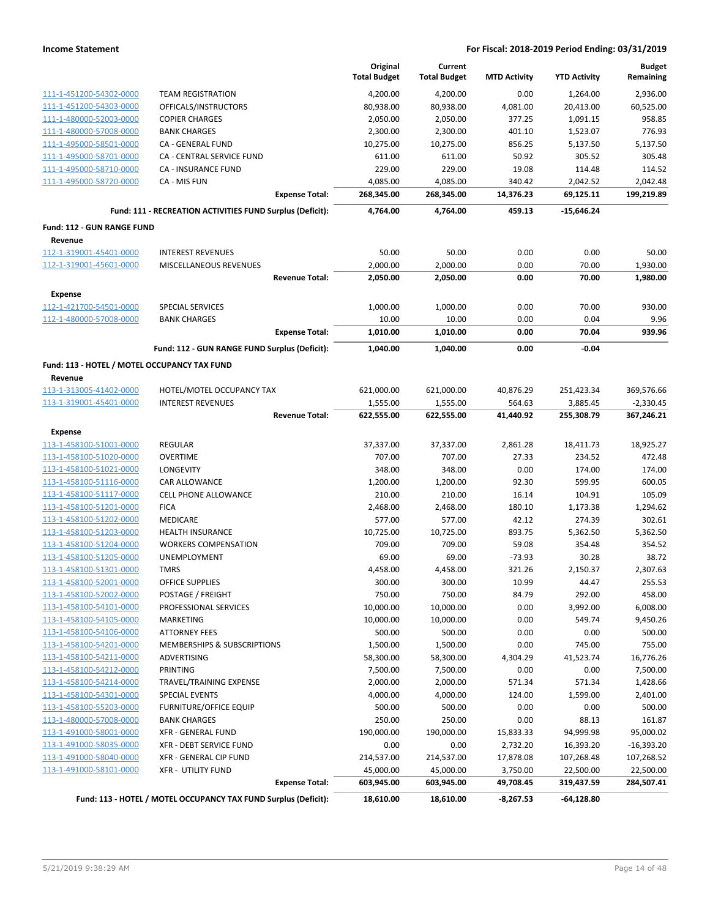|                                              |                                                                 |                       | Original<br><b>Total Budget</b> | Current<br><b>Total Budget</b> | <b>MTD Activity</b> | <b>YTD Activity</b> | <b>Budget</b><br>Remaining |
|----------------------------------------------|-----------------------------------------------------------------|-----------------------|---------------------------------|--------------------------------|---------------------|---------------------|----------------------------|
| 111-1-451200-54302-0000                      | <b>TEAM REGISTRATION</b>                                        |                       | 4,200.00                        | 4,200.00                       | 0.00                | 1,264.00            | 2,936.00                   |
| 111-1-451200-54303-0000                      | OFFICALS/INSTRUCTORS                                            |                       | 80,938.00                       | 80,938.00                      | 4,081.00            | 20,413.00           | 60,525.00                  |
| 111-1-480000-52003-0000                      | <b>COPIER CHARGES</b>                                           |                       | 2,050.00                        | 2,050.00                       | 377.25              | 1,091.15            | 958.85                     |
| 111-1-480000-57008-0000                      | <b>BANK CHARGES</b>                                             |                       | 2,300.00                        | 2,300.00                       | 401.10              | 1,523.07            | 776.93                     |
| 111-1-495000-58501-0000                      | CA - GENERAL FUND                                               |                       | 10,275.00                       | 10,275.00                      | 856.25              | 5,137.50            | 5,137.50                   |
| 111-1-495000-58701-0000                      | CA - CENTRAL SERVICE FUND                                       |                       | 611.00                          | 611.00                         | 50.92               | 305.52              | 305.48                     |
| 111-1-495000-58710-0000                      | CA - INSURANCE FUND                                             |                       | 229.00                          | 229.00                         | 19.08               | 114.48              | 114.52                     |
| 111-1-495000-58720-0000                      | CA - MIS FUN                                                    |                       | 4,085.00                        | 4,085.00                       | 340.42              | 2,042.52            | 2,042.48                   |
|                                              |                                                                 | <b>Expense Total:</b> | 268,345.00                      | 268,345.00                     | 14,376.23           | 69,125.11           | 199,219.89                 |
|                                              | Fund: 111 - RECREATION ACTIVITIES FUND Surplus (Deficit):       |                       | 4,764.00                        | 4,764.00                       | 459.13              | $-15,646.24$        |                            |
| <b>Fund: 112 - GUN RANGE FUND</b>            |                                                                 |                       |                                 |                                |                     |                     |                            |
| Revenue<br>112-1-319001-45401-0000           | <b>INTEREST REVENUES</b>                                        |                       | 50.00                           | 50.00                          | 0.00                | 0.00                | 50.00                      |
| 112-1-319001-45601-0000                      | MISCELLANEOUS REVENUES                                          |                       | 2,000.00                        | 2,000.00                       | 0.00                | 70.00               | 1,930.00                   |
|                                              |                                                                 | <b>Revenue Total:</b> | 2,050.00                        | 2,050.00                       | 0.00                | 70.00               | 1,980.00                   |
| <b>Expense</b>                               |                                                                 |                       |                                 |                                |                     |                     |                            |
| 112-1-421700-54501-0000                      | <b>SPECIAL SERVICES</b>                                         |                       | 1,000.00                        | 1,000.00                       | 0.00                | 70.00               | 930.00                     |
| 112-1-480000-57008-0000                      | <b>BANK CHARGES</b>                                             |                       | 10.00                           | 10.00                          | 0.00                | 0.04                | 9.96                       |
|                                              |                                                                 | <b>Expense Total:</b> | 1,010.00                        | 1,010.00                       | 0.00                | 70.04               | 939.96                     |
|                                              | Fund: 112 - GUN RANGE FUND Surplus (Deficit):                   |                       | 1,040.00                        | 1,040.00                       | 0.00                | $-0.04$             |                            |
| Fund: 113 - HOTEL / MOTEL OCCUPANCY TAX FUND |                                                                 |                       |                                 |                                |                     |                     |                            |
| Revenue                                      |                                                                 |                       |                                 |                                |                     |                     |                            |
| 113-1-313005-41402-0000                      | HOTEL/MOTEL OCCUPANCY TAX                                       |                       | 621,000.00                      | 621,000.00                     | 40,876.29           | 251,423.34          | 369,576.66                 |
| 113-1-319001-45401-0000                      | <b>INTEREST REVENUES</b>                                        |                       | 1,555.00                        | 1,555.00                       | 564.63              | 3,885.45            | $-2,330.45$                |
|                                              |                                                                 | <b>Revenue Total:</b> | 622,555.00                      | 622,555.00                     | 41,440.92           | 255,308.79          | 367,246.21                 |
| <b>Expense</b>                               |                                                                 |                       |                                 |                                |                     |                     |                            |
| 113-1-458100-51001-0000                      | <b>REGULAR</b>                                                  |                       | 37,337.00                       | 37,337.00                      | 2,861.28            | 18,411.73           | 18,925.27                  |
| 113-1-458100-51020-0000                      | <b>OVERTIME</b>                                                 |                       | 707.00                          | 707.00                         | 27.33               | 234.52              | 472.48                     |
| 113-1-458100-51021-0000                      | <b>LONGEVITY</b>                                                |                       | 348.00                          | 348.00                         | 0.00                | 174.00              | 174.00                     |
| 113-1-458100-51116-0000                      | <b>CAR ALLOWANCE</b>                                            |                       | 1,200.00                        | 1,200.00                       | 92.30               | 599.95              | 600.05                     |
| 113-1-458100-51117-0000                      | <b>CELL PHONE ALLOWANCE</b>                                     |                       | 210.00                          | 210.00                         | 16.14               | 104.91              | 105.09                     |
| 113-1-458100-51201-0000                      | <b>FICA</b>                                                     |                       | 2,468.00                        | 2,468.00                       | 180.10              | 1,173.38            | 1,294.62                   |
| 113-1-458100-51202-0000                      | MEDICARE                                                        |                       | 577.00                          | 577.00                         | 42.12               | 274.39              | 302.61                     |
| 113-1-458100-51203-0000                      | <b>HEALTH INSURANCE</b>                                         |                       | 10,725.00                       | 10,725.00                      | 893.75              | 5,362.50            | 5,362.50                   |
| 113-1-458100-51204-0000                      | <b>WORKERS COMPENSATION</b>                                     |                       | 709.00                          | 709.00                         | 59.08               | 354.48              | 354.52                     |
| 113-1-458100-51205-0000                      | <b>UNEMPLOYMENT</b>                                             |                       | 69.00                           | 69.00                          | $-73.93$            | 30.28               | 38.72                      |
| 113-1-458100-51301-0000                      | <b>TMRS</b>                                                     |                       | 4,458.00                        | 4,458.00                       | 321.26              | 2,150.37            | 2,307.63                   |
| <u>113-1-458100-52001-0000</u>               | <b>OFFICE SUPPLIES</b>                                          |                       | 300.00                          | 300.00                         | 10.99               | 44.47               | 255.53                     |
| 113-1-458100-52002-0000                      | POSTAGE / FREIGHT                                               |                       | 750.00                          | 750.00                         | 84.79               | 292.00              | 458.00                     |
| 113-1-458100-54101-0000                      | PROFESSIONAL SERVICES                                           |                       | 10,000.00                       | 10,000.00                      | 0.00                | 3,992.00            | 6,008.00                   |
| 113-1-458100-54105-0000                      | MARKETING                                                       |                       | 10,000.00                       | 10,000.00                      | 0.00                | 549.74              | 9,450.26                   |
| 113-1-458100-54106-0000                      | <b>ATTORNEY FEES</b>                                            |                       | 500.00                          | 500.00                         | 0.00                | 0.00                | 500.00                     |
| 113-1-458100-54201-0000                      | <b>MEMBERSHIPS &amp; SUBSCRIPTIONS</b>                          |                       | 1,500.00                        | 1,500.00                       | 0.00                | 745.00              | 755.00                     |
| 113-1-458100-54211-0000                      | ADVERTISING                                                     |                       | 58,300.00                       | 58,300.00                      | 4,304.29            | 41,523.74           | 16,776.26                  |
| 113-1-458100-54212-0000                      | PRINTING                                                        |                       | 7,500.00                        | 7,500.00                       | 0.00                | 0.00                | 7,500.00                   |
| 113-1-458100-54214-0000                      | TRAVEL/TRAINING EXPENSE                                         |                       | 2,000.00                        | 2,000.00                       | 571.34              | 571.34              | 1,428.66                   |
| 113-1-458100-54301-0000                      | SPECIAL EVENTS                                                  |                       | 4,000.00                        | 4,000.00                       | 124.00              | 1,599.00            | 2,401.00                   |
| 113-1-458100-55203-0000                      | <b>FURNITURE/OFFICE EQUIP</b>                                   |                       | 500.00                          | 500.00                         | 0.00                | 0.00                | 500.00                     |
| 113-1-480000-57008-0000                      | <b>BANK CHARGES</b>                                             |                       | 250.00                          | 250.00                         | 0.00                | 88.13               | 161.87                     |
| 113-1-491000-58001-0000                      | <b>XFR - GENERAL FUND</b>                                       |                       | 190,000.00                      | 190,000.00                     | 15,833.33           | 94,999.98           | 95,000.02                  |
| 113-1-491000-58035-0000                      | <b>XFR - DEBT SERVICE FUND</b>                                  |                       | 0.00                            | 0.00                           | 2,732.20            | 16,393.20           | $-16,393.20$               |
| 113-1-491000-58040-0000                      | XFR - GENERAL CIP FUND                                          |                       | 214,537.00                      | 214,537.00                     | 17,878.08           | 107,268.48          | 107,268.52                 |
| 113-1-491000-58101-0000                      | <b>XFR - UTILITY FUND</b>                                       |                       | 45,000.00                       | 45,000.00                      | 3,750.00            | 22,500.00           | 22,500.00                  |
|                                              |                                                                 | <b>Expense Total:</b> | 603,945.00                      | 603,945.00                     | 49,708.45           | 319,437.59          | 284,507.41                 |
|                                              | Fund: 113 - HOTEL / MOTEL OCCUPANCY TAX FUND Surplus (Deficit): |                       | 18,610.00                       | 18,610.00                      | $-8,267.53$         | $-64,128.80$        |                            |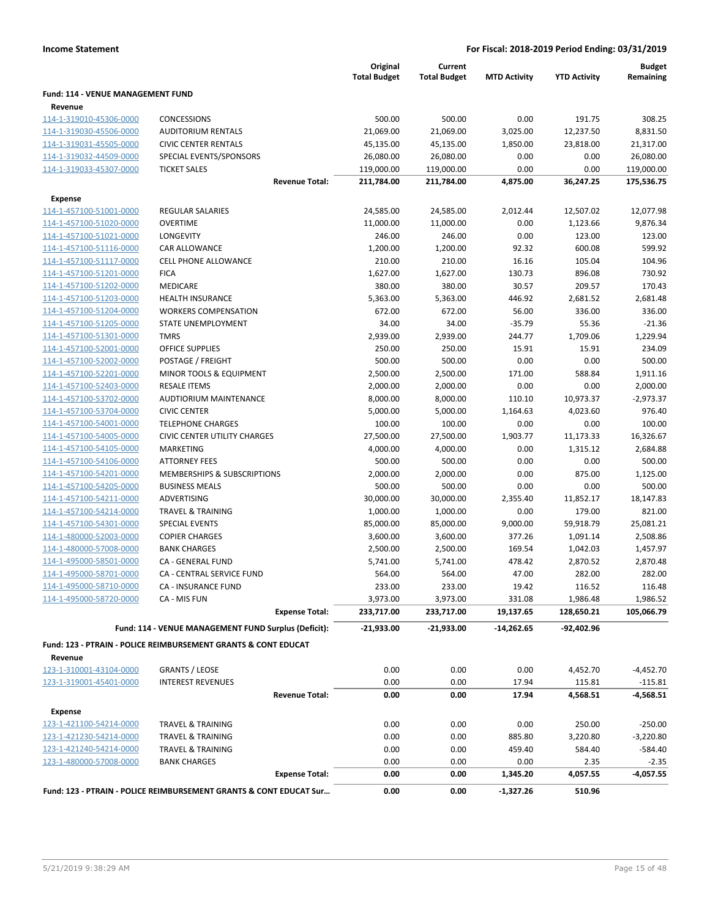|                                                    |                                                                           | Original<br><b>Total Budget</b> | Current<br><b>Total Budget</b> | <b>MTD Activity</b> | <b>YTD Activity</b> | <b>Budget</b><br>Remaining |
|----------------------------------------------------|---------------------------------------------------------------------------|---------------------------------|--------------------------------|---------------------|---------------------|----------------------------|
| Fund: 114 - VENUE MANAGEMENT FUND<br>Revenue       |                                                                           |                                 |                                |                     |                     |                            |
| 114-1-319010-45306-0000                            | <b>CONCESSIONS</b>                                                        | 500.00                          | 500.00                         | 0.00                | 191.75              | 308.25                     |
| 114-1-319030-45506-0000                            | <b>AUDITORIUM RENTALS</b>                                                 | 21,069.00                       | 21,069.00                      | 3,025.00            | 12,237.50           | 8,831.50                   |
| 114-1-319031-45505-0000                            | <b>CIVIC CENTER RENTALS</b>                                               | 45,135.00                       | 45,135.00                      | 1,850.00            | 23,818.00           | 21,317.00                  |
| 114-1-319032-44509-0000                            | SPECIAL EVENTS/SPONSORS                                                   | 26,080.00                       | 26,080.00                      | 0.00                | 0.00                | 26,080.00                  |
| 114-1-319033-45307-0000                            | <b>TICKET SALES</b>                                                       | 119,000.00                      | 119,000.00                     | 0.00                | 0.00                | 119,000.00                 |
|                                                    | <b>Revenue Total:</b>                                                     | 211,784.00                      | 211,784.00                     | 4,875.00            | 36,247.25           | 175,536.75                 |
|                                                    |                                                                           |                                 |                                |                     |                     |                            |
| Expense                                            | <b>REGULAR SALARIES</b>                                                   | 24,585.00                       |                                | 2,012.44            | 12,507.02           | 12,077.98                  |
| 114-1-457100-51001-0000<br>114-1-457100-51020-0000 | <b>OVERTIME</b>                                                           | 11,000.00                       | 24,585.00<br>11,000.00         | 0.00                | 1,123.66            | 9,876.34                   |
| 114-1-457100-51021-0000                            | LONGEVITY                                                                 | 246.00                          | 246.00                         | 0.00                | 123.00              | 123.00                     |
| 114-1-457100-51116-0000                            | CAR ALLOWANCE                                                             | 1,200.00                        | 1,200.00                       | 92.32               | 600.08              | 599.92                     |
| 114-1-457100-51117-0000                            | <b>CELL PHONE ALLOWANCE</b>                                               | 210.00                          | 210.00                         | 16.16               | 105.04              | 104.96                     |
| 114-1-457100-51201-0000                            | <b>FICA</b>                                                               | 1,627.00                        | 1,627.00                       | 130.73              | 896.08              | 730.92                     |
| 114-1-457100-51202-0000                            | MEDICARE                                                                  | 380.00                          | 380.00                         | 30.57               | 209.57              | 170.43                     |
| 114-1-457100-51203-0000                            | <b>HEALTH INSURANCE</b>                                                   | 5,363.00                        | 5,363.00                       | 446.92              | 2,681.52            | 2,681.48                   |
| 114-1-457100-51204-0000                            | <b>WORKERS COMPENSATION</b>                                               | 672.00                          | 672.00                         | 56.00               | 336.00              | 336.00                     |
| 114-1-457100-51205-0000                            | STATE UNEMPLOYMENT                                                        | 34.00                           | 34.00                          | $-35.79$            | 55.36               | $-21.36$                   |
| 114-1-457100-51301-0000                            | <b>TMRS</b>                                                               | 2,939.00                        | 2,939.00                       | 244.77              | 1,709.06            | 1,229.94                   |
| 114-1-457100-52001-0000                            | <b>OFFICE SUPPLIES</b>                                                    | 250.00                          | 250.00                         | 15.91               | 15.91               | 234.09                     |
| 114-1-457100-52002-0000                            | POSTAGE / FREIGHT                                                         | 500.00                          | 500.00                         | 0.00                | 0.00                | 500.00                     |
| 114-1-457100-52201-0000                            | MINOR TOOLS & EQUIPMENT                                                   | 2,500.00                        | 2,500.00                       | 171.00              | 588.84              | 1,911.16                   |
| 114-1-457100-52403-0000                            | <b>RESALE ITEMS</b>                                                       | 2,000.00                        | 2,000.00                       | 0.00                | 0.00                | 2,000.00                   |
| 114-1-457100-53702-0000                            | AUDTIORIUM MAINTENANCE                                                    | 8,000.00                        | 8,000.00                       | 110.10              | 10,973.37           | $-2,973.37$                |
| 114-1-457100-53704-0000                            | <b>CIVIC CENTER</b>                                                       | 5,000.00                        | 5,000.00                       | 1,164.63            | 4,023.60            | 976.40                     |
| 114-1-457100-54001-0000                            | <b>TELEPHONE CHARGES</b>                                                  | 100.00                          | 100.00                         | 0.00                | 0.00                | 100.00                     |
| 114-1-457100-54005-0000                            | <b>CIVIC CENTER UTILITY CHARGES</b>                                       | 27,500.00                       | 27,500.00                      | 1,903.77            | 11,173.33           | 16,326.67                  |
| 114-1-457100-54105-0000                            | <b>MARKETING</b>                                                          | 4,000.00                        | 4,000.00                       | 0.00                | 1,315.12            | 2,684.88                   |
| 114-1-457100-54106-0000                            | <b>ATTORNEY FEES</b>                                                      | 500.00                          | 500.00                         | 0.00                | 0.00                | 500.00                     |
| 114-1-457100-54201-0000                            | MEMBERSHIPS & SUBSCRIPTIONS                                               | 2,000.00                        | 2,000.00                       | 0.00                | 875.00              | 1,125.00                   |
| 114-1-457100-54205-0000                            | <b>BUSINESS MEALS</b>                                                     | 500.00                          | 500.00                         | 0.00                | 0.00                | 500.00                     |
| 114-1-457100-54211-0000                            | ADVERTISING                                                               | 30,000.00                       | 30,000.00                      | 2,355.40            | 11,852.17           | 18,147.83                  |
| 114-1-457100-54214-0000                            | <b>TRAVEL &amp; TRAINING</b>                                              | 1,000.00                        | 1,000.00                       | 0.00                | 179.00              | 821.00                     |
| 114-1-457100-54301-0000                            | <b>SPECIAL EVENTS</b>                                                     | 85,000.00                       | 85,000.00                      | 9,000.00            | 59,918.79           | 25,081.21                  |
| 114-1-480000-52003-0000                            | <b>COPIER CHARGES</b>                                                     | 3,600.00                        | 3,600.00                       | 377.26              | 1,091.14            | 2,508.86                   |
| 114-1-480000-57008-0000                            | <b>BANK CHARGES</b>                                                       | 2,500.00                        | 2,500.00                       | 169.54              | 1,042.03            | 1,457.97                   |
| 114-1-495000-58501-0000                            | CA - GENERAL FUND                                                         | 5,741.00                        | 5,741.00                       | 478.42              | 2,870.52            | 2,870.48                   |
| 114-1-495000-58701-0000                            | CA - CENTRAL SERVICE FUND                                                 | 564.00                          | 564.00                         | 47.00               | 282.00              | 282.00                     |
| 114-1-495000-58710-0000                            | CA - INSURANCE FUND                                                       | 233.00                          | 233.00                         | 19.42               | 116.52              | 116.48                     |
| 114-1-495000-58720-0000                            | CA - MIS FUN                                                              | 3,973.00                        | 3,973.00                       | 331.08              | 1,986.48            | 1,986.52                   |
|                                                    | <b>Expense Total:</b>                                                     | 233,717.00                      | 233,717.00                     | 19,137.65           | 128,650.21          | 105,066.79                 |
|                                                    | Fund: 114 - VENUE MANAGEMENT FUND Surplus (Deficit):                      | $-21,933.00$                    | $-21,933.00$                   | $-14,262.65$        | $-92,402.96$        |                            |
|                                                    | <b>Fund: 123 - PTRAIN - POLICE REIMBURSEMENT GRANTS &amp; CONT EDUCAT</b> |                                 |                                |                     |                     |                            |
| Revenue                                            |                                                                           |                                 |                                |                     |                     |                            |
| 123-1-310001-43104-0000                            | <b>GRANTS / LEOSE</b>                                                     | 0.00                            | 0.00                           | 0.00                | 4,452.70            | $-4,452.70$                |
| 123-1-319001-45401-0000                            | <b>INTEREST REVENUES</b>                                                  | 0.00                            | 0.00                           | 17.94               | 115.81              | $-115.81$                  |
|                                                    | <b>Revenue Total:</b>                                                     | 0.00                            | 0.00                           | 17.94               | 4,568.51            | $-4,568.51$                |
| <b>Expense</b>                                     |                                                                           |                                 |                                |                     |                     |                            |
| 123-1-421100-54214-0000                            | <b>TRAVEL &amp; TRAINING</b>                                              | 0.00                            | 0.00                           | 0.00                | 250.00              | $-250.00$                  |
| 123-1-421230-54214-0000                            | <b>TRAVEL &amp; TRAINING</b>                                              | 0.00                            | 0.00                           | 885.80              | 3,220.80            | $-3,220.80$                |
| 123-1-421240-54214-0000                            | TRAVEL & TRAINING                                                         | 0.00                            | 0.00                           | 459.40              | 584.40              | $-584.40$                  |
| 123-1-480000-57008-0000                            | <b>BANK CHARGES</b>                                                       | 0.00                            | 0.00                           | 0.00                | 2.35                | $-2.35$                    |
|                                                    | <b>Expense Total:</b>                                                     | 0.00                            | 0.00                           | 1,345.20            | 4,057.55            | $-4,057.55$                |
|                                                    | Fund: 123 - PTRAIN - POLICE REIMBURSEMENT GRANTS & CONT EDUCAT Sur        | 0.00                            | 0.00                           | $-1,327.26$         | 510.96              |                            |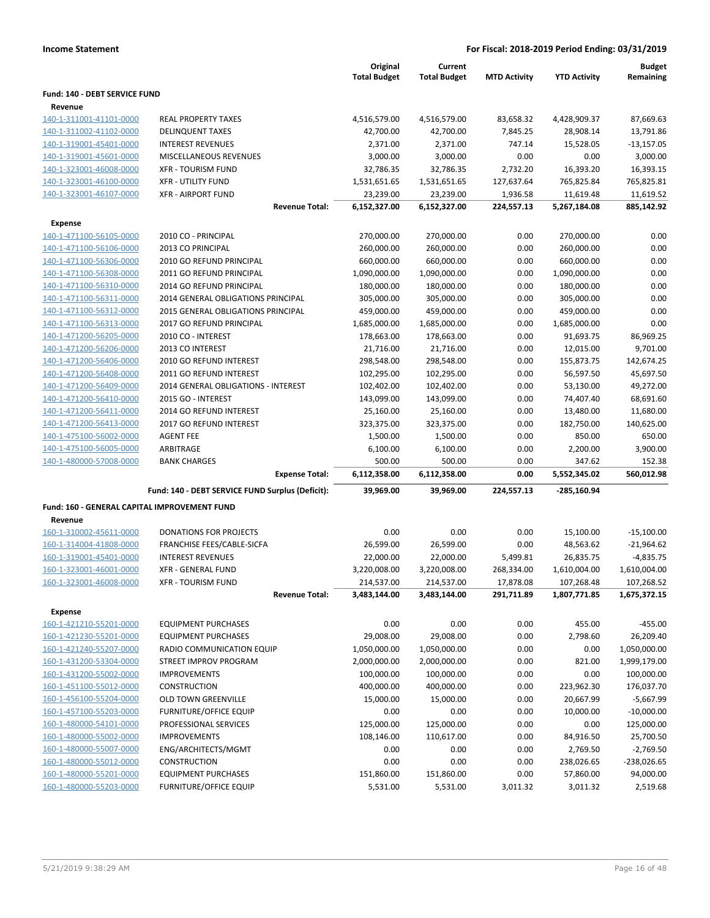| <b>Income Statement</b>              |                               |                                 |                                |                     | For Fiscal: 2018-2019 Period Ending: 03/31/2019 |                            |
|--------------------------------------|-------------------------------|---------------------------------|--------------------------------|---------------------|-------------------------------------------------|----------------------------|
|                                      |                               | Original<br><b>Total Budget</b> | Current<br><b>Total Budget</b> | <b>MTD Activity</b> | <b>YTD Activity</b>                             | <b>Budget</b><br>Remaining |
| <b>Fund: 140 - DEBT SERVICE FUND</b> |                               |                                 |                                |                     |                                                 |                            |
| Revenue                              |                               |                                 |                                |                     |                                                 |                            |
| 140-1-311001-41101-0000              | <b>REAL PROPERTY TAXES</b>    | 4,516,579.00                    | 4,516,579.00                   | 83,658.32           | 4,428,909.37                                    | 87,669.63                  |
| 140-1-311002-41102-0000              | <b>DELINQUENT TAXES</b>       | 42.700.00                       | 42.700.00                      | 7.845.25            | 28.908.14                                       | 13.791.86                  |
| 140-1-319001-45401-0000              | <b>INTEREST REVENUES</b>      | 2.371.00                        | 2.371.00                       | 747.14              | 15.528.05                                       | $-13,157.05$               |
| 140-1-319001-45601-0000              | <b>MISCELLANEOUS REVENUES</b> | 3.000.00                        | 3.000.00                       | 0.00                | 0.00                                            | 3.000.00                   |
| 140-1-323001-46008-0000              | <b>XFR - TOURISM FUND</b>     | 32.786.35                       | 32.786.35                      | 2.732.20            | 16.393.20                                       | 16,393.15                  |
| 140-1-323001-46100-0000              | <b>XFR - UTILITY FUND</b>     | 1,531,651.65                    | 1,531,651.65                   | 127,637.64          | 765.825.84                                      | 765.825.81                 |

| 40-1-323001-46100-0000     | <b>XFR - UTILITY FUND</b>   |
|----------------------------|-----------------------------|
| 40-1-323001-46107-0000     | <b>XFR - AIRPORT FUND</b>   |
|                            |                             |
| <b>Expense</b>             |                             |
| 40-1-471100-56105-0000     | 2010 CO - PRINCIPAL         |
| 40-1-471100-56106-0000     | 2013 CO PRINCIPAL           |
| 40-1-471100-56306-0000     | 2010 GO REFUND PRINCIPAL    |
| 40-1-471100-56308-0000     | 2011 GO REFUND PRINCIPAL    |
| 40-1-471100-56310-0000     | 2014 GO REFUND PRINCIPAL    |
| 40-1-471100-56311-0000     | 2014 GENERAL OBLIGATIONS PR |
| 40-1-471100-56312-0000     | 2015 GENERAL OBLIGATIONS PR |
| 40-1-471100-56313-0000     | 2017 GO REFUND PRINCIPAL    |
| 40-1-471200-56205-0000     | 2010 CO - INTEREST          |
| $10.4$ $171300$ Febbe 0000 | $2042.221$ $11.7707$        |

| 140-1-323001-46107-0000                      | <b>XFR - AIRPORT FUND</b>                        | 23,239.00    | 23,239.00    | 1,936.58   | 11,619.48     | 11,619.52    |
|----------------------------------------------|--------------------------------------------------|--------------|--------------|------------|---------------|--------------|
|                                              | <b>Revenue Total:</b>                            | 6,152,327.00 | 6,152,327.00 | 224,557.13 | 5,267,184.08  | 885,142.92   |
| <b>Expense</b>                               |                                                  |              |              |            |               |              |
| 140-1-471100-56105-0000                      | 2010 CO - PRINCIPAL                              | 270,000.00   | 270,000.00   | 0.00       | 270,000.00    | 0.00         |
| 140-1-471100-56106-0000                      | 2013 CO PRINCIPAL                                | 260,000.00   | 260,000.00   | 0.00       | 260,000.00    | 0.00         |
| 140-1-471100-56306-0000                      | 2010 GO REFUND PRINCIPAL                         | 660,000.00   | 660,000.00   | 0.00       | 660,000.00    | 0.00         |
| 140-1-471100-56308-0000                      | 2011 GO REFUND PRINCIPAL                         | 1,090,000.00 | 1,090,000.00 | 0.00       | 1,090,000.00  | 0.00         |
| 140-1-471100-56310-0000                      | 2014 GO REFUND PRINCIPAL                         | 180,000.00   | 180,000.00   | 0.00       | 180,000.00    | 0.00         |
| 140-1-471100-56311-0000                      | 2014 GENERAL OBLIGATIONS PRINCIPAL               | 305,000.00   | 305,000.00   | 0.00       | 305,000.00    | 0.00         |
| 140-1-471100-56312-0000                      | 2015 GENERAL OBLIGATIONS PRINCIPAL               | 459,000.00   | 459,000.00   | 0.00       | 459,000.00    | 0.00         |
| 140-1-471100-56313-0000                      | 2017 GO REFUND PRINCIPAL                         | 1,685,000.00 | 1,685,000.00 | 0.00       | 1,685,000.00  | 0.00         |
| 140-1-471200-56205-0000                      | 2010 CO - INTEREST                               | 178,663.00   | 178,663.00   | 0.00       | 91,693.75     | 86,969.25    |
| 140-1-471200-56206-0000                      | 2013 CO INTEREST                                 | 21,716.00    | 21,716.00    | 0.00       | 12,015.00     | 9,701.00     |
| 140-1-471200-56406-0000                      | 2010 GO REFUND INTEREST                          | 298,548.00   | 298,548.00   | 0.00       | 155,873.75    | 142,674.25   |
| 140-1-471200-56408-0000                      | 2011 GO REFUND INTEREST                          | 102,295.00   | 102,295.00   | 0.00       | 56,597.50     | 45,697.50    |
| 140-1-471200-56409-0000                      | 2014 GENERAL OBLIGATIONS - INTEREST              | 102,402.00   | 102,402.00   | 0.00       | 53,130.00     | 49,272.00    |
| 140-1-471200-56410-0000                      | 2015 GO - INTEREST                               | 143,099.00   | 143,099.00   | 0.00       | 74,407.40     | 68,691.60    |
| 140-1-471200-56411-0000                      | 2014 GO REFUND INTEREST                          | 25,160.00    | 25,160.00    | 0.00       | 13,480.00     | 11,680.00    |
| 140-1-471200-56413-0000                      | 2017 GO REFUND INTEREST                          | 323,375.00   | 323,375.00   | 0.00       | 182,750.00    | 140,625.00   |
| 140-1-475100-56002-0000                      | <b>AGENT FEE</b>                                 | 1,500.00     | 1,500.00     | 0.00       | 850.00        | 650.00       |
| 140-1-475100-56005-0000                      | ARBITRAGE                                        | 6,100.00     | 6,100.00     | 0.00       | 2,200.00      | 3,900.00     |
| 140-1-480000-57008-0000                      | <b>BANK CHARGES</b>                              | 500.00       | 500.00       | 0.00       | 347.62        | 152.38       |
|                                              | <b>Expense Total:</b>                            | 6,112,358.00 | 6,112,358.00 | 0.00       | 5,552,345.02  | 560,012.98   |
|                                              | Fund: 140 - DEBT SERVICE FUND Surplus (Deficit): | 39,969.00    | 39,969.00    | 224,557.13 | $-285,160.94$ |              |
| Fund: 160 - GENERAL CAPITAL IMPROVEMENT FUND |                                                  |              |              |            |               |              |
| Revenue                                      |                                                  |              |              |            |               |              |
| 160-1-310002-45611-0000                      | <b>DONATIONS FOR PROJECTS</b>                    | 0.00         | 0.00         | 0.00       | 15,100.00     | $-15,100.00$ |
| 160-1-314004-41808-0000                      | FRANCHISE FEES/CABLE-SICFA                       | 26,599.00    | 26,599.00    | 0.00       | 48,563.62     | $-21,964.62$ |
| 160-1-319001-45401-0000                      | <b>INTEREST REVENUES</b>                         | 22,000.00    | 22,000.00    | 5,499.81   | 26,835.75     | $-4,835.75$  |
| 160-1-323001-46001-0000                      | <b>XFR - GENERAL FUND</b>                        | 3,220,008.00 | 3,220,008.00 | 268,334.00 | 1,610,004.00  | 1,610,004.00 |
| 160-1-323001-46008-0000                      | <b>XFR - TOURISM FUND</b>                        | 214,537.00   | 214,537.00   | 17,878.08  | 107,268.48    | 107,268.52   |
|                                              | <b>Revenue Total:</b>                            | 3,483,144.00 | 3,483,144.00 | 291,711.89 | 1,807,771.85  | 1,675,372.15 |
|                                              |                                                  |              |              |            |               |              |

160-1-421210-55201-00 160-1-421230-55201-00 160-1-421240-55207-00 160-1-431200-53304-00 160-1-431200-55002-00 160-1-451100-55012-00 160-1-456100-55204-00 160-1-457100-55203-00 160-1-480000-54101-00 160-1-480000-55002-00 160-1-480000-55007-00 160-1-480000-55012-00 160-1-480000-55201-00 160-1-480000-55203-00

**Expense**

| ιUU             | XFR - TOURISM FUND            | 214,537.00   | 214,537.00   | 17,878.08  | 107,268.48   | 107,268.52    |
|-----------------|-------------------------------|--------------|--------------|------------|--------------|---------------|
|                 | <b>Revenue Total:</b>         | 3,483,144.00 | 3,483,144.00 | 291,711.89 | 1,807,771.85 | 1,675,372.15  |
|                 |                               |              |              |            |              |               |
| <b>00</b>       | <b>EQUIPMENT PURCHASES</b>    | 0.00         | 0.00         | 0.00       | 455.00       | $-455.00$     |
| 00              | <b>EQUIPMENT PURCHASES</b>    | 29,008.00    | 29,008.00    | 0.00       | 2,798.60     | 26,209.40     |
| 00              | RADIO COMMUNICATION EQUIP     | 1,050,000.00 | 1,050,000.00 | 0.00       | 0.00         | 1,050,000.00  |
|                 | <b>STREET IMPROV PROGRAM</b>  | 2,000,000.00 | 2,000,000.00 | 0.00       | 821.00       | 1,999,179.00  |
|                 | <b>IMPROVEMENTS</b>           | 100,000.00   | 100,000.00   | 0.00       | 0.00         | 100,000.00    |
| $\overline{00}$ | <b>CONSTRUCTION</b>           | 400,000.00   | 400,000.00   | 0.00       | 223,962.30   | 176,037.70    |
| $\overline{00}$ | <b>OLD TOWN GREENVILLE</b>    | 15,000.00    | 15,000.00    | 0.00       | 20,667.99    | $-5,667.99$   |
|                 | FURNITURE/OFFICE EQUIP        | 0.00         | 0.00         | 0.00       | 10,000.00    | $-10,000.00$  |
|                 | PROFESSIONAL SERVICES         | 125,000.00   | 125,000.00   | 0.00       | 0.00         | 125,000.00    |
|                 | <b>IMPROVEMENTS</b>           | 108,146.00   | 110,617.00   | 0.00       | 84,916.50    | 25,700.50     |
| $\overline{00}$ | ENG/ARCHITECTS/MGMT           | 0.00         | 0.00         | 0.00       | 2,769.50     | $-2,769.50$   |
| 00              | <b>CONSTRUCTION</b>           | 0.00         | 0.00         | 0.00       | 238,026.65   | $-238,026.65$ |
|                 | <b>EQUIPMENT PURCHASES</b>    | 151,860.00   | 151,860.00   | 0.00       | 57,860.00    | 94,000.00     |
| 00              | <b>FURNITURE/OFFICE EQUIP</b> | 5,531.00     | 5,531.00     | 3,011.32   | 3,011.32     | 2,519.68      |

# **Income Statement**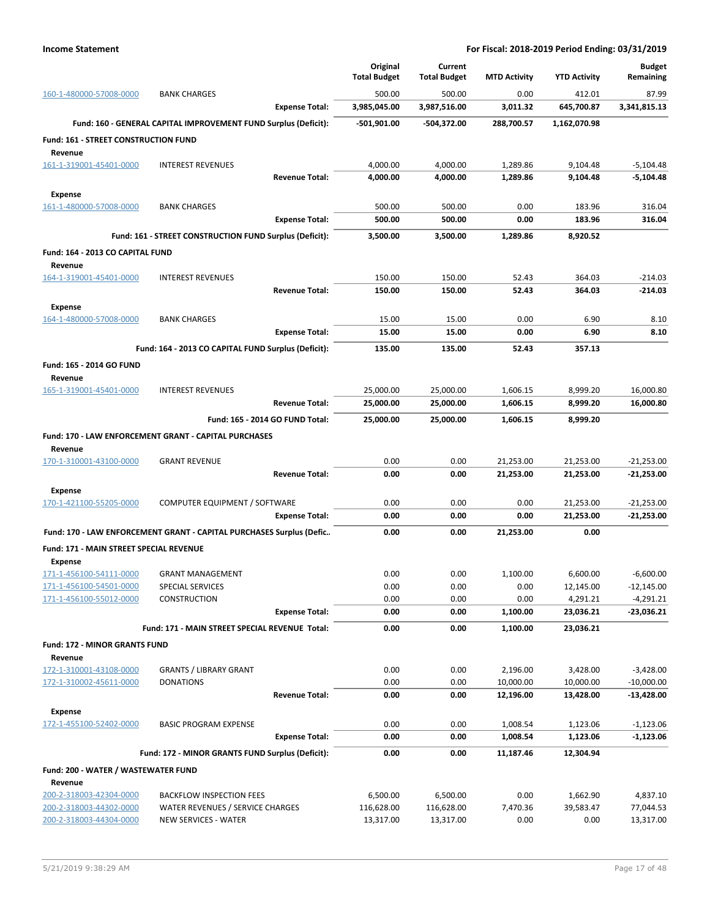|                                                |                                                                      | Original            | Current             |                        |                        | <b>Budget</b>                |
|------------------------------------------------|----------------------------------------------------------------------|---------------------|---------------------|------------------------|------------------------|------------------------------|
|                                                |                                                                      | <b>Total Budget</b> | <b>Total Budget</b> | <b>MTD Activity</b>    | <b>YTD Activity</b>    | Remaining                    |
| 160-1-480000-57008-0000                        | <b>BANK CHARGES</b>                                                  | 500.00              | 500.00              | 0.00                   | 412.01                 | 87.99                        |
|                                                | <b>Expense Total:</b>                                                | 3,985,045.00        | 3,987,516.00        | 3,011.32               | 645,700.87             | 3,341,815.13                 |
|                                                | Fund: 160 - GENERAL CAPITAL IMPROVEMENT FUND Surplus (Deficit):      | -501,901.00         | -504,372.00         | 288,700.57             | 1,162,070.98           |                              |
| Fund: 161 - STREET CONSTRUCTION FUND           |                                                                      |                     |                     |                        |                        |                              |
| Revenue<br>161-1-319001-45401-0000             | <b>INTEREST REVENUES</b>                                             | 4,000.00            | 4,000.00            | 1,289.86               | 9,104.48               | $-5,104.48$                  |
|                                                | <b>Revenue Total:</b>                                                | 4,000.00            | 4,000.00            | 1,289.86               | 9,104.48               | $-5,104.48$                  |
| <b>Expense</b>                                 |                                                                      |                     |                     |                        |                        |                              |
| 161-1-480000-57008-0000                        | <b>BANK CHARGES</b>                                                  | 500.00              | 500.00              | 0.00                   | 183.96                 | 316.04                       |
|                                                | <b>Expense Total:</b>                                                | 500.00              | 500.00              | 0.00                   | 183.96                 | 316.04                       |
|                                                | Fund: 161 - STREET CONSTRUCTION FUND Surplus (Deficit):              | 3,500.00            | 3,500.00            | 1,289.86               | 8,920.52               |                              |
| Fund: 164 - 2013 CO CAPITAL FUND               |                                                                      |                     |                     |                        |                        |                              |
| Revenue                                        |                                                                      |                     |                     |                        |                        |                              |
| 164-1-319001-45401-0000                        | <b>INTEREST REVENUES</b>                                             | 150.00              | 150.00              | 52.43                  | 364.03                 | $-214.03$                    |
|                                                | <b>Revenue Total:</b>                                                | 150.00              | 150.00              | 52.43                  | 364.03                 | $-214.03$                    |
| <b>Expense</b>                                 |                                                                      |                     |                     |                        |                        |                              |
| 164-1-480000-57008-0000                        | <b>BANK CHARGES</b>                                                  | 15.00               | 15.00               | 0.00                   | 6.90                   | 8.10                         |
|                                                | <b>Expense Total:</b>                                                | 15.00               | 15.00               | 0.00                   | 6.90                   | 8.10                         |
|                                                | Fund: 164 - 2013 CO CAPITAL FUND Surplus (Deficit):                  | 135.00              | 135.00              | 52.43                  | 357.13                 |                              |
| Fund: 165 - 2014 GO FUND                       |                                                                      |                     |                     |                        |                        |                              |
| Revenue                                        |                                                                      |                     |                     |                        |                        |                              |
| 165-1-319001-45401-0000                        | <b>INTEREST REVENUES</b>                                             | 25,000.00           | 25,000.00           | 1,606.15               | 8,999.20               | 16,000.80                    |
|                                                | <b>Revenue Total:</b>                                                | 25,000.00           | 25,000.00           | 1,606.15               | 8,999.20               | 16,000.80                    |
|                                                | Fund: 165 - 2014 GO FUND Total:                                      | 25,000.00           | 25,000.00           | 1,606.15               | 8,999.20               |                              |
|                                                | Fund: 170 - LAW ENFORCEMENT GRANT - CAPITAL PURCHASES                |                     |                     |                        |                        |                              |
| Revenue                                        | <b>GRANT REVENUE</b>                                                 | 0.00                | 0.00                |                        |                        |                              |
| 170-1-310001-43100-0000                        | <b>Revenue Total:</b>                                                | 0.00                | 0.00                | 21,253.00<br>21,253.00 | 21,253.00<br>21,253.00 | $-21,253.00$<br>-21,253.00   |
|                                                |                                                                      |                     |                     |                        |                        |                              |
| <b>Expense</b><br>170-1-421100-55205-0000      | COMPUTER EQUIPMENT / SOFTWARE                                        | 0.00                | 0.00                | 0.00                   | 21,253.00              | $-21,253.00$                 |
|                                                | <b>Expense Total:</b>                                                | 0.00                | 0.00                | 0.00                   | 21,253.00              | $-21,253.00$                 |
|                                                | Fund: 170 - LAW ENFORCEMENT GRANT - CAPITAL PURCHASES Surplus (Defic | 0.00                | 0.00                | 21,253.00              | 0.00                   |                              |
| Fund: 171 - MAIN STREET SPECIAL REVENUE        |                                                                      |                     |                     |                        |                        |                              |
| <b>Expense</b>                                 |                                                                      |                     |                     |                        |                        |                              |
| 171-1-456100-54111-0000                        | <b>GRANT MANAGEMENT</b>                                              | 0.00                | 0.00                | 1,100.00               | 6,600.00               | $-6,600.00$                  |
| 171-1-456100-54501-0000                        | SPECIAL SERVICES                                                     | 0.00                | 0.00                | 0.00                   | 12,145.00              | $-12,145.00$                 |
| 171-1-456100-55012-0000                        | <b>CONSTRUCTION</b>                                                  | 0.00                | 0.00                | 0.00                   | 4,291.21               | $-4,291.21$                  |
|                                                | <b>Expense Total:</b>                                                | 0.00                | 0.00                | 1,100.00               | 23,036.21              | -23,036.21                   |
|                                                | Fund: 171 - MAIN STREET SPECIAL REVENUE Total:                       | 0.00                | 0.00                | 1,100.00               | 23,036.21              |                              |
| Fund: 172 - MINOR GRANTS FUND                  |                                                                      |                     |                     |                        |                        |                              |
| Revenue                                        |                                                                      |                     |                     |                        |                        |                              |
| 172-1-310001-43108-0000                        | <b>GRANTS / LIBRARY GRANT</b>                                        | 0.00                | 0.00                | 2,196.00               | 3,428.00               | $-3,428.00$                  |
| 172-1-310002-45611-0000                        | <b>DONATIONS</b><br><b>Revenue Total:</b>                            | 0.00<br>0.00        | 0.00<br>0.00        | 10,000.00<br>12,196.00 | 10,000.00<br>13,428.00 | $-10,000.00$<br>$-13,428.00$ |
|                                                |                                                                      |                     |                     |                        |                        |                              |
| <b>Expense</b><br>172-1-455100-52402-0000      | <b>BASIC PROGRAM EXPENSE</b>                                         | 0.00                | 0.00                | 1,008.54               | 1,123.06               | $-1,123.06$                  |
|                                                | <b>Expense Total:</b>                                                | 0.00                | 0.00                | 1,008.54               | 1,123.06               | $-1,123.06$                  |
|                                                | Fund: 172 - MINOR GRANTS FUND Surplus (Deficit):                     | 0.00                | 0.00                | 11,187.46              | 12,304.94              |                              |
|                                                |                                                                      |                     |                     |                        |                        |                              |
| Fund: 200 - WATER / WASTEWATER FUND<br>Revenue |                                                                      |                     |                     |                        |                        |                              |
| 200-2-318003-42304-0000                        | <b>BACKFLOW INSPECTION FEES</b>                                      | 6,500.00            | 6,500.00            | 0.00                   | 1,662.90               | 4,837.10                     |
| 200-2-318003-44302-0000                        | WATER REVENUES / SERVICE CHARGES                                     | 116,628.00          | 116,628.00          | 7,470.36               | 39,583.47              | 77,044.53                    |
| 200-2-318003-44304-0000                        | <b>NEW SERVICES - WATER</b>                                          | 13,317.00           | 13,317.00           | 0.00                   | 0.00                   | 13,317.00                    |
|                                                |                                                                      |                     |                     |                        |                        |                              |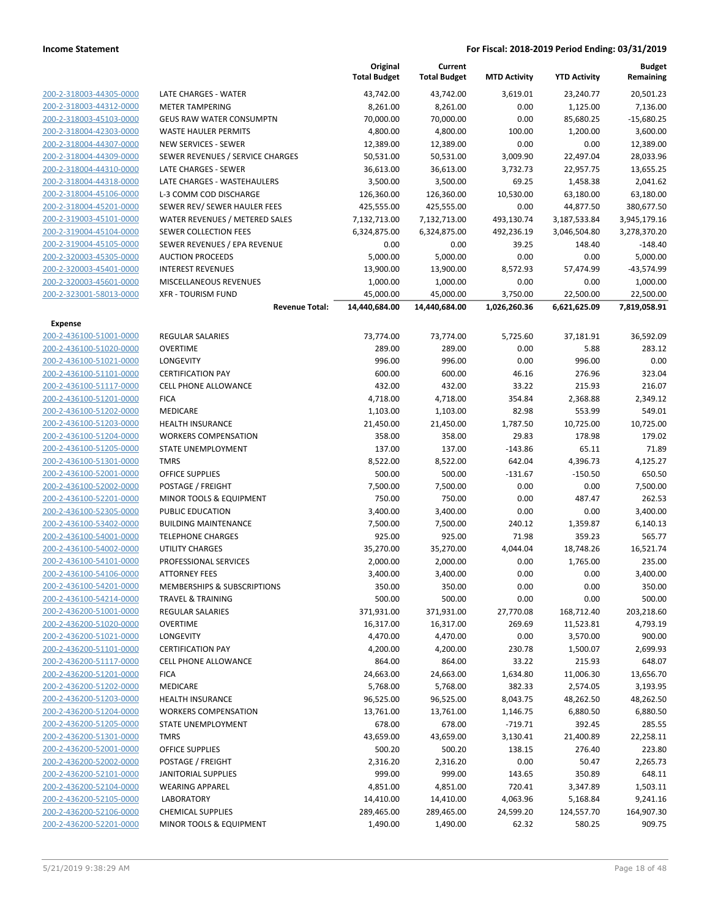|                                                    |                                              | Original<br><b>Total Budget</b> | Current<br><b>Total Budget</b> | <b>MTD Activity</b> | <b>YTD Activity</b> | Budget<br>Remaining |
|----------------------------------------------------|----------------------------------------------|---------------------------------|--------------------------------|---------------------|---------------------|---------------------|
| 200-2-318003-44305-0000                            | LATE CHARGES - WATER                         | 43,742.00                       | 43,742.00                      | 3,619.01            | 23,240.77           | 20,501.23           |
| 200-2-318003-44312-0000                            | <b>METER TAMPERING</b>                       | 8,261.00                        | 8,261.00                       | 0.00                | 1,125.00            | 7,136.00            |
| 200-2-318003-45103-0000                            | <b>GEUS RAW WATER CONSUMPTN</b>              | 70,000.00                       | 70,000.00                      | 0.00                | 85,680.25           | $-15,680.25$        |
| 200-2-318004-42303-0000                            | <b>WASTE HAULER PERMITS</b>                  | 4,800.00                        | 4,800.00                       | 100.00              | 1,200.00            | 3,600.00            |
| 200-2-318004-44307-0000                            | NEW SERVICES - SEWER                         | 12,389.00                       | 12,389.00                      | 0.00                | 0.00                | 12,389.00           |
| 200-2-318004-44309-0000                            | SEWER REVENUES / SERVICE CHARGES             | 50,531.00                       | 50,531.00                      | 3,009.90            | 22,497.04           | 28,033.96           |
| 200-2-318004-44310-0000                            | LATE CHARGES - SEWER                         | 36,613.00                       | 36,613.00                      | 3,732.73            | 22,957.75           | 13,655.25           |
| 200-2-318004-44318-0000                            | LATE CHARGES - WASTEHAULERS                  | 3,500.00                        | 3,500.00                       | 69.25               | 1,458.38            | 2,041.62            |
| 200-2-318004-45106-0000                            | L-3 COMM COD DISCHARGE                       | 126,360.00                      | 126,360.00                     | 10,530.00           | 63,180.00           | 63,180.00           |
| 200-2-318004-45201-0000                            | SEWER REV/ SEWER HAULER FEES                 | 425,555.00                      | 425,555.00                     | 0.00                | 44,877.50           | 380,677.50          |
| 200-2-319003-45101-0000                            | WATER REVENUES / METERED SALES               | 7,132,713.00                    | 7,132,713.00                   | 493,130.74          | 3,187,533.84        | 3,945,179.16        |
| 200-2-319004-45104-0000                            | <b>SEWER COLLECTION FEES</b>                 | 6,324,875.00                    | 6,324,875.00                   | 492,236.19          | 3,046,504.80        | 3,278,370.20        |
| 200-2-319004-45105-0000                            | SEWER REVENUES / EPA REVENUE                 | 0.00                            | 0.00                           | 39.25               | 148.40              | $-148.40$           |
| 200-2-320003-45305-0000                            | <b>AUCTION PROCEEDS</b>                      | 5,000.00                        | 5,000.00                       | 0.00                | 0.00                | 5,000.00            |
| 200-2-320003-45401-0000                            | <b>INTEREST REVENUES</b>                     | 13,900.00                       | 13,900.00                      | 8,572.93            | 57,474.99           | $-43,574.99$        |
| 200-2-320003-45601-0000                            | MISCELLANEOUS REVENUES                       | 1,000.00                        | 1,000.00                       | 0.00                | 0.00                | 1,000.00            |
| 200-2-323001-58013-0000                            | <b>XFR - TOURISM FUND</b>                    | 45,000.00                       | 45,000.00                      | 3,750.00            | 22,500.00           | 22,500.00           |
|                                                    | <b>Revenue Total:</b>                        | 14,440,684.00                   | 14,440,684.00                  | 1,026,260.36        | 6,621,625.09        | 7,819,058.91        |
| Expense                                            |                                              |                                 |                                |                     |                     |                     |
| 200-2-436100-51001-0000                            | <b>REGULAR SALARIES</b>                      | 73,774.00                       | 73,774.00                      | 5,725.60            | 37,181.91           | 36,592.09           |
| 200-2-436100-51020-0000                            | <b>OVERTIME</b>                              | 289.00                          | 289.00                         | 0.00                | 5.88                | 283.12              |
| 200-2-436100-51021-0000                            | LONGEVITY                                    | 996.00                          | 996.00                         | 0.00                | 996.00              | 0.00                |
| 200-2-436100-51101-0000                            | <b>CERTIFICATION PAY</b>                     | 600.00                          | 600.00                         | 46.16               | 276.96              | 323.04              |
| 200-2-436100-51117-0000                            | <b>CELL PHONE ALLOWANCE</b>                  | 432.00                          | 432.00                         | 33.22               | 215.93              | 216.07              |
| 200-2-436100-51201-0000                            | <b>FICA</b>                                  | 4,718.00                        | 4,718.00                       | 354.84              | 2,368.88            | 2,349.12            |
| 200-2-436100-51202-0000                            | MEDICARE                                     | 1,103.00                        | 1,103.00                       | 82.98               | 553.99              | 549.01              |
| 200-2-436100-51203-0000                            | <b>HEALTH INSURANCE</b>                      | 21,450.00                       | 21,450.00                      | 1,787.50            | 10,725.00           | 10,725.00           |
| 200-2-436100-51204-0000                            | <b>WORKERS COMPENSATION</b>                  | 358.00                          | 358.00                         | 29.83               | 178.98              | 179.02              |
| 200-2-436100-51205-0000                            | STATE UNEMPLOYMENT                           | 137.00                          | 137.00                         | $-143.86$           | 65.11               | 71.89               |
| 200-2-436100-51301-0000<br>200-2-436100-52001-0000 | <b>TMRS</b>                                  | 8,522.00                        | 8,522.00                       | 642.04              | 4,396.73            | 4,125.27            |
| 200-2-436100-52002-0000                            | OFFICE SUPPLIES                              | 500.00                          | 500.00                         | $-131.67$           | $-150.50$           | 650.50              |
| 200-2-436100-52201-0000                            | POSTAGE / FREIGHT<br>MINOR TOOLS & EQUIPMENT | 7,500.00<br>750.00              | 7,500.00<br>750.00             | 0.00<br>0.00        | 0.00<br>487.47      | 7,500.00<br>262.53  |
| 200-2-436100-52305-0000                            | PUBLIC EDUCATION                             | 3,400.00                        | 3,400.00                       | 0.00                | 0.00                | 3,400.00            |
| 200-2-436100-53402-0000                            | <b>BUILDING MAINTENANCE</b>                  | 7,500.00                        | 7,500.00                       | 240.12              | 1,359.87            | 6,140.13            |
| 200-2-436100-54001-0000                            | <b>TELEPHONE CHARGES</b>                     | 925.00                          | 925.00                         | 71.98               | 359.23              | 565.77              |
| 200-2-436100-54002-0000                            | <b>UTILITY CHARGES</b>                       | 35,270.00                       | 35,270.00                      | 4,044.04            | 18,748.26           | 16,521.74           |
| 200-2-436100-54101-0000                            | PROFESSIONAL SERVICES                        | 2,000.00                        | 2,000.00                       | 0.00                | 1,765.00            | 235.00              |
| 200-2-436100-54106-0000                            | <b>ATTORNEY FEES</b>                         | 3,400.00                        | 3,400.00                       | 0.00                | 0.00                | 3,400.00            |
| 200-2-436100-54201-0000                            | MEMBERSHIPS & SUBSCRIPTIONS                  | 350.00                          | 350.00                         | 0.00                | 0.00                | 350.00              |
| 200-2-436100-54214-0000                            | <b>TRAVEL &amp; TRAINING</b>                 | 500.00                          | 500.00                         | 0.00                | 0.00                | 500.00              |
| 200-2-436200-51001-0000                            | <b>REGULAR SALARIES</b>                      | 371,931.00                      | 371,931.00                     | 27,770.08           | 168,712.40          | 203,218.60          |
| 200-2-436200-51020-0000                            | <b>OVERTIME</b>                              | 16,317.00                       | 16,317.00                      | 269.69              | 11,523.81           | 4,793.19            |
| 200-2-436200-51021-0000                            | LONGEVITY                                    | 4,470.00                        | 4,470.00                       | 0.00                | 3,570.00            | 900.00              |
| 200-2-436200-51101-0000                            | <b>CERTIFICATION PAY</b>                     | 4,200.00                        | 4,200.00                       | 230.78              | 1,500.07            | 2,699.93            |
| 200-2-436200-51117-0000                            | <b>CELL PHONE ALLOWANCE</b>                  | 864.00                          | 864.00                         | 33.22               | 215.93              | 648.07              |
| 200-2-436200-51201-0000                            | <b>FICA</b>                                  | 24,663.00                       | 24,663.00                      | 1,634.80            | 11,006.30           | 13,656.70           |
| 200-2-436200-51202-0000                            | MEDICARE                                     | 5,768.00                        | 5,768.00                       | 382.33              | 2,574.05            | 3,193.95            |
| 200-2-436200-51203-0000                            | <b>HEALTH INSURANCE</b>                      | 96,525.00                       | 96,525.00                      | 8,043.75            | 48,262.50           | 48,262.50           |
| 200-2-436200-51204-0000                            | <b>WORKERS COMPENSATION</b>                  | 13,761.00                       | 13,761.00                      | 1,146.75            | 6,880.50            | 6,880.50            |
| 200-2-436200-51205-0000                            | <b>STATE UNEMPLOYMENT</b>                    | 678.00                          | 678.00                         | $-719.71$           | 392.45              | 285.55              |
| 200-2-436200-51301-0000                            | <b>TMRS</b>                                  | 43,659.00                       | 43,659.00                      | 3,130.41            | 21,400.89           | 22,258.11           |
| 200-2-436200-52001-0000                            | OFFICE SUPPLIES                              | 500.20                          | 500.20                         | 138.15              | 276.40              | 223.80              |
| 200-2-436200-52002-0000                            | POSTAGE / FREIGHT                            | 2,316.20                        | 2,316.20                       | 0.00                | 50.47               | 2,265.73            |
| 200-2-436200-52101-0000                            | <b>JANITORIAL SUPPLIES</b>                   | 999.00                          | 999.00                         | 143.65              | 350.89              | 648.11              |
| 200-2-436200-52104-0000                            | <b>WEARING APPAREL</b>                       | 4,851.00                        | 4,851.00                       | 720.41              | 3,347.89            | 1,503.11            |
| 200-2-436200-52105-0000                            | <b>LABORATORY</b>                            | 14,410.00                       | 14,410.00                      | 4,063.96            | 5,168.84            | 9,241.16            |
| 200-2-436200-52106-0000                            | <b>CHEMICAL SUPPLIES</b>                     | 289,465.00                      | 289,465.00                     | 24,599.20           | 124,557.70          | 164,907.30          |
| 200-2-436200-52201-0000                            | MINOR TOOLS & EQUIPMENT                      | 1,490.00                        | 1,490.00                       | 62.32               | 580.25              | 909.75              |
|                                                    |                                              |                                 |                                |                     |                     |                     |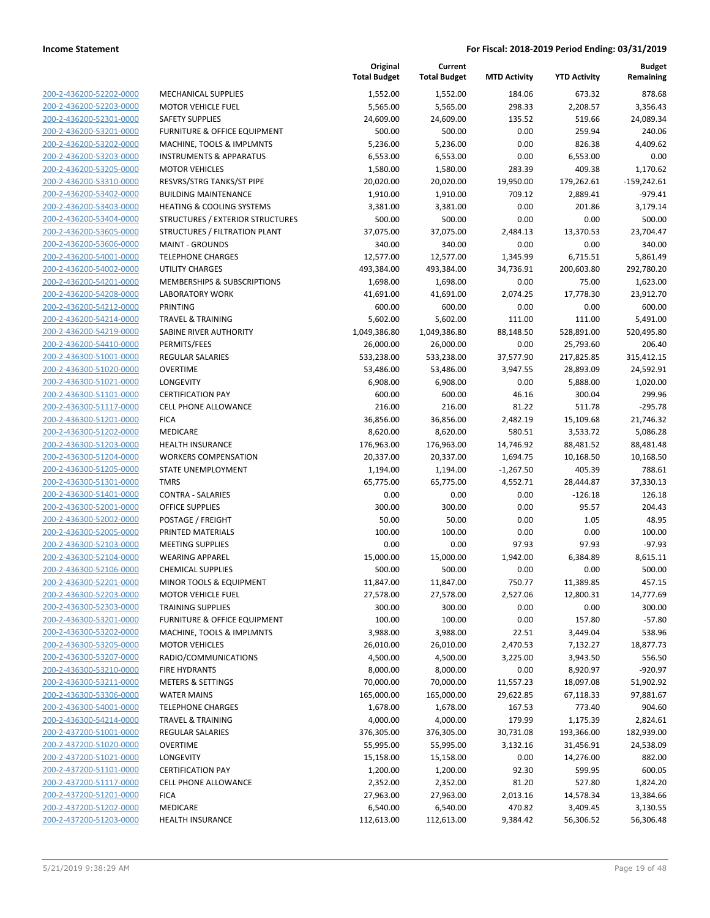|                         |                                         | Original<br><b>Total Budget</b> | Current<br><b>Total Budget</b> | <b>MTD Activity</b> | <b>YTD Activity</b> | <b>Budget</b><br>Remaining |
|-------------------------|-----------------------------------------|---------------------------------|--------------------------------|---------------------|---------------------|----------------------------|
| 200-2-436200-52202-0000 | <b>MECHANICAL SUPPLIES</b>              | 1,552.00                        | 1,552.00                       | 184.06              | 673.32              | 878.68                     |
| 200-2-436200-52203-0000 | <b>MOTOR VEHICLE FUEL</b>               | 5,565.00                        | 5,565.00                       | 298.33              | 2,208.57            | 3,356.43                   |
| 200-2-436200-52301-0000 | <b>SAFETY SUPPLIES</b>                  | 24,609.00                       | 24,609.00                      | 135.52              | 519.66              | 24,089.34                  |
| 200-2-436200-53201-0000 | <b>FURNITURE &amp; OFFICE EQUIPMENT</b> | 500.00                          | 500.00                         | 0.00                | 259.94              | 240.06                     |
| 200-2-436200-53202-0000 | MACHINE, TOOLS & IMPLMNTS               | 5,236.00                        | 5,236.00                       | 0.00                | 826.38              | 4,409.62                   |
| 200-2-436200-53203-0000 | <b>INSTRUMENTS &amp; APPARATUS</b>      | 6,553.00                        | 6,553.00                       | 0.00                | 6,553.00            | 0.00                       |
| 200-2-436200-53205-0000 | <b>MOTOR VEHICLES</b>                   | 1,580.00                        | 1,580.00                       | 283.39              | 409.38              | 1,170.62                   |
| 200-2-436200-53310-0000 | RESVRS/STRG TANKS/ST PIPE               | 20,020.00                       | 20,020.00                      | 19,950.00           | 179,262.61          | $-159,242.61$              |
| 200-2-436200-53402-0000 | <b>BUILDING MAINTENANCE</b>             | 1,910.00                        | 1,910.00                       | 709.12              | 2,889.41            | $-979.41$                  |
| 200-2-436200-53403-0000 | HEATING & COOLING SYSTEMS               | 3,381.00                        | 3,381.00                       | 0.00                | 201.86              | 3,179.14                   |
| 200-2-436200-53404-0000 | STRUCTURES / EXTERIOR STRUCTURES        | 500.00                          | 500.00                         | 0.00                | 0.00                | 500.00                     |
| 200-2-436200-53605-0000 | STRUCTURES / FILTRATION PLANT           | 37,075.00                       | 37,075.00                      | 2,484.13            | 13,370.53           | 23,704.47                  |
| 200-2-436200-53606-0000 | <b>MAINT - GROUNDS</b>                  | 340.00                          | 340.00                         | 0.00                | 0.00                | 340.00                     |
| 200-2-436200-54001-0000 | <b>TELEPHONE CHARGES</b>                | 12,577.00                       | 12,577.00                      | 1,345.99            | 6,715.51            | 5,861.49                   |
| 200-2-436200-54002-0000 | UTILITY CHARGES                         | 493,384.00                      | 493,384.00                     | 34,736.91           | 200,603.80          | 292,780.20                 |
| 200-2-436200-54201-0000 | MEMBERSHIPS & SUBSCRIPTIONS             | 1,698.00                        | 1,698.00                       | 0.00                | 75.00               | 1,623.00                   |
| 200-2-436200-54208-0000 | <b>LABORATORY WORK</b>                  | 41,691.00                       | 41,691.00                      | 2,074.25            | 17,778.30           | 23,912.70                  |
| 200-2-436200-54212-0000 | <b>PRINTING</b>                         | 600.00                          | 600.00                         | 0.00                | 0.00                | 600.00                     |
| 200-2-436200-54214-0000 | <b>TRAVEL &amp; TRAINING</b>            | 5,602.00                        | 5,602.00                       | 111.00              | 111.00              | 5,491.00                   |
| 200-2-436200-54219-0000 | SABINE RIVER AUTHORITY                  | 1,049,386.80                    | 1,049,386.80                   | 88,148.50           | 528,891.00          | 520,495.80                 |
| 200-2-436200-54410-0000 | PERMITS/FEES                            | 26,000.00                       | 26,000.00                      | 0.00                | 25,793.60           | 206.40                     |
| 200-2-436300-51001-0000 | REGULAR SALARIES                        | 533,238.00                      | 533,238.00                     | 37,577.90           | 217,825.85          | 315,412.15                 |
| 200-2-436300-51020-0000 | <b>OVERTIME</b>                         | 53,486.00                       | 53,486.00                      | 3,947.55            | 28,893.09           | 24,592.91                  |
| 200-2-436300-51021-0000 | LONGEVITY                               | 6,908.00                        | 6,908.00                       | 0.00                | 5,888.00            | 1,020.00                   |
| 200-2-436300-51101-0000 | <b>CERTIFICATION PAY</b>                | 600.00                          | 600.00                         | 46.16               | 300.04              | 299.96                     |
| 200-2-436300-51117-0000 | <b>CELL PHONE ALLOWANCE</b>             | 216.00                          | 216.00                         | 81.22               | 511.78              | $-295.78$                  |
| 200-2-436300-51201-0000 | <b>FICA</b>                             | 36,856.00                       | 36,856.00                      | 2,482.19            | 15,109.68           | 21,746.32                  |
| 200-2-436300-51202-0000 | MEDICARE                                | 8,620.00                        | 8,620.00                       | 580.51              | 3,533.72            | 5,086.28                   |
| 200-2-436300-51203-0000 | <b>HEALTH INSURANCE</b>                 | 176,963.00                      | 176,963.00                     | 14,746.92           | 88,481.52           | 88,481.48                  |
| 200-2-436300-51204-0000 | <b>WORKERS COMPENSATION</b>             | 20,337.00                       | 20,337.00                      | 1,694.75            | 10,168.50           | 10,168.50                  |
| 200-2-436300-51205-0000 | STATE UNEMPLOYMENT                      | 1,194.00                        | 1,194.00                       | $-1,267.50$         | 405.39              | 788.61                     |
| 200-2-436300-51301-0000 | <b>TMRS</b>                             | 65,775.00                       | 65,775.00                      | 4,552.71            | 28,444.87           | 37,330.13                  |
| 200-2-436300-51401-0000 | <b>CONTRA - SALARIES</b>                | 0.00                            | 0.00                           | 0.00                | $-126.18$           | 126.18                     |
| 200-2-436300-52001-0000 | <b>OFFICE SUPPLIES</b>                  | 300.00                          | 300.00                         | 0.00                | 95.57               | 204.43                     |
| 200-2-436300-52002-0000 | POSTAGE / FREIGHT                       | 50.00                           | 50.00                          | 0.00                | 1.05                | 48.95                      |
| 200-2-436300-52005-0000 | PRINTED MATERIALS                       | 100.00                          | 100.00                         | 0.00                | 0.00                | 100.00                     |
| 200-2-436300-52103-0000 | <b>MEETING SUPPLIES</b>                 | 0.00                            | 0.00                           | 97.93               | 97.93               | $-97.93$                   |
| 200-2-436300-52104-0000 | <b>WEARING APPAREL</b>                  | 15,000.00                       | 15,000.00                      | 1,942.00            | 6,384.89            | 8,615.11                   |
| 200-2-436300-52106-0000 | <b>CHEMICAL SUPPLIES</b>                | 500.00                          | 500.00                         | 0.00                | 0.00                | 500.00                     |
| 200-2-436300-52201-0000 | MINOR TOOLS & EQUIPMENT                 | 11,847.00                       | 11,847.00                      | 750.77              | 11,389.85           | 457.15                     |
| 200-2-436300-52203-0000 | <b>MOTOR VEHICLE FUEL</b>               | 27,578.00                       | 27,578.00                      | 2,527.06            | 12,800.31           | 14,777.69                  |
| 200-2-436300-52303-0000 | <b>TRAINING SUPPLIES</b>                | 300.00                          | 300.00                         | 0.00                | 0.00                | 300.00                     |
| 200-2-436300-53201-0000 | FURNITURE & OFFICE EQUIPMENT            | 100.00                          | 100.00                         | 0.00                | 157.80              | $-57.80$                   |
| 200-2-436300-53202-0000 | MACHINE, TOOLS & IMPLMNTS               | 3,988.00                        | 3,988.00                       | 22.51               | 3,449.04            | 538.96                     |
| 200-2-436300-53205-0000 | <b>MOTOR VEHICLES</b>                   | 26,010.00                       | 26,010.00                      | 2,470.53            | 7,132.27            | 18,877.73                  |
| 200-2-436300-53207-0000 | RADIO/COMMUNICATIONS                    | 4,500.00                        | 4,500.00                       | 3,225.00            | 3,943.50            | 556.50                     |
| 200-2-436300-53210-0000 | <b>FIRE HYDRANTS</b>                    | 8,000.00                        | 8,000.00                       | 0.00                | 8,920.97            | $-920.97$                  |
| 200-2-436300-53211-0000 | <b>METERS &amp; SETTINGS</b>            | 70,000.00                       | 70,000.00                      | 11,557.23           | 18,097.08           | 51,902.92                  |
| 200-2-436300-53306-0000 | <b>WATER MAINS</b>                      | 165,000.00                      | 165,000.00                     | 29,622.85           | 67,118.33           | 97,881.67                  |
| 200-2-436300-54001-0000 | <b>TELEPHONE CHARGES</b>                | 1,678.00                        | 1,678.00                       | 167.53              | 773.40              | 904.60                     |
| 200-2-436300-54214-0000 | <b>TRAVEL &amp; TRAINING</b>            | 4,000.00                        | 4,000.00                       | 179.99              | 1,175.39            | 2,824.61                   |
| 200-2-437200-51001-0000 | <b>REGULAR SALARIES</b>                 | 376,305.00                      | 376,305.00                     | 30,731.08           | 193,366.00          | 182,939.00                 |
| 200-2-437200-51020-0000 | <b>OVERTIME</b>                         | 55,995.00                       | 55,995.00                      | 3,132.16            | 31,456.91           | 24,538.09                  |
| 200-2-437200-51021-0000 | LONGEVITY                               | 15,158.00                       | 15,158.00                      | 0.00                | 14,276.00           | 882.00                     |
| 200-2-437200-51101-0000 | <b>CERTIFICATION PAY</b>                | 1,200.00                        | 1,200.00                       | 92.30               | 599.95              | 600.05                     |
| 200-2-437200-51117-0000 | CELL PHONE ALLOWANCE                    | 2,352.00                        | 2,352.00                       | 81.20               | 527.80              | 1,824.20                   |
| 200-2-437200-51201-0000 | <b>FICA</b>                             | 27,963.00                       | 27,963.00                      | 2,013.16            | 14,578.34           | 13,384.66                  |
| 200-2-437200-51202-0000 | MEDICARE                                | 6,540.00                        | 6,540.00                       | 470.82              | 3,409.45            | 3,130.55                   |
| 200-2-437200-51203-0000 | <b>HEALTH INSURANCE</b>                 | 112,613.00                      | 112,613.00                     | 9,384.42            | 56,306.52           | 56,306.48                  |
|                         |                                         |                                 |                                |                     |                     |                            |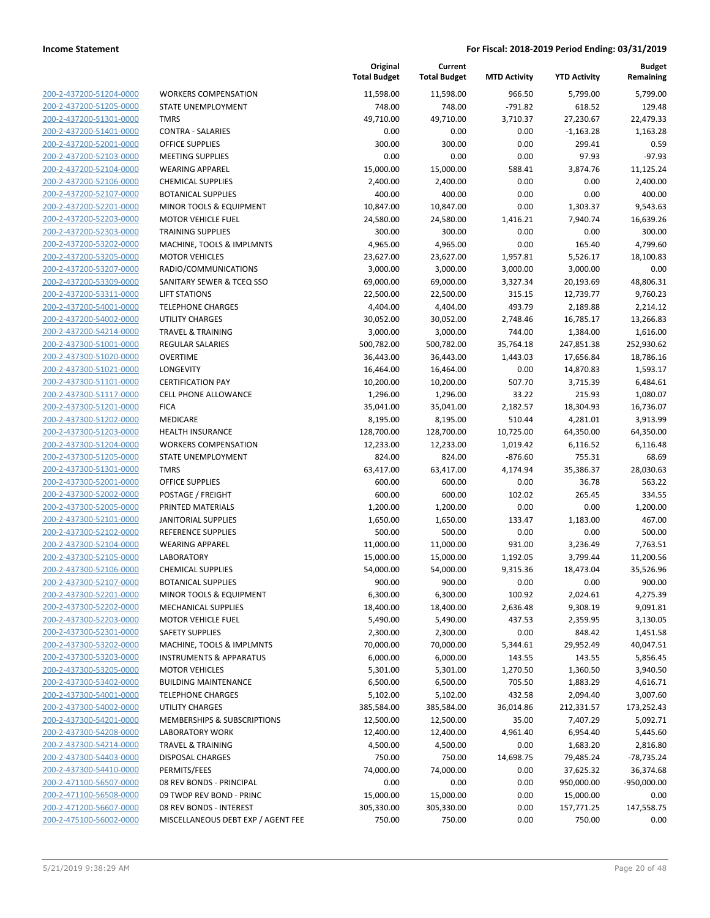**Current**

**Original**

**Budget Remaining**

| 200-2-437200-51204-0000        |
|--------------------------------|
| 200-2-437200-51205-0000        |
| 200-2-437200-51301-0000        |
| 200-2-437200-51401-0000        |
| 200-2-437200-52001-0000        |
| 200-2-437200-52103-0000        |
| 200-2-437200-52104-0000        |
| 200-2-437200-52106-0000        |
| 200-2-437200-52107-0000        |
| 200-2-437200-52201-0000        |
| 200-2-437200-52203-0000        |
|                                |
| 200-2-437200-52303-0000        |
| 200-2-437200-53202-0000        |
| 200-2-437200-53205-0000        |
| 200-2-437200-53207-0000        |
| 200-2-437200-53309-0000        |
| 200-2-437200-53311-0000        |
| 200-2-437200-54001-0000        |
| 200-2-437200-54002-0000        |
| 200-2-437200-54214-0000        |
| 200-2-437300-51001-0000        |
| 200-2-437300-51020-0000        |
| 200-2-437300-51021-0000        |
| 200-2-437300-51101-0000        |
| 200-2-437300-51117-0000        |
|                                |
| 200-2-437300-51201-0000        |
| 200-2-437300-51202-0000        |
| 200-2-437300-51203-0000        |
| 200-2-437300-51204-0000        |
| 200-2-437300-51205-0000        |
| 200-2-437300-51301-0000        |
| 200-2-437300-52001-0000        |
| 200-2-437300-52002-0000        |
| 200-2-437300-52005-0000        |
| 200-2-437300-52101-0000        |
| 200-2-437300-52102-0000        |
| 200-2-437300-52104-0000        |
| 200-2-437300-52105-0000        |
| 200-2-437300-52106-0000        |
| 200-2-437300-52107-0000        |
| 200-2-437300-52201-0000        |
|                                |
| 200-2-437300-52202-0000        |
| <u>200-2-437300-52203-0000</u> |
| 200-2-437300-52301-0000        |
| 200-2-437300-53202-0000        |
| 200-2-437300-53203-0000        |
| 200-2-437300-53205-0000        |
| 200-2-437300-53402-0000        |
| 200-2-437300-54001-0000        |
| 200-2-437300-54002-0000        |
| 200-2-437300-54201-0000        |
| 200-2-437300-54208-0000        |
| 200-2-437300-54214-0000        |
| 200-2-437300-54403-0000        |
| 200-2-437300-54410-0000        |
| 200-2-471100-56507-0000        |
|                                |
| 200-2-471100-56508-0000        |
| 200-2-471200-56607-0000        |
| 200-2-475100-56002-0000        |
|                                |

|                         |                                    | <b>Total Budget</b> | <b>Total Budget</b> | <b>MTD Activity</b> | <b>YTD Activity</b> | Remaining     |
|-------------------------|------------------------------------|---------------------|---------------------|---------------------|---------------------|---------------|
| 200-2-437200-51204-0000 | <b>WORKERS COMPENSATION</b>        | 11,598.00           | 11,598.00           | 966.50              | 5,799.00            | 5,799.00      |
| 200-2-437200-51205-0000 | STATE UNEMPLOYMENT                 | 748.00              | 748.00              | $-791.82$           | 618.52              | 129.48        |
| 200-2-437200-51301-0000 | <b>TMRS</b>                        | 49,710.00           | 49,710.00           | 3,710.37            | 27,230.67           | 22,479.33     |
| 200-2-437200-51401-0000 | <b>CONTRA - SALARIES</b>           | 0.00                | 0.00                | 0.00                | $-1,163.28$         | 1,163.28      |
| 200-2-437200-52001-0000 | <b>OFFICE SUPPLIES</b>             | 300.00              | 300.00              | 0.00                | 299.41              | 0.59          |
| 200-2-437200-52103-0000 | <b>MEETING SUPPLIES</b>            | 0.00                | 0.00                | 0.00                | 97.93               | $-97.93$      |
| 200-2-437200-52104-0000 | <b>WEARING APPAREL</b>             | 15,000.00           | 15,000.00           | 588.41              | 3,874.76            | 11,125.24     |
| 200-2-437200-52106-0000 | <b>CHEMICAL SUPPLIES</b>           | 2,400.00            | 2,400.00            | 0.00                | 0.00                | 2,400.00      |
| 200-2-437200-52107-0000 | <b>BOTANICAL SUPPLIES</b>          | 400.00              | 400.00              | 0.00                | 0.00                | 400.00        |
| 200-2-437200-52201-0000 | MINOR TOOLS & EQUIPMENT            | 10,847.00           | 10,847.00           | 0.00                | 1,303.37            | 9,543.63      |
| 200-2-437200-52203-0000 | <b>MOTOR VEHICLE FUEL</b>          | 24,580.00           | 24,580.00           | 1,416.21            | 7,940.74            | 16,639.26     |
| 200-2-437200-52303-0000 | <b>TRAINING SUPPLIES</b>           | 300.00              | 300.00              | 0.00                | 0.00                | 300.00        |
| 200-2-437200-53202-0000 | MACHINE, TOOLS & IMPLMNTS          | 4,965.00            | 4,965.00            | 0.00                | 165.40              | 4,799.60      |
| 200-2-437200-53205-0000 | <b>MOTOR VEHICLES</b>              | 23,627.00           | 23,627.00           | 1,957.81            | 5,526.17            | 18,100.83     |
| 200-2-437200-53207-0000 | RADIO/COMMUNICATIONS               | 3,000.00            | 3,000.00            | 3,000.00            | 3,000.00            | 0.00          |
| 200-2-437200-53309-0000 | SANITARY SEWER & TCEQ SSO          | 69,000.00           | 69,000.00           | 3,327.34            | 20,193.69           | 48,806.31     |
| 200-2-437200-53311-0000 | <b>LIFT STATIONS</b>               | 22,500.00           | 22,500.00           | 315.15              | 12,739.77           | 9,760.23      |
| 200-2-437200-54001-0000 | <b>TELEPHONE CHARGES</b>           | 4,404.00            | 4,404.00            | 493.79              | 2,189.88            | 2,214.12      |
| 200-2-437200-54002-0000 | UTILITY CHARGES                    | 30,052.00           | 30,052.00           | 2,748.46            | 16,785.17           | 13,266.83     |
| 200-2-437200-54214-0000 | <b>TRAVEL &amp; TRAINING</b>       | 3,000.00            | 3,000.00            | 744.00              | 1,384.00            | 1,616.00      |
| 200-2-437300-51001-0000 | <b>REGULAR SALARIES</b>            | 500,782.00          | 500,782.00          | 35,764.18           | 247,851.38          | 252,930.62    |
| 200-2-437300-51020-0000 | <b>OVERTIME</b>                    | 36,443.00           | 36,443.00           | 1,443.03            | 17,656.84           | 18,786.16     |
| 200-2-437300-51021-0000 | <b>LONGEVITY</b>                   | 16,464.00           | 16,464.00           | 0.00                | 14,870.83           | 1,593.17      |
| 200-2-437300-51101-0000 | <b>CERTIFICATION PAY</b>           | 10,200.00           | 10,200.00           | 507.70              | 3,715.39            | 6,484.61      |
| 200-2-437300-51117-0000 | CELL PHONE ALLOWANCE               | 1,296.00            | 1,296.00            | 33.22               | 215.93              | 1,080.07      |
| 200-2-437300-51201-0000 | <b>FICA</b>                        | 35,041.00           | 35,041.00           | 2,182.57            | 18,304.93           | 16,736.07     |
| 200-2-437300-51202-0000 | MEDICARE                           | 8,195.00            | 8,195.00            | 510.44              | 4,281.01            | 3,913.99      |
| 200-2-437300-51203-0000 | HEALTH INSURANCE                   | 128,700.00          | 128,700.00          | 10,725.00           | 64,350.00           | 64,350.00     |
| 200-2-437300-51204-0000 | <b>WORKERS COMPENSATION</b>        | 12,233.00           | 12,233.00           | 1,019.42            | 6,116.52            | 6,116.48      |
| 200-2-437300-51205-0000 | STATE UNEMPLOYMENT                 | 824.00              | 824.00              | $-876.60$           | 755.31              | 68.69         |
| 200-2-437300-51301-0000 | <b>TMRS</b>                        | 63,417.00           | 63,417.00           | 4,174.94            | 35,386.37           | 28,030.63     |
| 200-2-437300-52001-0000 | <b>OFFICE SUPPLIES</b>             | 600.00              | 600.00              | 0.00                | 36.78               | 563.22        |
| 200-2-437300-52002-0000 | POSTAGE / FREIGHT                  | 600.00              | 600.00              | 102.02              | 265.45              | 334.55        |
| 200-2-437300-52005-0000 | PRINTED MATERIALS                  | 1,200.00            | 1,200.00            | 0.00                | 0.00                | 1,200.00      |
| 200-2-437300-52101-0000 | <b>JANITORIAL SUPPLIES</b>         | 1,650.00            | 1,650.00            | 133.47              | 1,183.00            | 467.00        |
| 200-2-437300-52102-0000 | REFERENCE SUPPLIES                 | 500.00              | 500.00              | 0.00                | 0.00                | 500.00        |
| 200-2-437300-52104-0000 | <b>WEARING APPAREL</b>             | 11,000.00           | 11,000.00           | 931.00              | 3,236.49            | 7,763.51      |
| 200-2-437300-52105-0000 | <b>LABORATORY</b>                  | 15,000.00           | 15,000.00           | 1,192.05            | 3,799.44            | 11,200.56     |
| 200-2-437300-52106-0000 | <b>CHEMICAL SUPPLIES</b>           | 54,000.00           | 54,000.00           | 9,315.36            | 18,473.04           | 35,526.96     |
| 200-2-437300-52107-0000 | <b>BOTANICAL SUPPLIES</b>          | 900.00              | 900.00              | 0.00                | 0.00                | 900.00        |
| 200-2-437300-52201-0000 | MINOR TOOLS & EQUIPMENT            | 6,300.00            | 6,300.00            | 100.92              | 2,024.61            | 4,275.39      |
| 200-2-437300-52202-0000 | MECHANICAL SUPPLIES                | 18,400.00           | 18,400.00           | 2,636.48            | 9,308.19            | 9,091.81      |
| 200-2-437300-52203-0000 | <b>MOTOR VEHICLE FUEL</b>          | 5,490.00            | 5,490.00            | 437.53              | 2,359.95            | 3,130.05      |
| 200-2-437300-52301-0000 | <b>SAFETY SUPPLIES</b>             | 2,300.00            | 2,300.00            | 0.00                | 848.42              | 1,451.58      |
| 200-2-437300-53202-0000 | MACHINE, TOOLS & IMPLMNTS          | 70,000.00           | 70,000.00           | 5,344.61            | 29,952.49           | 40,047.51     |
| 200-2-437300-53203-0000 | <b>INSTRUMENTS &amp; APPARATUS</b> | 6,000.00            | 6,000.00            | 143.55              | 143.55              | 5,856.45      |
| 200-2-437300-53205-0000 | <b>MOTOR VEHICLES</b>              | 5,301.00            | 5,301.00            | 1,270.50            | 1,360.50            | 3,940.50      |
| 200-2-437300-53402-0000 | <b>BUILDING MAINTENANCE</b>        | 6,500.00            | 6,500.00            | 705.50              | 1,883.29            | 4,616.71      |
| 200-2-437300-54001-0000 | <b>TELEPHONE CHARGES</b>           | 5,102.00            | 5,102.00            | 432.58              | 2,094.40            | 3,007.60      |
| 200-2-437300-54002-0000 | UTILITY CHARGES                    | 385,584.00          | 385,584.00          | 36,014.86           | 212,331.57          | 173,252.43    |
| 200-2-437300-54201-0000 | MEMBERSHIPS & SUBSCRIPTIONS        | 12,500.00           | 12,500.00           | 35.00               | 7,407.29            | 5,092.71      |
| 200-2-437300-54208-0000 | <b>LABORATORY WORK</b>             | 12,400.00           | 12,400.00           | 4,961.40            | 6,954.40            | 5,445.60      |
| 200-2-437300-54214-0000 | <b>TRAVEL &amp; TRAINING</b>       | 4,500.00            | 4,500.00            | 0.00                | 1,683.20            | 2,816.80      |
| 200-2-437300-54403-0000 | DISPOSAL CHARGES                   | 750.00              | 750.00              | 14,698.75           | 79,485.24           | $-78,735.24$  |
| 200-2-437300-54410-0000 | PERMITS/FEES                       | 74,000.00           | 74,000.00           | 0.00                | 37,625.32           | 36,374.68     |
| 200-2-471100-56507-0000 | 08 REV BONDS - PRINCIPAL           | 0.00                | 0.00                | 0.00                | 950,000.00          | $-950,000.00$ |
| 200-2-471100-56508-0000 | 09 TWDP REV BOND - PRINC           | 15,000.00           | 15,000.00           | 0.00                | 15,000.00           | 0.00          |
| 200-2-471200-56607-0000 | 08 REV BONDS - INTEREST            | 305,330.00          | 305,330.00          | 0.00                | 157,771.25          | 147,558.75    |
| 200-2-475100-56002-0000 | MISCELLANEOUS DEBT EXP / AGENT FEE | 750.00              | 750.00              | 0.00                | 750.00              | 0.00          |
|                         |                                    |                     |                     |                     |                     |               |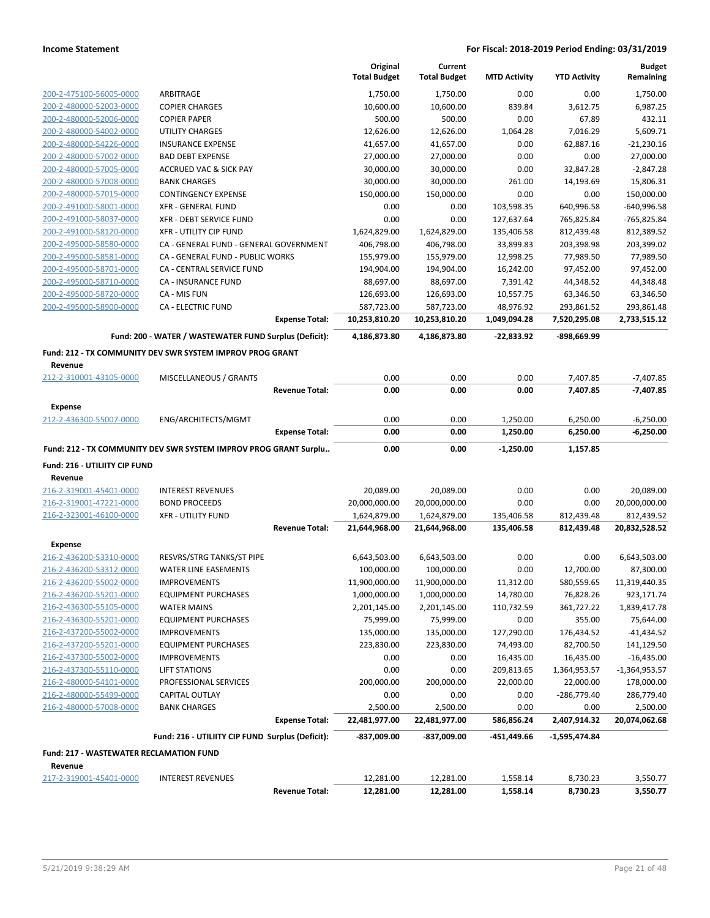|                                                           |                                                                  |                       | Original<br><b>Total Budget</b> | Current<br><b>Total Budget</b> | <b>MTD Activity</b> | <b>YTD Activity</b> | <b>Budget</b><br>Remaining |
|-----------------------------------------------------------|------------------------------------------------------------------|-----------------------|---------------------------------|--------------------------------|---------------------|---------------------|----------------------------|
| 200-2-475100-56005-0000                                   | ARBITRAGE                                                        |                       | 1,750.00                        | 1,750.00                       | 0.00                | 0.00                | 1,750.00                   |
| 200-2-480000-52003-0000                                   | <b>COPIER CHARGES</b>                                            |                       | 10,600.00                       | 10,600.00                      | 839.84              | 3,612.75            | 6,987.25                   |
| 200-2-480000-52006-0000                                   | <b>COPIER PAPER</b>                                              |                       | 500.00                          | 500.00                         | 0.00                | 67.89               | 432.11                     |
| 200-2-480000-54002-0000                                   | <b>UTILITY CHARGES</b>                                           |                       | 12,626.00                       | 12,626.00                      | 1,064.28            | 7,016.29            | 5,609.71                   |
| 200-2-480000-54226-0000                                   | <b>INSURANCE EXPENSE</b>                                         |                       | 41,657.00                       | 41,657.00                      | 0.00                | 62,887.16           | $-21,230.16$               |
| 200-2-480000-57002-0000                                   | <b>BAD DEBT EXPENSE</b>                                          |                       | 27,000.00                       | 27,000.00                      | 0.00                | 0.00                | 27,000.00                  |
| 200-2-480000-57005-0000                                   | <b>ACCRUED VAC &amp; SICK PAY</b>                                |                       | 30,000.00                       | 30,000.00                      | 0.00                | 32,847.28           | $-2,847.28$                |
| 200-2-480000-57008-0000                                   | <b>BANK CHARGES</b>                                              |                       | 30,000.00                       | 30,000.00                      | 261.00              | 14,193.69           | 15,806.31                  |
| 200-2-480000-57015-0000                                   | <b>CONTINGENCY EXPENSE</b>                                       |                       | 150,000.00                      | 150,000.00                     | 0.00                | 0.00                | 150,000.00                 |
| 200-2-491000-58001-0000                                   | <b>XFR - GENERAL FUND</b>                                        |                       | 0.00                            | 0.00                           | 103,598.35          | 640,996.58          | $-640,996.58$              |
| 200-2-491000-58037-0000                                   | XFR - DEBT SERVICE FUND                                          |                       | 0.00                            | 0.00                           | 127,637.64          | 765,825.84          | -765,825.84                |
| 200-2-491000-58120-0000                                   | <b>XFR - UTILITY CIP FUND</b>                                    |                       | 1,624,829.00                    | 1,624,829.00                   | 135,406.58          | 812,439.48          | 812,389.52                 |
| 200-2-495000-58580-0000                                   | CA - GENERAL FUND - GENERAL GOVERNMENT                           |                       | 406,798.00                      | 406,798.00                     | 33,899.83           | 203,398.98          | 203,399.02                 |
| 200-2-495000-58581-0000                                   | CA - GENERAL FUND - PUBLIC WORKS                                 |                       | 155,979.00                      | 155,979.00                     | 12,998.25           | 77,989.50           | 77,989.50                  |
| 200-2-495000-58701-0000                                   | CA - CENTRAL SERVICE FUND                                        |                       | 194,904.00                      | 194,904.00                     | 16,242.00           | 97,452.00           | 97,452.00                  |
| 200-2-495000-58710-0000                                   | <b>CA - INSURANCE FUND</b>                                       |                       | 88,697.00                       | 88,697.00                      | 7,391.42            | 44,348.52           | 44,348.48                  |
| 200-2-495000-58720-0000                                   | CA - MIS FUN                                                     |                       | 126,693.00                      | 126,693.00                     | 10,557.75           | 63,346.50           | 63,346.50                  |
| 200-2-495000-58900-0000                                   | <b>CA - ELECTRIC FUND</b>                                        |                       | 587,723.00                      | 587,723.00                     | 48,976.92           | 293,861.52          | 293,861.48                 |
|                                                           |                                                                  | <b>Expense Total:</b> | 10,253,810.20                   | 10,253,810.20                  | 1,049,094.28        | 7,520,295.08        | 2,733,515.12               |
|                                                           | Fund: 200 - WATER / WASTEWATER FUND Surplus (Deficit):           |                       | 4,186,873.80                    | 4,186,873.80                   | $-22,833.92$        | -898,669.99         |                            |
|                                                           | Fund: 212 - TX COMMUNITY DEV SWR SYSTEM IMPROV PROG GRANT        |                       |                                 |                                |                     |                     |                            |
| Revenue                                                   |                                                                  |                       |                                 |                                |                     |                     |                            |
| 212-2-310001-43105-0000                                   | MISCELLANEOUS / GRANTS                                           |                       | 0.00                            | 0.00                           | 0.00                | 7,407.85            | $-7,407.85$                |
|                                                           |                                                                  | <b>Revenue Total:</b> | 0.00                            | 0.00                           | 0.00                | 7,407.85            | $-7,407.85$                |
| <b>Expense</b>                                            |                                                                  |                       |                                 |                                |                     |                     |                            |
| 212-2-436300-55007-0000                                   | ENG/ARCHITECTS/MGMT                                              |                       | 0.00                            | 0.00                           | 1,250.00            | 6,250.00            | $-6,250.00$                |
|                                                           |                                                                  | <b>Expense Total:</b> | 0.00                            | 0.00                           | 1,250.00            | 6,250.00            | $-6,250.00$                |
|                                                           | Fund: 212 - TX COMMUNITY DEV SWR SYSTEM IMPROV PROG GRANT Surplu |                       | 0.00                            | 0.00                           | -1,250.00           | 1,157.85            |                            |
| Fund: 216 - UTILIITY CIP FUND                             |                                                                  |                       |                                 |                                |                     |                     |                            |
| Revenue                                                   |                                                                  |                       |                                 |                                |                     |                     |                            |
| 216-2-319001-45401-0000                                   | <b>INTEREST REVENUES</b>                                         |                       | 20,089.00                       | 20,089.00                      | 0.00                | 0.00                | 20,089.00                  |
| 216-2-319001-47221-0000                                   | <b>BOND PROCEEDS</b>                                             |                       | 20,000,000.00                   | 20,000,000.00                  | 0.00                | 0.00                | 20,000,000.00              |
| 216-2-323001-46100-0000                                   | <b>XFR - UTILITY FUND</b>                                        |                       | 1,624,879.00                    | 1,624,879.00                   | 135,406.58          | 812,439.48          | 812,439.52                 |
|                                                           |                                                                  | <b>Revenue Total:</b> | 21,644,968.00                   | 21,644,968.00                  | 135,406.58          | 812,439.48          | 20,832,528.52              |
| <b>Expense</b>                                            |                                                                  |                       |                                 |                                |                     |                     |                            |
| 216-2-436200-53310-0000                                   | RESVRS/STRG TANKS/ST PIPE                                        |                       | 6,643,503.00                    | 6,643,503.00                   | 0.00                | 0.00                | 6,643,503.00               |
| 216-2-436200-53312-0000                                   | <b>WATER LINE EASEMENTS</b>                                      |                       | 100,000.00                      | 100,000.00                     | 0.00                | 12,700.00           | 87,300.00                  |
| 216-2-436200-55002-0000                                   | <b>IMPROVEMENTS</b>                                              |                       | 11,900,000.00                   | 11,900,000.00                  | 11,312.00           | 580,559.65          | 11,319,440.35              |
| 216-2-436200-55201-0000                                   | <b>EQUIPMENT PURCHASES</b>                                       |                       | 1,000,000.00                    | 1,000,000.00                   | 14,780.00           | 76,828.26           | 923,171.74                 |
| 216-2-436300-55105-0000                                   | <b>WATER MAINS</b>                                               |                       | 2,201,145.00                    | 2,201,145.00                   | 110,732.59          | 361,727.22          | 1,839,417.78               |
| 216-2-436300-55201-0000                                   | <b>EQUIPMENT PURCHASES</b>                                       |                       | 75,999.00                       | 75,999.00                      | 0.00                | 355.00              | 75,644.00                  |
| 216-2-437200-55002-0000                                   | <b>IMPROVEMENTS</b>                                              |                       | 135,000.00                      | 135,000.00                     | 127,290.00          | 176,434.52          | $-41,434.52$               |
| 216-2-437200-55201-0000                                   | <b>EQUIPMENT PURCHASES</b>                                       |                       | 223,830.00                      | 223,830.00                     | 74,493.00           | 82,700.50           | 141,129.50                 |
| 216-2-437300-55002-0000                                   | <b>IMPROVEMENTS</b>                                              |                       | 0.00                            | 0.00                           | 16,435.00           | 16,435.00           | $-16,435.00$               |
| 216-2-437300-55110-0000                                   | <b>LIFT STATIONS</b>                                             |                       | 0.00                            | 0.00                           | 209,813.65          | 1,364,953.57        | $-1,364,953.57$            |
| 216-2-480000-54101-0000                                   | PROFESSIONAL SERVICES                                            |                       | 200,000.00                      | 200,000.00                     | 22,000.00           | 22,000.00           | 178,000.00                 |
| 216-2-480000-55499-0000                                   | <b>CAPITAL OUTLAY</b>                                            |                       | 0.00                            | 0.00                           | 0.00                | $-286,779.40$       | 286,779.40                 |
| 216-2-480000-57008-0000                                   | <b>BANK CHARGES</b>                                              |                       | 2,500.00                        | 2,500.00                       | 0.00                | 0.00                | 2,500.00                   |
|                                                           |                                                                  | <b>Expense Total:</b> | 22,481,977.00                   | 22,481,977.00                  | 586,856.24          | 2,407,914.32        | 20,074,062.68              |
|                                                           | Fund: 216 - UTILIITY CIP FUND Surplus (Deficit):                 |                       | -837,009.00                     | -837,009.00                    | -451,449.66         | -1,595,474.84       |                            |
| <b>Fund: 217 - WASTEWATER RECLAMATION FUND</b><br>Revenue |                                                                  |                       |                                 |                                |                     |                     |                            |
| 217-2-319001-45401-0000                                   | <b>INTEREST REVENUES</b>                                         |                       | 12,281.00                       | 12,281.00                      | 1,558.14            | 8,730.23            | 3,550.77                   |
|                                                           |                                                                  | <b>Revenue Total:</b> | 12,281.00                       | 12,281.00                      | 1,558.14            | 8,730.23            | 3,550.77                   |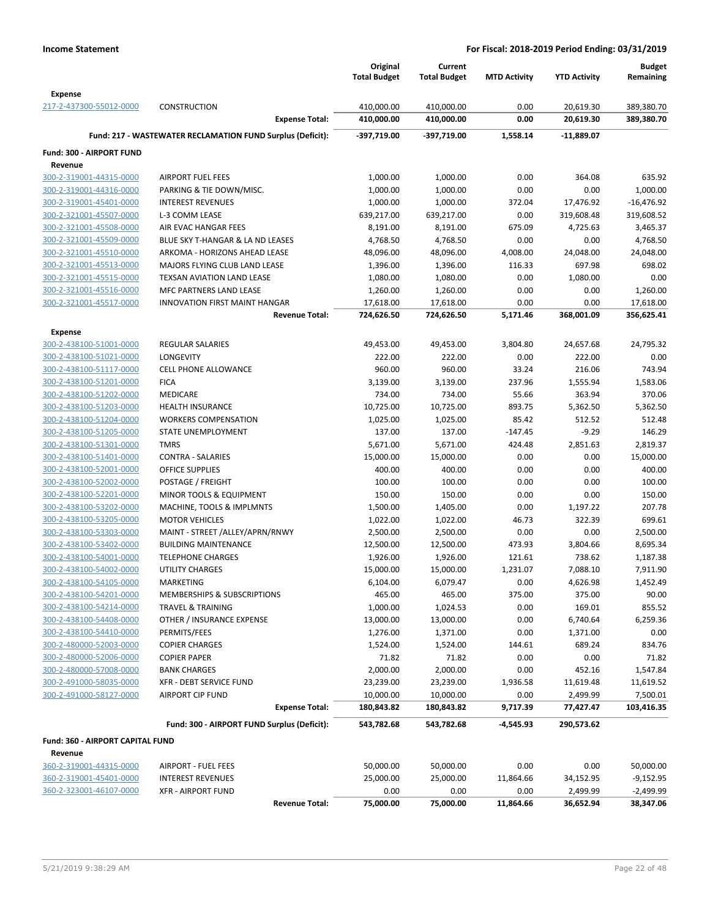|                                                    |                                                            | Original                 | Current                  |                     |                         | <b>Budget</b>            |
|----------------------------------------------------|------------------------------------------------------------|--------------------------|--------------------------|---------------------|-------------------------|--------------------------|
|                                                    |                                                            | <b>Total Budget</b>      | <b>Total Budget</b>      | <b>MTD Activity</b> | <b>YTD Activity</b>     | Remaining                |
| <b>Expense</b>                                     |                                                            |                          |                          |                     |                         |                          |
| 217-2-437300-55012-0000                            | <b>CONSTRUCTION</b><br><b>Expense Total:</b>               | 410,000.00<br>410,000.00 | 410,000.00<br>410,000.00 | 0.00<br>0.00        | 20,619.30<br>20,619.30  | 389,380.70<br>389,380.70 |
|                                                    |                                                            |                          |                          |                     |                         |                          |
|                                                    | Fund: 217 - WASTEWATER RECLAMATION FUND Surplus (Deficit): | -397,719.00              | -397,719.00              | 1,558.14            | $-11,889.07$            |                          |
| Fund: 300 - AIRPORT FUND                           |                                                            |                          |                          |                     |                         |                          |
| Revenue                                            |                                                            |                          |                          |                     |                         |                          |
| 300-2-319001-44315-0000                            | <b>AIRPORT FUEL FEES</b>                                   | 1,000.00                 | 1,000.00                 | 0.00                | 364.08                  | 635.92                   |
| 300-2-319001-44316-0000<br>300-2-319001-45401-0000 | PARKING & TIE DOWN/MISC.                                   | 1,000.00                 | 1,000.00                 | 0.00                | 0.00                    | 1,000.00                 |
| 300-2-321001-45507-0000                            | <b>INTEREST REVENUES</b><br>L-3 COMM LEASE                 | 1,000.00                 | 1,000.00                 | 372.04<br>0.00      | 17,476.92<br>319,608.48 | $-16,476.92$             |
| 300-2-321001-45508-0000                            | AIR EVAC HANGAR FEES                                       | 639,217.00<br>8,191.00   | 639,217.00<br>8,191.00   | 675.09              | 4,725.63                | 319,608.52<br>3,465.37   |
| 300-2-321001-45509-0000                            | BLUE SKY T-HANGAR & LA ND LEASES                           | 4,768.50                 | 4,768.50                 | 0.00                | 0.00                    | 4,768.50                 |
| 300-2-321001-45510-0000                            | ARKOMA - HORIZONS AHEAD LEASE                              | 48,096.00                | 48,096.00                | 4,008.00            | 24,048.00               | 24,048.00                |
| 300-2-321001-45513-0000                            | MAJORS FLYING CLUB LAND LEASE                              | 1,396.00                 | 1,396.00                 | 116.33              | 697.98                  | 698.02                   |
| 300-2-321001-45515-0000                            | TEXSAN AVIATION LAND LEASE                                 | 1,080.00                 | 1,080.00                 | 0.00                | 1,080.00                | 0.00                     |
| 300-2-321001-45516-0000                            | MFC PARTNERS LAND LEASE                                    | 1,260.00                 | 1,260.00                 | 0.00                | 0.00                    | 1,260.00                 |
| 300-2-321001-45517-0000                            | <b>INNOVATION FIRST MAINT HANGAR</b>                       | 17,618.00                | 17,618.00                | 0.00                | 0.00                    | 17,618.00                |
|                                                    | <b>Revenue Total:</b>                                      | 724,626.50               | 724,626.50               | 5,171.46            | 368,001.09              | 356,625.41               |
| <b>Expense</b>                                     |                                                            |                          |                          |                     |                         |                          |
| 300-2-438100-51001-0000                            | <b>REGULAR SALARIES</b>                                    | 49,453.00                | 49,453.00                | 3,804.80            | 24,657.68               | 24,795.32                |
| 300-2-438100-51021-0000                            | <b>LONGEVITY</b>                                           | 222.00                   | 222.00                   | 0.00                | 222.00                  | 0.00                     |
| 300-2-438100-51117-0000                            | <b>CELL PHONE ALLOWANCE</b>                                | 960.00                   | 960.00                   | 33.24               | 216.06                  | 743.94                   |
| 300-2-438100-51201-0000                            | <b>FICA</b>                                                | 3,139.00                 | 3,139.00                 | 237.96              | 1,555.94                | 1,583.06                 |
| 300-2-438100-51202-0000                            | MEDICARE                                                   | 734.00                   | 734.00                   | 55.66               | 363.94                  | 370.06                   |
| 300-2-438100-51203-0000                            | <b>HEALTH INSURANCE</b>                                    | 10,725.00                | 10,725.00                | 893.75              | 5,362.50                | 5,362.50                 |
| 300-2-438100-51204-0000                            | <b>WORKERS COMPENSATION</b>                                | 1,025.00                 | 1,025.00                 | 85.42               | 512.52                  | 512.48                   |
| 300-2-438100-51205-0000                            | STATE UNEMPLOYMENT                                         | 137.00                   | 137.00                   | $-147.45$           | $-9.29$                 | 146.29                   |
| 300-2-438100-51301-0000                            | <b>TMRS</b>                                                | 5,671.00                 | 5,671.00                 | 424.48              | 2,851.63                | 2,819.37                 |
| 300-2-438100-51401-0000                            | <b>CONTRA - SALARIES</b>                                   | 15,000.00                | 15,000.00                | 0.00                | 0.00                    | 15,000.00                |
| 300-2-438100-52001-0000                            | <b>OFFICE SUPPLIES</b>                                     | 400.00                   | 400.00                   | 0.00                | 0.00                    | 400.00                   |
| 300-2-438100-52002-0000                            | POSTAGE / FREIGHT                                          | 100.00                   | 100.00                   | 0.00                | 0.00                    | 100.00                   |
| 300-2-438100-52201-0000                            | MINOR TOOLS & EQUIPMENT                                    | 150.00                   | 150.00                   | 0.00                | 0.00                    | 150.00                   |
| 300-2-438100-53202-0000                            | MACHINE, TOOLS & IMPLMNTS                                  | 1,500.00                 | 1,405.00                 | 0.00                | 1,197.22                | 207.78                   |
| 300-2-438100-53205-0000                            | <b>MOTOR VEHICLES</b>                                      | 1,022.00                 | 1,022.00                 | 46.73               | 322.39                  | 699.61                   |
| 300-2-438100-53303-0000                            | MAINT - STREET /ALLEY/APRN/RNWY                            | 2,500.00                 | 2,500.00                 | 0.00                | 0.00                    | 2,500.00                 |
| 300-2-438100-53402-0000                            | <b>BUILDING MAINTENANCE</b>                                | 12,500.00                | 12,500.00                | 473.93              | 3,804.66                | 8,695.34                 |
| 300-2-438100-54001-0000                            | <b>TELEPHONE CHARGES</b>                                   | 1,926.00                 | 1,926.00                 | 121.61              | 738.62                  | 1,187.38                 |
| 300-2-438100-54002-0000                            | <b>UTILITY CHARGES</b>                                     | 15,000.00                | 15,000.00                | 1,231.07            | 7,088.10                | 7,911.90                 |
| 300-2-438100-54105-0000                            | MARKETING                                                  | 6,104.00                 | 6,079.47                 | 0.00                | 4,626.98                | 1,452.49                 |
| 300-2-438100-54201-0000                            | MEMBERSHIPS & SUBSCRIPTIONS                                | 465.00                   | 465.00                   | 375.00              | 375.00                  | 90.00                    |
| 300-2-438100-54214-0000                            | <b>TRAVEL &amp; TRAINING</b>                               | 1,000.00                 | 1,024.53                 | 0.00                | 169.01                  | 855.52                   |
| 300-2-438100-54408-0000                            | OTHER / INSURANCE EXPENSE                                  | 13,000.00                | 13,000.00                | 0.00                | 6,740.64                | 6,259.36                 |
| 300-2-438100-54410-0000                            | PERMITS/FEES                                               | 1,276.00                 | 1,371.00                 | 0.00                | 1,371.00                | 0.00                     |
| 300-2-480000-52003-0000                            | <b>COPIER CHARGES</b>                                      | 1,524.00                 | 1,524.00                 | 144.61              | 689.24                  | 834.76                   |
| 300-2-480000-52006-0000                            | <b>COPIER PAPER</b>                                        | 71.82                    | 71.82                    | 0.00                | 0.00                    | 71.82                    |
| 300-2-480000-57008-0000                            | <b>BANK CHARGES</b>                                        | 2,000.00                 | 2,000.00                 | 0.00                | 452.16                  | 1,547.84                 |
| 300-2-491000-58035-0000                            | XFR - DEBT SERVICE FUND                                    | 23,239.00                | 23,239.00                | 1,936.58            | 11,619.48               | 11,619.52                |
| 300-2-491000-58127-0000                            | <b>AIRPORT CIP FUND</b>                                    | 10,000.00                | 10,000.00                | 0.00                | 2,499.99                | 7,500.01                 |
|                                                    | <b>Expense Total:</b>                                      | 180,843.82               | 180,843.82               | 9,717.39            | 77,427.47               | 103,416.35               |
|                                                    | Fund: 300 - AIRPORT FUND Surplus (Deficit):                | 543,782.68               | 543,782.68               | -4,545.93           | 290,573.62              |                          |
| Fund: 360 - AIRPORT CAPITAL FUND                   |                                                            |                          |                          |                     |                         |                          |
| Revenue                                            |                                                            |                          |                          |                     |                         |                          |
| 360-2-319001-44315-0000                            | <b>AIRPORT - FUEL FEES</b>                                 | 50,000.00                | 50,000.00                | 0.00                | 0.00                    | 50,000.00                |
| 360-2-319001-45401-0000                            | <b>INTEREST REVENUES</b>                                   | 25,000.00                | 25,000.00                | 11,864.66           | 34,152.95               | $-9,152.95$              |
| 360-2-323001-46107-0000                            | <b>XFR - AIRPORT FUND</b>                                  | 0.00                     | 0.00                     | 0.00                | 2,499.99                | $-2,499.99$              |
|                                                    | <b>Revenue Total:</b>                                      | 75,000.00                | 75,000.00                | 11,864.66           | 36,652.94               | 38,347.06                |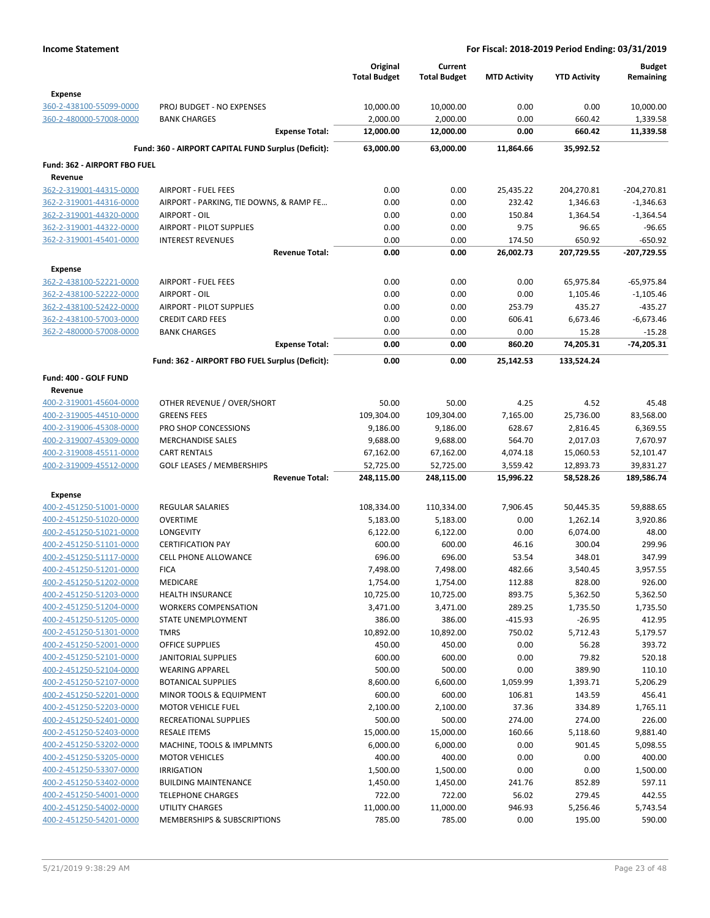|                                           |                                                           | Original<br><b>Total Budget</b> | Current<br><b>Total Budget</b> | <b>MTD Activity</b>   | <b>YTD Activity</b>    | <b>Budget</b><br>Remaining |
|-------------------------------------------|-----------------------------------------------------------|---------------------------------|--------------------------------|-----------------------|------------------------|----------------------------|
| <b>Expense</b>                            |                                                           |                                 |                                |                       |                        |                            |
| 360-2-438100-55099-0000                   | PROJ BUDGET - NO EXPENSES                                 | 10,000.00                       | 10,000.00                      | 0.00                  | 0.00                   | 10,000.00                  |
| 360-2-480000-57008-0000                   | <b>BANK CHARGES</b><br><b>Expense Total:</b>              | 2,000.00<br>12,000.00           | 2,000.00<br>12,000.00          | 0.00<br>0.00          | 660.42<br>660.42       | 1,339.58<br>11,339.58      |
|                                           |                                                           |                                 |                                |                       |                        |                            |
|                                           | Fund: 360 - AIRPORT CAPITAL FUND Surplus (Deficit):       | 63,000.00                       | 63,000.00                      | 11,864.66             | 35,992.52              |                            |
| Fund: 362 - AIRPORT FBO FUEL              |                                                           |                                 |                                |                       |                        |                            |
| Revenue<br>362-2-319001-44315-0000        | <b>AIRPORT - FUEL FEES</b>                                | 0.00                            | 0.00                           | 25,435.22             | 204,270.81             | $-204,270.81$              |
| 362-2-319001-44316-0000                   | AIRPORT - PARKING, TIE DOWNS, & RAMP FE                   | 0.00                            | 0.00                           | 232.42                | 1,346.63               | $-1,346.63$                |
| 362-2-319001-44320-0000                   | AIRPORT - OIL                                             | 0.00                            | 0.00                           | 150.84                | 1,364.54               | $-1,364.54$                |
| 362-2-319001-44322-0000                   | AIRPORT - PILOT SUPPLIES                                  | 0.00                            | 0.00                           | 9.75                  | 96.65                  | $-96.65$                   |
| 362-2-319001-45401-0000                   | <b>INTEREST REVENUES</b>                                  | 0.00                            | 0.00                           | 174.50                | 650.92                 | $-650.92$                  |
|                                           | <b>Revenue Total:</b>                                     | 0.00                            | 0.00                           | 26,002.73             | 207,729.55             | $-207,729.55$              |
| Expense                                   |                                                           |                                 |                                |                       |                        |                            |
| 362-2-438100-52221-0000                   | <b>AIRPORT - FUEL FEES</b>                                | 0.00                            | 0.00                           | 0.00                  | 65,975.84              | -65,975.84                 |
| 362-2-438100-52222-0000                   | AIRPORT - OIL                                             | 0.00                            | 0.00                           | 0.00                  | 1,105.46               | $-1,105.46$                |
| 362-2-438100-52422-0000                   | AIRPORT - PILOT SUPPLIES                                  | 0.00                            | 0.00                           | 253.79                | 435.27                 | $-435.27$                  |
| 362-2-438100-57003-0000                   | <b>CREDIT CARD FEES</b>                                   | 0.00                            | 0.00                           | 606.41                | 6,673.46               | $-6,673.46$                |
| 362-2-480000-57008-0000                   | <b>BANK CHARGES</b>                                       | 0.00                            | 0.00                           | 0.00                  | 15.28                  | $-15.28$                   |
|                                           | <b>Expense Total:</b>                                     | 0.00                            | 0.00                           | 860.20                | 74,205.31              | -74,205.31                 |
|                                           | Fund: 362 - AIRPORT FBO FUEL Surplus (Deficit):           | 0.00                            | 0.00                           | 25,142.53             | 133,524.24             |                            |
| Fund: 400 - GOLF FUND                     |                                                           |                                 |                                |                       |                        |                            |
| Revenue                                   |                                                           |                                 |                                |                       |                        |                            |
| 400-2-319001-45604-0000                   | OTHER REVENUE / OVER/SHORT                                | 50.00                           | 50.00                          | 4.25                  | 4.52                   | 45.48                      |
| 400-2-319005-44510-0000                   | <b>GREENS FEES</b>                                        | 109,304.00                      | 109,304.00                     | 7,165.00              | 25,736.00              | 83,568.00                  |
| 400-2-319006-45308-0000                   | PRO SHOP CONCESSIONS                                      | 9,186.00                        | 9,186.00                       | 628.67                | 2,816.45               | 6,369.55                   |
| 400-2-319007-45309-0000                   | <b>MERCHANDISE SALES</b>                                  | 9,688.00                        | 9,688.00                       | 564.70                | 2,017.03               | 7,670.97                   |
| 400-2-319008-45511-0000                   | <b>CART RENTALS</b>                                       | 67,162.00                       | 67,162.00                      | 4,074.18              | 15,060.53              | 52,101.47                  |
| 400-2-319009-45512-0000                   | <b>GOLF LEASES / MEMBERSHIPS</b><br><b>Revenue Total:</b> | 52,725.00<br>248,115.00         | 52,725.00<br>248,115.00        | 3,559.42<br>15,996.22 | 12,893.73<br>58,528.26 | 39,831.27<br>189,586.74    |
|                                           |                                                           |                                 |                                |                       |                        |                            |
| <b>Expense</b><br>400-2-451250-51001-0000 | <b>REGULAR SALARIES</b>                                   | 108,334.00                      | 110,334.00                     | 7,906.45              | 50,445.35              | 59,888.65                  |
| 400-2-451250-51020-0000                   | <b>OVERTIME</b>                                           | 5,183.00                        | 5,183.00                       | 0.00                  | 1,262.14               | 3,920.86                   |
| 400-2-451250-51021-0000                   | <b>LONGEVITY</b>                                          | 6,122.00                        | 6,122.00                       | 0.00                  | 6,074.00               | 48.00                      |
| 400-2-451250-51101-0000                   | <b>CERTIFICATION PAY</b>                                  | 600.00                          | 600.00                         | 46.16                 | 300.04                 | 299.96                     |
| 400-2-451250-51117-0000                   | <b>CELL PHONE ALLOWANCE</b>                               | 696.00                          | 696.00                         | 53.54                 | 348.01                 | 347.99                     |
| 400-2-451250-51201-0000                   | <b>FICA</b>                                               | 7,498.00                        | 7,498.00                       | 482.66                | 3,540.45               | 3,957.55                   |
| 400-2-451250-51202-0000                   | MEDICARE                                                  | 1,754.00                        | 1,754.00                       | 112.88                | 828.00                 | 926.00                     |
| 400-2-451250-51203-0000                   | <b>HEALTH INSURANCE</b>                                   | 10,725.00                       | 10,725.00                      | 893.75                | 5,362.50               | 5,362.50                   |
| 400-2-451250-51204-0000                   | <b>WORKERS COMPENSATION</b>                               | 3,471.00                        | 3,471.00                       | 289.25                | 1,735.50               | 1,735.50                   |
| 400-2-451250-51205-0000                   | STATE UNEMPLOYMENT                                        | 386.00                          | 386.00                         | $-415.93$             | $-26.95$               | 412.95                     |
| 400-2-451250-51301-0000                   | <b>TMRS</b>                                               | 10,892.00                       | 10,892.00                      | 750.02                | 5,712.43               | 5,179.57                   |
| 400-2-451250-52001-0000                   | OFFICE SUPPLIES                                           | 450.00                          | 450.00                         | 0.00                  | 56.28                  | 393.72                     |
| 400-2-451250-52101-0000                   | <b>JANITORIAL SUPPLIES</b>                                | 600.00                          | 600.00                         | 0.00                  | 79.82                  | 520.18                     |
| 400-2-451250-52104-0000                   | <b>WEARING APPAREL</b>                                    | 500.00                          | 500.00                         | 0.00                  | 389.90                 | 110.10                     |
| 400-2-451250-52107-0000                   | <b>BOTANICAL SUPPLIES</b>                                 | 8,600.00                        | 6,600.00                       | 1,059.99              | 1,393.71               | 5,206.29                   |
| 400-2-451250-52201-0000                   | <b>MINOR TOOLS &amp; EQUIPMENT</b>                        | 600.00                          | 600.00                         | 106.81                | 143.59                 | 456.41                     |
| 400-2-451250-52203-0000                   | <b>MOTOR VEHICLE FUEL</b>                                 | 2,100.00                        | 2,100.00                       | 37.36                 | 334.89                 | 1,765.11                   |
| 400-2-451250-52401-0000                   | RECREATIONAL SUPPLIES                                     | 500.00                          | 500.00                         | 274.00                | 274.00                 | 226.00                     |
| 400-2-451250-52403-0000                   | <b>RESALE ITEMS</b>                                       | 15,000.00                       | 15,000.00                      | 160.66                | 5,118.60               | 9,881.40                   |
| 400-2-451250-53202-0000                   | MACHINE, TOOLS & IMPLMNTS                                 | 6,000.00                        | 6,000.00                       | 0.00                  | 901.45                 | 5,098.55                   |
| 400-2-451250-53205-0000                   | <b>MOTOR VEHICLES</b>                                     | 400.00                          | 400.00                         | 0.00                  | 0.00                   | 400.00                     |
| 400-2-451250-53307-0000                   | <b>IRRIGATION</b>                                         | 1,500.00                        | 1,500.00                       | 0.00                  | 0.00                   | 1,500.00                   |
| 400-2-451250-53402-0000                   | <b>BUILDING MAINTENANCE</b>                               | 1,450.00                        | 1,450.00                       | 241.76                | 852.89                 | 597.11                     |
| 400-2-451250-54001-0000                   | <b>TELEPHONE CHARGES</b>                                  | 722.00                          | 722.00                         | 56.02                 | 279.45                 | 442.55                     |
| 400-2-451250-54002-0000                   | UTILITY CHARGES                                           | 11,000.00                       | 11,000.00                      | 946.93                | 5,256.46               | 5,743.54                   |
| 400-2-451250-54201-0000                   | MEMBERSHIPS & SUBSCRIPTIONS                               | 785.00                          | 785.00                         | 0.00                  | 195.00                 | 590.00                     |
|                                           |                                                           |                                 |                                |                       |                        |                            |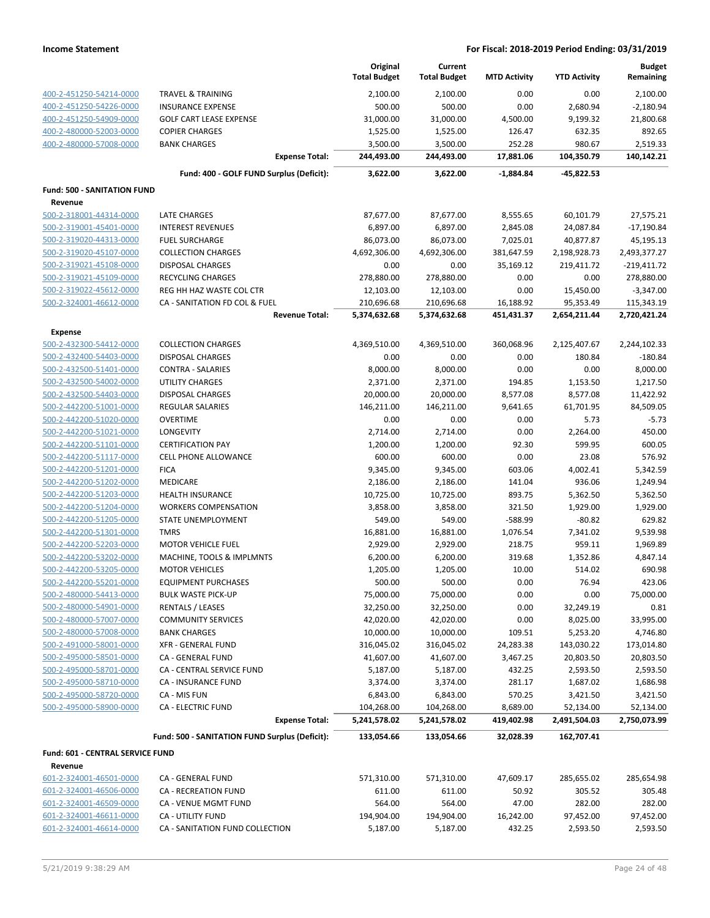|                                                    |                                                      | Original<br><b>Total Budget</b> | Current<br><b>Total Budget</b> | <b>MTD Activity</b>     | <b>YTD Activity</b>        | <b>Budget</b><br>Remaining    |
|----------------------------------------------------|------------------------------------------------------|---------------------------------|--------------------------------|-------------------------|----------------------------|-------------------------------|
| 400-2-451250-54214-0000                            | <b>TRAVEL &amp; TRAINING</b>                         | 2,100.00                        | 2,100.00                       | 0.00                    | 0.00                       | 2,100.00                      |
| 400-2-451250-54226-0000                            | <b>INSURANCE EXPENSE</b>                             | 500.00                          | 500.00                         | 0.00                    | 2,680.94                   | $-2,180.94$                   |
| 400-2-451250-54909-0000                            | <b>GOLF CART LEASE EXPENSE</b>                       | 31,000.00                       | 31,000.00                      | 4,500.00                | 9,199.32                   | 21,800.68                     |
| 400-2-480000-52003-0000                            | <b>COPIER CHARGES</b>                                | 1,525.00                        | 1,525.00                       | 126.47                  | 632.35                     | 892.65                        |
| 400-2-480000-57008-0000                            | <b>BANK CHARGES</b>                                  | 3,500.00                        | 3,500.00                       | 252.28                  | 980.67                     | 2,519.33                      |
|                                                    | <b>Expense Total:</b>                                | 244,493.00                      | 244,493.00                     | 17,881.06               | 104,350.79                 | 140,142.21                    |
|                                                    | Fund: 400 - GOLF FUND Surplus (Deficit):             | 3,622.00                        | 3,622.00                       | -1,884.84               | -45,822.53                 |                               |
| <b>Fund: 500 - SANITATION FUND</b>                 |                                                      |                                 |                                |                         |                            |                               |
| Revenue                                            |                                                      |                                 |                                |                         |                            |                               |
| 500-2-318001-44314-0000                            | <b>LATE CHARGES</b>                                  | 87,677.00                       | 87,677.00                      | 8,555.65                | 60,101.79                  | 27,575.21                     |
| 500-2-319001-45401-0000                            | <b>INTEREST REVENUES</b>                             | 6,897.00                        | 6,897.00                       | 2,845.08                | 24,087.84                  | $-17,190.84$                  |
| 500-2-319020-44313-0000                            | <b>FUEL SURCHARGE</b>                                | 86,073.00                       | 86,073.00                      | 7,025.01                | 40,877.87                  | 45,195.13                     |
| 500-2-319020-45107-0000<br>500-2-319021-45108-0000 | <b>COLLECTION CHARGES</b><br><b>DISPOSAL CHARGES</b> | 4,692,306.00<br>0.00            | 4,692,306.00<br>0.00           | 381,647.59<br>35,169.12 | 2,198,928.73<br>219,411.72 | 2,493,377.27<br>$-219,411.72$ |
| 500-2-319021-45109-0000                            | RECYCLING CHARGES                                    | 278,880.00                      | 278,880.00                     | 0.00                    | 0.00                       | 278,880.00                    |
| 500-2-319022-45612-0000                            | REG HH HAZ WASTE COL CTR                             | 12,103.00                       | 12,103.00                      | 0.00                    | 15,450.00                  | $-3,347.00$                   |
| 500-2-324001-46612-0000                            | CA - SANITATION FD COL & FUEL                        | 210,696.68                      | 210,696.68                     | 16,188.92               | 95,353.49                  | 115,343.19                    |
|                                                    | <b>Revenue Total:</b>                                | 5,374,632.68                    | 5,374,632.68                   | 451,431.37              | 2,654,211.44               | 2,720,421.24                  |
| <b>Expense</b>                                     |                                                      |                                 |                                |                         |                            |                               |
| 500-2-432300-54412-0000                            | <b>COLLECTION CHARGES</b>                            | 4,369,510.00                    | 4,369,510.00                   | 360,068.96              | 2,125,407.67               | 2,244,102.33                  |
| 500-2-432400-54403-0000                            | <b>DISPOSAL CHARGES</b>                              | 0.00                            | 0.00                           | 0.00                    | 180.84                     | $-180.84$                     |
| 500-2-432500-51401-0000                            | <b>CONTRA - SALARIES</b>                             | 8,000.00                        | 8,000.00                       | 0.00                    | 0.00                       | 8,000.00                      |
| 500-2-432500-54002-0000                            | UTILITY CHARGES                                      | 2,371.00                        | 2,371.00                       | 194.85                  | 1,153.50                   | 1,217.50                      |
| 500-2-432500-54403-0000                            | <b>DISPOSAL CHARGES</b>                              | 20,000.00                       | 20,000.00                      | 8,577.08                | 8,577.08                   | 11,422.92                     |
| 500-2-442200-51001-0000                            | REGULAR SALARIES                                     | 146,211.00                      | 146,211.00                     | 9,641.65                | 61,701.95                  | 84,509.05                     |
| 500-2-442200-51020-0000                            | <b>OVERTIME</b>                                      | 0.00                            | 0.00                           | 0.00                    | 5.73                       | $-5.73$                       |
| 500-2-442200-51021-0000                            | LONGEVITY                                            | 2,714.00                        | 2,714.00                       | 0.00                    | 2,264.00                   | 450.00                        |
| 500-2-442200-51101-0000                            | <b>CERTIFICATION PAY</b>                             | 1,200.00                        | 1,200.00                       | 92.30                   | 599.95                     | 600.05                        |
| 500-2-442200-51117-0000                            | <b>CELL PHONE ALLOWANCE</b>                          | 600.00                          | 600.00                         | 0.00                    | 23.08                      | 576.92                        |
| 500-2-442200-51201-0000                            | <b>FICA</b>                                          | 9,345.00                        | 9,345.00                       | 603.06                  | 4,002.41                   | 5,342.59                      |
| 500-2-442200-51202-0000                            | MEDICARE                                             | 2,186.00                        | 2,186.00                       | 141.04                  | 936.06                     | 1,249.94                      |
| 500-2-442200-51203-0000                            | HEALTH INSURANCE                                     | 10,725.00                       | 10,725.00                      | 893.75                  | 5,362.50                   | 5,362.50                      |
| 500-2-442200-51204-0000                            | <b>WORKERS COMPENSATION</b>                          | 3,858.00                        | 3,858.00                       | 321.50                  | 1,929.00                   | 1,929.00                      |
| 500-2-442200-51205-0000                            | <b>STATE UNEMPLOYMENT</b>                            | 549.00                          | 549.00                         | $-588.99$               | $-80.82$                   | 629.82                        |
| 500-2-442200-51301-0000                            | <b>TMRS</b>                                          | 16,881.00                       | 16,881.00                      | 1,076.54                | 7,341.02                   | 9,539.98                      |
| 500-2-442200-52203-0000                            | <b>MOTOR VEHICLE FUEL</b>                            | 2,929.00                        | 2,929.00                       | 218.75                  | 959.11                     | 1,969.89                      |
| 500-2-442200-53202-0000                            | MACHINE, TOOLS & IMPLMNTS                            | 6,200.00                        | 6,200.00                       | 319.68                  | 1,352.86                   | 4,847.14                      |
| 500-2-442200-53205-0000                            | <b>MOTOR VEHICLES</b>                                | 1,205.00                        | 1,205.00                       | 10.00                   | 514.02                     | 690.98                        |
| 500-2-442200-55201-0000                            | <b>EQUIPMENT PURCHASES</b>                           | 500.00                          | 500.00                         | 0.00                    | 76.94                      | 423.06                        |
| 500-2-480000-54413-0000                            | <b>BULK WASTE PICK-UP</b>                            | 75,000.00                       | 75,000.00                      | 0.00                    | 0.00                       | 75,000.00                     |
| 500-2-480000-54901-0000                            | RENTALS / LEASES                                     | 32,250.00                       | 32,250.00                      | 0.00                    | 32,249.19                  | 0.81                          |
| 500-2-480000-57007-0000                            | <b>COMMUNITY SERVICES</b>                            | 42,020.00                       | 42,020.00                      | 0.00                    | 8,025.00                   | 33,995.00                     |
| 500-2-480000-57008-0000                            | <b>BANK CHARGES</b>                                  | 10,000.00                       | 10,000.00                      | 109.51                  | 5,253.20                   | 4,746.80                      |
| 500-2-491000-58001-0000                            | XFR - GENERAL FUND                                   | 316,045.02                      | 316,045.02                     | 24,283.38               | 143,030.22                 | 173,014.80                    |
| 500-2-495000-58501-0000                            | CA - GENERAL FUND                                    | 41,607.00                       | 41,607.00                      | 3,467.25                | 20,803.50                  | 20,803.50                     |
| 500-2-495000-58701-0000                            | CA - CENTRAL SERVICE FUND<br>CA - INSURANCE FUND     | 5,187.00<br>3,374.00            | 5,187.00                       | 432.25                  | 2,593.50                   | 2,593.50<br>1,686.98          |
| 500-2-495000-58710-0000<br>500-2-495000-58720-0000 | CA - MIS FUN                                         |                                 | 3,374.00                       | 281.17<br>570.25        | 1,687.02                   |                               |
| 500-2-495000-58900-0000                            | <b>CA - ELECTRIC FUND</b>                            | 6,843.00<br>104,268.00          | 6,843.00<br>104,268.00         | 8,689.00                | 3,421.50<br>52,134.00      | 3,421.50<br>52,134.00         |
|                                                    | <b>Expense Total:</b>                                | 5,241,578.02                    | 5,241,578.02                   | 419,402.98              | 2,491,504.03               | 2,750,073.99                  |
|                                                    | Fund: 500 - SANITATION FUND Surplus (Deficit):       | 133,054.66                      | 133,054.66                     | 32,028.39               | 162,707.41                 |                               |
| Fund: 601 - CENTRAL SERVICE FUND                   |                                                      |                                 |                                |                         |                            |                               |
| Revenue                                            |                                                      |                                 |                                |                         |                            |                               |
| 601-2-324001-46501-0000                            | CA - GENERAL FUND                                    | 571,310.00                      | 571,310.00                     | 47,609.17               | 285,655.02                 | 285,654.98                    |
| 601-2-324001-46506-0000                            | CA - RECREATION FUND                                 | 611.00                          | 611.00                         | 50.92                   | 305.52                     | 305.48                        |
| 601-2-324001-46509-0000                            | CA - VENUE MGMT FUND                                 | 564.00                          | 564.00                         | 47.00                   | 282.00                     | 282.00                        |
| 601-2-324001-46611-0000                            | CA - UTILITY FUND                                    | 194,904.00                      | 194,904.00                     | 16,242.00               | 97,452.00                  | 97,452.00                     |
| 601-2-324001-46614-0000                            | CA - SANITATION FUND COLLECTION                      | 5,187.00                        | 5,187.00                       | 432.25                  | 2,593.50                   | 2,593.50                      |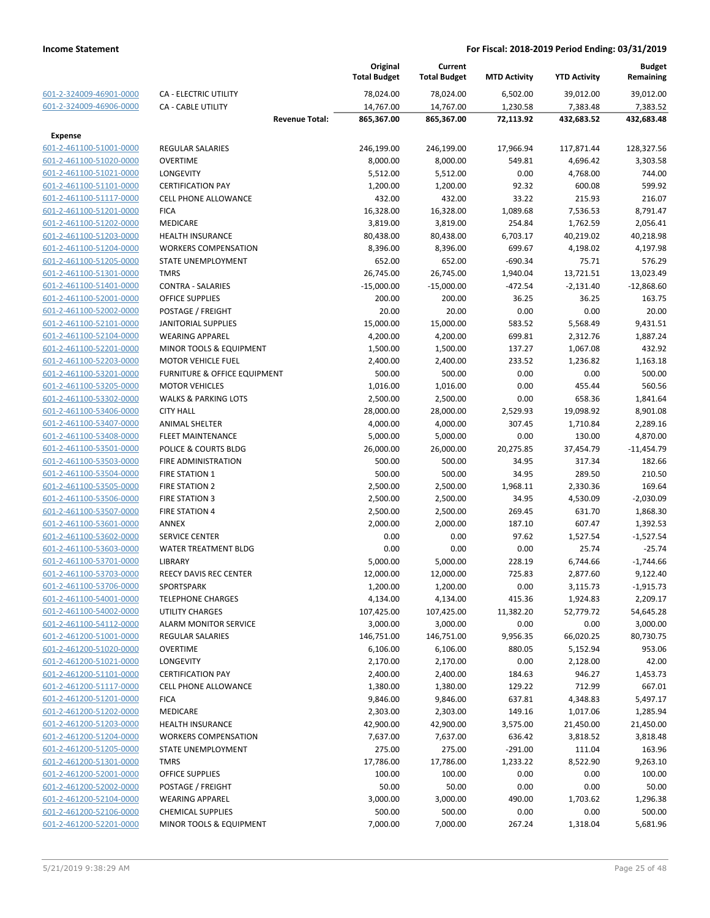|                         |                                 | Original<br><b>Total Budget</b> | Current<br><b>Total Budget</b> | <b>MTD Activity</b> | <b>YTD Activity</b> | <b>Budget</b><br>Remaining |
|-------------------------|---------------------------------|---------------------------------|--------------------------------|---------------------|---------------------|----------------------------|
| 601-2-324009-46901-0000 | CA - ELECTRIC UTILITY           | 78,024.00                       | 78,024.00                      | 6,502.00            | 39,012.00           | 39,012.00                  |
| 601-2-324009-46906-0000 | <b>CA - CABLE UTILITY</b>       | 14,767.00                       | 14,767.00                      | 1,230.58            | 7,383.48            | 7,383.52                   |
|                         | <b>Revenue Total:</b>           | 865,367.00                      | 865,367.00                     | 72,113.92           | 432,683.52          | 432,683.48                 |
| Expense                 |                                 |                                 |                                |                     |                     |                            |
| 601-2-461100-51001-0000 | <b>REGULAR SALARIES</b>         | 246,199.00                      | 246,199.00                     | 17,966.94           | 117,871.44          | 128,327.56                 |
| 601-2-461100-51020-0000 | <b>OVERTIME</b>                 | 8,000.00                        | 8,000.00                       | 549.81              | 4,696.42            | 3,303.58                   |
| 601-2-461100-51021-0000 | LONGEVITY                       | 5,512.00                        | 5,512.00                       | 0.00                | 4,768.00            | 744.00                     |
| 601-2-461100-51101-0000 | <b>CERTIFICATION PAY</b>        | 1,200.00                        | 1,200.00                       | 92.32               | 600.08              | 599.92                     |
| 601-2-461100-51117-0000 | <b>CELL PHONE ALLOWANCE</b>     | 432.00                          | 432.00                         | 33.22               | 215.93              | 216.07                     |
| 601-2-461100-51201-0000 | <b>FICA</b>                     | 16,328.00                       | 16,328.00                      | 1,089.68            | 7,536.53            | 8,791.47                   |
| 601-2-461100-51202-0000 | MEDICARE                        | 3,819.00                        | 3,819.00                       | 254.84              | 1,762.59            | 2,056.41                   |
| 601-2-461100-51203-0000 | <b>HEALTH INSURANCE</b>         | 80,438.00                       | 80,438.00                      | 6,703.17            | 40,219.02           | 40,218.98                  |
| 601-2-461100-51204-0000 | <b>WORKERS COMPENSATION</b>     | 8,396.00                        | 8,396.00                       | 699.67              | 4,198.02            | 4,197.98                   |
| 601-2-461100-51205-0000 | STATE UNEMPLOYMENT              | 652.00                          | 652.00                         | $-690.34$           | 75.71               | 576.29                     |
| 601-2-461100-51301-0000 | <b>TMRS</b>                     | 26,745.00                       | 26,745.00                      | 1,940.04            | 13,721.51           | 13,023.49                  |
| 601-2-461100-51401-0000 | <b>CONTRA - SALARIES</b>        | $-15,000.00$                    | $-15,000.00$                   | $-472.54$           | $-2,131.40$         | $-12,868.60$               |
| 601-2-461100-52001-0000 | <b>OFFICE SUPPLIES</b>          | 200.00                          | 200.00                         | 36.25               | 36.25               | 163.75                     |
| 601-2-461100-52002-0000 | POSTAGE / FREIGHT               | 20.00                           | 20.00                          | 0.00                | 0.00                | 20.00                      |
| 601-2-461100-52101-0000 | JANITORIAL SUPPLIES             | 15,000.00                       | 15,000.00                      | 583.52              | 5,568.49            | 9,431.51                   |
| 601-2-461100-52104-0000 | <b>WEARING APPAREL</b>          | 4,200.00                        | 4,200.00                       | 699.81              | 2,312.76            | 1,887.24                   |
| 601-2-461100-52201-0000 | MINOR TOOLS & EQUIPMENT         | 1,500.00                        | 1,500.00                       | 137.27              | 1,067.08            | 432.92                     |
| 601-2-461100-52203-0000 | <b>MOTOR VEHICLE FUEL</b>       | 2,400.00                        | 2,400.00                       | 233.52              | 1,236.82            | 1,163.18                   |
| 601-2-461100-53201-0000 | FURNITURE & OFFICE EQUIPMENT    | 500.00                          | 500.00                         | 0.00                | 0.00                | 500.00                     |
| 601-2-461100-53205-0000 | <b>MOTOR VEHICLES</b>           | 1,016.00                        | 1,016.00                       | 0.00                | 455.44              | 560.56                     |
| 601-2-461100-53302-0000 | <b>WALKS &amp; PARKING LOTS</b> | 2,500.00                        | 2,500.00                       | 0.00                | 658.36              | 1,841.64                   |
| 601-2-461100-53406-0000 | <b>CITY HALL</b>                | 28,000.00                       | 28,000.00                      | 2,529.93            | 19,098.92           | 8,901.08                   |
| 601-2-461100-53407-0000 | <b>ANIMAL SHELTER</b>           | 4,000.00                        | 4,000.00                       | 307.45              | 1,710.84            | 2,289.16                   |
| 601-2-461100-53408-0000 | <b>FLEET MAINTENANCE</b>        | 5,000.00                        | 5,000.00                       | 0.00                | 130.00              | 4,870.00                   |
| 601-2-461100-53501-0000 | POLICE & COURTS BLDG            | 26,000.00                       | 26,000.00                      | 20,275.85           | 37,454.79           | $-11,454.79$               |
| 601-2-461100-53503-0000 | FIRE ADMINISTRATION             | 500.00                          | 500.00                         | 34.95               | 317.34              | 182.66                     |
|                         |                                 |                                 |                                |                     |                     |                            |
| 601-2-461100-53504-0000 | FIRE STATION 1                  | 500.00                          | 500.00                         | 34.95               | 289.50              | 210.50                     |
| 601-2-461100-53505-0000 | <b>FIRE STATION 2</b>           | 2,500.00                        | 2,500.00                       | 1,968.11            | 2,330.36            | 169.64                     |
| 601-2-461100-53506-0000 | <b>FIRE STATION 3</b>           | 2,500.00                        | 2,500.00                       | 34.95               | 4,530.09            | $-2,030.09$                |
| 601-2-461100-53507-0000 | <b>FIRE STATION 4</b>           | 2,500.00                        | 2,500.00                       | 269.45              | 631.70              | 1,868.30                   |
| 601-2-461100-53601-0000 | ANNEX                           | 2,000.00                        | 2,000.00                       | 187.10              | 607.47              | 1,392.53                   |
| 601-2-461100-53602-0000 | <b>SERVICE CENTER</b>           | 0.00                            | 0.00                           | 97.62               | 1,527.54            | $-1,527.54$                |
| 601-2-461100-53603-0000 | <b>WATER TREATMENT BLDG</b>     | 0.00                            | 0.00                           | 0.00                | 25.74               | $-25.74$                   |
| 601-2-461100-53701-0000 | LIBRARY                         | 5,000.00                        | 5,000.00                       | 228.19              | 6,744.66            | $-1,744.66$                |
| 601-2-461100-53703-0000 | REECY DAVIS REC CENTER          | 12,000.00                       | 12,000.00                      | 725.83              | 2,877.60            | 9,122.40                   |
| 601-2-461100-53706-0000 | SPORTSPARK                      | 1,200.00                        | 1,200.00                       | 0.00                | 3,115.73            | $-1,915.73$                |
| 601-2-461100-54001-0000 | <b>TELEPHONE CHARGES</b>        | 4,134.00                        | 4,134.00                       | 415.36              | 1,924.83            | 2,209.17                   |
| 601-2-461100-54002-0000 | <b>UTILITY CHARGES</b>          | 107,425.00                      | 107,425.00                     | 11,382.20           | 52,779.72           | 54,645.28                  |
| 601-2-461100-54112-0000 | <b>ALARM MONITOR SERVICE</b>    | 3,000.00                        | 3,000.00                       | 0.00                | 0.00                | 3,000.00                   |
| 601-2-461200-51001-0000 | <b>REGULAR SALARIES</b>         | 146,751.00                      | 146,751.00                     | 9,956.35            | 66,020.25           | 80,730.75                  |
| 601-2-461200-51020-0000 | <b>OVERTIME</b>                 | 6,106.00                        | 6,106.00                       | 880.05              | 5,152.94            | 953.06                     |
| 601-2-461200-51021-0000 | <b>LONGEVITY</b>                | 2,170.00                        | 2,170.00                       | 0.00                | 2,128.00            | 42.00                      |
| 601-2-461200-51101-0000 | <b>CERTIFICATION PAY</b>        | 2,400.00                        | 2,400.00                       | 184.63              | 946.27              | 1,453.73                   |
| 601-2-461200-51117-0000 | <b>CELL PHONE ALLOWANCE</b>     | 1,380.00                        | 1,380.00                       | 129.22              | 712.99              | 667.01                     |
| 601-2-461200-51201-0000 | <b>FICA</b>                     | 9,846.00                        | 9,846.00                       | 637.81              | 4,348.83            | 5,497.17                   |
| 601-2-461200-51202-0000 | MEDICARE                        | 2,303.00                        | 2,303.00                       | 149.16              | 1,017.06            | 1,285.94                   |
| 601-2-461200-51203-0000 | <b>HEALTH INSURANCE</b>         | 42,900.00                       | 42,900.00                      | 3,575.00            | 21,450.00           | 21,450.00                  |
| 601-2-461200-51204-0000 | <b>WORKERS COMPENSATION</b>     | 7,637.00                        | 7,637.00                       | 636.42              | 3,818.52            | 3,818.48                   |
| 601-2-461200-51205-0000 | STATE UNEMPLOYMENT              | 275.00                          | 275.00                         | $-291.00$           | 111.04              | 163.96                     |
| 601-2-461200-51301-0000 | <b>TMRS</b>                     | 17,786.00                       | 17,786.00                      | 1,233.22            | 8,522.90            | 9,263.10                   |
| 601-2-461200-52001-0000 | OFFICE SUPPLIES                 | 100.00                          | 100.00                         | 0.00                | 0.00                | 100.00                     |
| 601-2-461200-52002-0000 | POSTAGE / FREIGHT               | 50.00                           | 50.00                          | 0.00                | 0.00                | 50.00                      |
| 601-2-461200-52104-0000 | <b>WEARING APPAREL</b>          | 3,000.00                        | 3,000.00                       | 490.00              | 1,703.62            | 1,296.38                   |
| 601-2-461200-52106-0000 | <b>CHEMICAL SUPPLIES</b>        | 500.00                          | 500.00                         | 0.00                | 0.00                | 500.00                     |
| 601-2-461200-52201-0000 | MINOR TOOLS & EQUIPMENT         | 7,000.00                        | 7,000.00                       | 267.24              | 1,318.04            | 5,681.96                   |
|                         |                                 |                                 |                                |                     |                     |                            |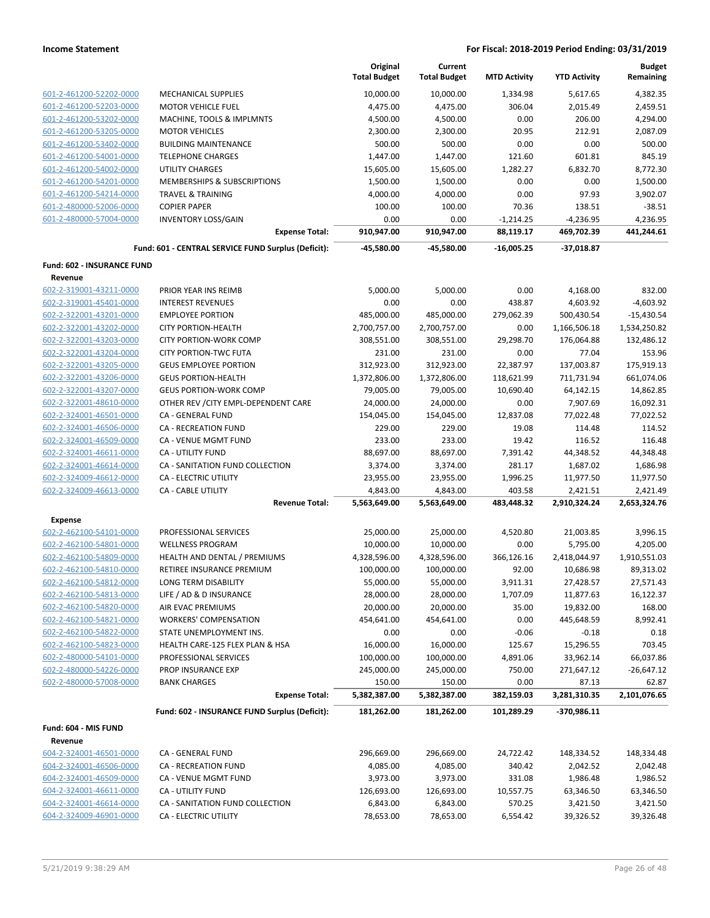|                            |                                                     | Original<br><b>Total Budget</b> | Current<br><b>Total Budget</b> | <b>MTD Activity</b> | <b>YTD Activity</b> | <b>Budget</b><br>Remaining |
|----------------------------|-----------------------------------------------------|---------------------------------|--------------------------------|---------------------|---------------------|----------------------------|
| 601-2-461200-52202-0000    | <b>MECHANICAL SUPPLIES</b>                          | 10,000.00                       | 10,000.00                      | 1,334.98            | 5,617.65            | 4,382.35                   |
| 601-2-461200-52203-0000    | <b>MOTOR VEHICLE FUEL</b>                           | 4,475.00                        | 4,475.00                       | 306.04              | 2,015.49            | 2,459.51                   |
| 601-2-461200-53202-0000    | MACHINE, TOOLS & IMPLMNTS                           | 4,500.00                        | 4,500.00                       | 0.00                | 206.00              | 4,294.00                   |
| 601-2-461200-53205-0000    | <b>MOTOR VEHICLES</b>                               | 2,300.00                        | 2,300.00                       | 20.95               | 212.91              | 2,087.09                   |
| 601-2-461200-53402-0000    | <b>BUILDING MAINTENANCE</b>                         | 500.00                          | 500.00                         | 0.00                | 0.00                | 500.00                     |
| 601-2-461200-54001-0000    | <b>TELEPHONE CHARGES</b>                            | 1,447.00                        | 1,447.00                       | 121.60              | 601.81              | 845.19                     |
| 601-2-461200-54002-0000    | <b>UTILITY CHARGES</b>                              | 15,605.00                       | 15,605.00                      | 1,282.27            | 6,832.70            | 8,772.30                   |
| 601-2-461200-54201-0000    | <b>MEMBERSHIPS &amp; SUBSCRIPTIONS</b>              | 1,500.00                        | 1,500.00                       | 0.00                | 0.00                | 1,500.00                   |
| 601-2-461200-54214-0000    | <b>TRAVEL &amp; TRAINING</b>                        | 4,000.00                        | 4,000.00                       | 0.00                | 97.93               | 3,902.07                   |
| 601-2-480000-52006-0000    | <b>COPIER PAPER</b>                                 | 100.00                          | 100.00                         | 70.36               | 138.51              | $-38.51$                   |
| 601-2-480000-57004-0000    | <b>INVENTORY LOSS/GAIN</b>                          | 0.00                            | 0.00                           | $-1,214.25$         | $-4,236.95$         | 4,236.95                   |
|                            | <b>Expense Total:</b>                               | 910,947.00                      | 910,947.00                     | 88,119.17           | 469,702.39          | 441,244.61                 |
|                            | Fund: 601 - CENTRAL SERVICE FUND Surplus (Deficit): | -45,580.00                      | -45,580.00                     | $-16,005.25$        | $-37,018.87$        |                            |
| Fund: 602 - INSURANCE FUND |                                                     |                                 |                                |                     |                     |                            |
| Revenue                    |                                                     |                                 |                                |                     |                     |                            |
| 602-2-319001-43211-0000    | PRIOR YEAR INS REIMB                                | 5,000.00                        | 5,000.00                       | 0.00                | 4,168.00            | 832.00                     |
| 602-2-319001-45401-0000    | <b>INTEREST REVENUES</b>                            | 0.00                            | 0.00                           | 438.87              | 4,603.92            | $-4,603.92$                |
| 602-2-322001-43201-0000    | <b>EMPLOYEE PORTION</b>                             | 485,000.00                      | 485,000.00                     | 279,062.39          | 500,430.54          | $-15,430.54$               |
| 602-2-322001-43202-0000    | <b>CITY PORTION-HEALTH</b>                          | 2,700,757.00                    | 2,700,757.00                   | 0.00                | 1,166,506.18        | 1,534,250.82               |
| 602-2-322001-43203-0000    | <b>CITY PORTION-WORK COMP</b>                       | 308,551.00                      | 308,551.00                     | 29,298.70           | 176,064.88          | 132,486.12                 |
| 602-2-322001-43204-0000    | <b>CITY PORTION-TWC FUTA</b>                        | 231.00                          | 231.00                         | 0.00                | 77.04               | 153.96                     |
| 602-2-322001-43205-0000    | <b>GEUS EMPLOYEE PORTION</b>                        | 312,923.00                      | 312,923.00                     | 22,387.97           | 137,003.87          | 175,919.13                 |
| 602-2-322001-43206-0000    | <b>GEUS PORTION-HEALTH</b>                          | 1,372,806.00                    | 1,372,806.00                   | 118,621.99          | 711,731.94          | 661,074.06                 |
| 602-2-322001-43207-0000    | <b>GEUS PORTION-WORK COMP</b>                       | 79,005.00                       | 79,005.00                      | 10,690.40           | 64,142.15           | 14,862.85                  |
| 602-2-322001-48610-0000    | OTHER REV / CITY EMPL-DEPENDENT CARE                | 24,000.00                       | 24,000.00                      | 0.00                | 7,907.69            | 16,092.31                  |
| 602-2-324001-46501-0000    | CA - GENERAL FUND                                   | 154,045.00                      | 154,045.00                     | 12,837.08           | 77,022.48           | 77,022.52                  |
| 602-2-324001-46506-0000    | <b>CA - RECREATION FUND</b>                         | 229.00                          | 229.00                         | 19.08               | 114.48              | 114.52                     |
| 602-2-324001-46509-0000    | CA - VENUE MGMT FUND                                | 233.00                          | 233.00                         | 19.42               | 116.52              | 116.48                     |
| 602-2-324001-46611-0000    | CA - UTILITY FUND                                   | 88,697.00                       | 88,697.00                      | 7,391.42            | 44,348.52           | 44,348.48                  |
| 602-2-324001-46614-0000    | CA - SANITATION FUND COLLECTION                     | 3,374.00                        | 3,374.00                       | 281.17              | 1,687.02            | 1,686.98                   |
| 602-2-324009-46612-0000    | CA - ELECTRIC UTILITY                               | 23,955.00                       | 23,955.00                      | 1,996.25            | 11,977.50           | 11,977.50                  |
| 602-2-324009-46613-0000    | CA - CABLE UTILITY                                  | 4,843.00                        | 4,843.00                       | 403.58              | 2,421.51            | 2,421.49                   |
|                            | <b>Revenue Total:</b>                               | 5,563,649.00                    | 5,563,649.00                   | 483,448.32          | 2,910,324.24        | 2,653,324.76               |
| <b>Expense</b>             |                                                     |                                 |                                |                     |                     |                            |
| 602-2-462100-54101-0000    | PROFESSIONAL SERVICES                               | 25,000.00                       | 25,000.00                      | 4,520.80            | 21,003.85           | 3,996.15                   |
| 602-2-462100-54801-0000    | <b>WELLNESS PROGRAM</b>                             | 10,000.00                       | 10,000.00                      | 0.00                | 5,795.00            | 4,205.00                   |
| 602-2-462100-54809-0000    | HEALTH AND DENTAL / PREMIUMS                        | 4,328,596.00                    | 4,328,596.00                   | 366,126.16          | 2,418,044.97        | 1,910,551.03               |
| 602-2-462100-54810-0000    | RETIREE INSURANCE PREMIUM                           | 100,000.00                      | 100,000.00                     | 92.00               | 10,686.98           | 89,313.02                  |
| 602-2-462100-54812-0000    | LONG TERM DISABILITY                                | 55,000.00                       | 55,000.00                      | 3,911.31            | 27,428.57           | 27,571.43                  |
| 602-2-462100-54813-0000    | LIFE / AD & D INSURANCE                             | 28,000.00                       | 28,000.00                      | 1,707.09            | 11,877.63           | 16,122.37                  |
| 602-2-462100-54820-0000    | AIR EVAC PREMIUMS                                   | 20,000.00                       | 20,000.00                      | 35.00               | 19,832.00           | 168.00                     |
| 602-2-462100-54821-0000    | <b>WORKERS' COMPENSATION</b>                        | 454,641.00                      | 454,641.00                     | 0.00                | 445,648.59          | 8,992.41                   |
| 602-2-462100-54822-0000    | STATE UNEMPLOYMENT INS.                             | 0.00                            | 0.00                           | $-0.06$             | $-0.18$             | 0.18                       |
| 602-2-462100-54823-0000    | HEALTH CARE-125 FLEX PLAN & HSA                     | 16,000.00                       | 16,000.00                      | 125.67              | 15,296.55           | 703.45                     |
| 602-2-480000-54101-0000    | PROFESSIONAL SERVICES                               | 100,000.00                      | 100,000.00                     | 4,891.06            | 33,962.14           | 66,037.86                  |
| 602-2-480000-54226-0000    | PROP INSURANCE EXP                                  | 245,000.00                      | 245,000.00                     | 750.00              | 271,647.12          | $-26,647.12$               |
| 602-2-480000-57008-0000    | <b>BANK CHARGES</b>                                 | 150.00                          | 150.00                         | 0.00                | 87.13               | 62.87                      |
|                            | <b>Expense Total:</b>                               | 5,382,387.00                    | 5,382,387.00                   | 382,159.03          | 3,281,310.35        | 2,101,076.65               |
|                            | Fund: 602 - INSURANCE FUND Surplus (Deficit):       | 181,262.00                      | 181,262.00                     | 101,289.29          | -370,986.11         |                            |
| Fund: 604 - MIS FUND       |                                                     |                                 |                                |                     |                     |                            |
| Revenue                    |                                                     |                                 |                                |                     |                     |                            |
| 604-2-324001-46501-0000    | CA - GENERAL FUND                                   | 296,669.00                      | 296,669.00                     | 24,722.42           | 148,334.52          | 148,334.48                 |
| 604-2-324001-46506-0000    | CA - RECREATION FUND                                | 4,085.00                        | 4,085.00                       | 340.42              | 2,042.52            | 2,042.48                   |
| 604-2-324001-46509-0000    | CA - VENUE MGMT FUND                                | 3,973.00                        | 3,973.00                       | 331.08              | 1,986.48            | 1,986.52                   |
| 604-2-324001-46611-0000    | CA - UTILITY FUND                                   | 126,693.00                      | 126,693.00                     | 10,557.75           | 63,346.50           | 63,346.50                  |
| 604-2-324001-46614-0000    | CA - SANITATION FUND COLLECTION                     | 6,843.00                        | 6,843.00                       | 570.25              | 3,421.50            | 3,421.50                   |
| 604-2-324009-46901-0000    | CA - ELECTRIC UTILITY                               | 78,653.00                       | 78,653.00                      | 6,554.42            | 39,326.52           | 39,326.48                  |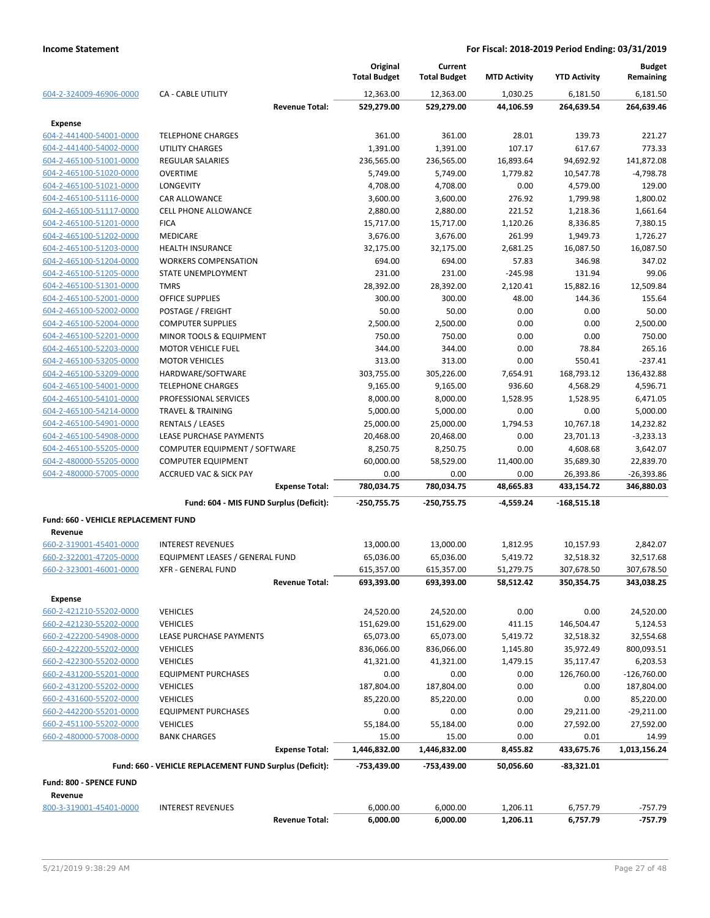|                                                    |                                                         |                       | Original<br><b>Total Budget</b> | Current<br><b>Total Budget</b> | <b>MTD Activity</b> | <b>YTD Activity</b> | <b>Budget</b><br>Remaining |
|----------------------------------------------------|---------------------------------------------------------|-----------------------|---------------------------------|--------------------------------|---------------------|---------------------|----------------------------|
| 604-2-324009-46906-0000                            | <b>CA - CABLE UTILITY</b>                               |                       | 12,363.00                       | 12,363.00                      | 1,030.25            | 6,181.50            | 6,181.50                   |
|                                                    |                                                         | <b>Revenue Total:</b> | 529,279.00                      | 529,279.00                     | 44,106.59           | 264,639.54          | 264,639.46                 |
| <b>Expense</b>                                     |                                                         |                       |                                 |                                |                     |                     |                            |
| 604-2-441400-54001-0000                            | <b>TELEPHONE CHARGES</b>                                |                       | 361.00                          | 361.00                         | 28.01               | 139.73              | 221.27                     |
| 604-2-441400-54002-0000                            | <b>UTILITY CHARGES</b>                                  |                       | 1,391.00                        | 1,391.00                       | 107.17              | 617.67              | 773.33                     |
| 604-2-465100-51001-0000                            | <b>REGULAR SALARIES</b>                                 |                       | 236,565.00                      | 236,565.00                     | 16,893.64           | 94,692.92           | 141,872.08                 |
| 604-2-465100-51020-0000                            | <b>OVERTIME</b>                                         |                       | 5,749.00                        | 5,749.00                       | 1,779.82            | 10,547.78           | $-4,798.78$                |
| 604-2-465100-51021-0000                            | <b>LONGEVITY</b>                                        |                       | 4,708.00                        | 4,708.00                       | 0.00                | 4,579.00            | 129.00                     |
| 604-2-465100-51116-0000                            | <b>CAR ALLOWANCE</b>                                    |                       | 3,600.00                        | 3,600.00                       | 276.92              | 1,799.98            | 1,800.02                   |
| 604-2-465100-51117-0000                            | <b>CELL PHONE ALLOWANCE</b>                             |                       | 2,880.00                        | 2,880.00                       | 221.52              | 1,218.36            | 1,661.64                   |
| 604-2-465100-51201-0000                            | <b>FICA</b>                                             |                       | 15,717.00                       | 15,717.00                      | 1,120.26            | 8,336.85            | 7,380.15                   |
| 604-2-465100-51202-0000                            | <b>MEDICARE</b>                                         |                       | 3,676.00                        | 3,676.00                       | 261.99              | 1,949.73            | 1,726.27                   |
| 604-2-465100-51203-0000                            | <b>HEALTH INSURANCE</b>                                 |                       | 32,175.00                       | 32,175.00                      | 2,681.25            | 16,087.50           | 16,087.50                  |
| 604-2-465100-51204-0000                            | <b>WORKERS COMPENSATION</b>                             |                       | 694.00                          | 694.00                         | 57.83               | 346.98              | 347.02                     |
| 604-2-465100-51205-0000                            | STATE UNEMPLOYMENT                                      |                       | 231.00                          | 231.00                         | $-245.98$           | 131.94              | 99.06                      |
| 604-2-465100-51301-0000                            | <b>TMRS</b>                                             |                       | 28,392.00                       | 28,392.00                      | 2,120.41            | 15,882.16           | 12,509.84                  |
| 604-2-465100-52001-0000                            | <b>OFFICE SUPPLIES</b>                                  |                       | 300.00                          | 300.00                         | 48.00               | 144.36              | 155.64                     |
| 604-2-465100-52002-0000                            | POSTAGE / FREIGHT                                       |                       | 50.00                           | 50.00                          | 0.00                | 0.00                | 50.00                      |
| 604-2-465100-52004-0000                            | <b>COMPUTER SUPPLIES</b>                                |                       | 2,500.00                        | 2,500.00                       | 0.00                | 0.00                | 2,500.00                   |
| 604-2-465100-52201-0000                            | MINOR TOOLS & EQUIPMENT                                 |                       | 750.00                          | 750.00                         | 0.00                | 0.00                | 750.00                     |
| 604-2-465100-52203-0000                            | <b>MOTOR VEHICLE FUEL</b>                               |                       | 344.00                          | 344.00                         | 0.00                | 78.84               | 265.16                     |
| 604-2-465100-53205-0000                            | <b>MOTOR VEHICLES</b>                                   |                       | 313.00                          | 313.00                         | 0.00                | 550.41              | $-237.41$                  |
| 604-2-465100-53209-0000                            | HARDWARE/SOFTWARE                                       |                       | 303,755.00                      | 305,226.00                     | 7,654.91            | 168,793.12          | 136,432.88                 |
| 604-2-465100-54001-0000                            | <b>TELEPHONE CHARGES</b>                                |                       | 9,165.00                        | 9,165.00                       | 936.60              | 4,568.29            | 4,596.71                   |
| 604-2-465100-54101-0000                            | PROFESSIONAL SERVICES                                   |                       | 8,000.00                        | 8,000.00                       | 1,528.95            | 1,528.95            | 6,471.05                   |
| 604-2-465100-54214-0000                            | <b>TRAVEL &amp; TRAINING</b>                            |                       | 5,000.00                        | 5,000.00                       | 0.00                | 0.00                | 5,000.00                   |
| 604-2-465100-54901-0000                            | <b>RENTALS / LEASES</b>                                 |                       | 25,000.00                       | 25,000.00                      | 1,794.53            | 10,767.18           | 14,232.82                  |
| 604-2-465100-54908-0000                            | LEASE PURCHASE PAYMENTS                                 |                       | 20,468.00                       | 20,468.00                      | 0.00                | 23,701.13           | $-3,233.13$                |
| 604-2-465100-55205-0000                            | COMPUTER EQUIPMENT / SOFTWARE                           |                       | 8,250.75                        | 8,250.75                       | 0.00                | 4,608.68            | 3,642.07                   |
| 604-2-480000-55205-0000                            | <b>COMPUTER EQUIPMENT</b>                               |                       | 60,000.00                       | 58,529.00                      | 11,400.00           | 35,689.30           | 22,839.70                  |
| 604-2-480000-57005-0000                            | <b>ACCRUED VAC &amp; SICK PAY</b>                       |                       | 0.00                            | 0.00                           | 0.00                | 26,393.86           | -26,393.86                 |
|                                                    |                                                         | <b>Expense Total:</b> | 780,034.75                      | 780,034.75                     | 48,665.83           | 433,154.72          | 346,880.03                 |
|                                                    | Fund: 604 - MIS FUND Surplus (Deficit):                 |                       | -250,755.75                     | $-250,755.75$                  | -4,559.24           | $-168,515.18$       |                            |
| Fund: 660 - VEHICLE REPLACEMENT FUND               |                                                         |                       |                                 |                                |                     |                     |                            |
| Revenue                                            |                                                         |                       |                                 |                                |                     |                     |                            |
| 660-2-319001-45401-0000                            | <b>INTEREST REVENUES</b>                                |                       | 13,000.00                       | 13,000.00                      | 1,812.95            | 10,157.93           | 2,842.07                   |
| 660-2-322001-47205-0000                            | EQUIPMENT LEASES / GENERAL FUND                         |                       | 65,036.00                       | 65,036.00                      | 5,419.72            | 32,518.32           | 32,517.68                  |
| 660-2-323001-46001-0000                            | <b>XFR - GENERAL FUND</b>                               |                       | 615,357.00                      | 615,357.00                     | 51,279.75           | 307,678.50          | 307,678.50                 |
|                                                    |                                                         | <b>Revenue Total:</b> | 693,393.00                      | 693,393.00                     | 58,512.42           | 350,354.75          | 343,038.25                 |
| Expense                                            |                                                         |                       |                                 |                                |                     |                     |                            |
| 660-2-421210-55202-0000                            | <b>VEHICLES</b>                                         |                       | 24,520.00                       | 24,520.00                      | 0.00                | 0.00                | 24,520.00                  |
| 660-2-421230-55202-0000                            | <b>VEHICLES</b>                                         |                       | 151,629.00                      | 151,629.00                     | 411.15              | 146,504.47          | 5,124.53                   |
| 660-2-422200-54908-0000                            | LEASE PURCHASE PAYMENTS                                 |                       | 65,073.00                       | 65,073.00                      | 5,419.72            | 32,518.32           | 32,554.68                  |
| 660-2-422200-55202-0000                            | <b>VEHICLES</b>                                         |                       | 836,066.00                      | 836,066.00                     | 1,145.80            | 35,972.49           | 800,093.51                 |
| 660-2-422300-55202-0000                            | <b>VEHICLES</b>                                         |                       | 41,321.00                       | 41,321.00                      | 1,479.15            | 35,117.47           | 6,203.53                   |
| 660-2-431200-55201-0000                            | <b>EQUIPMENT PURCHASES</b>                              |                       | 0.00                            | 0.00                           | 0.00                | 126,760.00          | $-126,760.00$              |
| 660-2-431200-55202-0000                            | <b>VEHICLES</b>                                         |                       | 187,804.00                      | 187,804.00                     | 0.00                | 0.00                | 187,804.00                 |
| 660-2-431600-55202-0000                            | <b>VEHICLES</b>                                         |                       | 85,220.00                       | 85,220.00                      | 0.00                | 0.00                | 85,220.00                  |
| 660-2-442200-55201-0000                            | <b>EQUIPMENT PURCHASES</b>                              |                       | 0.00                            | 0.00                           | 0.00                | 29,211.00           | $-29,211.00$               |
|                                                    |                                                         |                       |                                 |                                |                     |                     |                            |
| 660-2-451100-55202-0000<br>660-2-480000-57008-0000 | <b>VEHICLES</b>                                         |                       | 55,184.00                       | 55,184.00                      | 0.00                | 27,592.00           | 27,592.00                  |
|                                                    | <b>BANK CHARGES</b>                                     | <b>Expense Total:</b> | 15.00<br>1,446,832.00           | 15.00<br>1,446,832.00          | 0.00<br>8,455.82    | 0.01<br>433,675.76  | 14.99<br>1,013,156.24      |
|                                                    | Fund: 660 - VEHICLE REPLACEMENT FUND Surplus (Deficit): |                       | -753,439.00                     | -753,439.00                    | 50,056.60           | $-83,321.01$        |                            |
|                                                    |                                                         |                       |                                 |                                |                     |                     |                            |
| Fund: 800 - SPENCE FUND<br>Revenue                 |                                                         |                       |                                 |                                |                     |                     |                            |
| 800-3-319001-45401-0000                            | <b>INTEREST REVENUES</b>                                |                       | 6,000.00                        | 6,000.00                       | 1,206.11            | 6,757.79            | $-757.79$                  |
|                                                    |                                                         | <b>Revenue Total:</b> | 6,000.00                        | 6,000.00                       | 1,206.11            | 6,757.79            | $-757.79$                  |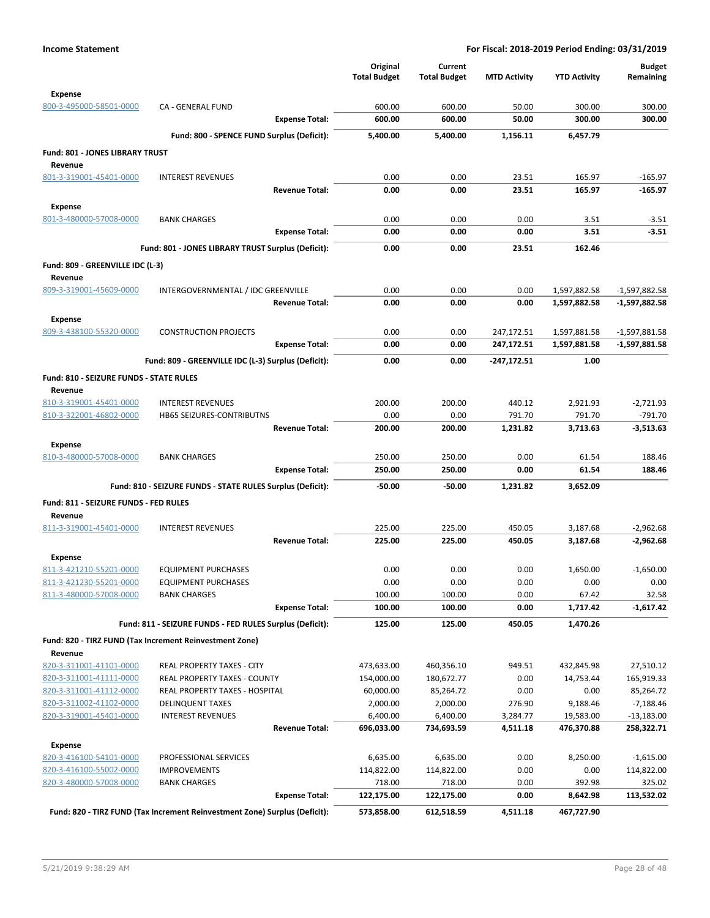|                                                    |                                                                            |                       | Original<br><b>Total Budget</b> | Current<br><b>Total Budget</b> | <b>MTD Activity</b> | <b>YTD Activity</b>   | <b>Budget</b><br>Remaining  |
|----------------------------------------------------|----------------------------------------------------------------------------|-----------------------|---------------------------------|--------------------------------|---------------------|-----------------------|-----------------------------|
| <b>Expense</b>                                     |                                                                            |                       |                                 |                                |                     |                       |                             |
| 800-3-495000-58501-0000                            | CA - GENERAL FUND                                                          |                       | 600.00                          | 600.00                         | 50.00               | 300.00                | 300.00                      |
|                                                    |                                                                            | <b>Expense Total:</b> | 600.00                          | 600.00                         | 50.00               | 300.00                | 300.00                      |
|                                                    | Fund: 800 - SPENCE FUND Surplus (Deficit):                                 |                       | 5,400.00                        | 5.400.00                       | 1,156.11            | 6,457.79              |                             |
| <b>Fund: 801 - JONES LIBRARY TRUST</b>             |                                                                            |                       |                                 |                                |                     |                       |                             |
| Revenue<br>801-3-319001-45401-0000                 | <b>INTEREST REVENUES</b>                                                   |                       | 0.00                            | 0.00                           | 23.51               | 165.97                | $-165.97$                   |
|                                                    |                                                                            | <b>Revenue Total:</b> | 0.00                            | 0.00                           | 23.51               | 165.97                | $-165.97$                   |
| <b>Expense</b>                                     |                                                                            |                       |                                 |                                |                     |                       |                             |
| 801-3-480000-57008-0000                            | <b>BANK CHARGES</b>                                                        |                       | 0.00                            | 0.00                           | 0.00                | 3.51                  | $-3.51$                     |
|                                                    |                                                                            | <b>Expense Total:</b> | 0.00                            | 0.00                           | 0.00                | 3.51                  | $-3.51$                     |
|                                                    | Fund: 801 - JONES LIBRARY TRUST Surplus (Deficit):                         |                       | 0.00                            | 0.00                           | 23.51               | 162.46                |                             |
| Fund: 809 - GREENVILLE IDC (L-3)                   |                                                                            |                       |                                 |                                |                     |                       |                             |
| Revenue                                            |                                                                            |                       |                                 |                                |                     |                       |                             |
| 809-3-319001-45609-0000                            | INTERGOVERNMENTAL / IDC GREENVILLE                                         |                       | 0.00                            | 0.00                           | 0.00                | 1,597,882.58          | $-1,597,882.58$             |
|                                                    |                                                                            | <b>Revenue Total:</b> | 0.00                            | 0.00                           | 0.00                | 1,597,882.58          | -1,597,882.58               |
| <b>Expense</b><br>809-3-438100-55320-0000          | <b>CONSTRUCTION PROJECTS</b>                                               |                       | 0.00                            | 0.00                           | 247,172.51          | 1,597,881.58          | $-1,597,881.58$             |
|                                                    |                                                                            | <b>Expense Total:</b> | 0.00                            | 0.00                           | 247,172.51          | 1,597,881.58          | -1,597,881.58               |
|                                                    | Fund: 809 - GREENVILLE IDC (L-3) Surplus (Deficit):                        |                       | 0.00                            | 0.00                           | $-247,172.51$       | 1.00                  |                             |
| <b>Fund: 810 - SEIZURE FUNDS - STATE RULES</b>     |                                                                            |                       |                                 |                                |                     |                       |                             |
| Revenue                                            |                                                                            |                       |                                 |                                |                     |                       |                             |
| 810-3-319001-45401-0000                            | <b>INTEREST REVENUES</b>                                                   |                       | 200.00                          | 200.00                         | 440.12              | 2,921.93              | $-2,721.93$                 |
| 810-3-322001-46802-0000                            | HB65 SEIZURES-CONTRIBUTNS                                                  |                       | 0.00                            | 0.00                           | 791.70              | 791.70                | $-791.70$                   |
|                                                    |                                                                            | <b>Revenue Total:</b> | 200.00                          | 200.00                         | 1,231.82            | 3,713.63              | $-3,513.63$                 |
| <b>Expense</b>                                     |                                                                            |                       |                                 |                                |                     |                       |                             |
| 810-3-480000-57008-0000                            | <b>BANK CHARGES</b>                                                        | <b>Expense Total:</b> | 250.00<br>250.00                | 250.00<br>250.00               | 0.00<br>0.00        | 61.54<br>61.54        | 188.46<br>188.46            |
|                                                    | Fund: 810 - SEIZURE FUNDS - STATE RULES Surplus (Deficit):                 |                       | $-50.00$                        | -50.00                         | 1,231.82            | 3,652.09              |                             |
|                                                    |                                                                            |                       |                                 |                                |                     |                       |                             |
| Fund: 811 - SEIZURE FUNDS - FED RULES<br>Revenue   |                                                                            |                       |                                 |                                |                     |                       |                             |
| 811-3-319001-45401-0000                            | <b>INTEREST REVENUES</b>                                                   |                       | 225.00                          | 225.00                         | 450.05              | 3,187.68              | $-2,962.68$                 |
|                                                    |                                                                            | <b>Revenue Total:</b> | 225.00                          | 225.00                         | 450.05              | 3,187.68              | $-2,962.68$                 |
| <b>Expense</b>                                     |                                                                            |                       |                                 |                                |                     |                       |                             |
| 811-3-421210-55201-0000                            | <b>EQUIPMENT PURCHASES</b>                                                 |                       | 0.00                            | 0.00                           | 0.00                | 1,650.00              | $-1,650.00$                 |
| 811-3-421230-55201-0000<br>811-3-480000-57008-0000 | <b>EQUIPMENT PURCHASES</b>                                                 |                       | 0.00<br>100.00                  | 0.00<br>100.00                 | 0.00<br>0.00        | 0.00<br>67.42         | 0.00                        |
|                                                    | <b>BANK CHARGES</b>                                                        | <b>Expense Total:</b> | 100.00                          | 100.00                         | 0.00                | 1,717.42              | 32.58<br>$-1,617.42$        |
|                                                    | Fund: 811 - SEIZURE FUNDS - FED RULES Surplus (Deficit):                   |                       | 125.00                          | 125.00                         | 450.05              | 1,470.26              |                             |
|                                                    | Fund: 820 - TIRZ FUND (Tax Increment Reinvestment Zone)                    |                       |                                 |                                |                     |                       |                             |
| Revenue                                            |                                                                            |                       |                                 |                                |                     |                       |                             |
| 820-3-311001-41101-0000                            | REAL PROPERTY TAXES - CITY                                                 |                       | 473,633.00                      | 460,356.10                     | 949.51              | 432,845.98            | 27,510.12                   |
| 820-3-311001-41111-0000                            | REAL PROPERTY TAXES - COUNTY                                               |                       | 154,000.00                      | 180,672.77                     | 0.00                | 14,753.44             | 165,919.33                  |
| 820-3-311001-41112-0000                            | REAL PROPERTY TAXES - HOSPITAL                                             |                       | 60,000.00                       | 85,264.72                      | 0.00                | 0.00                  | 85,264.72                   |
| 820-3-311002-41102-0000<br>820-3-319001-45401-0000 | <b>DELINQUENT TAXES</b><br><b>INTEREST REVENUES</b>                        |                       | 2,000.00<br>6,400.00            | 2,000.00<br>6,400.00           | 276.90<br>3,284.77  | 9,188.46<br>19,583.00 | $-7,188.46$<br>$-13,183.00$ |
|                                                    |                                                                            | <b>Revenue Total:</b> | 696,033.00                      | 734,693.59                     | 4,511.18            | 476,370.88            | 258,322.71                  |
| <b>Expense</b>                                     |                                                                            |                       |                                 |                                |                     |                       |                             |
| 820-3-416100-54101-0000                            | PROFESSIONAL SERVICES                                                      |                       | 6,635.00                        | 6,635.00                       | 0.00                | 8,250.00              | $-1,615.00$                 |
| 820-3-416100-55002-0000                            | <b>IMPROVEMENTS</b>                                                        |                       | 114,822.00                      | 114,822.00                     | 0.00                | 0.00                  | 114,822.00                  |
| 820-3-480000-57008-0000                            | <b>BANK CHARGES</b>                                                        |                       | 718.00                          | 718.00                         | 0.00                | 392.98                | 325.02                      |
|                                                    |                                                                            | <b>Expense Total:</b> | 122,175.00                      | 122,175.00                     | 0.00                | 8,642.98              | 113,532.02                  |
|                                                    | Fund: 820 - TIRZ FUND (Tax Increment Reinvestment Zone) Surplus (Deficit): |                       | 573,858.00                      | 612,518.59                     | 4,511.18            | 467,727.90            |                             |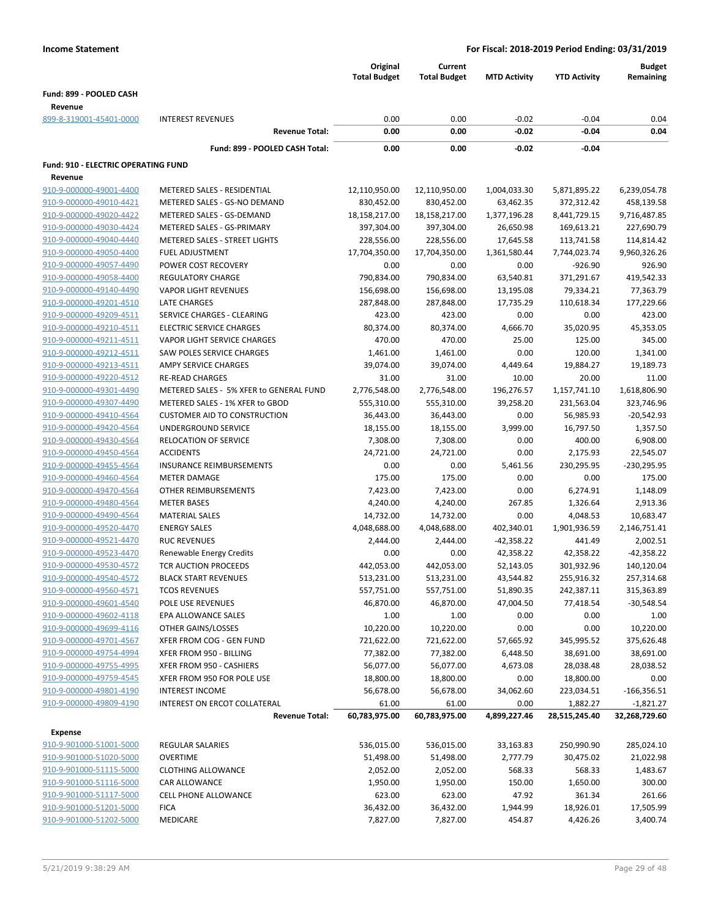|                                                    |                                                         | Original<br><b>Total Budget</b> | Current<br><b>Total Budget</b> | <b>MTD Activity</b>    | <b>YTD Activity</b>     | <b>Budget</b><br>Remaining |
|----------------------------------------------------|---------------------------------------------------------|---------------------------------|--------------------------------|------------------------|-------------------------|----------------------------|
| Fund: 899 - POOLED CASH                            |                                                         |                                 |                                |                        |                         |                            |
|                                                    |                                                         |                                 |                                |                        |                         |                            |
| Revenue<br>899-8-319001-45401-0000                 | <b>INTEREST REVENUES</b>                                | 0.00                            | 0.00                           | $-0.02$                | $-0.04$                 | 0.04                       |
|                                                    | <b>Revenue Total:</b>                                   | 0.00                            | 0.00                           | $-0.02$                | $-0.04$                 | 0.04                       |
|                                                    |                                                         |                                 |                                |                        |                         |                            |
|                                                    | Fund: 899 - POOLED CASH Total:                          | 0.00                            | 0.00                           | $-0.02$                | $-0.04$                 |                            |
| Fund: 910 - ELECTRIC OPERATING FUND                |                                                         |                                 |                                |                        |                         |                            |
| Revenue                                            |                                                         |                                 |                                |                        |                         |                            |
| 910-9-000000-49001-4400                            | METERED SALES - RESIDENTIAL                             | 12,110,950.00                   | 12,110,950.00                  | 1,004,033.30           | 5,871,895.22            | 6,239,054.78               |
| 910-9-000000-49010-4421                            | METERED SALES - GS-NO DEMAND                            | 830,452.00                      | 830,452.00                     | 63,462.35              | 372,312.42              | 458,139.58                 |
| 910-9-000000-49020-4422                            | METERED SALES - GS-DEMAND                               | 18,158,217.00                   | 18,158,217.00                  | 1,377,196.28           | 8,441,729.15            | 9,716,487.85               |
| 910-9-000000-49030-4424                            | METERED SALES - GS-PRIMARY                              | 397,304.00                      | 397,304.00                     | 26,650.98              | 169,613.21              | 227,690.79                 |
| 910-9-000000-49040-4440                            | METERED SALES - STREET LIGHTS                           | 228,556.00                      | 228,556.00                     | 17,645.58              | 113,741.58              | 114,814.42                 |
| 910-9-000000-49050-4400                            | <b>FUEL ADJUSTMENT</b>                                  | 17,704,350.00                   | 17,704,350.00                  | 1,361,580.44           | 7,744,023.74            | 9,960,326.26               |
| 910-9-000000-49057-4490                            | POWER COST RECOVERY                                     | 0.00                            | 0.00                           | 0.00                   | $-926.90$               | 926.90                     |
| 910-9-000000-49058-4400<br>910-9-000000-49140-4490 | <b>REGULATORY CHARGE</b><br><b>VAPOR LIGHT REVENUES</b> | 790,834.00                      | 790,834.00<br>156,698.00       | 63,540.81<br>13,195.08 | 371,291.67<br>79,334.21 | 419,542.33<br>77,363.79    |
| 910-9-000000-49201-4510                            | <b>LATE CHARGES</b>                                     | 156,698.00<br>287,848.00        | 287,848.00                     | 17,735.29              | 110,618.34              | 177,229.66                 |
| 910-9-000000-49209-4511                            | SERVICE CHARGES - CLEARING                              | 423.00                          | 423.00                         | 0.00                   | 0.00                    | 423.00                     |
| 910-9-000000-49210-4511                            | <b>ELECTRIC SERVICE CHARGES</b>                         | 80,374.00                       | 80,374.00                      | 4,666.70               | 35,020.95               | 45,353.05                  |
| 910-9-000000-49211-4511                            | <b>VAPOR LIGHT SERVICE CHARGES</b>                      | 470.00                          | 470.00                         | 25.00                  | 125.00                  | 345.00                     |
| 910-9-000000-49212-4511                            | SAW POLES SERVICE CHARGES                               | 1,461.00                        | 1,461.00                       | 0.00                   | 120.00                  | 1,341.00                   |
| 910-9-000000-49213-4511                            | <b>AMPY SERVICE CHARGES</b>                             | 39,074.00                       | 39,074.00                      | 4,449.64               | 19,884.27               | 19,189.73                  |
| 910-9-000000-49220-4512                            | <b>RE-READ CHARGES</b>                                  | 31.00                           | 31.00                          | 10.00                  | 20.00                   | 11.00                      |
| 910-9-000000-49301-4490                            | METERED SALES - 5% XFER to GENERAL FUND                 | 2,776,548.00                    | 2,776,548.00                   | 196,276.57             | 1,157,741.10            | 1,618,806.90               |
| 910-9-000000-49307-4490                            | METERED SALES - 1% XFER to GBOD                         | 555,310.00                      | 555,310.00                     | 39,258.20              | 231,563.04              | 323,746.96                 |
| 910-9-000000-49410-4564                            | <b>CUSTOMER AID TO CONSTRUCTION</b>                     | 36,443.00                       | 36,443.00                      | 0.00                   | 56,985.93               | $-20,542.93$               |
| 910-9-000000-49420-4564                            | UNDERGROUND SERVICE                                     | 18,155.00                       | 18,155.00                      | 3,999.00               | 16,797.50               | 1,357.50                   |
| 910-9-000000-49430-4564                            | <b>RELOCATION OF SERVICE</b>                            | 7,308.00                        | 7,308.00                       | 0.00                   | 400.00                  | 6,908.00                   |
| 910-9-000000-49450-4564                            | <b>ACCIDENTS</b>                                        | 24,721.00                       | 24,721.00                      | 0.00                   | 2,175.93                | 22,545.07                  |
| 910-9-000000-49455-4564                            | <b>INSURANCE REIMBURSEMENTS</b>                         | 0.00                            | 0.00                           | 5,461.56               | 230,295.95              | -230,295.95                |
| 910-9-000000-49460-4564                            | <b>METER DAMAGE</b>                                     | 175.00                          | 175.00                         | 0.00                   | 0.00                    | 175.00                     |
| 910-9-000000-49470-4564                            | OTHER REIMBURSEMENTS                                    | 7,423.00                        | 7,423.00                       | 0.00                   | 6,274.91                | 1,148.09                   |
| 910-9-000000-49480-4564                            | <b>METER BASES</b>                                      | 4,240.00                        | 4,240.00                       | 267.85                 | 1,326.64                | 2,913.36                   |
| 910-9-000000-49490-4564                            | <b>MATERIAL SALES</b>                                   | 14,732.00                       | 14,732.00                      | 0.00                   | 4,048.53                | 10,683.47                  |
| 910-9-000000-49520-4470                            | <b>ENERGY SALES</b>                                     | 4,048,688.00                    | 4,048,688.00                   | 402,340.01             | 1,901,936.59            | 2,146,751.41               |
| 910-9-000000-49521-4470                            | <b>RUC REVENUES</b>                                     | 2,444.00                        | 2,444.00                       | $-42,358.22$           | 441.49                  | 2,002.51                   |
| 910-9-000000-49523-4470                            | Renewable Energy Credits                                | 0.00                            | 0.00                           | 42,358.22              | 42,358.22               | $-42,358.22$               |
| 910-9-000000-49530-4572                            | TCR AUCTION PROCEEDS                                    | 442,053.00                      | 442,053.00                     | 52,143.05              | 301,932.96              | 140,120.04                 |
| 910-9-000000-49540-4572                            | <b>BLACK START REVENUES</b>                             | 513,231.00                      | 513,231.00                     | 43,544.82              | 255,916.32              | 257,314.68                 |
| 910-9-000000-49560-4571                            | <b>TCOS REVENUES</b>                                    | 557,751.00                      | 557,751.00                     | 51,890.35              | 242,387.11              | 315,363.89                 |
| 910-9-000000-49601-4540                            | POLE USE REVENUES                                       | 46,870.00                       | 46,870.00                      | 47,004.50              | 77,418.54               | $-30,548.54$               |
| 910-9-000000-49602-4118                            | EPA ALLOWANCE SALES                                     | 1.00                            | 1.00                           | 0.00                   | 0.00                    | 1.00                       |
| 910-9-000000-49699-4116                            | OTHER GAINS/LOSSES                                      | 10,220.00                       | 10,220.00                      | 0.00                   | 0.00                    | 10,220.00                  |
| 910-9-000000-49701-4567                            | XFER FROM COG - GEN FUND                                | 721,622.00                      | 721,622.00                     | 57,665.92              | 345,995.52              | 375,626.48                 |
| 910-9-000000-49754-4994                            | XFER FROM 950 - BILLING                                 | 77,382.00                       | 77,382.00                      | 6,448.50               | 38,691.00               | 38,691.00                  |
| 910-9-000000-49755-4995                            | XFER FROM 950 - CASHIERS                                | 56,077.00                       | 56,077.00                      | 4,673.08               | 28,038.48               | 28,038.52                  |
| 910-9-000000-49759-4545                            | XFER FROM 950 FOR POLE USE                              | 18,800.00                       | 18,800.00                      | 0.00                   | 18,800.00               | 0.00                       |
| 910-9-000000-49801-4190                            | <b>INTEREST INCOME</b>                                  | 56,678.00                       | 56,678.00                      | 34,062.60              | 223,034.51              | $-166,356.51$              |
| 910-9-000000-49809-4190                            | <b>INTEREST ON ERCOT COLLATERAL</b>                     | 61.00                           | 61.00                          | 0.00                   | 1,882.27                | $-1,821.27$                |
|                                                    | <b>Revenue Total:</b>                                   | 60,783,975.00                   | 60,783,975.00                  | 4,899,227.46           | 28,515,245.40           | 32,268,729.60              |
| <b>Expense</b>                                     |                                                         |                                 |                                |                        |                         |                            |
| 910-9-901000-51001-5000                            | REGULAR SALARIES                                        | 536,015.00                      | 536,015.00                     | 33,163.83              | 250,990.90              | 285,024.10                 |
| 910-9-901000-51020-5000                            | <b>OVERTIME</b>                                         | 51,498.00                       | 51,498.00                      | 2,777.79               | 30,475.02               | 21,022.98                  |
| 910-9-901000-51115-5000                            | <b>CLOTHING ALLOWANCE</b>                               | 2,052.00                        | 2,052.00                       | 568.33                 | 568.33                  | 1,483.67                   |
| 910-9-901000-51116-5000                            | CAR ALLOWANCE                                           | 1,950.00                        | 1,950.00                       | 150.00                 | 1,650.00                | 300.00                     |
| 910-9-901000-51117-5000                            | CELL PHONE ALLOWANCE                                    | 623.00                          | 623.00                         | 47.92                  | 361.34                  | 261.66                     |
| 910-9-901000-51201-5000                            | <b>FICA</b>                                             | 36,432.00                       | 36,432.00                      | 1,944.99               | 18,926.01               | 17,505.99                  |
| 910-9-901000-51202-5000                            | MEDICARE                                                | 7,827.00                        | 7,827.00                       | 454.87                 | 4,426.26                | 3,400.74                   |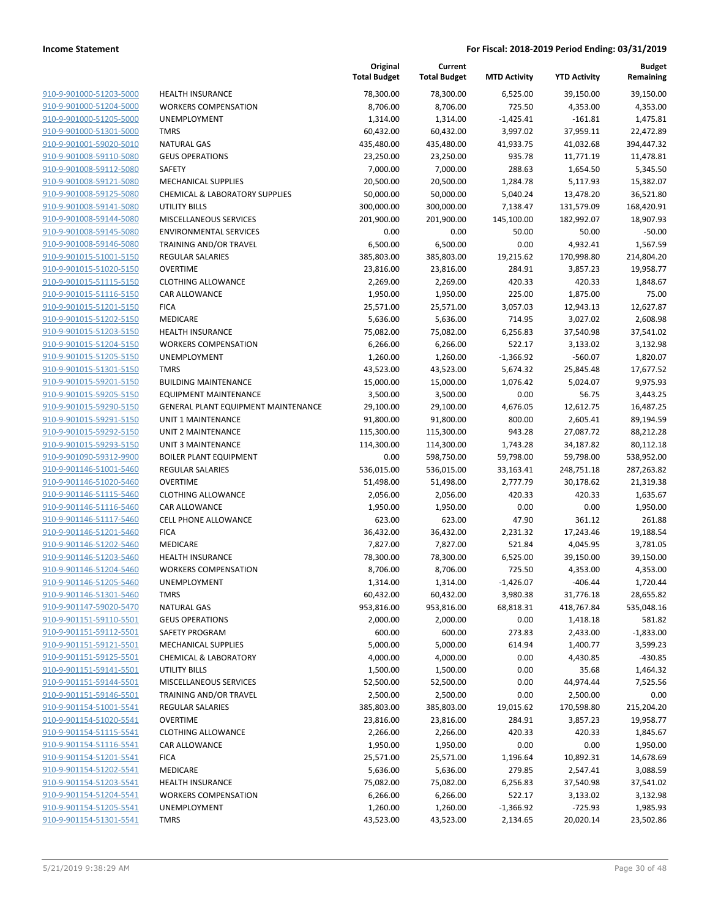| 910-9-901000-51203-5000 | <b>HEALTH INSURANCE</b>                   |
|-------------------------|-------------------------------------------|
| 910-9-901000-51204-5000 | <b>WORKERS COMPENSATION</b>               |
| 910-9-901000-51205-5000 | <b>UNEMPLOYMENT</b>                       |
| 910-9-901000-51301-5000 | <b>TMRS</b>                               |
| 910-9-901001-59020-5010 | <b>NATURAL GAS</b>                        |
| 910-9-901008-59110-5080 | <b>GEUS OPERATIONS</b>                    |
| 910-9-901008-59112-5080 | SAFETY                                    |
| 910-9-901008-59121-5080 | <b>MECHANICAL SUPPLIES</b>                |
| 910-9-901008-59125-5080 | <b>CHEMICAL &amp; LABORATORY SUPPLIES</b> |
| 910-9-901008-59141-5080 | UTILITY BILLS                             |
| 910-9-901008-59144-5080 | <b>MISCELLANEOUS SERVICES</b>             |
| 910-9-901008-59145-5080 | <b>ENVIRONMENTAL SERVICES</b>             |
| 910-9-901008-59146-5080 | TRAINING AND/OR TRAVEL                    |
| 910-9-901015-51001-5150 | <b>REGULAR SALARIES</b>                   |
| 910-9-901015-51020-5150 | OVERTIME                                  |
| 910-9-901015-51115-5150 | <b>CLOTHING ALLOWANCE</b>                 |
| 910-9-901015-51116-5150 | CAR ALLOWANCE                             |
| 910-9-901015-51201-5150 | <b>FICA</b>                               |
| 910-9-901015-51202-5150 | <b>MEDICARE</b>                           |
| 910-9-901015-51203-5150 | <b>HEALTH INSURANCE</b>                   |
| 910-9-901015-51204-5150 | <b>WORKERS COMPENSATION</b>               |
| 910-9-901015-51205-5150 | <b>UNEMPLOYMENT</b>                       |
| 910-9-901015-51301-5150 | <b>TMRS</b>                               |
| 910-9-901015-59201-5150 | <b>BUILDING MAINTENANCE</b>               |
| 910-9-901015-59205-5150 | <b>EQUIPMENT MAINTENANCE</b>              |
| 910-9-901015-59290-5150 | <b>GENERAL PLANT EQUIPMENT MAINTE</b>     |
| 910-9-901015-59291-5150 | UNIT 1 MAINTENANCE                        |
| 910-9-901015-59292-5150 | UNIT 2 MAINTENANCE                        |
| 910-9-901015-59293-5150 | UNIT 3 MAINTENANCE                        |
| 910-9-901090-59312-9900 | BOILER PLANT EQUIPMENT                    |
| 910-9-901146-51001-5460 | <b>REGULAR SALARIES</b>                   |
| 910-9-901146-51020-5460 | <b>OVERTIME</b>                           |
| 910-9-901146-51115-5460 | <b>CLOTHING ALLOWANCE</b>                 |
| 910-9-901146-51116-5460 | <b>CAR ALLOWANCE</b>                      |
| 910-9-901146-51117-5460 | <b>CELL PHONE ALLOWANCE</b>               |
| 910-9-901146-51201-5460 | <b>FICA</b>                               |
| 910-9-901146-51202-5460 | MEDICARE                                  |
| 910-9-901146-51203-5460 | <b>HEALTH INSURANCE</b>                   |
| 910-9-901146-51204-5460 | <b>WORKERS COMPENSATION</b>               |
| 910-9-901146-51205-5460 | <b>UNEMPLOYMENT</b>                       |
| 910-9-901146-51301-5460 | TMRS                                      |
| 910-9-901147-59020-5470 | <b>NATURAL GAS</b>                        |
| 910-9-901151-59110-5501 | <b>GEUS OPERATIONS</b>                    |
| 910-9-901151-59112-5501 | <b>SAFETY PROGRAM</b>                     |
| 910-9-901151-59121-5501 | <b>MECHANICAL SUPPLIES</b>                |
| 910-9-901151-59125-5501 | <b>CHEMICAL &amp; LABORATORY</b>          |
| 910-9-901151-59141-5501 | UTILITY BILLS                             |
| 910-9-901151-59144-5501 | <b>MISCELLANEOUS SERVICES</b>             |
| 910-9-901151-59146-5501 | <b>TRAINING AND/OR TRAVEL</b>             |
| 910-9-901154-51001-5541 | <b>REGULAR SALARIES</b>                   |
| 910-9-901154-51020-5541 | <b>OVERTIME</b>                           |
| 910-9-901154-51115-5541 | <b>CLOTHING ALLOWANCE</b>                 |
| 910-9-901154-51116-5541 | <b>CAR ALLOWANCE</b>                      |
| 910-9-901154-51201-5541 | <b>FICA</b>                               |
| 910-9-901154-51202-5541 | <b>MEDICARE</b>                           |
| 910-9-901154-51203-5541 | <b>HEALTH INSURANCE</b>                   |
| 910-9-901154-51204-5541 | <b>WORKERS COMPENSATION</b>               |
| 910-9-901154-51205-5541 | <b>UNEMPLOYMENT</b>                       |
|                         |                                           |
| 910-9-901154-51301-5541 | <b>TMRS</b>                               |

|                         |                                     | Original<br><b>Total Budget</b> | Current<br><b>Total Budget</b> | <b>MTD Activity</b> | <b>YTD Activity</b> | <b>Budget</b><br>Remaining |
|-------------------------|-------------------------------------|---------------------------------|--------------------------------|---------------------|---------------------|----------------------------|
| 910-9-901000-51203-5000 | <b>HEALTH INSURANCE</b>             | 78,300.00                       | 78,300.00                      | 6,525.00            | 39,150.00           | 39,150.00                  |
| 910-9-901000-51204-5000 | <b>WORKERS COMPENSATION</b>         | 8,706.00                        | 8,706.00                       | 725.50              | 4,353.00            | 4,353.00                   |
| 910-9-901000-51205-5000 | <b>UNEMPLOYMENT</b>                 | 1,314.00                        | 1,314.00                       | $-1,425.41$         | $-161.81$           | 1,475.81                   |
| 910-9-901000-51301-5000 | <b>TMRS</b>                         | 60,432.00                       | 60,432.00                      | 3,997.02            | 37,959.11           | 22,472.89                  |
| 910-9-901001-59020-5010 | <b>NATURAL GAS</b>                  | 435,480.00                      | 435,480.00                     | 41,933.75           | 41,032.68           | 394,447.32                 |
| 910-9-901008-59110-5080 | <b>GEUS OPERATIONS</b>              | 23,250.00                       | 23,250.00                      | 935.78              | 11,771.19           | 11,478.81                  |
| 910-9-901008-59112-5080 | SAFETY                              | 7,000.00                        | 7,000.00                       | 288.63              | 1,654.50            | 5,345.50                   |
| 910-9-901008-59121-5080 | <b>MECHANICAL SUPPLIES</b>          | 20,500.00                       | 20,500.00                      | 1,284.78            | 5,117.93            | 15,382.07                  |
| 910-9-901008-59125-5080 | CHEMICAL & LABORATORY SUPPLIES      | 50,000.00                       | 50,000.00                      | 5,040.24            | 13,478.20           | 36,521.80                  |
| 910-9-901008-59141-5080 | <b>UTILITY BILLS</b>                | 300,000.00                      | 300,000.00                     | 7,138.47            | 131,579.09          | 168,420.91                 |
| 910-9-901008-59144-5080 | MISCELLANEOUS SERVICES              | 201,900.00                      | 201,900.00                     | 145,100.00          | 182,992.07          | 18,907.93                  |
| 910-9-901008-59145-5080 | <b>ENVIRONMENTAL SERVICES</b>       | 0.00                            | 0.00                           | 50.00               | 50.00               | $-50.00$                   |
| 910-9-901008-59146-5080 | TRAINING AND/OR TRAVEL              | 6,500.00                        | 6,500.00                       | 0.00                | 4,932.41            | 1,567.59                   |
| 910-9-901015-51001-5150 | REGULAR SALARIES                    | 385,803.00                      | 385,803.00                     | 19,215.62           | 170,998.80          | 214,804.20                 |
| 910-9-901015-51020-5150 | <b>OVERTIME</b>                     | 23,816.00                       | 23,816.00                      | 284.91              | 3,857.23            | 19,958.77                  |
| 910-9-901015-51115-5150 | <b>CLOTHING ALLOWANCE</b>           | 2,269.00                        | 2,269.00                       | 420.33              | 420.33              | 1,848.67                   |
| 910-9-901015-51116-5150 | CAR ALLOWANCE                       | 1,950.00                        | 1,950.00                       | 225.00              | 1,875.00            | 75.00                      |
| 910-9-901015-51201-5150 | <b>FICA</b>                         | 25,571.00                       | 25,571.00                      | 3,057.03            | 12,943.13           | 12,627.87                  |
| 910-9-901015-51202-5150 | MEDICARE                            | 5,636.00                        | 5,636.00                       | 714.95              | 3,027.02            | 2,608.98                   |
| 910-9-901015-51203-5150 | <b>HEALTH INSURANCE</b>             | 75,082.00                       | 75,082.00                      | 6,256.83            | 37,540.98           | 37,541.02                  |
| 910-9-901015-51204-5150 | <b>WORKERS COMPENSATION</b>         | 6,266.00                        | 6,266.00                       | 522.17              | 3,133.02            | 3,132.98                   |
| 910-9-901015-51205-5150 | <b>UNEMPLOYMENT</b>                 | 1,260.00                        | 1,260.00                       | $-1,366.92$         | $-560.07$           | 1,820.07                   |
| 910-9-901015-51301-5150 | <b>TMRS</b>                         | 43,523.00                       | 43,523.00                      | 5,674.32            | 25,845.48           | 17,677.52                  |
| 910-9-901015-59201-5150 | <b>BUILDING MAINTENANCE</b>         | 15,000.00                       | 15,000.00                      | 1,076.42            | 5,024.07            | 9,975.93                   |
| 910-9-901015-59205-5150 | <b>EQUIPMENT MAINTENANCE</b>        | 3,500.00                        | 3,500.00                       | 0.00                | 56.75               | 3,443.25                   |
| 910-9-901015-59290-5150 | GENERAL PLANT EQUIPMENT MAINTENANCE | 29,100.00                       | 29,100.00                      | 4,676.05            | 12,612.75           | 16,487.25                  |
| 910-9-901015-59291-5150 | UNIT 1 MAINTENANCE                  | 91,800.00                       | 91,800.00                      | 800.00              | 2,605.41            | 89,194.59                  |
| 910-9-901015-59292-5150 | UNIT 2 MAINTENANCE                  | 115,300.00                      | 115,300.00                     | 943.28              | 27,087.72           | 88,212.28                  |
| 910-9-901015-59293-5150 | <b>UNIT 3 MAINTENANCE</b>           | 114,300.00                      | 114,300.00                     | 1,743.28            | 34,187.82           | 80,112.18                  |
| 910-9-901090-59312-9900 | <b>BOILER PLANT EQUIPMENT</b>       | 0.00                            | 598,750.00                     | 59,798.00           | 59,798.00           | 538,952.00                 |
| 910-9-901146-51001-5460 | <b>REGULAR SALARIES</b>             | 536,015.00                      | 536,015.00                     | 33,163.41           | 248,751.18          | 287,263.82                 |
| 910-9-901146-51020-5460 | <b>OVERTIME</b>                     | 51,498.00                       | 51,498.00                      | 2,777.79            | 30,178.62           | 21,319.38                  |
| 910-9-901146-51115-5460 | <b>CLOTHING ALLOWANCE</b>           | 2,056.00                        | 2,056.00                       | 420.33              | 420.33              | 1,635.67                   |
| 910-9-901146-51116-5460 | CAR ALLOWANCE                       | 1,950.00                        | 1,950.00                       | 0.00                | 0.00                | 1,950.00                   |
| 910-9-901146-51117-5460 | <b>CELL PHONE ALLOWANCE</b>         | 623.00                          | 623.00                         | 47.90               | 361.12              | 261.88                     |
| 910-9-901146-51201-5460 | <b>FICA</b>                         | 36,432.00                       | 36,432.00                      | 2,231.32            | 17,243.46           | 19,188.54                  |
| 910-9-901146-51202-5460 | MEDICARE                            | 7,827.00                        | 7,827.00                       | 521.84              | 4,045.95            | 3,781.05                   |
| 910-9-901146-51203-5460 | <b>HEALTH INSURANCE</b>             | 78,300.00                       | 78,300.00                      | 6,525.00            | 39,150.00           | 39,150.00                  |
| 910-9-901146-51204-5460 | <b>WORKERS COMPENSATION</b>         | 8,706.00                        | 8,706.00                       | 725.50              | 4,353.00            | 4,353.00                   |
| 910-9-901146-51205-5460 | UNEMPLOYMENT                        | 1,314.00                        | 1,314.00                       | $-1,426.07$         | $-406.44$           | 1,720.44                   |
| 910-9-901146-51301-5460 | <b>TMRS</b>                         | 60,432.00                       | 60,432.00                      | 3,980.38            | 31,776.18           | 28,655.82                  |
| 910-9-901147-59020-5470 | <b>NATURAL GAS</b>                  | 953,816.00                      | 953,816.00                     | 68,818.31           | 418,767.84          | 535,048.16                 |
| 910-9-901151-59110-5501 | <b>GEUS OPERATIONS</b>              | 2,000.00                        | 2,000.00                       | 0.00                | 1,418.18            | 581.82                     |
| 910-9-901151-59112-5501 | SAFETY PROGRAM                      | 600.00                          | 600.00                         | 273.83              | 2,433.00            | $-1,833.00$                |
| 910-9-901151-59121-5501 | <b>MECHANICAL SUPPLIES</b>          | 5,000.00                        | 5,000.00                       | 614.94              | 1,400.77            | 3,599.23                   |
| 910-9-901151-59125-5501 | <b>CHEMICAL &amp; LABORATORY</b>    | 4,000.00                        | 4,000.00                       | 0.00                | 4,430.85            | $-430.85$                  |
| 910-9-901151-59141-5501 | UTILITY BILLS                       | 1,500.00                        | 1,500.00                       | 0.00                | 35.68               | 1,464.32                   |
| 910-9-901151-59144-5501 | MISCELLANEOUS SERVICES              | 52,500.00                       | 52,500.00                      | 0.00                | 44,974.44           | 7,525.56                   |
| 910-9-901151-59146-5501 | TRAINING AND/OR TRAVEL              | 2,500.00                        | 2,500.00                       | 0.00                | 2,500.00            | 0.00                       |
| 910-9-901154-51001-5541 | REGULAR SALARIES                    | 385,803.00                      | 385,803.00                     | 19,015.62           | 170,598.80          | 215,204.20                 |
| 910-9-901154-51020-5541 | <b>OVERTIME</b>                     | 23,816.00                       | 23,816.00                      | 284.91              | 3,857.23            | 19,958.77                  |
| 910-9-901154-51115-5541 | <b>CLOTHING ALLOWANCE</b>           | 2,266.00                        | 2,266.00                       | 420.33              | 420.33              | 1,845.67                   |
| 910-9-901154-51116-5541 | CAR ALLOWANCE                       | 1,950.00                        | 1,950.00                       | 0.00                | 0.00                | 1,950.00                   |
| 910-9-901154-51201-5541 | <b>FICA</b>                         | 25,571.00                       | 25,571.00                      | 1,196.64            | 10,892.31           | 14,678.69                  |
| 910-9-901154-51202-5541 | MEDICARE                            | 5,636.00                        | 5,636.00                       | 279.85              | 2,547.41            | 3,088.59                   |
| 910-9-901154-51203-5541 | HEALTH INSURANCE                    | 75,082.00                       | 75,082.00                      | 6,256.83            | 37,540.98           | 37,541.02                  |
| 910-9-901154-51204-5541 | <b>WORKERS COMPENSATION</b>         | 6,266.00                        | 6,266.00                       | 522.17              | 3,133.02            | 3,132.98                   |
| 910-9-901154-51205-5541 | <b>UNEMPLOYMENT</b>                 | 1,260.00                        | 1,260.00                       | $-1,366.92$         | $-725.93$           | 1,985.93                   |
| 910-9-901154-51301-5541 | <b>TMRS</b>                         | 43,523.00                       | 43,523.00                      | 2,134.65            | 20,020.14           | 23,502.86                  |
|                         |                                     |                                 |                                |                     |                     |                            |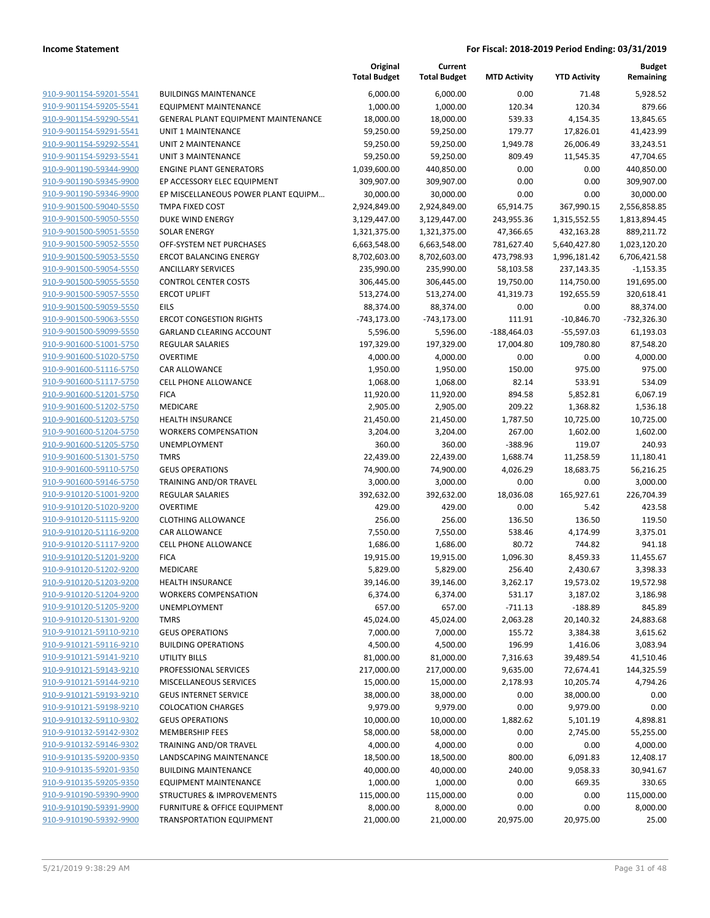|                                                    |                                            | Original<br><b>Total Budget</b> | Current<br><b>Total Budget</b> | <b>MTD Activity</b> | <b>YTD Activity</b>    | <b>Budget</b><br>Remaining |
|----------------------------------------------------|--------------------------------------------|---------------------------------|--------------------------------|---------------------|------------------------|----------------------------|
| 910-9-901154-59201-5541                            | <b>BUILDINGS MAINTENANCE</b>               | 6,000.00                        | 6,000.00                       | 0.00                | 71.48                  | 5,928.52                   |
| 910-9-901154-59205-5541                            | <b>EQUIPMENT MAINTENANCE</b>               | 1,000.00                        | 1,000.00                       | 120.34              | 120.34                 | 879.66                     |
| 910-9-901154-59290-5541                            | <b>GENERAL PLANT EQUIPMENT MAINTENANCE</b> | 18,000.00                       | 18,000.00                      | 539.33              | 4,154.35               | 13,845.65                  |
| 910-9-901154-59291-5541                            | <b>UNIT 1 MAINTENANCE</b>                  | 59,250.00                       | 59,250.00                      | 179.77              | 17,826.01              | 41,423.99                  |
| 910-9-901154-59292-5541                            | <b>UNIT 2 MAINTENANCE</b>                  | 59,250.00                       | 59,250.00                      | 1,949.78            | 26,006.49              | 33,243.51                  |
| 910-9-901154-59293-5541                            | <b>UNIT 3 MAINTENANCE</b>                  | 59,250.00                       | 59,250.00                      | 809.49              | 11,545.35              | 47,704.65                  |
| 910-9-901190-59344-9900                            | <b>ENGINE PLANT GENERATORS</b>             | 1,039,600.00                    | 440,850.00                     | 0.00                | 0.00                   | 440,850.00                 |
| 910-9-901190-59345-9900                            | EP ACCESSORY ELEC EQUIPMENT                | 309,907.00                      | 309,907.00                     | 0.00                | 0.00                   | 309,907.00                 |
| 910-9-901190-59346-9900                            | EP MISCELLANEOUS POWER PLANT EQUIPM        | 30,000.00                       | 30,000.00                      | 0.00                | 0.00                   | 30,000.00                  |
| 910-9-901500-59040-5550                            | <b>TMPA FIXED COST</b>                     | 2,924,849.00                    | 2,924,849.00                   | 65,914.75           | 367,990.15             | 2,556,858.85               |
| 910-9-901500-59050-5550                            | DUKE WIND ENERGY                           | 3,129,447.00                    | 3,129,447.00                   | 243,955.36          | 1,315,552.55           | 1,813,894.45               |
| 910-9-901500-59051-5550                            | <b>SOLAR ENERGY</b>                        | 1,321,375.00                    | 1,321,375.00                   | 47,366.65           | 432,163.28             | 889,211.72                 |
| 910-9-901500-59052-5550                            | OFF-SYSTEM NET PURCHASES                   | 6,663,548.00                    | 6,663,548.00                   | 781,627.40          | 5,640,427.80           | 1,023,120.20               |
| 910-9-901500-59053-5550                            | <b>ERCOT BALANCING ENERGY</b>              | 8,702,603.00                    | 8,702,603.00                   | 473,798.93          | 1,996,181.42           | 6,706,421.58               |
| 910-9-901500-59054-5550                            | <b>ANCILLARY SERVICES</b>                  | 235,990.00                      | 235,990.00                     | 58,103.58           | 237,143.35             | $-1,153.35$                |
| 910-9-901500-59055-5550                            | <b>CONTROL CENTER COSTS</b>                | 306,445.00                      | 306,445.00                     | 19,750.00           | 114,750.00             | 191,695.00                 |
| 910-9-901500-59057-5550                            | <b>ERCOT UPLIFT</b>                        | 513,274.00                      | 513,274.00                     | 41,319.73           | 192,655.59             | 320,618.41                 |
| 910-9-901500-59059-5550                            | <b>EILS</b>                                | 88,374.00                       | 88,374.00                      | 0.00                | 0.00                   | 88,374.00                  |
| 910-9-901500-59063-5550                            | <b>ERCOT CONGESTION RIGHTS</b>             | $-743,173.00$                   | $-743,173.00$                  | 111.91              | $-10,846.70$           | -732,326.30                |
| 910-9-901500-59099-5550                            | <b>GARLAND CLEARING ACCOUNT</b>            | 5,596.00                        | 5,596.00                       | $-188,464.03$       | $-55,597.03$           | 61,193.03                  |
| 910-9-901600-51001-5750                            | <b>REGULAR SALARIES</b>                    | 197,329.00                      | 197,329.00                     | 17,004.80           | 109,780.80             | 87,548.20                  |
| 910-9-901600-51020-5750                            | <b>OVERTIME</b>                            | 4,000.00                        | 4,000.00                       | 0.00                | 0.00                   | 4,000.00                   |
| 910-9-901600-51116-5750                            | <b>CAR ALLOWANCE</b>                       | 1,950.00                        | 1,950.00                       | 150.00              | 975.00                 | 975.00                     |
| 910-9-901600-51117-5750                            | <b>CELL PHONE ALLOWANCE</b>                | 1,068.00                        | 1,068.00                       | 82.14               | 533.91                 | 534.09                     |
| 910-9-901600-51201-5750                            | <b>FICA</b>                                | 11,920.00                       | 11,920.00                      | 894.58              | 5,852.81               | 6,067.19                   |
| 910-9-901600-51202-5750                            | MEDICARE                                   | 2,905.00                        | 2,905.00                       | 209.22              | 1,368.82               | 1,536.18                   |
| 910-9-901600-51203-5750                            | <b>HEALTH INSURANCE</b>                    | 21,450.00                       | 21,450.00                      | 1,787.50            | 10,725.00              | 10,725.00                  |
| 910-9-901600-51204-5750                            | <b>WORKERS COMPENSATION</b>                | 3,204.00                        | 3,204.00                       | 267.00              | 1,602.00               | 1,602.00                   |
| 910-9-901600-51205-5750                            | UNEMPLOYMENT                               | 360.00                          | 360.00                         | $-388.96$           | 119.07                 | 240.93                     |
| 910-9-901600-51301-5750                            | <b>TMRS</b>                                | 22,439.00                       | 22,439.00                      | 1,688.74            | 11,258.59              | 11,180.41                  |
| 910-9-901600-59110-5750                            | <b>GEUS OPERATIONS</b>                     | 74,900.00                       | 74,900.00                      | 4,026.29            | 18,683.75              | 56,216.25                  |
| 910-9-901600-59146-5750                            | TRAINING AND/OR TRAVEL                     | 3,000.00                        | 3,000.00                       | 0.00                | 0.00                   | 3,000.00                   |
| 910-9-910120-51001-9200                            | REGULAR SALARIES                           | 392,632.00                      | 392,632.00                     | 18,036.08           | 165,927.61             | 226,704.39                 |
| 910-9-910120-51020-9200                            | <b>OVERTIME</b>                            | 429.00                          | 429.00                         | 0.00                | 5.42                   | 423.58                     |
| 910-9-910120-51115-9200                            | <b>CLOTHING ALLOWANCE</b>                  | 256.00                          | 256.00                         | 136.50              | 136.50                 | 119.50                     |
| 910-9-910120-51116-9200                            | CAR ALLOWANCE                              | 7,550.00                        | 7,550.00                       | 538.46              | 4,174.99               | 3,375.01                   |
| 910-9-910120-51117-9200                            | <b>CELL PHONE ALLOWANCE</b>                | 1,686.00                        | 1,686.00                       | 80.72               | 744.82                 | 941.18                     |
| 910-9-910120-51201-9200                            | <b>FICA</b>                                | 19,915.00                       | 19,915.00                      | 1,096.30            | 8,459.33               | 11,455.67                  |
| 910-9-910120-51202-9200                            | MEDICARE                                   | 5,829.00                        | 5,829.00                       | 256.40              | 2,430.67               | 3,398.33                   |
| 910-9-910120-51203-9200                            | <b>HEALTH INSURANCE</b>                    | 39,146.00                       | 39,146.00                      | 3,262.17            | 19,573.02              | 19,572.98                  |
| 910-9-910120-51204-9200                            | <b>WORKERS COMPENSATION</b>                | 6,374.00                        | 6,374.00                       | 531.17              | 3,187.02               | 3,186.98                   |
| 910-9-910120-51205-9200                            | <b>UNEMPLOYMENT</b>                        | 657.00                          | 657.00                         | $-711.13$           | $-188.89$              | 845.89                     |
| 910-9-910120-51301-9200                            | <b>TMRS</b>                                | 45,024.00                       | 45,024.00                      | 2,063.28            | 20,140.32              | 24,883.68                  |
| 910-9-910121-59110-9210                            | <b>GEUS OPERATIONS</b>                     | 7,000.00                        | 7,000.00                       | 155.72              | 3,384.38               | 3,615.62                   |
| 910-9-910121-59116-9210                            | <b>BUILDING OPERATIONS</b>                 | 4,500.00                        | 4,500.00                       | 196.99              | 1,416.06               | 3,083.94                   |
| 910-9-910121-59141-9210<br>910-9-910121-59143-9210 | UTILITY BILLS<br>PROFESSIONAL SERVICES     | 81,000.00<br>217,000.00         | 81,000.00                      | 7,316.63            | 39,489.54              | 41,510.46                  |
| 910-9-910121-59144-9210                            | MISCELLANEOUS SERVICES                     |                                 | 217,000.00                     | 9,635.00            | 72,674.41<br>10,205.74 | 144,325.59                 |
| 910-9-910121-59193-9210                            | <b>GEUS INTERNET SERVICE</b>               | 15,000.00<br>38,000.00          | 15,000.00                      | 2,178.93            |                        | 4,794.26                   |
| 910-9-910121-59198-9210                            | <b>COLOCATION CHARGES</b>                  | 9,979.00                        | 38,000.00<br>9,979.00          | 0.00<br>0.00        | 38,000.00<br>9,979.00  | 0.00<br>0.00               |
| 910-9-910132-59110-9302                            | <b>GEUS OPERATIONS</b>                     | 10,000.00                       |                                |                     |                        |                            |
| 910-9-910132-59142-9302                            | <b>MEMBERSHIP FEES</b>                     | 58,000.00                       | 10,000.00<br>58,000.00         | 1,882.62<br>0.00    | 5,101.19<br>2,745.00   | 4,898.81<br>55,255.00      |
| 910-9-910132-59146-9302                            | TRAINING AND/OR TRAVEL                     | 4,000.00                        | 4,000.00                       | 0.00                | 0.00                   | 4,000.00                   |
| 910-9-910135-59200-9350                            | LANDSCAPING MAINTENANCE                    | 18,500.00                       | 18,500.00                      | 800.00              | 6,091.83               | 12,408.17                  |
| 910-9-910135-59201-9350                            | <b>BUILDING MAINTENANCE</b>                | 40,000.00                       | 40,000.00                      | 240.00              | 9,058.33               | 30,941.67                  |
| 910-9-910135-59205-9350                            | <b>EQUIPMENT MAINTENANCE</b>               | 1,000.00                        | 1,000.00                       | 0.00                | 669.35                 | 330.65                     |
| 910-9-910190-59390-9900                            | <b>STRUCTURES &amp; IMPROVEMENTS</b>       | 115,000.00                      | 115,000.00                     | 0.00                | 0.00                   | 115,000.00                 |
| 910-9-910190-59391-9900                            | <b>FURNITURE &amp; OFFICE EQUIPMENT</b>    | 8,000.00                        | 8,000.00                       | 0.00                | 0.00                   | 8,000.00                   |
| 910-9-910190-59392-9900                            | <b>TRANSPORTATION EQUIPMENT</b>            | 21,000.00                       | 21,000.00                      | 20,975.00           | 20,975.00              | 25.00                      |
|                                                    |                                            |                                 |                                |                     |                        |                            |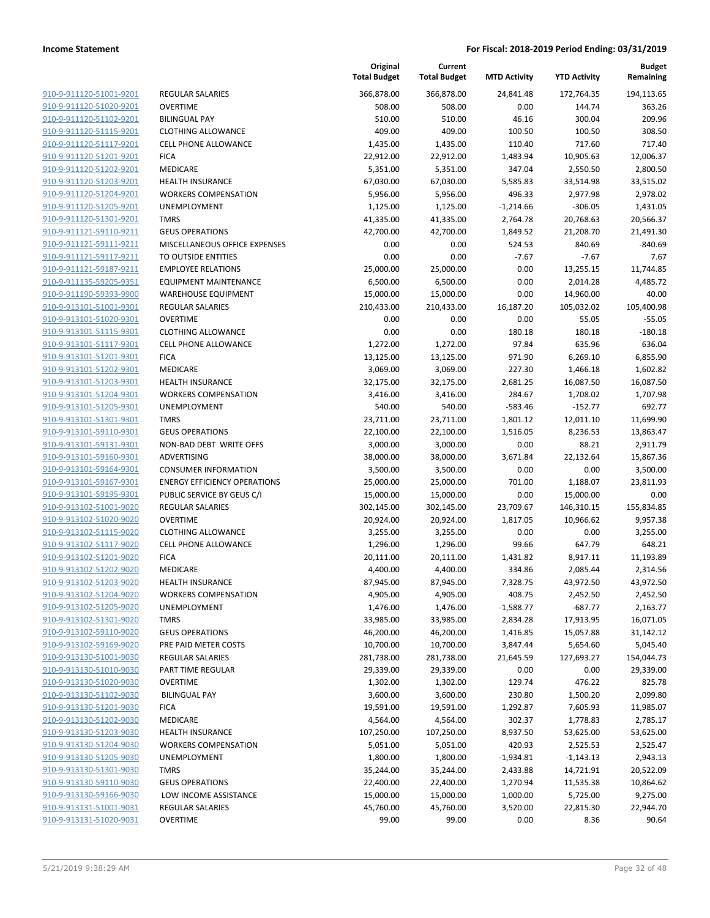| 910-9-911120-51001-9201                            |
|----------------------------------------------------|
| 910-9-911120-51020-9201                            |
| 910-9-911120-51102-9201                            |
| 910-9-911120-51115-9201                            |
| 910-9-911120-51117-9201                            |
| 910-9-911120-51201-9201                            |
| 910-9-911120-51202-9201                            |
| 910-9-911120-51203-9201                            |
| 910-9-911120-51204-9201                            |
| <u>910-9-911120-51205-9201</u>                     |
| 910-9-911120-51301-9201                            |
| 910-9-911121-59110-9211                            |
| 910-9-911121-59111-9211                            |
| <u>910-9-911121-59117-9211</u>                     |
| <u>910-9-911121-59187-9211</u>                     |
| 910-9-911135-59205-9351                            |
| 910-9-911190-59393-9900                            |
| 910-9-913101-51001-9301                            |
| <u>910-9-913101-51020-9301</u>                     |
| <u>910-9-913101-51115-9301</u>                     |
| 910-9-913101-51117-9301<br>910-9-913101-51201-9301 |
| 910-9-913101-51202-9301                            |
| <u>910-9-913101-51203-9301</u>                     |
| <u>910-9-913101-51204-9301</u>                     |
| 910-9-913101-51205-9301                            |
| 910-9-913101-51301-9301                            |
| 910-9-913101-59110-9301                            |
| <u>910-9-913101-59131-9301</u>                     |
| <u>910-9-913101-59160-9301</u>                     |
| 910-9-913101-59164-9301                            |
| 910-9-913101-59167-9301                            |
| 910-9-913101-59195-9301                            |
| 910-9-913102-51001-9020                            |
| <u>910-9-913102-51020-9020</u>                     |
| 910-9-913102-51115-9020                            |
| 910-9-913102-51117-9020                            |
| 910-9-913102-51201-9020                            |
| 910-9-913102-51202-9020                            |
| 910-9-913102-51203-9020                            |
| 910-9-913102-51204-9020                            |
| 910-9-913102-51205-9020                            |
| 910-9-913102-51301-9020                            |
| 910-9-913102-59110-9020                            |
| <u>910-9-913102-59169-9020</u>                     |
| 910-9-913130-51001-9030                            |
| 910-9-913130-51010-9030                            |
| 910-9-913130-51020-9030                            |
| <u>910-9-913130-51102-9030</u>                     |
| <u>910-9-913130-51201-9030</u>                     |
| 910-9-913130-51202-9030                            |
| 910-9-913130-51203-9030                            |
| 910-9-913130-51204-9030                            |
| 910-9-913130-51205-9030                            |
| <u>910-9-913130-51301-9030</u>                     |
| <u>910-9-913130-59110-9030</u>                     |
| 910-9-913130-59166-9030                            |
| 910-9-913131-51001-9031                            |
| <u>910-9-913131-51020-9031</u>                     |

|                         |                                     | Original<br><b>Total Budget</b> | Current<br><b>Total Budget</b> | <b>MTD Activity</b> | <b>YTD Activity</b> | Budget<br>Remaining |
|-------------------------|-------------------------------------|---------------------------------|--------------------------------|---------------------|---------------------|---------------------|
| 910-9-911120-51001-9201 | <b>REGULAR SALARIES</b>             | 366,878.00                      | 366,878.00                     | 24,841.48           | 172,764.35          | 194,113.65          |
| 910-9-911120-51020-9201 | <b>OVERTIME</b>                     | 508.00                          | 508.00                         | 0.00                | 144.74              | 363.26              |
| 910-9-911120-51102-9201 | <b>BILINGUAL PAY</b>                | 510.00                          | 510.00                         | 46.16               | 300.04              | 209.96              |
| 910-9-911120-51115-9201 | <b>CLOTHING ALLOWANCE</b>           | 409.00                          | 409.00                         | 100.50              | 100.50              | 308.50              |
| 910-9-911120-51117-9201 | CELL PHONE ALLOWANCE                | 1,435.00                        | 1,435.00                       | 110.40              | 717.60              | 717.40              |
| 910-9-911120-51201-9201 | <b>FICA</b>                         | 22,912.00                       | 22,912.00                      | 1,483.94            | 10,905.63           | 12,006.37           |
| 910-9-911120-51202-9201 | <b>MEDICARE</b>                     | 5,351.00                        | 5,351.00                       | 347.04              | 2,550.50            | 2,800.50            |
| 910-9-911120-51203-9201 | <b>HEALTH INSURANCE</b>             | 67,030.00                       | 67,030.00                      | 5,585.83            | 33,514.98           | 33,515.02           |
| 910-9-911120-51204-9201 | <b>WORKERS COMPENSATION</b>         | 5,956.00                        | 5,956.00                       | 496.33              | 2,977.98            | 2,978.02            |
| 910-9-911120-51205-9201 | UNEMPLOYMENT                        | 1,125.00                        | 1,125.00                       | $-1,214.66$         | $-306.05$           | 1,431.05            |
| 910-9-911120-51301-9201 | <b>TMRS</b>                         | 41,335.00                       | 41,335.00                      | 2,764.78            | 20,768.63           | 20,566.37           |
| 910-9-911121-59110-9211 | <b>GEUS OPERATIONS</b>              | 42,700.00                       | 42,700.00                      | 1,849.52            | 21,208.70           | 21,491.30           |
| 910-9-911121-59111-9211 | MISCELLANEOUS OFFICE EXPENSES       | 0.00                            | 0.00                           | 524.53              | 840.69              | $-840.69$           |
| 910-9-911121-59117-9211 | TO OUTSIDE ENTITIES                 | 0.00                            | 0.00                           | $-7.67$             | $-7.67$             | 7.67                |
| 910-9-911121-59187-9211 | <b>EMPLOYEE RELATIONS</b>           | 25,000.00                       | 25,000.00                      | 0.00                | 13,255.15           | 11,744.85           |
| 910-9-911135-59205-9351 | <b>EQUIPMENT MAINTENANCE</b>        | 6,500.00                        | 6,500.00                       | 0.00                | 2,014.28            | 4,485.72            |
| 910-9-911190-59393-9900 | <b>WAREHOUSE EQUIPMENT</b>          | 15,000.00                       | 15,000.00                      | 0.00                | 14,960.00           | 40.00               |
| 910-9-913101-51001-9301 | <b>REGULAR SALARIES</b>             | 210,433.00                      | 210,433.00                     | 16,187.20           | 105,032.02          | 105,400.98          |
| 910-9-913101-51020-9301 | <b>OVERTIME</b>                     | 0.00                            | 0.00                           | 0.00                | 55.05               | $-55.05$            |
| 910-9-913101-51115-9301 | <b>CLOTHING ALLOWANCE</b>           | 0.00                            | 0.00                           | 180.18              | 180.18              | $-180.18$           |
| 910-9-913101-51117-9301 | <b>CELL PHONE ALLOWANCE</b>         | 1,272.00                        | 1,272.00                       | 97.84               | 635.96              | 636.04              |
| 910-9-913101-51201-9301 | <b>FICA</b>                         | 13,125.00                       | 13,125.00                      | 971.90              | 6,269.10            | 6,855.90            |
| 910-9-913101-51202-9301 | MEDICARE                            | 3,069.00                        | 3,069.00                       | 227.30              | 1,466.18            | 1,602.82            |
| 910-9-913101-51203-9301 | <b>HEALTH INSURANCE</b>             | 32,175.00                       | 32,175.00                      | 2,681.25            | 16,087.50           | 16,087.50           |
| 910-9-913101-51204-9301 | <b>WORKERS COMPENSATION</b>         | 3,416.00                        | 3,416.00                       | 284.67              | 1,708.02            | 1,707.98            |
| 910-9-913101-51205-9301 | UNEMPLOYMENT                        | 540.00                          | 540.00                         | $-583.46$           | $-152.77$           | 692.77              |
| 910-9-913101-51301-9301 | <b>TMRS</b>                         | 23,711.00                       | 23,711.00                      | 1,801.12            | 12,011.10           | 11,699.90           |
| 910-9-913101-59110-9301 | <b>GEUS OPERATIONS</b>              | 22,100.00                       | 22,100.00                      | 1,516.05            | 8,236.53            | 13,863.47           |
| 910-9-913101-59131-9301 | NON-BAD DEBT WRITE OFFS             | 3,000.00                        | 3,000.00                       | 0.00                | 88.21               | 2,911.79            |
| 910-9-913101-59160-9301 | ADVERTISING                         | 38,000.00                       | 38,000.00                      | 3,671.84            | 22,132.64           | 15,867.36           |
| 910-9-913101-59164-9301 | <b>CONSUMER INFORMATION</b>         | 3,500.00                        | 3,500.00                       | 0.00                | 0.00                | 3,500.00            |
| 910-9-913101-59167-9301 | <b>ENERGY EFFICIENCY OPERATIONS</b> | 25,000.00                       | 25,000.00                      | 701.00              | 1,188.07            | 23,811.93           |
| 910-9-913101-59195-9301 | PUBLIC SERVICE BY GEUS C/I          | 15,000.00                       | 15,000.00                      | 0.00                | 15,000.00           | 0.00                |
| 910-9-913102-51001-9020 | REGULAR SALARIES                    | 302,145.00                      | 302,145.00                     | 23,709.67           | 146,310.15          | 155,834.85          |
| 910-9-913102-51020-9020 | <b>OVERTIME</b>                     | 20,924.00                       | 20,924.00                      | 1,817.05            | 10,966.62           | 9,957.38            |
| 910-9-913102-51115-9020 | <b>CLOTHING ALLOWANCE</b>           | 3,255.00                        | 3,255.00                       | 0.00                | 0.00                | 3,255.00            |
| 910-9-913102-51117-9020 | <b>CELL PHONE ALLOWANCE</b>         | 1,296.00                        | 1,296.00                       | 99.66               | 647.79              | 648.21              |
| 910-9-913102-51201-9020 | <b>FICA</b>                         | 20,111.00                       | 20,111.00                      | 1,431.82            | 8,917.11            | 11,193.89           |
| 910-9-913102-51202-9020 | MEDICARE                            | 4,400.00                        | 4,400.00                       | 334.86              | 2,085.44            | 2,314.56            |
| 910-9-913102-51203-9020 | <b>HEALTH INSURANCE</b>             | 87,945.00                       | 87,945.00                      | 7,328.75            | 43,972.50           | 43,972.50           |
| 910-9-913102-51204-9020 | <b>WORKERS COMPENSATION</b>         | 4,905.00                        | 4,905.00                       | 408.75              | 2,452.50            | 2,452.50            |
| 910-9-913102-51205-9020 | <b>UNEMPLOYMENT</b>                 | 1,476.00                        | 1,476.00                       | $-1,588.77$         | -687.77             | 2,163.77            |
| 910-9-913102-51301-9020 | <b>TMRS</b>                         | 33,985.00                       | 33,985.00                      | 2,834.28            | 17,913.95           | 16,071.05           |
| 910-9-913102-59110-9020 | <b>GEUS OPERATIONS</b>              | 46,200.00                       | 46,200.00                      | 1,416.85            | 15,057.88           | 31,142.12           |
| 910-9-913102-59169-9020 | PRE PAID METER COSTS                | 10,700.00                       | 10,700.00                      | 3,847.44            | 5,654.60            | 5,045.40            |
| 910-9-913130-51001-9030 | REGULAR SALARIES                    | 281,738.00                      | 281,738.00                     | 21,645.59           | 127,693.27          | 154,044.73          |
| 910-9-913130-51010-9030 | PART TIME REGULAR                   | 29,339.00                       | 29,339.00                      | 0.00                | 0.00                | 29,339.00           |
| 910-9-913130-51020-9030 | <b>OVERTIME</b>                     | 1,302.00                        | 1,302.00                       | 129.74              | 476.22              | 825.78              |
| 910-9-913130-51102-9030 | <b>BILINGUAL PAY</b>                | 3,600.00                        | 3,600.00                       | 230.80              | 1,500.20            | 2,099.80            |
| 910-9-913130-51201-9030 | <b>FICA</b>                         | 19,591.00                       | 19,591.00                      | 1,292.87            | 7,605.93            | 11,985.07           |
| 910-9-913130-51202-9030 | MEDICARE                            | 4,564.00                        | 4,564.00                       | 302.37              | 1,778.83            | 2,785.17            |
| 910-9-913130-51203-9030 | <b>HEALTH INSURANCE</b>             | 107,250.00                      | 107,250.00                     | 8,937.50            | 53,625.00           | 53,625.00           |
| 910-9-913130-51204-9030 | <b>WORKERS COMPENSATION</b>         | 5,051.00                        | 5,051.00                       | 420.93              | 2,525.53            | 2,525.47            |
| 910-9-913130-51205-9030 | UNEMPLOYMENT                        | 1,800.00                        | 1,800.00                       | $-1,934.81$         | -1,143.13           | 2,943.13            |
| 910-9-913130-51301-9030 | <b>TMRS</b>                         | 35,244.00                       | 35,244.00                      | 2,433.88            | 14,721.91           | 20,522.09           |
| 910-9-913130-59110-9030 | <b>GEUS OPERATIONS</b>              | 22,400.00                       | 22,400.00                      | 1,270.94            | 11,535.38           | 10,864.62           |
| 910-9-913130-59166-9030 | LOW INCOME ASSISTANCE               | 15,000.00                       | 15,000.00                      | 1,000.00            | 5,725.00            | 9,275.00            |
| 910-9-913131-51001-9031 | REGULAR SALARIES                    | 45,760.00                       | 45,760.00                      | 3,520.00            | 22,815.30           | 22,944.70           |
| 910-9-913131-51020-9031 | <b>OVERTIME</b>                     | 99.00                           | 99.00                          | 0.00                | 8.36                | 90.64               |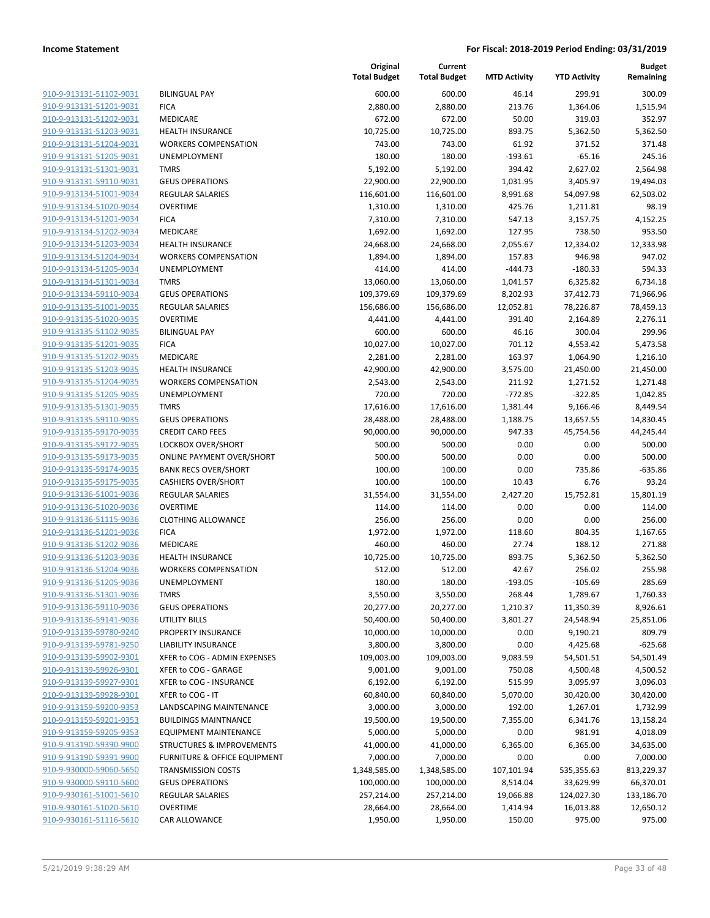| 910-9-913131-51102-9031        |
|--------------------------------|
| 910-9-913131-51201-9031        |
| 910-9-913131-51202-9031        |
| 910-9-913131-51203-9031        |
| <u>910-9-913131-51204-9031</u> |
| 910-9-913131-51205-9031        |
| 910-9-913131-51301-9031        |
| 910-9-913131-59110-9031        |
| 910-9-913134-51001-9034        |
| 910-9-913134-51020-9034        |
| 910-9-913134-51201-9034        |
| 910-9-913134-51202-9034        |
| 910-9-913134-51203-9034        |
| 910-9-913134-51204-9034        |
|                                |
| <u>910-9-913134-51205-9034</u> |
| 910-9-913134-51301-9034        |
| 910-9-913134-59110-9034        |
| 910-9-913135-51001-9035        |
| 910-9-913135-51020-9035        |
| <u>910-9-913135-51102-9035</u> |
| 910-9-913135-51201-9035        |
| 910-9-913135-51202-9035        |
| 910-9-913135-51203-9035        |
| 910-9-913135-51204-9035        |
| 910-9-913135-51205-9035        |
| 910-9-913135-51301-9035        |
| 910-9-913135-59110-9035        |
| 910-9-913135-59170-9035        |
| 910-9-913135-59172-9035        |
|                                |
| <u>910-9-913135-59173-9035</u> |
| 910-9-913135-59174-9035        |
| 910-9-913135-59175-9035        |
| 910-9-913136-51001-9036        |
| 910-9-913136-51020-9036        |
| <u>910-9-913136-51115-9036</u> |
| 910-9-913136-51201-9036        |
| 910-9-913136-51202-9036        |
| 910-9-913136-51203-9036        |
| 910-9-913136-51204-9036        |
| 910-9-913136-51205-9036        |
| 910-9-913136-51301-9036        |
| 910-9-913136-59110-9036        |
| 910-9-913136-59141-9036        |
| <u>910-9-913139-59780-9240</u> |
|                                |
| <u>910-9-913139-59781-9250</u> |
| <u>910-9-913139-59902-9301</u> |
| 910-9-913139-59926-9301        |
| 910-9-913139-59927-9301        |
| <u>910-9-913139-59928-9301</u> |
| 910-9-913159-59200-9353        |
| <u>910-9-913159-59201-9353</u> |
| 910-9-913159-59205-9353        |
| 910-9-913190-59390-9900        |
| <u>910-9-913190-59391-9900</u> |
| <u>910-9-930000-59060-5650</u> |
| <u>910-9-930000-59110-5600</u> |
| 910-9-930161-51001-5610        |
| <u>910-9-930161-51020-5610</u> |
| 910-9-930161-51116-5610        |
|                                |

|                                                    |                                                        | Original<br><b>Total Budget</b> | Current<br><b>Total Budget</b> | <b>MTD Activity</b> | <b>YTD Activity</b> | <b>Budget</b><br>Remaining |
|----------------------------------------------------|--------------------------------------------------------|---------------------------------|--------------------------------|---------------------|---------------------|----------------------------|
| 910-9-913131-51102-9031                            | <b>BILINGUAL PAY</b>                                   | 600.00                          | 600.00                         | 46.14               | 299.91              | 300.09                     |
| 910-9-913131-51201-9031                            | <b>FICA</b>                                            | 2,880.00                        | 2,880.00                       | 213.76              | 1,364.06            | 1,515.94                   |
| 910-9-913131-51202-9031                            | MEDICARE                                               | 672.00                          | 672.00                         | 50.00               | 319.03              | 352.97                     |
| 910-9-913131-51203-9031                            | <b>HEALTH INSURANCE</b>                                | 10,725.00                       | 10,725.00                      | 893.75              | 5,362.50            | 5,362.50                   |
| 910-9-913131-51204-9031                            | <b>WORKERS COMPENSATION</b>                            | 743.00                          | 743.00                         | 61.92               | 371.52              | 371.48                     |
| 910-9-913131-51205-9031                            | <b>UNEMPLOYMENT</b>                                    | 180.00                          | 180.00                         | $-193.61$           | $-65.16$            | 245.16                     |
| 910-9-913131-51301-9031                            | <b>TMRS</b>                                            | 5,192.00                        | 5,192.00                       | 394.42              | 2,627.02            | 2,564.98                   |
| 910-9-913131-59110-9031                            | <b>GEUS OPERATIONS</b>                                 | 22,900.00                       | 22,900.00                      | 1,031.95            | 3,405.97            | 19,494.03                  |
| 910-9-913134-51001-9034                            | <b>REGULAR SALARIES</b>                                | 116,601.00                      | 116,601.00                     | 8,991.68            | 54,097.98           | 62,503.02                  |
| 910-9-913134-51020-9034                            | <b>OVERTIME</b>                                        | 1,310.00                        | 1,310.00                       | 425.76              | 1,211.81            | 98.19                      |
| 910-9-913134-51201-9034                            | <b>FICA</b>                                            | 7,310.00                        | 7,310.00                       | 547.13              | 3,157.75            | 4,152.25                   |
| 910-9-913134-51202-9034                            | MEDICARE                                               | 1,692.00                        | 1,692.00                       | 127.95              | 738.50              | 953.50                     |
| 910-9-913134-51203-9034                            | <b>HEALTH INSURANCE</b>                                | 24,668.00                       | 24,668.00                      | 2,055.67            | 12,334.02           | 12,333.98                  |
| 910-9-913134-51204-9034                            | <b>WORKERS COMPENSATION</b>                            | 1,894.00                        | 1,894.00                       | 157.83              | 946.98              | 947.02                     |
| 910-9-913134-51205-9034                            | UNEMPLOYMENT                                           | 414.00                          | 414.00                         | $-444.73$           | $-180.33$           | 594.33                     |
| 910-9-913134-51301-9034                            | <b>TMRS</b>                                            | 13,060.00                       | 13,060.00                      | 1,041.57            | 6,325.82            | 6,734.18                   |
| 910-9-913134-59110-9034                            | <b>GEUS OPERATIONS</b>                                 | 109,379.69                      | 109,379.69                     | 8,202.93            | 37,412.73           | 71,966.96                  |
| 910-9-913135-51001-9035                            | <b>REGULAR SALARIES</b>                                | 156,686.00                      | 156,686.00                     | 12,052.81           | 78,226.87           | 78,459.13                  |
| 910-9-913135-51020-9035                            | <b>OVERTIME</b>                                        | 4,441.00                        | 4,441.00                       | 391.40              | 2,164.89            | 2,276.11                   |
| 910-9-913135-51102-9035                            | <b>BILINGUAL PAY</b>                                   | 600.00                          | 600.00                         | 46.16               | 300.04              | 299.96                     |
| 910-9-913135-51201-9035                            | <b>FICA</b>                                            | 10,027.00                       | 10,027.00                      | 701.12              | 4,553.42            | 5,473.58                   |
| 910-9-913135-51202-9035                            | MEDICARE                                               | 2,281.00                        | 2,281.00                       | 163.97              | 1,064.90            | 1,216.10                   |
| 910-9-913135-51203-9035                            | <b>HEALTH INSURANCE</b>                                | 42,900.00                       | 42,900.00                      | 3,575.00            | 21,450.00           | 21,450.00                  |
| 910-9-913135-51204-9035                            | <b>WORKERS COMPENSATION</b>                            | 2,543.00                        | 2,543.00                       | 211.92              | 1,271.52            | 1,271.48                   |
| 910-9-913135-51205-9035                            | UNEMPLOYMENT                                           | 720.00                          | 720.00                         | $-772.85$           | $-322.85$           | 1,042.85                   |
| 910-9-913135-51301-9035                            | <b>TMRS</b>                                            | 17,616.00                       | 17,616.00                      | 1,381.44            | 9,166.46            | 8,449.54                   |
| 910-9-913135-59110-9035                            | <b>GEUS OPERATIONS</b>                                 | 28,488.00                       | 28,488.00                      | 1,188.75            | 13,657.55           | 14,830.45                  |
| 910-9-913135-59170-9035                            | <b>CREDIT CARD FEES</b>                                | 90,000.00                       | 90,000.00                      | 947.33              | 45,754.56           | 44,245.44                  |
| 910-9-913135-59172-9035                            | <b>LOCKBOX OVER/SHORT</b>                              | 500.00                          | 500.00                         | 0.00                | 0.00                | 500.00                     |
| 910-9-913135-59173-9035                            | <b>ONLINE PAYMENT OVER/SHORT</b>                       | 500.00                          | 500.00                         | 0.00                | 0.00                | 500.00                     |
| 910-9-913135-59174-9035                            | <b>BANK RECS OVER/SHORT</b>                            | 100.00                          | 100.00                         | 0.00                | 735.86              | $-635.86$                  |
| 910-9-913135-59175-9035                            | <b>CASHIERS OVER/SHORT</b>                             | 100.00                          | 100.00                         | 10.43               | 6.76                | 93.24                      |
| 910-9-913136-51001-9036<br>910-9-913136-51020-9036 | <b>REGULAR SALARIES</b>                                | 31,554.00                       | 31,554.00                      | 2,427.20            | 15,752.81           | 15,801.19                  |
| 910-9-913136-51115-9036                            | <b>OVERTIME</b><br><b>CLOTHING ALLOWANCE</b>           | 114.00<br>256.00                | 114.00<br>256.00               | 0.00<br>0.00        | 0.00<br>0.00        | 114.00<br>256.00           |
| 910-9-913136-51201-9036                            | <b>FICA</b>                                            | 1,972.00                        | 1,972.00                       | 118.60              | 804.35              | 1,167.65                   |
|                                                    | <b>MEDICARE</b>                                        |                                 |                                | 27.74               |                     |                            |
| 910-9-913136-51202-9036<br>910-9-913136-51203-9036 |                                                        | 460.00<br>10,725.00             | 460.00<br>10,725.00            | 893.75              | 188.12              | 271.88<br>5,362.50         |
| 910-9-913136-51204-9036                            | <b>HEALTH INSURANCE</b><br><b>WORKERS COMPENSATION</b> |                                 |                                |                     | 5,362.50            | 255.98                     |
| 910-9-913136-51205-9036                            | UNEMPLOYMENT                                           | 512.00<br>180.00                | 512.00<br>180.00               | 42.67<br>$-193.05$  | 256.02<br>$-105.69$ | 285.69                     |
| 910-9-913136-51301-9036                            | <b>TMRS</b>                                            | 3,550.00                        | 3,550.00                       | 268.44              | 1,789.67            | 1,760.33                   |
| 910-9-913136-59110-9036                            | <b>GEUS OPERATIONS</b>                                 | 20,277.00                       | 20,277.00                      | 1,210.37            | 11,350.39           | 8,926.61                   |
| 910-9-913136-59141-9036                            | <b>UTILITY BILLS</b>                                   | 50,400.00                       | 50,400.00                      | 3,801.27            | 24,548.94           | 25,851.06                  |
| 910-9-913139-59780-9240                            | PROPERTY INSURANCE                                     | 10,000.00                       | 10,000.00                      | 0.00                | 9,190.21            | 809.79                     |
| 910-9-913139-59781-9250                            | <b>LIABILITY INSURANCE</b>                             | 3,800.00                        | 3,800.00                       | 0.00                | 4,425.68            | $-625.68$                  |
| 910-9-913139-59902-9301                            | XFER to COG - ADMIN EXPENSES                           | 109,003.00                      | 109,003.00                     | 9,083.59            | 54,501.51           | 54,501.49                  |
| 910-9-913139-59926-9301                            | XFER to COG - GARAGE                                   | 9,001.00                        | 9,001.00                       | 750.08              | 4,500.48            | 4,500.52                   |
| 910-9-913139-59927-9301                            | XFER to COG - INSURANCE                                | 6,192.00                        | 6,192.00                       | 515.99              | 3,095.97            | 3,096.03                   |
| 910-9-913139-59928-9301                            | XFER to COG - IT                                       | 60,840.00                       | 60,840.00                      | 5,070.00            | 30,420.00           | 30,420.00                  |
| 910-9-913159-59200-9353                            | LANDSCAPING MAINTENANCE                                | 3,000.00                        | 3,000.00                       | 192.00              | 1,267.01            | 1,732.99                   |
| 910-9-913159-59201-9353                            | <b>BUILDINGS MAINTNANCE</b>                            | 19,500.00                       | 19,500.00                      | 7,355.00            | 6,341.76            | 13,158.24                  |
| 910-9-913159-59205-9353                            | <b>EQUIPMENT MAINTENANCE</b>                           | 5,000.00                        | 5,000.00                       | 0.00                | 981.91              | 4,018.09                   |
| 910-9-913190-59390-9900                            | <b>STRUCTURES &amp; IMPROVEMENTS</b>                   | 41,000.00                       | 41,000.00                      | 6,365.00            | 6,365.00            | 34,635.00                  |
| 910-9-913190-59391-9900                            | FURNITURE & OFFICE EQUIPMENT                           | 7,000.00                        | 7,000.00                       | 0.00                | 0.00                | 7,000.00                   |
| 910-9-930000-59060-5650                            | <b>TRANSMISSION COSTS</b>                              | 1,348,585.00                    | 1,348,585.00                   | 107,101.94          | 535,355.63          | 813,229.37                 |
| 910-9-930000-59110-5600                            | <b>GEUS OPERATIONS</b>                                 | 100,000.00                      | 100,000.00                     | 8,514.04            | 33,629.99           | 66,370.01                  |
| 910-9-930161-51001-5610                            | <b>REGULAR SALARIES</b>                                | 257,214.00                      | 257,214.00                     | 19,066.88           | 124,027.30          | 133,186.70                 |
| 910-9-930161-51020-5610                            | <b>OVERTIME</b>                                        | 28,664.00                       | 28,664.00                      | 1,414.94            | 16,013.88           | 12,650.12                  |
| 910-9-930161-51116-5610                            | <b>CAR ALLOWANCE</b>                                   | 1,950.00                        | 1,950.00                       | 150.00              | 975.00              | 975.00                     |
|                                                    |                                                        |                                 |                                |                     |                     |                            |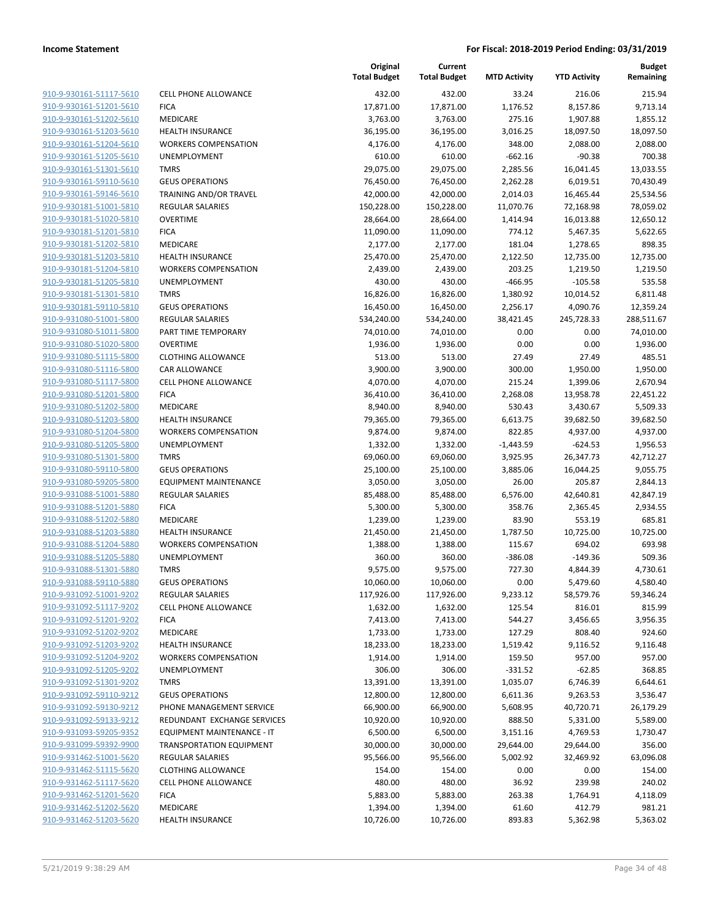| 910-9-930161-51117-5610        |
|--------------------------------|
| 910-9-930161-51201-5610        |
| 910-9-930161-51202-5610        |
| 910-9-930161-51203-5610        |
| 910-9-930161-51204-5610        |
| 910-9-930161-51205-5610        |
| <u>910-9-930161-51301-5610</u> |
| 910-9-930161-59110-5610        |
| 910-9-930161-59146-5610        |
| 910-9-930181-51001-5810        |
| 910-9-930181-51020-5810        |
| 910-9-930181-51201-5810        |
|                                |
| 910-9-930181-51202-5810        |
| 910-9-930181-51203-5810        |
| 910-9-930181-51204-5810        |
| 910-9-930181-51205-5810        |
| <u>910-9-930181-51301-5810</u> |
| 910-9-930181-59110-5810        |
| 910-9-931080-51001-5800        |
| 910-9-931080-51011-5800        |
| 910-9-931080-51020-5800        |
| 910-9-931080-51115-5800        |
| 910-9-931080-51116-5800        |
| 910-9-931080-51117-5800        |
| 910-9-931080-51201-5800        |
| 910-9-931080-51202-5800        |
| 910-9-931080-51203-5800        |
| 910-9-931080-51204-5800        |
|                                |
| 910-9-931080-51205-5800        |
| 910-9-931080-51301-5800        |
| 910-9-931080-59110-5800        |
| 910-9-931080-59205-5800        |
| 910-9-931088-51001-5880        |
| 910-9-931088-51201-5880        |
| 910-9-931088-51202-5880        |
| 910-9-931088-51203-5880        |
| <u>910-9-931088-51204-5880</u> |
| 910-9-931088-51205-5880        |
| 910-9-931088-51301-5880        |
| 910-9-931088-59110-5880        |
| 910-9-931092-51001-9202        |
| 910-9-931092-51117-9202        |
| 910-9-931092-51201-9202        |
| 910-9-931092-51202-9202        |
| 910-9-931092-51203-9202        |
|                                |
| 910-9-931092-51204-9202        |
| 910-9-931092-51205-9202        |
| 910-9-931092-51301-9202        |
| 910-9-931092-59110-9212        |
| 910-9-931092-59130-9212        |
| 910-9-931092-59133-9212        |
| 910-9-931093-59205-9352        |
| 910-9-931099-59392-9900        |
| 910-9-931462-51001-5620        |
| 910-9-931462-51115-5620        |
| 910-9-931462-51117-5620        |
| 910-9-931462-51201-5620        |
| 910-9-931462-51202-5620        |
| 910-9-931462-51203-5620        |
|                                |

|                         |                                 | Original<br><b>Total Budget</b> | Current<br><b>Total Budget</b> | <b>MTD Activity</b> | <b>YTD Activity</b> | <b>Budget</b><br>Remaining |
|-------------------------|---------------------------------|---------------------------------|--------------------------------|---------------------|---------------------|----------------------------|
| 910-9-930161-51117-5610 | <b>CELL PHONE ALLOWANCE</b>     | 432.00                          | 432.00                         | 33.24               | 216.06              | 215.94                     |
| 910-9-930161-51201-5610 | <b>FICA</b>                     | 17,871.00                       | 17,871.00                      | 1,176.52            | 8,157.86            | 9,713.14                   |
| 910-9-930161-51202-5610 | MEDICARE                        | 3,763.00                        | 3,763.00                       | 275.16              | 1,907.88            | 1,855.12                   |
| 910-9-930161-51203-5610 | <b>HEALTH INSURANCE</b>         | 36,195.00                       | 36,195.00                      | 3,016.25            | 18,097.50           | 18,097.50                  |
| 910-9-930161-51204-5610 | <b>WORKERS COMPENSATION</b>     | 4,176.00                        | 4,176.00                       | 348.00              | 2,088.00            | 2,088.00                   |
| 910-9-930161-51205-5610 | <b>UNEMPLOYMENT</b>             | 610.00                          | 610.00                         | $-662.16$           | $-90.38$            | 700.38                     |
| 910-9-930161-51301-5610 | <b>TMRS</b>                     | 29,075.00                       | 29,075.00                      | 2,285.56            | 16,041.45           | 13,033.55                  |
| 910-9-930161-59110-5610 | <b>GEUS OPERATIONS</b>          | 76,450.00                       | 76,450.00                      | 2,262.28            | 6,019.51            | 70,430.49                  |
| 910-9-930161-59146-5610 | TRAINING AND/OR TRAVEL          | 42,000.00                       | 42,000.00                      | 2,014.03            | 16,465.44           | 25,534.56                  |
| 910-9-930181-51001-5810 | <b>REGULAR SALARIES</b>         | 150,228.00                      | 150,228.00                     | 11,070.76           | 72,168.98           | 78,059.02                  |
| 910-9-930181-51020-5810 | <b>OVERTIME</b>                 | 28,664.00                       | 28,664.00                      | 1,414.94            | 16,013.88           | 12,650.12                  |
| 910-9-930181-51201-5810 | <b>FICA</b>                     | 11,090.00                       | 11,090.00                      | 774.12              | 5,467.35            | 5,622.65                   |
| 910-9-930181-51202-5810 | MEDICARE                        | 2,177.00                        | 2,177.00                       | 181.04              | 1,278.65            | 898.35                     |
| 910-9-930181-51203-5810 | <b>HEALTH INSURANCE</b>         | 25,470.00                       | 25,470.00                      | 2,122.50            | 12,735.00           | 12,735.00                  |
| 910-9-930181-51204-5810 | <b>WORKERS COMPENSATION</b>     | 2,439.00                        | 2,439.00                       | 203.25              | 1,219.50            | 1,219.50                   |
| 910-9-930181-51205-5810 | UNEMPLOYMENT                    | 430.00                          | 430.00                         | $-466.95$           | $-105.58$           | 535.58                     |
| 910-9-930181-51301-5810 | <b>TMRS</b>                     | 16,826.00                       | 16,826.00                      | 1,380.92            | 10,014.52           | 6,811.48                   |
| 910-9-930181-59110-5810 | <b>GEUS OPERATIONS</b>          | 16,450.00                       | 16,450.00                      | 2,256.17            | 4,090.76            | 12,359.24                  |
| 910-9-931080-51001-5800 | <b>REGULAR SALARIES</b>         | 534,240.00                      | 534,240.00                     | 38,421.45           | 245,728.33          | 288,511.67                 |
| 910-9-931080-51011-5800 | PART TIME TEMPORARY             | 74,010.00                       | 74,010.00                      | 0.00                | 0.00                | 74,010.00                  |
| 910-9-931080-51020-5800 | <b>OVERTIME</b>                 | 1,936.00                        | 1,936.00                       | 0.00                | 0.00                | 1,936.00                   |
| 910-9-931080-51115-5800 | <b>CLOTHING ALLOWANCE</b>       | 513.00                          | 513.00                         | 27.49               | 27.49               | 485.51                     |
| 910-9-931080-51116-5800 | CAR ALLOWANCE                   | 3,900.00                        | 3,900.00                       | 300.00              | 1,950.00            | 1,950.00                   |
| 910-9-931080-51117-5800 | <b>CELL PHONE ALLOWANCE</b>     | 4,070.00                        | 4,070.00                       | 215.24              | 1,399.06            | 2,670.94                   |
| 910-9-931080-51201-5800 | <b>FICA</b>                     | 36,410.00                       | 36,410.00                      | 2,268.08            | 13,958.78           | 22,451.22                  |
| 910-9-931080-51202-5800 | MEDICARE                        | 8,940.00                        | 8,940.00                       | 530.43              | 3,430.67            | 5,509.33                   |
| 910-9-931080-51203-5800 | HEALTH INSURANCE                | 79,365.00                       | 79,365.00                      | 6,613.75            | 39,682.50           | 39,682.50                  |
| 910-9-931080-51204-5800 | <b>WORKERS COMPENSATION</b>     | 9,874.00                        | 9,874.00                       | 822.85              | 4,937.00            | 4,937.00                   |
| 910-9-931080-51205-5800 | UNEMPLOYMENT                    | 1,332.00                        | 1,332.00                       | $-1,443.59$         | $-624.53$           | 1,956.53                   |
| 910-9-931080-51301-5800 | <b>TMRS</b>                     | 69,060.00                       | 69,060.00                      | 3,925.95            | 26,347.73           | 42,712.27                  |
| 910-9-931080-59110-5800 | <b>GEUS OPERATIONS</b>          | 25,100.00                       | 25,100.00                      | 3,885.06            | 16,044.25           | 9,055.75                   |
| 910-9-931080-59205-5800 | <b>EQUIPMENT MAINTENANCE</b>    | 3,050.00                        | 3,050.00                       | 26.00               | 205.87              | 2,844.13                   |
| 910-9-931088-51001-5880 | <b>REGULAR SALARIES</b>         | 85,488.00                       | 85,488.00                      | 6,576.00            | 42,640.81           | 42,847.19                  |
| 910-9-931088-51201-5880 | <b>FICA</b>                     | 5,300.00                        | 5,300.00                       | 358.76              | 2,365.45            | 2,934.55                   |
| 910-9-931088-51202-5880 | MEDICARE                        | 1,239.00                        | 1,239.00                       | 83.90               | 553.19              | 685.81                     |
| 910-9-931088-51203-5880 | <b>HEALTH INSURANCE</b>         | 21,450.00                       | 21,450.00                      | 1,787.50            | 10,725.00           | 10,725.00                  |
| 910-9-931088-51204-5880 | <b>WORKERS COMPENSATION</b>     | 1,388.00                        | 1,388.00                       | 115.67              | 694.02              | 693.98                     |
| 910-9-931088-51205-5880 | UNEMPLOYMENT                    | 360.00                          | 360.00                         | $-386.08$           | $-149.36$           | 509.36                     |
| 910-9-931088-51301-5880 | <b>TMRS</b>                     | 9,575.00                        | 9,575.00                       | 727.30              | 4,844.39            | 4,730.61                   |
| 910-9-931088-59110-5880 | <b>GEUS OPERATIONS</b>          | 10,060.00                       | 10,060.00                      | 0.00                | 5,479.60            | 4,580.40                   |
| 910-9-931092-51001-9202 | <b>REGULAR SALARIES</b>         | 117,926.00                      | 117,926.00                     | 9,233.12            | 58,579.76           | 59,346.24                  |
| 910-9-931092-51117-9202 | <b>CELL PHONE ALLOWANCE</b>     | 1,632.00                        | 1,632.00                       | 125.54              | 816.01              | 815.99                     |
| 910-9-931092-51201-9202 | <b>FICA</b>                     | 7,413.00                        | 7,413.00                       | 544.27              | 3,456.65            | 3,956.35                   |
| 910-9-931092-51202-9202 | MEDICARE                        | 1,733.00                        | 1,733.00                       | 127.29              | 808.40              | 924.60                     |
| 910-9-931092-51203-9202 | HEALTH INSURANCE                | 18,233.00                       | 18,233.00                      | 1,519.42            | 9,116.52            | 9,116.48                   |
| 910-9-931092-51204-9202 | <b>WORKERS COMPENSATION</b>     | 1,914.00                        | 1,914.00                       | 159.50              | 957.00              | 957.00                     |
| 910-9-931092-51205-9202 | <b>UNEMPLOYMENT</b>             | 306.00                          | 306.00                         | $-331.52$           | $-62.85$            | 368.85                     |
| 910-9-931092-51301-9202 | <b>TMRS</b>                     | 13,391.00                       | 13,391.00                      | 1,035.07            | 6,746.39            | 6,644.61                   |
| 910-9-931092-59110-9212 | <b>GEUS OPERATIONS</b>          | 12,800.00                       | 12,800.00                      | 6,611.36            | 9,263.53            | 3,536.47                   |
| 910-9-931092-59130-9212 | PHONE MANAGEMENT SERVICE        | 66,900.00                       | 66,900.00                      | 5,608.95            | 40,720.71           | 26,179.29                  |
| 910-9-931092-59133-9212 | REDUNDANT EXCHANGE SERVICES     | 10,920.00                       | 10,920.00                      | 888.50              | 5,331.00            | 5,589.00                   |
| 910-9-931093-59205-9352 | EQUIPMENT MAINTENANCE - IT      | 6,500.00                        | 6,500.00                       | 3,151.16            | 4,769.53            | 1,730.47                   |
| 910-9-931099-59392-9900 | <b>TRANSPORTATION EQUIPMENT</b> | 30,000.00                       | 30,000.00                      | 29,644.00           | 29,644.00           | 356.00                     |
| 910-9-931462-51001-5620 | <b>REGULAR SALARIES</b>         | 95,566.00                       | 95,566.00                      | 5,002.92            | 32,469.92           | 63,096.08                  |
| 910-9-931462-51115-5620 | <b>CLOTHING ALLOWANCE</b>       | 154.00                          | 154.00                         | 0.00                | 0.00                | 154.00                     |
| 910-9-931462-51117-5620 | <b>CELL PHONE ALLOWANCE</b>     | 480.00                          | 480.00                         | 36.92               | 239.98              | 240.02                     |
| 910-9-931462-51201-5620 | <b>FICA</b>                     | 5,883.00                        | 5,883.00                       | 263.38              | 1,764.91            | 4,118.09                   |
| 910-9-931462-51202-5620 | MEDICARE                        | 1,394.00                        | 1,394.00                       | 61.60               | 412.79              | 981.21                     |
| 910-9-931462-51203-5620 | <b>HEALTH INSURANCE</b>         | 10,726.00                       | 10,726.00                      | 893.83              | 5,362.98            | 5,363.02                   |
|                         |                                 |                                 |                                |                     |                     |                            |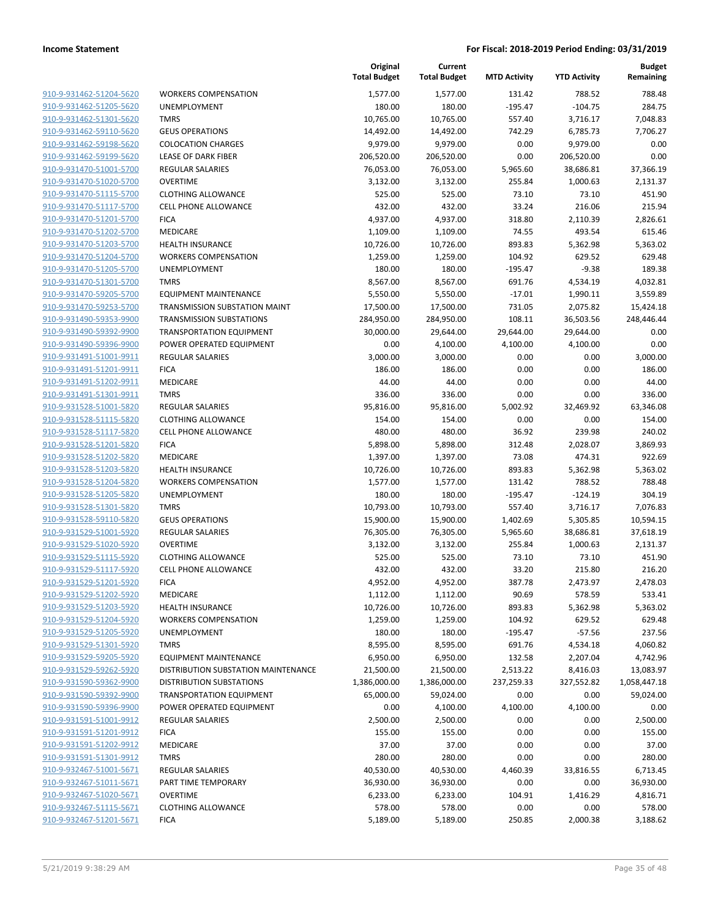| 910-9-931462-51204-5620                            | <b>WORKE</b>                  |
|----------------------------------------------------|-------------------------------|
| 910-9-931462-51205-5620                            | <b>UNEMF</b>                  |
| 910-9-931462-51301-5620                            | TMRS                          |
| 910-9-931462-59110-5620                            | <b>GEUS C</b>                 |
| 910-9-931462-59198-5620                            | <b>COLOC</b>                  |
| 910-9-931462-59199-5620                            | LEASE O                       |
| 910-9-931470-51001-5700                            | <b>REGULA</b>                 |
| 910-9-931470-51020-5700                            | <b>OVERTI</b>                 |
| 910-9-931470-51115-5700                            | <b>CLOTHI</b>                 |
| 910-9-931470-51117-5700                            | <b>CELL PH</b>                |
| 910-9-931470-51201-5700                            | FICA                          |
| 910-9-931470-51202-5700                            | <b>MEDICA</b>                 |
| 910-9-931470-51203-5700                            | <b>HEALTH</b>                 |
| 910-9-931470-51204-5700                            | <b>WORKE</b>                  |
| 910-9-931470-51205-5700                            | <b>UNEMF</b>                  |
| 910-9-931470-51301-5700                            | TMRS                          |
| 910-9-931470-59205-5700                            | <b>EQUIPN</b><br><b>TRANS</b> |
| 910-9-931470-59253-5700<br>910-9-931490-59353-9900 | <b>TRANSI</b>                 |
| 910-9-931490-59392-9900                            | <b>TRANSF</b>                 |
| 910-9-931490-59396-9900                            | <b>POWER</b>                  |
| 910-9-931491-51001-9911                            | <b>REGULA</b>                 |
| 910-9-931491-51201-9911                            | <b>FICA</b>                   |
| 910-9-931491-51202-9911                            | <b>MEDICA</b>                 |
| 910-9-931491-51301-9911                            | TMRS                          |
| 910-9-931528-51001-5820                            | <b>REGULA</b>                 |
| 910-9-931528-51115-5820                            | <b>CLOTHI</b>                 |
| 910-9-931528-51117-5820                            | <b>CELL PH</b>                |
| 910-9-931528-51201-5820                            | <b>FICA</b>                   |
| 910-9-931528-51202-5820                            | <b>MEDICA</b>                 |
| 910-9-931528-51203-5820                            | <b>HEALTH</b>                 |
| 910-9-931528-51204-5820                            | <b>WORKE</b>                  |
| 910-9-931528-51205-5820                            | <b>UNEMF</b>                  |
| 910-9-931528-51301-5820                            | <b>TMRS</b>                   |
| 910-9-931528-59110-5820                            | <b>GEUS C</b>                 |
| 910-9-931529-51001-5920                            | <b>REGULA</b>                 |
| 910-9-931529-51020-5920                            | <b>OVERTI</b>                 |
| 910-9-931529-51115-5920                            | <b>CLOTHI</b>                 |
| 910-9-931529-51117-5920<br>910-9-931529-51201-5920 | <b>CELL PH</b><br><b>FICA</b> |
| 910-9-931529-51202-5920                            | <b>MEDICA</b>                 |
| 910-9-931529-51203-5920                            | <b>HEALTH</b>                 |
| 910-9-931529-51204-5920                            | <b>WORKE</b>                  |
| 910-9-931529-51205-5920                            | <b>UNEMF</b>                  |
| 910-9-931529-51301-5920                            | <b>TMRS</b>                   |
| 910-9-931529-59205-5920                            | <b>EQUIPN</b>                 |
| 910-9-931529-59262-5920                            | <b>DISTRIE</b>                |
| 910-9-931590-59362-9900                            | <b>DISTRIE</b>                |
| 910-9-931590-59392-9900                            | <b>TRANSF</b>                 |
| 910-9-931590-59396-9900                            | POWER                         |
| 910-9-931591-51001-9912                            | <b>REGULA</b>                 |
| 910-9-931591-51201-9912                            | <b>FICA</b>                   |
| 910-9-931591-51202-9912                            | <b>MEDICA</b>                 |
| 910-9-931591-51301-9912                            | TMRS                          |
| <u>910-9-932467-51001-5671</u>                     | <b>REGULA</b>                 |
| <u>910-9-932467-51011-5671</u>                     | PART TI                       |
| 910-9-932467-51020-5671                            | <b>OVERTI</b>                 |
| 910-9-932467-51115-5671                            | CLOTHI                        |
| 910-9-932467-51201-5671                            | <b>FICA</b>                   |
|                                                    |                               |

|                         |                                     | Original<br><b>Total Budget</b> | Current<br><b>Total Budget</b> | <b>MTD Activity</b> | <b>YTD Activity</b> | <b>Budget</b><br>Remaining |
|-------------------------|-------------------------------------|---------------------------------|--------------------------------|---------------------|---------------------|----------------------------|
| 910-9-931462-51204-5620 | <b>WORKERS COMPENSATION</b>         | 1,577.00                        | 1,577.00                       | 131.42              | 788.52              | 788.48                     |
| 910-9-931462-51205-5620 | <b>UNEMPLOYMENT</b>                 | 180.00                          | 180.00                         | $-195.47$           | $-104.75$           | 284.75                     |
| 910-9-931462-51301-5620 | <b>TMRS</b>                         | 10,765.00                       | 10,765.00                      | 557.40              | 3,716.17            | 7,048.83                   |
| 910-9-931462-59110-5620 | <b>GEUS OPERATIONS</b>              | 14,492.00                       | 14,492.00                      | 742.29              | 6,785.73            | 7,706.27                   |
| 910-9-931462-59198-5620 | <b>COLOCATION CHARGES</b>           | 9,979.00                        | 9,979.00                       | 0.00                | 9,979.00            | 0.00                       |
| 910-9-931462-59199-5620 | LEASE OF DARK FIBER                 | 206,520.00                      | 206,520.00                     | 0.00                | 206,520.00          | 0.00                       |
| 910-9-931470-51001-5700 | REGULAR SALARIES                    | 76,053.00                       | 76,053.00                      | 5,965.60            | 38,686.81           | 37,366.19                  |
| 910-9-931470-51020-5700 | <b>OVERTIME</b>                     | 3,132.00                        | 3,132.00                       | 255.84              | 1,000.63            | 2,131.37                   |
| 910-9-931470-51115-5700 | <b>CLOTHING ALLOWANCE</b>           | 525.00                          | 525.00                         | 73.10               | 73.10               | 451.90                     |
| 910-9-931470-51117-5700 | <b>CELL PHONE ALLOWANCE</b>         | 432.00                          | 432.00                         | 33.24               | 216.06              | 215.94                     |
| 910-9-931470-51201-5700 | <b>FICA</b>                         | 4,937.00                        | 4,937.00                       | 318.80              | 2,110.39            | 2,826.61                   |
| 910-9-931470-51202-5700 | MEDICARE                            | 1,109.00                        | 1,109.00                       | 74.55               | 493.54              | 615.46                     |
| 910-9-931470-51203-5700 | <b>HEALTH INSURANCE</b>             | 10,726.00                       | 10,726.00                      | 893.83              | 5,362.98            | 5,363.02                   |
| 910-9-931470-51204-5700 | <b>WORKERS COMPENSATION</b>         | 1,259.00                        | 1,259.00                       | 104.92              | 629.52              | 629.48                     |
| 910-9-931470-51205-5700 | UNEMPLOYMENT                        | 180.00                          | 180.00                         | $-195.47$           | $-9.38$             | 189.38                     |
| 910-9-931470-51301-5700 | <b>TMRS</b>                         | 8,567.00                        | 8,567.00                       | 691.76              | 4,534.19            | 4,032.81                   |
| 910-9-931470-59205-5700 | <b>EQUIPMENT MAINTENANCE</b>        | 5,550.00                        | 5,550.00                       | $-17.01$            | 1,990.11            | 3,559.89                   |
| 910-9-931470-59253-5700 | TRANSMISSION SUBSTATION MAINT       | 17,500.00                       | 17,500.00                      | 731.05              | 2,075.82            | 15,424.18                  |
| 910-9-931490-59353-9900 | <b>TRANSMISSION SUBSTATIONS</b>     | 284,950.00                      | 284,950.00                     | 108.11              | 36,503.56           | 248,446.44                 |
| 910-9-931490-59392-9900 | <b>TRANSPORTATION EQUIPMENT</b>     | 30,000.00                       | 29,644.00                      | 29,644.00           | 29,644.00           | 0.00                       |
| 910-9-931490-59396-9900 | POWER OPERATED EQUIPMENT            | 0.00                            | 4,100.00                       | 4,100.00            | 4,100.00            | 0.00                       |
| 910-9-931491-51001-9911 | <b>REGULAR SALARIES</b>             | 3,000.00                        | 3,000.00                       | 0.00                | 0.00                | 3,000.00                   |
| 910-9-931491-51201-9911 | <b>FICA</b>                         | 186.00                          | 186.00                         | 0.00                | 0.00                | 186.00                     |
| 910-9-931491-51202-9911 | MEDICARE                            | 44.00                           | 44.00                          | 0.00                | 0.00                | 44.00                      |
| 910-9-931491-51301-9911 | <b>TMRS</b>                         | 336.00                          | 336.00                         | 0.00                | 0.00                | 336.00                     |
| 910-9-931528-51001-5820 | <b>REGULAR SALARIES</b>             | 95,816.00                       | 95,816.00                      | 5,002.92            | 32,469.92           | 63,346.08                  |
| 910-9-931528-51115-5820 | <b>CLOTHING ALLOWANCE</b>           | 154.00                          | 154.00                         | 0.00                | 0.00                | 154.00                     |
| 910-9-931528-51117-5820 | CELL PHONE ALLOWANCE                | 480.00                          | 480.00                         | 36.92               | 239.98              | 240.02                     |
| 910-9-931528-51201-5820 | <b>FICA</b>                         | 5,898.00                        | 5,898.00                       | 312.48              | 2,028.07            | 3,869.93                   |
| 910-9-931528-51202-5820 | MEDICARE                            | 1,397.00                        | 1,397.00                       | 73.08               | 474.31              | 922.69                     |
| 910-9-931528-51203-5820 | <b>HEALTH INSURANCE</b>             | 10,726.00                       | 10,726.00                      | 893.83              | 5,362.98            | 5,363.02                   |
| 910-9-931528-51204-5820 | <b>WORKERS COMPENSATION</b>         | 1,577.00                        | 1,577.00                       | 131.42              | 788.52              | 788.48                     |
| 910-9-931528-51205-5820 | UNEMPLOYMENT                        | 180.00                          | 180.00                         | $-195.47$           | $-124.19$           | 304.19                     |
| 910-9-931528-51301-5820 | <b>TMRS</b>                         | 10,793.00                       | 10,793.00                      | 557.40              | 3,716.17            | 7,076.83                   |
| 910-9-931528-59110-5820 | <b>GEUS OPERATIONS</b>              | 15,900.00                       | 15,900.00                      | 1,402.69            | 5,305.85            | 10,594.15                  |
| 910-9-931529-51001-5920 | REGULAR SALARIES                    | 76,305.00                       | 76,305.00                      | 5,965.60            | 38,686.81           | 37,618.19                  |
| 910-9-931529-51020-5920 | <b>OVERTIME</b>                     | 3,132.00                        | 3,132.00                       | 255.84              | 1,000.63            | 2,131.37                   |
| 910-9-931529-51115-5920 | <b>CLOTHING ALLOWANCE</b>           | 525.00                          | 525.00                         | 73.10               | 73.10               | 451.90                     |
| 910-9-931529-51117-5920 | <b>CELL PHONE ALLOWANCE</b>         | 432.00                          | 432.00                         | 33.20               | 215.80              | 216.20                     |
| 910-9-931529-51201-5920 | <b>FICA</b>                         | 4,952.00                        | 4,952.00                       | 387.78              | 2,473.97            | 2,478.03                   |
| 910-9-931529-51202-5920 | <b>MEDICARE</b>                     | 1,112.00                        | 1,112.00                       | 90.69               | 578.59              | 533.41                     |
| 910-9-931529-51203-5920 | <b>HEALTH INSURANCE</b>             | 10,726.00                       | 10,726.00                      | 893.83              | 5,362.98            | 5,363.02                   |
| 910-9-931529-51204-5920 | <b>WORKERS COMPENSATION</b>         | 1,259.00                        | 1,259.00                       | 104.92              | 629.52              | 629.48                     |
| 910-9-931529-51205-5920 | UNEMPLOYMENT                        | 180.00                          | 180.00                         | $-195.47$           | $-57.56$            | 237.56                     |
| 910-9-931529-51301-5920 | <b>TMRS</b>                         | 8,595.00                        | 8,595.00                       | 691.76              | 4,534.18            | 4,060.82                   |
| 910-9-931529-59205-5920 | <b>EQUIPMENT MAINTENANCE</b>        | 6,950.00                        | 6,950.00                       | 132.58              | 2,207.04            | 4,742.96                   |
| 910-9-931529-59262-5920 | DISTRIBUTION SUBSTATION MAINTENANCE | 21,500.00                       | 21,500.00                      | 2,513.22            | 8,416.03            | 13,083.97                  |
| 910-9-931590-59362-9900 | <b>DISTRIBUTION SUBSTATIONS</b>     | 1,386,000.00                    | 1,386,000.00                   | 237,259.33          | 327,552.82          | 1,058,447.18               |
| 910-9-931590-59392-9900 | <b>TRANSPORTATION EQUIPMENT</b>     | 65,000.00                       | 59,024.00                      | 0.00                | 0.00                | 59,024.00                  |
| 910-9-931590-59396-9900 | POWER OPERATED EQUIPMENT            | 0.00                            | 4,100.00                       | 4,100.00            | 4,100.00            | 0.00                       |
| 910-9-931591-51001-9912 | <b>REGULAR SALARIES</b>             | 2,500.00                        | 2,500.00                       | 0.00                | 0.00                | 2,500.00                   |
| 910-9-931591-51201-9912 | <b>FICA</b>                         | 155.00                          | 155.00                         | 0.00                | 0.00                | 155.00                     |
| 910-9-931591-51202-9912 | MEDICARE                            | 37.00                           | 37.00                          | 0.00                | 0.00                | 37.00                      |
| 910-9-931591-51301-9912 | <b>TMRS</b>                         | 280.00                          | 280.00                         | 0.00                | 0.00                | 280.00                     |
| 910-9-932467-51001-5671 | REGULAR SALARIES                    | 40,530.00                       | 40,530.00                      | 4,460.39            | 33,816.55           | 6,713.45                   |
| 910-9-932467-51011-5671 | PART TIME TEMPORARY                 | 36,930.00                       | 36,930.00                      | 0.00                | 0.00                | 36,930.00                  |
| 910-9-932467-51020-5671 | <b>OVERTIME</b>                     | 6,233.00                        | 6,233.00                       | 104.91              | 1,416.29            | 4,816.71                   |
| 910-9-932467-51115-5671 | <b>CLOTHING ALLOWANCE</b>           | 578.00                          | 578.00                         | 0.00                | 0.00                | 578.00                     |
| 910-9-932467-51201-5671 | <b>FICA</b>                         | 5,189.00                        | 5,189.00                       | 250.85              | 2,000.38            | 3,188.62                   |
|                         |                                     |                                 |                                |                     |                     |                            |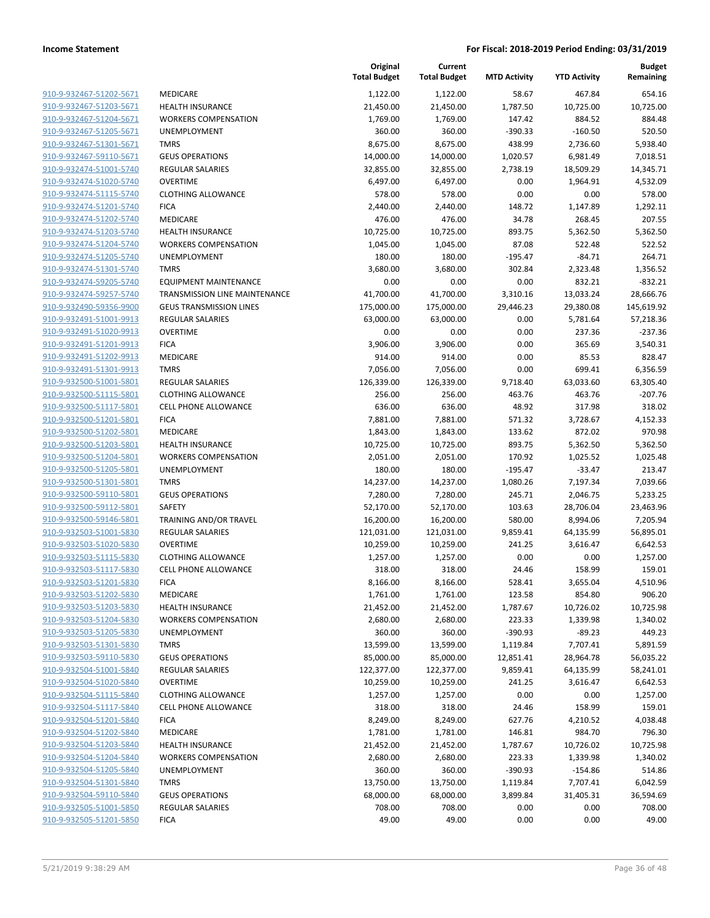| 910-9-932467-51202-5671                            | MEDICARE                                   |
|----------------------------------------------------|--------------------------------------------|
| 910-9-932467-51203-5671                            | <b>HEALTH INSUF</b>                        |
| 910-9-932467-51204-5671                            | <b>WORKERS CON</b>                         |
| 910-9-932467-51205-5671                            | <b>UNEMPLOYME</b>                          |
| 910-9-932467-51301-5671                            | <b>TMRS</b>                                |
| 910-9-932467-59110-5671                            | <b>GEUS OPERAT</b>                         |
| 910-9-932474-51001-5740                            | REGULAR SALA                               |
| 910-9-932474-51020-5740                            | OVERTIME                                   |
| 910-9-932474-51115-5740                            | <b>CLOTHING ALL</b>                        |
| 910-9-932474-51201-5740                            | <b>FICA</b>                                |
| 910-9-932474-51202-5740                            | <b>MEDICARE</b>                            |
| 910-9-932474-51203-5740                            | <b>HEALTH INSUF</b>                        |
| 910-9-932474-51204-5740                            | <b>WORKERS CON</b>                         |
| 910-9-932474-51205-5740                            | <b>UNEMPLOYME</b>                          |
| 910-9-932474-51301-5740                            | TMRS                                       |
| 910-9-932474-59205-5740                            | <b>EQUIPMENT N</b>                         |
| 910-9-932474-59257-5740                            | TRANSMISSIOI                               |
| 910-9-932490-59356-9900                            | <b>GEUS TRANSM</b>                         |
| 910-9-932491-51001-9913                            | REGULAR SALA                               |
| 910-9-932491-51020-9913                            | OVERTIME                                   |
| 910-9-932491-51201-9913                            | <b>FICA</b>                                |
| 910-9-932491-51202-9913                            | MEDICARE                                   |
| 910-9-932491-51301-9913                            | <b>TMRS</b>                                |
| 910-9-932500-51001-5801                            | <b>REGULAR SALA</b>                        |
| 910-9-932500-51115-5801                            | <b>CLOTHING ALL</b>                        |
| 910-9-932500-51117-5801                            | <b>CELL PHONE A</b>                        |
| 910-9-932500-51201-5801                            | <b>FICA</b>                                |
| 910-9-932500-51202-5801                            | MEDICARE                                   |
| 910-9-932500-51203-5801                            | <b>HEALTH INSUF</b>                        |
| 910-9-932500-51204-5801                            | WORKERS COI                                |
| 910-9-932500-51205-5801                            | <b>UNEMPLOYME</b>                          |
| 910-9-932500-51301-5801                            | TMRS                                       |
| 910-9-932500-59110-5801                            | <b>GEUS OPERAT</b>                         |
| 910-9-932500-59112-5801                            | SAFETY                                     |
| 910-9-932500-59146-5801<br>910-9-932503-51001-5830 | <b>TRAINING AND</b><br><b>REGULAR SALA</b> |
| 910-9-932503-51020-5830                            | OVERTIME                                   |
|                                                    | <b>CLOTHING ALL</b>                        |
| 910-9-932503-51115-5830<br>910-9-932503-51117-5830 | <b>CELL PHONE A</b>                        |
| 910-9-932503-51201-5830                            | <b>FICA</b>                                |
| 910-9-932503-51202-5830                            | MEDICARE                                   |
| 910-9-932503-51203-5830                            | <b>HEALTH INSUF</b>                        |
| 910-9-932503-51204-5830                            | <b>WORKERS CON</b>                         |
| 910-9-932503-51205-5830                            | <b>UNEMPLOYME</b>                          |
| 910-9-932503-51301-5830                            | TMRS                                       |
| 910-9-932503-59110-5830                            | <b>GEUS OPERAT</b>                         |
| 910-9-932504-51001-5840                            | <b>REGULAR SALA</b>                        |
| 910-9-932504-51020-5840                            | OVERTIME                                   |
| 910-9-932504-51115-5840                            | <b>CLOTHING ALL</b>                        |
| 910-9-932504-51117-5840                            | <b>CELL PHONE A</b>                        |
| 910-9-932504-51201-5840                            | <b>FICA</b>                                |
| 910-9-932504-51202-5840                            | <b>MEDICARE</b>                            |
| 910-9-932504-51203-5840                            | <b>HEALTH INSUF</b>                        |
| 910-9-932504-51204-5840                            | <b>WORKERS CON</b>                         |
| 910-9-932504-51205-5840                            | <b>UNEMPLOYME</b>                          |
| 910-9-932504-51301-5840                            | TMRS                                       |
| 910-9-932504-59110-5840                            | <b>GEUS OPERAT</b>                         |
| 910-9-932505-51001-5850                            | <b>REGULAR SALA</b>                        |
| 910-9-932505-51201-5850                            | <b>FICA</b>                                |
|                                                    |                                            |

|                         |                                      | Original<br><b>Total Budget</b> | Current<br><b>Total Budget</b> | <b>MTD Activity</b> | <b>YTD Activity</b> | <b>Budget</b><br>Remaining |
|-------------------------|--------------------------------------|---------------------------------|--------------------------------|---------------------|---------------------|----------------------------|
| 910-9-932467-51202-5671 | <b>MEDICARE</b>                      | 1,122.00                        | 1,122.00                       | 58.67               | 467.84              | 654.16                     |
| 910-9-932467-51203-5671 | <b>HEALTH INSURANCE</b>              | 21,450.00                       | 21,450.00                      | 1,787.50            | 10,725.00           | 10,725.00                  |
| 910-9-932467-51204-5671 | <b>WORKERS COMPENSATION</b>          | 1,769.00                        | 1,769.00                       | 147.42              | 884.52              | 884.48                     |
| 910-9-932467-51205-5671 | <b>UNEMPLOYMENT</b>                  | 360.00                          | 360.00                         | $-390.33$           | $-160.50$           | 520.50                     |
| 910-9-932467-51301-5671 | <b>TMRS</b>                          | 8,675.00                        | 8,675.00                       | 438.99              | 2,736.60            | 5,938.40                   |
| 910-9-932467-59110-5671 | <b>GEUS OPERATIONS</b>               | 14,000.00                       | 14,000.00                      | 1,020.57            | 6,981.49            | 7,018.51                   |
| 910-9-932474-51001-5740 | REGULAR SALARIES                     | 32,855.00                       | 32,855.00                      | 2,738.19            | 18,509.29           | 14,345.71                  |
| 910-9-932474-51020-5740 | <b>OVERTIME</b>                      | 6,497.00                        | 6,497.00                       | 0.00                | 1,964.91            | 4,532.09                   |
| 910-9-932474-51115-5740 | <b>CLOTHING ALLOWANCE</b>            | 578.00                          | 578.00                         | 0.00                | 0.00                | 578.00                     |
| 910-9-932474-51201-5740 | <b>FICA</b>                          | 2,440.00                        | 2,440.00                       | 148.72              | 1,147.89            | 1,292.11                   |
| 910-9-932474-51202-5740 | MEDICARE                             | 476.00                          | 476.00                         | 34.78               | 268.45              | 207.55                     |
| 910-9-932474-51203-5740 | <b>HEALTH INSURANCE</b>              | 10,725.00                       | 10,725.00                      | 893.75              | 5,362.50            | 5,362.50                   |
| 910-9-932474-51204-5740 | <b>WORKERS COMPENSATION</b>          | 1,045.00                        | 1,045.00                       | 87.08               | 522.48              | 522.52                     |
| 910-9-932474-51205-5740 | <b>UNEMPLOYMENT</b>                  | 180.00                          | 180.00                         | $-195.47$           | $-84.71$            | 264.71                     |
| 910-9-932474-51301-5740 | <b>TMRS</b>                          | 3,680.00                        | 3,680.00                       | 302.84              | 2,323.48            | 1,356.52                   |
| 910-9-932474-59205-5740 | <b>EQUIPMENT MAINTENANCE</b>         | 0.00                            | 0.00                           | 0.00                | 832.21              | $-832.21$                  |
| 910-9-932474-59257-5740 | <b>TRANSMISSION LINE MAINTENANCE</b> | 41,700.00                       | 41,700.00                      | 3,310.16            | 13,033.24           | 28,666.76                  |
| 910-9-932490-59356-9900 | <b>GEUS TRANSMISSION LINES</b>       | 175,000.00                      | 175,000.00                     | 29,446.23           | 29,380.08           | 145,619.92                 |
| 910-9-932491-51001-9913 | <b>REGULAR SALARIES</b>              | 63,000.00                       | 63,000.00                      | 0.00                | 5,781.64            | 57,218.36                  |
| 910-9-932491-51020-9913 | <b>OVERTIME</b>                      | 0.00                            | 0.00                           | 0.00                | 237.36              | $-237.36$                  |
| 910-9-932491-51201-9913 | <b>FICA</b>                          | 3,906.00                        | 3,906.00                       | 0.00                | 365.69              | 3,540.31                   |
| 910-9-932491-51202-9913 | MEDICARE                             | 914.00                          | 914.00                         | 0.00                | 85.53               | 828.47                     |
| 910-9-932491-51301-9913 | <b>TMRS</b>                          | 7,056.00                        | 7,056.00                       | 0.00                | 699.41              | 6,356.59                   |
| 910-9-932500-51001-5801 | <b>REGULAR SALARIES</b>              | 126,339.00                      | 126,339.00                     | 9,718.40            | 63,033.60           | 63,305.40                  |
| 910-9-932500-51115-5801 | <b>CLOTHING ALLOWANCE</b>            | 256.00                          | 256.00                         | 463.76              | 463.76              | $-207.76$                  |
| 910-9-932500-51117-5801 | <b>CELL PHONE ALLOWANCE</b>          | 636.00                          | 636.00                         | 48.92               | 317.98              | 318.02                     |
| 910-9-932500-51201-5801 | <b>FICA</b>                          | 7,881.00                        | 7,881.00                       | 571.32              | 3,728.67            | 4,152.33                   |
| 910-9-932500-51202-5801 | MEDICARE                             | 1,843.00                        | 1,843.00                       | 133.62              | 872.02              | 970.98                     |
| 910-9-932500-51203-5801 | <b>HEALTH INSURANCE</b>              | 10,725.00                       | 10,725.00                      | 893.75              | 5,362.50            | 5,362.50                   |
| 910-9-932500-51204-5801 | <b>WORKERS COMPENSATION</b>          | 2,051.00                        | 2,051.00                       | 170.92              | 1,025.52            | 1,025.48                   |
| 910-9-932500-51205-5801 | UNEMPLOYMENT                         | 180.00                          | 180.00                         | $-195.47$           | $-33.47$            | 213.47                     |
| 910-9-932500-51301-5801 | <b>TMRS</b>                          | 14,237.00                       | 14,237.00                      | 1,080.26            | 7,197.34            | 7,039.66                   |
| 910-9-932500-59110-5801 | <b>GEUS OPERATIONS</b>               | 7,280.00                        | 7,280.00                       | 245.71              | 2,046.75            | 5,233.25                   |
| 910-9-932500-59112-5801 | SAFETY                               | 52,170.00                       | 52,170.00                      | 103.63              | 28,706.04           | 23,463.96                  |
| 910-9-932500-59146-5801 | TRAINING AND/OR TRAVEL               | 16,200.00                       | 16,200.00                      | 580.00              | 8,994.06            | 7,205.94                   |
| 910-9-932503-51001-5830 | REGULAR SALARIES                     | 121,031.00                      | 121,031.00                     | 9,859.41            | 64,135.99           | 56,895.01                  |
| 910-9-932503-51020-5830 | <b>OVERTIME</b>                      | 10,259.00                       | 10,259.00                      | 241.25              | 3,616.47            | 6,642.53                   |
| 910-9-932503-51115-5830 | <b>CLOTHING ALLOWANCE</b>            | 1,257.00                        | 1,257.00                       | 0.00                | 0.00                | 1,257.00                   |
| 910-9-932503-51117-5830 | <b>CELL PHONE ALLOWANCE</b>          | 318.00                          | 318.00                         | 24.46               | 158.99              | 159.01                     |
| 910-9-932503-51201-5830 | <b>FICA</b>                          | 8,166.00                        | 8,166.00                       | 528.41              | 3,655.04            | 4,510.96                   |
| 910-9-932503-51202-5830 | MEDICARE                             | 1,761.00                        | 1,761.00                       | 123.58              | 854.80              | 906.20                     |
| 910-9-932503-51203-5830 | HEALTH INSURANCE                     | 21,452.00                       | 21,452.00                      | 1,787.67            | 10,726.02           | 10,725.98                  |
| 910-9-932503-51204-5830 | <b>WORKERS COMPENSATION</b>          | 2,680.00                        | 2,680.00                       | 223.33              | 1,339.98            | 1,340.02                   |
| 910-9-932503-51205-5830 | UNEMPLOYMENT                         | 360.00                          | 360.00                         | -390.93             | $-89.23$            | 449.23                     |
| 910-9-932503-51301-5830 | <b>TMRS</b>                          | 13,599.00                       | 13,599.00                      | 1,119.84            | 7,707.41            | 5,891.59                   |
| 910-9-932503-59110-5830 | <b>GEUS OPERATIONS</b>               | 85,000.00                       | 85,000.00                      | 12,851.41           | 28,964.78           | 56,035.22                  |
| 910-9-932504-51001-5840 | <b>REGULAR SALARIES</b>              | 122,377.00                      | 122,377.00                     | 9,859.41            | 64,135.99           | 58,241.01                  |
| 910-9-932504-51020-5840 | <b>OVERTIME</b>                      | 10,259.00                       | 10,259.00                      | 241.25              | 3,616.47            | 6,642.53                   |
| 910-9-932504-51115-5840 | <b>CLOTHING ALLOWANCE</b>            | 1,257.00                        | 1,257.00                       | 0.00                | 0.00                | 1,257.00                   |
| 910-9-932504-51117-5840 | <b>CELL PHONE ALLOWANCE</b>          | 318.00                          | 318.00                         | 24.46               | 158.99              | 159.01                     |
| 910-9-932504-51201-5840 | <b>FICA</b>                          | 8,249.00                        | 8,249.00                       | 627.76              | 4,210.52            | 4,038.48                   |
| 910-9-932504-51202-5840 | MEDICARE                             | 1,781.00                        | 1,781.00                       | 146.81              | 984.70              | 796.30                     |
| 910-9-932504-51203-5840 | HEALTH INSURANCE                     | 21,452.00                       | 21,452.00                      | 1,787.67            | 10,726.02           | 10,725.98                  |
| 910-9-932504-51204-5840 | <b>WORKERS COMPENSATION</b>          | 2,680.00                        | 2,680.00                       | 223.33              | 1,339.98            | 1,340.02                   |
| 910-9-932504-51205-5840 | <b>UNEMPLOYMENT</b>                  | 360.00                          | 360.00                         | -390.93             | $-154.86$           | 514.86                     |
| 910-9-932504-51301-5840 | <b>TMRS</b>                          | 13,750.00                       | 13,750.00                      | 1,119.84            | 7,707.41            | 6,042.59                   |
| 910-9-932504-59110-5840 | <b>GEUS OPERATIONS</b>               | 68,000.00                       | 68,000.00                      | 3,899.84            | 31,405.31           | 36,594.69                  |
| 910-9-932505-51001-5850 | REGULAR SALARIES                     | 708.00                          | 708.00                         | 0.00                | 0.00                | 708.00                     |
| 910-9-932505-51201-5850 | <b>FICA</b>                          | 49.00                           | 49.00                          | 0.00                | 0.00                | 49.00                      |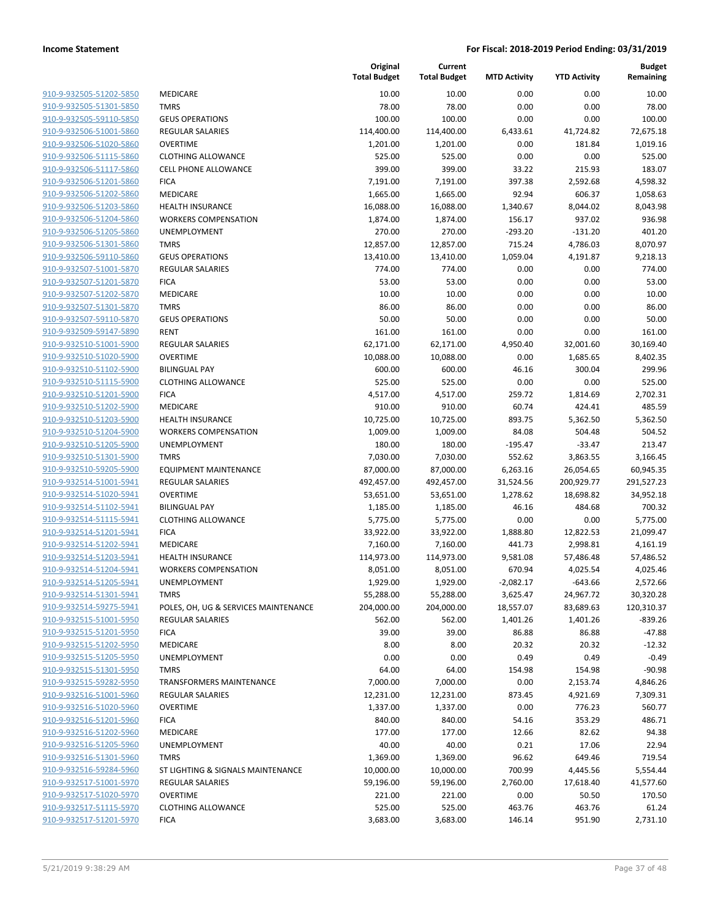| <u>910-9-932505-51202-5850</u> |
|--------------------------------|
| 910-9-932505-51301-5850        |
| 910-9-932505-59110-5850        |
| 910-9-932506-51001-5860        |
| 910-9-932506-51020-5860        |
| <u>910-9-932506-51115-5860</u> |
| 910-9-932506-51117-5860        |
| 910-9-932506-51201-5860        |
| 910-9-932506-51202-5860        |
| 910-9-932506-51203-5860        |
| <u>910-9-932506-51204-5860</u> |
| 910-9-932506-51205-5860        |
| 910-9-932506-51301-5860        |
| 910-9-932506-59110-5860        |
|                                |
| 910-9-932507-51001-5870        |
| <u>910-9-932507-51201-5870</u> |
| 910-9-932507-51202-5870        |
| 910-9-932507-51301-5870        |
| 910-9-932507-59110-5870        |
| 910-9-932509-59147-5890        |
| 910-9-932510-51001-5900        |
| 910-9-932510-51020-5900        |
| 910-9-932510-51102-5900        |
| 910-9-932510-51115-5900        |
| 910-9-932510-51201-5900        |
| <u>910-9-932510-51202-5900</u> |
| 910-9-932510-51203-5900        |
| 910-9-932510-51204-5900        |
| 910-9-932510-51205-5900        |
| 910-9-932510-51301-5900        |
| <u>910-9-932510-59205-5900</u> |
| 910-9-932514-51001-5941        |
| 910-9-932514-51020-5941        |
|                                |
| 910-9-932514-51102-5941        |
| 910-9-932514-51115-5941        |
| 910-9-932514-51201-5941        |
| 910-9-932514-51202-5941        |
| 910-9-932514-51203-5941        |
| 910-9-932514-51204-5941        |
| 910-9-932514-51205-5941        |
| 910-9-932514-51301-5941        |
| 910-9-932514-59275-5941        |
| 910-9-932515-51001-5950        |
| 910-9-932515-51201-5950        |
| 910-9-932515-51202-5950        |
| 910-9-932515-51205-5950        |
| 910-9-932515-51301-5950        |
| 910-9-932515-59282-5950        |
| 910-9-932516-51001-5960        |
| 910-9-932516-51020-5960        |
|                                |
| 910-9-932516-51201-5960        |
| 910-9-932516-51202-5960        |
| 910-9-932516-51205-5960        |
| 910-9-932516-51301-5960        |
| 910-9-932516-59284-5960        |
| 910-9-932517-51001-5970        |
| 910-9-932517-51020-5970        |
| 910-9-932517-51115-5970        |
| 910-9-932517-51201-5970        |
|                                |

|                         |                                      | Original<br><b>Total Budget</b> | Current<br><b>Total Budget</b> | <b>MTD Activity</b> | <b>YTD Activity</b> | <b>Budget</b><br>Remaining |
|-------------------------|--------------------------------------|---------------------------------|--------------------------------|---------------------|---------------------|----------------------------|
| 910-9-932505-51202-5850 | MEDICARE                             | 10.00                           | 10.00                          | 0.00                | 0.00                | 10.00                      |
| 910-9-932505-51301-5850 | <b>TMRS</b>                          | 78.00                           | 78.00                          | 0.00                | 0.00                | 78.00                      |
| 910-9-932505-59110-5850 | <b>GEUS OPERATIONS</b>               | 100.00                          | 100.00                         | 0.00                | 0.00                | 100.00                     |
| 910-9-932506-51001-5860 | <b>REGULAR SALARIES</b>              | 114,400.00                      | 114,400.00                     | 6,433.61            | 41,724.82           | 72,675.18                  |
| 910-9-932506-51020-5860 | <b>OVERTIME</b>                      | 1,201.00                        | 1,201.00                       | 0.00                | 181.84              | 1,019.16                   |
| 910-9-932506-51115-5860 | <b>CLOTHING ALLOWANCE</b>            | 525.00                          | 525.00                         | 0.00                | 0.00                | 525.00                     |
| 910-9-932506-51117-5860 | <b>CELL PHONE ALLOWANCE</b>          | 399.00                          | 399.00                         | 33.22               | 215.93              | 183.07                     |
| 910-9-932506-51201-5860 | <b>FICA</b>                          | 7,191.00                        | 7,191.00                       | 397.38              | 2,592.68            | 4,598.32                   |
| 910-9-932506-51202-5860 | MEDICARE                             | 1,665.00                        | 1,665.00                       | 92.94               | 606.37              | 1,058.63                   |
| 910-9-932506-51203-5860 | <b>HEALTH INSURANCE</b>              | 16,088.00                       | 16,088.00                      | 1,340.67            | 8,044.02            | 8,043.98                   |
| 910-9-932506-51204-5860 | <b>WORKERS COMPENSATION</b>          | 1,874.00                        | 1,874.00                       | 156.17              | 937.02              | 936.98                     |
| 910-9-932506-51205-5860 | UNEMPLOYMENT                         | 270.00                          | 270.00                         | $-293.20$           | $-131.20$           | 401.20                     |
| 910-9-932506-51301-5860 | <b>TMRS</b>                          | 12,857.00                       | 12,857.00                      | 715.24              | 4,786.03            | 8,070.97                   |
| 910-9-932506-59110-5860 | <b>GEUS OPERATIONS</b>               | 13,410.00                       | 13,410.00                      | 1,059.04            | 4,191.87            | 9,218.13                   |
| 910-9-932507-51001-5870 | <b>REGULAR SALARIES</b>              | 774.00                          | 774.00                         | 0.00                | 0.00                | 774.00                     |
| 910-9-932507-51201-5870 | <b>FICA</b>                          | 53.00                           | 53.00                          | 0.00                | 0.00                | 53.00                      |
| 910-9-932507-51202-5870 | MEDICARE                             | 10.00                           | 10.00                          | 0.00                | 0.00                | 10.00                      |
| 910-9-932507-51301-5870 | <b>TMRS</b>                          | 86.00                           | 86.00                          | 0.00                | 0.00                | 86.00                      |
| 910-9-932507-59110-5870 | <b>GEUS OPERATIONS</b>               | 50.00                           | 50.00                          | 0.00                | 0.00                | 50.00                      |
| 910-9-932509-59147-5890 | <b>RENT</b>                          | 161.00                          | 161.00                         | 0.00                | 0.00                | 161.00                     |
| 910-9-932510-51001-5900 | <b>REGULAR SALARIES</b>              | 62,171.00                       | 62,171.00                      | 4,950.40            | 32,001.60           | 30,169.40                  |
| 910-9-932510-51020-5900 | <b>OVERTIME</b>                      | 10,088.00                       | 10,088.00                      | 0.00                | 1,685.65            | 8,402.35                   |
| 910-9-932510-51102-5900 | <b>BILINGUAL PAY</b>                 | 600.00                          | 600.00                         | 46.16               | 300.04              | 299.96                     |
| 910-9-932510-51115-5900 | <b>CLOTHING ALLOWANCE</b>            | 525.00                          | 525.00                         | 0.00                | 0.00                | 525.00                     |
| 910-9-932510-51201-5900 | <b>FICA</b>                          | 4,517.00                        | 4,517.00                       | 259.72              | 1,814.69            | 2.702.31                   |
| 910-9-932510-51202-5900 | MEDICARE                             | 910.00                          | 910.00                         | 60.74               | 424.41              | 485.59                     |
| 910-9-932510-51203-5900 | <b>HEALTH INSURANCE</b>              | 10,725.00                       | 10,725.00                      | 893.75              | 5,362.50            | 5,362.50                   |
| 910-9-932510-51204-5900 | <b>WORKERS COMPENSATION</b>          | 1,009.00                        | 1,009.00                       | 84.08               | 504.48              | 504.52                     |
| 910-9-932510-51205-5900 | UNEMPLOYMENT                         | 180.00                          | 180.00                         | $-195.47$           | $-33.47$            | 213.47                     |
| 910-9-932510-51301-5900 | <b>TMRS</b>                          | 7,030.00                        | 7,030.00                       | 552.62              | 3,863.55            | 3,166.45                   |
| 910-9-932510-59205-5900 | <b>EQUIPMENT MAINTENANCE</b>         | 87,000.00                       | 87,000.00                      | 6,263.16            | 26,054.65           | 60,945.35                  |
| 910-9-932514-51001-5941 | <b>REGULAR SALARIES</b>              | 492,457.00                      | 492,457.00                     | 31,524.56           | 200,929.77          | 291,527.23                 |
| 910-9-932514-51020-5941 | <b>OVERTIME</b>                      | 53,651.00                       | 53,651.00                      | 1,278.62            | 18,698.82           | 34,952.18                  |
| 910-9-932514-51102-5941 | <b>BILINGUAL PAY</b>                 | 1,185.00                        | 1,185.00                       | 46.16               | 484.68              | 700.32                     |
| 910-9-932514-51115-5941 | CLOTHING ALLOWANCE                   | 5,775.00                        | 5,775.00                       | 0.00                | 0.00                | 5,775.00                   |
| 910-9-932514-51201-5941 | <b>FICA</b>                          | 33,922.00                       | 33,922.00                      | 1,888.80            | 12,822.53           | 21,099.47                  |
| 910-9-932514-51202-5941 | <b>MEDICARE</b>                      | 7,160.00                        | 7,160.00                       | 441.73              | 2,998.81            | 4,161.19                   |
| 910-9-932514-51203-5941 | HEALTH INSURANCE                     | 114,973.00                      | 114,973.00                     | 9,581.08            | 57,486.48           | 57,486.52                  |
| 910-9-932514-51204-5941 | <b>WORKERS COMPENSATION</b>          | 8,051.00                        | 8,051.00                       | 670.94              | 4,025.54            | 4,025.46                   |
| 910-9-932514-51205-5941 | UNEMPLOYMENT                         | 1,929.00                        | 1,929.00                       | $-2,082.17$         | $-643.66$           | 2,572.66                   |
| 910-9-932514-51301-5941 | <b>TMRS</b>                          | 55,288.00                       | 55,288.00                      | 3,625.47            | 24,967.72           | 30,320.28                  |
| 910-9-932514-59275-5941 | POLES, OH, UG & SERVICES MAINTENANCE | 204,000.00                      | 204,000.00                     | 18,557.07           | 83,689.63           | 120,310.37                 |
| 910-9-932515-51001-5950 | <b>REGULAR SALARIES</b>              | 562.00                          | 562.00                         | 1,401.26            | 1,401.26            | $-839.26$                  |
| 910-9-932515-51201-5950 | <b>FICA</b>                          | 39.00                           | 39.00                          | 86.88               | 86.88               | $-47.88$                   |
| 910-9-932515-51202-5950 | MEDICARE                             | 8.00                            | 8.00                           | 20.32               | 20.32               | $-12.32$                   |
| 910-9-932515-51205-5950 | <b>UNEMPLOYMENT</b>                  | 0.00                            | 0.00                           | 0.49                | 0.49                | $-0.49$                    |
| 910-9-932515-51301-5950 | <b>TMRS</b>                          | 64.00                           | 64.00                          | 154.98              | 154.98              | $-90.98$                   |
| 910-9-932515-59282-5950 | <b>TRANSFORMERS MAINTENANCE</b>      | 7,000.00                        | 7,000.00                       | 0.00                | 2,153.74            | 4,846.26                   |
| 910-9-932516-51001-5960 | <b>REGULAR SALARIES</b>              | 12,231.00                       | 12,231.00                      | 873.45              | 4,921.69            | 7,309.31                   |
| 910-9-932516-51020-5960 | <b>OVERTIME</b>                      | 1,337.00                        | 1,337.00                       | 0.00                | 776.23              | 560.77                     |
| 910-9-932516-51201-5960 | <b>FICA</b>                          | 840.00                          | 840.00                         | 54.16               | 353.29              | 486.71                     |
| 910-9-932516-51202-5960 | MEDICARE                             | 177.00                          | 177.00                         | 12.66               | 82.62               | 94.38                      |
| 910-9-932516-51205-5960 | UNEMPLOYMENT                         | 40.00                           | 40.00                          | 0.21                | 17.06               | 22.94                      |
| 910-9-932516-51301-5960 | <b>TMRS</b>                          |                                 |                                | 96.62               |                     | 719.54                     |
| 910-9-932516-59284-5960 | ST LIGHTING & SIGNALS MAINTENANCE    | 1,369.00<br>10,000.00           | 1,369.00                       | 700.99              | 649.46              | 5,554.44                   |
|                         |                                      |                                 | 10,000.00                      |                     | 4,445.56            |                            |
| 910-9-932517-51001-5970 | <b>REGULAR SALARIES</b>              | 59,196.00                       | 59,196.00                      | 2,760.00            | 17,618.40           | 41,577.60                  |
| 910-9-932517-51020-5970 | <b>OVERTIME</b>                      | 221.00                          | 221.00                         | 0.00                | 50.50               | 170.50                     |
| 910-9-932517-51115-5970 | <b>CLOTHING ALLOWANCE</b>            | 525.00                          | 525.00                         | 463.76              | 463.76              | 61.24                      |
| 910-9-932517-51201-5970 | <b>FICA</b>                          | 3,683.00                        | 3,683.00                       | 146.14              | 951.90              | 2,731.10                   |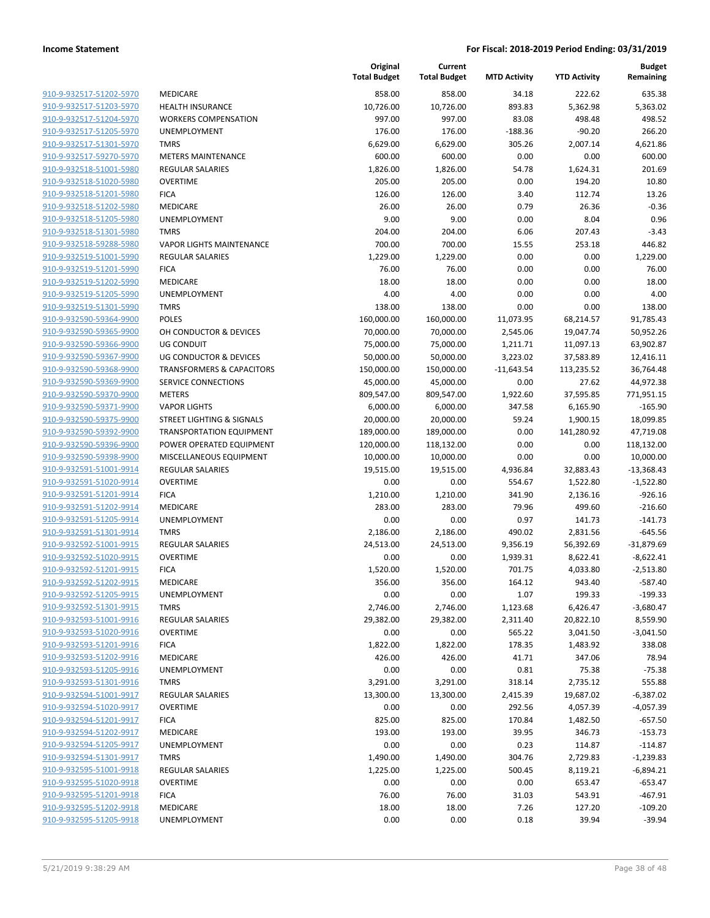| 910-9-932517-51202-5970        |
|--------------------------------|
| 910-9-932517-51203-5970        |
| 910-9-932517-51204-5970        |
| 910-9-932517-51205-5970        |
| 910-9-932517-51301-5970        |
| 910-9-932517-59270-5970        |
| 910-9-932518-51001-5980        |
| <u>910-9-932518-51020-5980</u> |
| 910-9-932518-51201-5980        |
| 910-9-932518-51202-5980        |
| 910-9-932518-51205-5980        |
| 910-9-932518-51301-5980        |
| <u>910-9-932518-59288-5980</u> |
| 910-9-932519-51001-5990        |
| 910-9-932519-51201-5990        |
| 910-9-932519-51202-5990        |
| 910-9-932519-51205-5990        |
| <u>910-9-932519-51301-5990</u> |
| <u>910-9-932590-59364-9900</u> |
| 910-9-932590-59365-9900        |
| 910-9-932590-59366-9900        |
| 910-9-932590-59367-9900        |
| 910-9-932590-59368-9900        |
| <u>910-9-932590-59369-9900</u> |
| 910-9-932590-59370-9900        |
| 910-9-932590-59371-9900        |
| 910-9-932590-59375-9900        |
| <u>910-9-932590-59392-9900</u> |
| <u>910-9-932590-59396-9900</u> |
| 910-9-932590-59398-9900        |
| 910-9-932591-51001-9914        |
| 910-9-932591-51020-9914        |
| <u>910-9-932591-51201-9914</u> |
| 910-9-932591-51202-9914        |
| 910-9-932591-51205-9914        |
| 910-9-932591-51301-9914        |
| 910-9-932592-51001-9915        |
| 910-9-932592-51020-9915        |
| 910-9-932592-51201-9915        |
| 910-9-932592-51202-9915        |
| 910-9-932592-51205-991         |
| 910-9-932592-51301-9915        |
| <u>910-9-932593-51001-9916</u> |
| <u>910-9-932593-51020-9916</u> |
| 910-9-932593-51201-9916        |
| 910-9-932593-51202-9916        |
| 910-9-932593-51205-9916        |
| <u>910-9-932593-51301-9916</u> |
| 910-9-932594-51001-9917        |
| 910-9-932594-51020-9917        |
| 910-9-932594-51201-9917        |
| 910-9-932594-51202-9917        |
| <u>910-9-932594-51205-9917</u> |
| 910-9-932594-51301-9917        |
| 910-9-932595-51001-9918        |
| 910-9-932595-51020-9918        |
| 910-9-932595-51201-9918        |
| <u>910-9-932595-51202-9918</u> |
| 910-9-932595-51205-9918        |
|                                |

|                         |                                      | Original<br><b>Total Budget</b> | Current<br><b>Total Budget</b> | <b>MTD Activity</b> | <b>YTD Activity</b> | <b>Budget</b><br>Remaining |
|-------------------------|--------------------------------------|---------------------------------|--------------------------------|---------------------|---------------------|----------------------------|
| 910-9-932517-51202-5970 | <b>MEDICARE</b>                      | 858.00                          | 858.00                         | 34.18               | 222.62              | 635.38                     |
| 910-9-932517-51203-5970 | <b>HEALTH INSURANCE</b>              | 10,726.00                       | 10,726.00                      | 893.83              | 5,362.98            | 5,363.02                   |
| 910-9-932517-51204-5970 | <b>WORKERS COMPENSATION</b>          | 997.00                          | 997.00                         | 83.08               | 498.48              | 498.52                     |
| 910-9-932517-51205-5970 | <b>UNEMPLOYMENT</b>                  | 176.00                          | 176.00                         | $-188.36$           | $-90.20$            | 266.20                     |
| 910-9-932517-51301-5970 | <b>TMRS</b>                          | 6,629.00                        | 6,629.00                       | 305.26              | 2,007.14            | 4,621.86                   |
| 910-9-932517-59270-5970 | <b>METERS MAINTENANCE</b>            | 600.00                          | 600.00                         | 0.00                | 0.00                | 600.00                     |
| 910-9-932518-51001-5980 | <b>REGULAR SALARIES</b>              | 1,826.00                        | 1,826.00                       | 54.78               | 1,624.31            | 201.69                     |
| 910-9-932518-51020-5980 | <b>OVERTIME</b>                      | 205.00                          | 205.00                         | 0.00                | 194.20              | 10.80                      |
| 910-9-932518-51201-5980 | <b>FICA</b>                          | 126.00                          | 126.00                         | 3.40                | 112.74              | 13.26                      |
| 910-9-932518-51202-5980 | MEDICARE                             | 26.00                           | 26.00                          | 0.79                | 26.36               | $-0.36$                    |
| 910-9-932518-51205-5980 | UNEMPLOYMENT                         | 9.00                            | 9.00                           | 0.00                | 8.04                | 0.96                       |
| 910-9-932518-51301-5980 | <b>TMRS</b>                          | 204.00                          | 204.00                         | 6.06                | 207.43              | $-3.43$                    |
| 910-9-932518-59288-5980 | <b>VAPOR LIGHTS MAINTENANCE</b>      | 700.00                          | 700.00                         | 15.55               | 253.18              | 446.82                     |
| 910-9-932519-51001-5990 | <b>REGULAR SALARIES</b>              | 1,229.00                        | 1,229.00                       | 0.00                | 0.00                | 1,229.00                   |
| 910-9-932519-51201-5990 | <b>FICA</b>                          | 76.00                           | 76.00                          | 0.00                | 0.00                | 76.00                      |
| 910-9-932519-51202-5990 | MEDICARE                             | 18.00                           | 18.00                          | 0.00                | 0.00                | 18.00                      |
| 910-9-932519-51205-5990 | UNEMPLOYMENT                         | 4.00                            | 4.00                           | 0.00                | 0.00                | 4.00                       |
| 910-9-932519-51301-5990 | <b>TMRS</b>                          | 138.00                          | 138.00                         | 0.00                | 0.00                | 138.00                     |
| 910-9-932590-59364-9900 | <b>POLES</b>                         | 160,000.00                      | 160,000.00                     | 11,073.95           | 68,214.57           | 91,785.43                  |
| 910-9-932590-59365-9900 | OH CONDUCTOR & DEVICES               | 70,000.00                       | 70,000.00                      | 2,545.06            | 19,047.74           | 50,952.26                  |
| 910-9-932590-59366-9900 | UG CONDUIT                           | 75,000.00                       | 75,000.00                      | 1,211.71            | 11,097.13           | 63,902.87                  |
| 910-9-932590-59367-9900 | <b>UG CONDUCTOR &amp; DEVICES</b>    | 50,000.00                       | 50,000.00                      | 3,223.02            | 37,583.89           | 12,416.11                  |
| 910-9-932590-59368-9900 | <b>TRANSFORMERS &amp; CAPACITORS</b> | 150,000.00                      | 150,000.00                     | $-11,643.54$        | 113,235.52          | 36,764.48                  |
| 910-9-932590-59369-9900 | <b>SERVICE CONNECTIONS</b>           | 45,000.00                       | 45,000.00                      | 0.00                | 27.62               | 44,972.38                  |
| 910-9-932590-59370-9900 | <b>METERS</b>                        | 809,547.00                      | 809,547.00                     | 1,922.60            | 37,595.85           | 771,951.15                 |
| 910-9-932590-59371-9900 | <b>VAPOR LIGHTS</b>                  | 6,000.00                        | 6,000.00                       | 347.58              | 6,165.90            | $-165.90$                  |
| 910-9-932590-59375-9900 | <b>STREET LIGHTING &amp; SIGNALS</b> | 20,000.00                       | 20,000.00                      | 59.24               | 1,900.15            | 18,099.85                  |
| 910-9-932590-59392-9900 | <b>TRANSPORTATION EQUIPMENT</b>      | 189,000.00                      | 189,000.00                     | 0.00                | 141,280.92          | 47,719.08                  |
| 910-9-932590-59396-9900 | POWER OPERATED EQUIPMENT             | 120,000.00                      | 118,132.00                     | 0.00                | 0.00                | 118,132.00                 |
| 910-9-932590-59398-9900 | MISCELLANEOUS EQUIPMENT              | 10,000.00                       | 10,000.00                      | 0.00                | 0.00                | 10,000.00                  |
| 910-9-932591-51001-9914 | <b>REGULAR SALARIES</b>              | 19,515.00                       | 19,515.00                      | 4,936.84            | 32,883.43           | $-13,368.43$               |
| 910-9-932591-51020-9914 | <b>OVERTIME</b>                      | 0.00                            | 0.00                           | 554.67              | 1,522.80            | $-1,522.80$                |
| 910-9-932591-51201-9914 | <b>FICA</b>                          | 1,210.00                        | 1,210.00                       | 341.90              | 2,136.16            | $-926.16$                  |
| 910-9-932591-51202-9914 | MEDICARE                             | 283.00                          | 283.00                         | 79.96               | 499.60              | $-216.60$                  |
| 910-9-932591-51205-9914 | UNEMPLOYMENT                         | 0.00                            | 0.00                           | 0.97                | 141.73              | $-141.73$                  |
| 910-9-932591-51301-9914 | <b>TMRS</b>                          | 2,186.00                        | 2,186.00                       | 490.02              | 2,831.56            | $-645.56$                  |
| 910-9-932592-51001-9915 | REGULAR SALARIES                     | 24,513.00                       | 24,513.00                      | 9,356.19            | 56,392.69           | $-31,879.69$               |
| 910-9-932592-51020-9915 | <b>OVERTIME</b>                      | 0.00                            | 0.00                           | 1,939.31            | 8,622.41            | $-8,622.41$                |
| 910-9-932592-51201-9915 | <b>FICA</b>                          | 1,520.00                        | 1,520.00                       | 701.75              | 4,033.80            | $-2,513.80$                |
| 910-9-932592-51202-9915 | <b>MEDICARE</b>                      | 356.00                          | 356.00                         | 164.12              | 943.40              | -587.40                    |
| 910-9-932592-51205-9915 | <b>UNEMPLOYMENT</b>                  | 0.00                            | 0.00                           | 1.07                | 199.33              | $-199.33$                  |
| 910-9-932592-51301-9915 | <b>TMRS</b>                          | 2,746.00                        | 2,746.00                       | 1,123.68            | 6,426.47            | $-3,680.47$                |
| 910-9-932593-51001-9916 | <b>REGULAR SALARIES</b>              | 29,382.00                       | 29,382.00                      | 2,311.40            | 20,822.10           | 8,559.90                   |
| 910-9-932593-51020-9916 | <b>OVERTIME</b>                      | 0.00                            | 0.00                           | 565.22              | 3,041.50            | $-3,041.50$                |
| 910-9-932593-51201-9916 | <b>FICA</b>                          | 1,822.00                        | 1,822.00                       | 178.35              | 1,483.92            | 338.08                     |
| 910-9-932593-51202-9916 | MEDICARE                             | 426.00                          | 426.00                         | 41.71               | 347.06              | 78.94                      |
| 910-9-932593-51205-9916 | UNEMPLOYMENT                         | 0.00                            | 0.00                           | 0.81                | 75.38               | $-75.38$                   |
| 910-9-932593-51301-9916 | <b>TMRS</b>                          | 3,291.00                        | 3,291.00                       | 318.14              | 2,735.12            | 555.88                     |
| 910-9-932594-51001-9917 | <b>REGULAR SALARIES</b>              | 13,300.00                       | 13,300.00                      | 2,415.39            | 19,687.02           | $-6,387.02$                |
| 910-9-932594-51020-9917 | <b>OVERTIME</b>                      | 0.00                            | 0.00                           | 292.56              | 4,057.39            | $-4,057.39$                |
| 910-9-932594-51201-9917 | <b>FICA</b>                          | 825.00                          | 825.00                         | 170.84              | 1,482.50            | $-657.50$                  |
| 910-9-932594-51202-9917 | MEDICARE                             | 193.00                          | 193.00                         | 39.95               | 346.73              | $-153.73$                  |
| 910-9-932594-51205-9917 | UNEMPLOYMENT                         | 0.00                            | 0.00                           | 0.23                | 114.87              | $-114.87$                  |
| 910-9-932594-51301-9917 | <b>TMRS</b>                          | 1,490.00                        | 1,490.00                       | 304.76              | 2,729.83            | $-1,239.83$                |
| 910-9-932595-51001-9918 | <b>REGULAR SALARIES</b>              | 1,225.00                        | 1,225.00                       | 500.45              | 8,119.21            | $-6,894.21$                |
| 910-9-932595-51020-9918 | <b>OVERTIME</b>                      | 0.00                            | 0.00                           | 0.00                | 653.47              | $-653.47$                  |
| 910-9-932595-51201-9918 | <b>FICA</b>                          | 76.00                           | 76.00                          | 31.03               | 543.91              | $-467.91$                  |
| 910-9-932595-51202-9918 | MEDICARE                             | 18.00                           | 18.00                          | 7.26                | 127.20              | $-109.20$                  |
| 910-9-932595-51205-9918 | UNEMPLOYMENT                         | 0.00                            | 0.00                           | 0.18                | 39.94               | $-39.94$                   |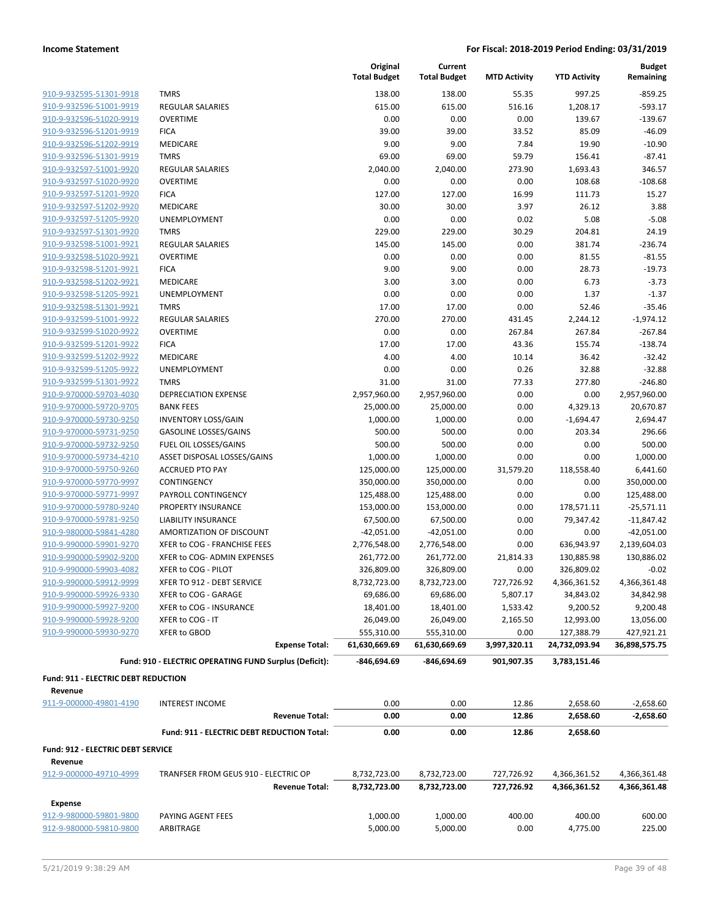| 910-9-932595-51301-9918 |
|-------------------------|
| 910-9-932596-51001-9919 |
| 910-9-932596-51020-9919 |
| 910-9-932596-51201-9919 |
| 910-9-932596-51202-9919 |
| 910-9-932596-51301-9919 |
| 910-9-932597-51001-9920 |
| 910-9-932597-51020-9920 |
| 910-9-932597-51201-9920 |
| 910-9-932597-51202-9920 |
| 910-9-932597-51205-9920 |
| 910-9-932597-51301-9920 |
| 910-9-932598-51001-9921 |
| 910-9-932598-51020-9921 |
| 910-9-932598-51201-9921 |
| 910-9-932598-51202-9921 |
| 910-9-932598-51205-9921 |
| 910-9-932598-51301-9921 |
| 910-9-932599-51001-9922 |
| 910-9-932599-51020-9922 |
| 910-9-932599-51201-9922 |
| 910-9-932599-51202-9922 |
| 910-9-932599-51205-9922 |
| 910-9-932599-51301-9922 |
| 910-9-970000-59703-4030 |
| 910-9-970000-59720-9705 |
| 910-9-970000-59730-9250 |
| 910-9-970000-59731-9250 |
| 910-9-970000-59732-9250 |
| 910-9-970000-59734-4210 |
| 910-9-970000-59750-9260 |
| 910-9-970000-59770-9997 |
| 910-9-970000-59771-9997 |
| 910-9-970000-59780-9240 |
| 910-9-970000-59781-9250 |
|                         |
| 910-9-980000-59841-4280 |
| 910-9-990000-59901-9270 |
| 910-9-990000-59902-9200 |
| 910-9-990000-59903-4082 |
| 910-9-990000-59912-9999 |
| 910-9-990000-59926-9330 |
| 910-9-990000-59927-9200 |
| 910-9-990000-59928-9200 |
| 910-9-990000-59930-9270 |

|                                                    |                                                        | Original<br><b>Total Budget</b> | Current<br><b>Total Budget</b> | <b>MTD Activity</b> | <b>YTD Activity</b>        | <b>Budget</b><br>Remaining   |
|----------------------------------------------------|--------------------------------------------------------|---------------------------------|--------------------------------|---------------------|----------------------------|------------------------------|
| 910-9-932595-51301-9918                            | <b>TMRS</b>                                            | 138.00                          | 138.00                         | 55.35               | 997.25                     | $-859.25$                    |
| 910-9-932596-51001-9919                            | <b>REGULAR SALARIES</b>                                | 615.00                          | 615.00                         | 516.16              | 1,208.17                   | $-593.17$                    |
| 910-9-932596-51020-9919                            | <b>OVERTIME</b>                                        | 0.00                            | 0.00                           | 0.00                | 139.67                     | $-139.67$                    |
| 910-9-932596-51201-9919                            | <b>FICA</b>                                            | 39.00                           | 39.00                          | 33.52               | 85.09                      | $-46.09$                     |
| 910-9-932596-51202-9919                            | MEDICARE                                               | 9.00                            | 9.00                           | 7.84                | 19.90                      | $-10.90$                     |
| 910-9-932596-51301-9919                            | <b>TMRS</b>                                            | 69.00                           | 69.00                          | 59.79               | 156.41                     | $-87.41$                     |
| 910-9-932597-51001-9920                            | <b>REGULAR SALARIES</b>                                | 2,040.00                        | 2,040.00                       | 273.90              | 1,693.43                   | 346.57                       |
| 910-9-932597-51020-9920                            | <b>OVERTIME</b>                                        | 0.00                            | 0.00                           | 0.00                | 108.68                     | $-108.68$                    |
| 910-9-932597-51201-9920                            | <b>FICA</b>                                            | 127.00                          | 127.00                         | 16.99               | 111.73                     | 15.27                        |
| 910-9-932597-51202-9920                            | MEDICARE                                               | 30.00                           | 30.00                          | 3.97                | 26.12                      | 3.88                         |
| 910-9-932597-51205-9920                            | <b>UNEMPLOYMENT</b>                                    | 0.00                            | 0.00                           | 0.02                | 5.08                       | $-5.08$                      |
| 910-9-932597-51301-9920                            | <b>TMRS</b>                                            | 229.00                          | 229.00                         | 30.29               | 204.81                     | 24.19                        |
| 910-9-932598-51001-9921                            | <b>REGULAR SALARIES</b>                                | 145.00                          | 145.00                         | 0.00                | 381.74                     | $-236.74$                    |
| 910-9-932598-51020-9921                            | <b>OVERTIME</b>                                        | 0.00                            | 0.00                           | 0.00                | 81.55                      | $-81.55$                     |
| 910-9-932598-51201-9921                            | <b>FICA</b>                                            | 9.00                            | 9.00                           | 0.00                | 28.73                      | $-19.73$                     |
| 910-9-932598-51202-9921                            | MEDICARE                                               | 3.00                            | 3.00                           | 0.00                | 6.73                       | $-3.73$                      |
| 910-9-932598-51205-9921                            | <b>UNEMPLOYMENT</b>                                    | 0.00                            | 0.00                           | 0.00                | 1.37                       | $-1.37$                      |
| 910-9-932598-51301-9921                            | <b>TMRS</b>                                            | 17.00                           | 17.00                          | 0.00                | 52.46                      | $-35.46$                     |
| 910-9-932599-51001-9922                            | <b>REGULAR SALARIES</b>                                | 270.00                          | 270.00                         | 431.45              | 2,244.12                   | $-1,974.12$                  |
| 910-9-932599-51020-9922                            | <b>OVERTIME</b>                                        | 0.00                            | 0.00                           | 267.84              | 267.84                     | $-267.84$                    |
| 910-9-932599-51201-9922                            | <b>FICA</b>                                            | 17.00                           | 17.00                          | 43.36               | 155.74                     | $-138.74$                    |
| 910-9-932599-51202-9922                            | MEDICARE                                               | 4.00                            | 4.00                           | 10.14               | 36.42                      | $-32.42$                     |
| 910-9-932599-51205-9922                            | <b>UNEMPLOYMENT</b>                                    | 0.00                            | 0.00                           | 0.26                | 32.88                      | $-32.88$                     |
| 910-9-932599-51301-9922                            | <b>TMRS</b>                                            | 31.00                           | 31.00                          | 77.33               | 277.80                     | $-246.80$                    |
| 910-9-970000-59703-4030                            | <b>DEPRECIATION EXPENSE</b>                            | 2,957,960.00                    | 2,957,960.00                   | 0.00                | 0.00                       | 2,957,960.00                 |
| 910-9-970000-59720-9705                            | <b>BANK FEES</b>                                       | 25,000.00                       | 25,000.00                      | 0.00                | 4,329.13                   | 20,670.87                    |
| 910-9-970000-59730-9250                            | <b>INVENTORY LOSS/GAIN</b>                             | 1,000.00                        | 1,000.00                       | 0.00                | $-1,694.47$                | 2,694.47                     |
| 910-9-970000-59731-9250                            | <b>GASOLINE LOSSES/GAINS</b>                           | 500.00                          | 500.00                         | 0.00                | 203.34                     | 296.66                       |
| 910-9-970000-59732-9250                            | FUEL OIL LOSSES/GAINS                                  | 500.00                          | 500.00                         | 0.00                | 0.00                       | 500.00                       |
| 910-9-970000-59734-4210                            | ASSET DISPOSAL LOSSES/GAINS                            | 1,000.00                        | 1,000.00                       | 0.00                | 0.00                       | 1,000.00                     |
| 910-9-970000-59750-9260                            | <b>ACCRUED PTO PAY</b>                                 | 125,000.00                      | 125,000.00                     | 31,579.20           | 118,558.40                 | 6,441.60                     |
| 910-9-970000-59770-9997                            | CONTINGENCY                                            | 350,000.00                      | 350,000.00                     | 0.00                | 0.00                       | 350,000.00                   |
| 910-9-970000-59771-9997                            | PAYROLL CONTINGENCY                                    | 125,488.00                      | 125,488.00                     | 0.00                | 0.00                       | 125,488.00                   |
| 910-9-970000-59780-9240                            | PROPERTY INSURANCE<br><b>LIABILITY INSURANCE</b>       | 153,000.00                      | 153,000.00                     | 0.00                | 178,571.11                 | $-25,571.11$                 |
| 910-9-970000-59781-9250                            | AMORTIZATION OF DISCOUNT                               | 67,500.00<br>$-42,051.00$       | 67,500.00<br>$-42,051.00$      | 0.00                | 79,347.42                  | $-11,847.42$<br>$-42,051.00$ |
| 910-9-980000-59841-4280                            | XFER to COG - FRANCHISE FEES                           |                                 |                                | 0.00<br>0.00        | 0.00                       | 2,139,604.03                 |
| 910-9-990000-59901-9270<br>910-9-990000-59902-9200 | XFER to COG- ADMIN EXPENSES                            | 2,776,548.00<br>261,772.00      | 2,776,548.00<br>261,772.00     | 21,814.33           | 636,943.97                 | 130,886.02                   |
| 910-9-990000-59903-4082                            |                                                        | 326,809.00                      |                                |                     | 130,885.98                 | $-0.02$                      |
| 910-9-990000-59912-9999                            | XFER to COG - PILOT<br>XFER TO 912 - DEBT SERVICE      | 8,732,723.00                    | 326,809.00<br>8,732,723.00     | 0.00<br>727,726.92  | 326,809.02<br>4,366,361.52 | 4,366,361.48                 |
| 910-9-990000-59926-9330                            | XFER to COG - GARAGE                                   | 69,686.00                       | 69,686.00                      | 5,807.17            | 34,843.02                  | 34,842.98                    |
| 910-9-990000-59927-9200                            | XFER to COG - INSURANCE                                | 18,401.00                       | 18,401.00                      | 1,533.42            | 9,200.52                   | 9,200.48                     |
| 910-9-990000-59928-9200                            | XFER to COG - IT                                       | 26,049.00                       | 26,049.00                      | 2,165.50            | 12,993.00                  | 13,056.00                    |
| 910-9-990000-59930-9270                            | XFER to GBOD                                           | 555,310.00                      | 555,310.00                     | 0.00                | 127,388.79                 | 427,921.21                   |
|                                                    | <b>Expense Total:</b>                                  | 61,630,669.69                   | 61,630,669.69                  | 3,997,320.11        | 24,732,093.94              | 36,898,575.75                |
|                                                    | Fund: 910 - ELECTRIC OPERATING FUND Surplus (Deficit): | -846,694.69                     | -846,694.69                    | 901,907.35          | 3,783,151.46               |                              |
| Fund: 911 - ELECTRIC DEBT REDUCTION                |                                                        |                                 |                                |                     |                            |                              |
| Revenue                                            |                                                        |                                 |                                |                     |                            |                              |
| 911-9-000000-49801-4190                            | <b>INTEREST INCOME</b>                                 | 0.00                            | 0.00                           | 12.86               | 2,658.60                   | $-2,658.60$                  |
|                                                    | <b>Revenue Total:</b>                                  | 0.00                            | 0.00                           | 12.86               | 2,658.60                   | $-2,658.60$                  |
|                                                    | Fund: 911 - ELECTRIC DEBT REDUCTION Total:             | 0.00                            | 0.00                           | 12.86               | 2,658.60                   |                              |
| Fund: 912 - ELECTRIC DEBT SERVICE                  |                                                        |                                 |                                |                     |                            |                              |
| Revenue                                            |                                                        |                                 |                                |                     |                            |                              |
| 912-9-000000-49710-4999                            | TRANFSER FROM GEUS 910 - ELECTRIC OP                   | 8,732,723.00                    | 8,732,723.00                   | 727,726.92          | 4,366,361.52               | 4,366,361.48                 |
|                                                    | <b>Revenue Total:</b>                                  | 8,732,723.00                    | 8,732,723.00                   | 727,726.92          | 4,366,361.52               | 4,366,361.48                 |
| <b>Expense</b>                                     |                                                        |                                 |                                |                     |                            |                              |
| 912-9-980000-59801-9800                            | PAYING AGENT FEES                                      | 1,000.00                        | 1,000.00                       | 400.00              | 400.00                     | 600.00                       |
| 912-9-980000-59810-9800                            | ARBITRAGE                                              | 5,000.00                        | 5,000.00                       | 0.00                | 4,775.00                   | 225.00                       |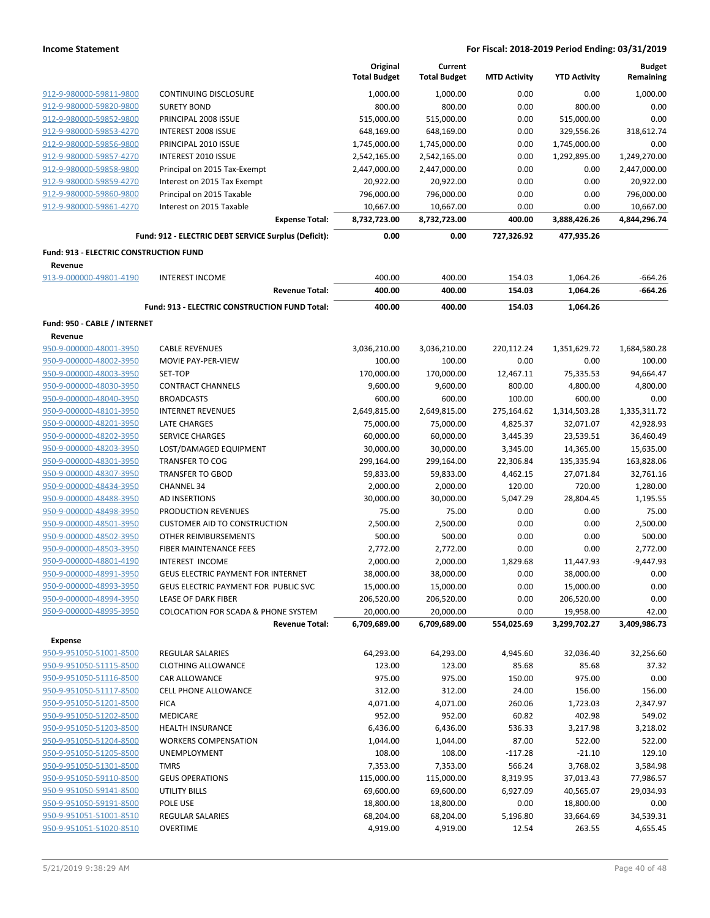|                                        |                                                      | Original            | Current             |                     |                     | <b>Budget</b> |
|----------------------------------------|------------------------------------------------------|---------------------|---------------------|---------------------|---------------------|---------------|
|                                        |                                                      | <b>Total Budget</b> | <b>Total Budget</b> | <b>MTD Activity</b> | <b>YTD Activity</b> | Remaining     |
| 912-9-980000-59811-9800                | <b>CONTINUING DISCLOSURE</b>                         | 1,000.00            | 1,000.00            | 0.00                | 0.00                | 1,000.00      |
| 912-9-980000-59820-9800                | <b>SURETY BOND</b>                                   | 800.00              | 800.00              | 0.00                | 800.00              | 0.00          |
| 912-9-980000-59852-9800                | PRINCIPAL 2008 ISSUE                                 | 515,000.00          | 515,000.00          | 0.00                | 515,000.00          | 0.00          |
| 912-9-980000-59853-4270                | <b>INTEREST 2008 ISSUE</b>                           | 648,169.00          | 648,169.00          | 0.00                | 329,556.26          | 318,612.74    |
| 912-9-980000-59856-9800                | PRINCIPAL 2010 ISSUE                                 | 1,745,000.00        | 1,745,000.00        | 0.00                | 1,745,000.00        | 0.00          |
| 912-9-980000-59857-4270                | <b>INTEREST 2010 ISSUE</b>                           | 2,542,165.00        | 2,542,165.00        | 0.00                | 1,292,895.00        | 1,249,270.00  |
| 912-9-980000-59858-9800                | Principal on 2015 Tax-Exempt                         | 2,447,000.00        | 2,447,000.00        | 0.00                | 0.00                | 2,447,000.00  |
| 912-9-980000-59859-4270                | Interest on 2015 Tax Exempt                          | 20,922.00           | 20,922.00           | 0.00                | 0.00                | 20,922.00     |
| 912-9-980000-59860-9800                | Principal on 2015 Taxable                            | 796,000.00          | 796,000.00          | 0.00                | 0.00                | 796,000.00    |
| 912-9-980000-59861-4270                | Interest on 2015 Taxable                             | 10,667.00           | 10,667.00           | 0.00                | 0.00                | 10,667.00     |
|                                        | <b>Expense Total:</b>                                | 8,732,723.00        | 8,732,723.00        | 400.00              | 3,888,426.26        | 4,844,296.74  |
|                                        | Fund: 912 - ELECTRIC DEBT SERVICE Surplus (Deficit): | 0.00                | 0.00                | 727,326.92          | 477,935.26          |               |
| Fund: 913 - ELECTRIC CONSTRUCTION FUND |                                                      |                     |                     |                     |                     |               |
| Revenue                                |                                                      |                     |                     |                     |                     |               |
| 913-9-000000-49801-4190                | <b>INTEREST INCOME</b>                               | 400.00              | 400.00              | 154.03              | 1,064.26            | $-664.26$     |
|                                        | <b>Revenue Total:</b>                                | 400.00              | 400.00              | 154.03              | 1,064.26            | -664.26       |
|                                        | Fund: 913 - ELECTRIC CONSTRUCTION FUND Total:        | 400.00              | 400.00              | 154.03              | 1,064.26            |               |
| Fund: 950 - CABLE / INTERNET           |                                                      |                     |                     |                     |                     |               |
| Revenue                                |                                                      |                     |                     |                     |                     |               |
| 950-9-000000-48001-3950                | <b>CABLE REVENUES</b>                                | 3,036,210.00        | 3,036,210.00        | 220,112.24          | 1,351,629.72        | 1,684,580.28  |
| 950-9-000000-48002-3950                | <b>MOVIE PAY-PER-VIEW</b>                            | 100.00              | 100.00              | 0.00                | 0.00                | 100.00        |
| 950-9-000000-48003-3950                | SET-TOP                                              | 170,000.00          | 170,000.00          | 12,467.11           | 75,335.53           | 94,664.47     |
| 950-9-000000-48030-3950                | <b>CONTRACT CHANNELS</b>                             | 9,600.00            | 9,600.00            | 800.00              | 4,800.00            | 4,800.00      |
| 950-9-000000-48040-3950                | <b>BROADCASTS</b>                                    | 600.00              | 600.00              | 100.00              | 600.00              | 0.00          |
| 950-9-000000-48101-3950                | <b>INTERNET REVENUES</b>                             | 2,649,815.00        | 2,649,815.00        | 275,164.62          | 1,314,503.28        | 1,335,311.72  |
| 950-9-000000-48201-3950                | <b>LATE CHARGES</b>                                  | 75,000.00           | 75,000.00           | 4,825.37            | 32,071.07           | 42,928.93     |
| 950-9-000000-48202-3950                | SERVICE CHARGES                                      | 60,000.00           | 60,000.00           | 3,445.39            | 23,539.51           | 36,460.49     |
| 950-9-000000-48203-3950                | LOST/DAMAGED EQUIPMENT                               | 30,000.00           | 30,000.00           | 3,345.00            | 14,365.00           | 15,635.00     |
| 950-9-000000-48301-3950                | <b>TRANSFER TO COG</b>                               | 299,164.00          | 299,164.00          | 22,306.84           | 135,335.94          | 163,828.06    |
| 950-9-000000-48307-3950                | <b>TRANSFER TO GBOD</b>                              | 59,833.00           | 59,833.00           | 4,462.15            | 27,071.84           | 32,761.16     |
| 950-9-000000-48434-3950                | <b>CHANNEL 34</b>                                    | 2,000.00            | 2,000.00            | 120.00              | 720.00              | 1,280.00      |
| 950-9-000000-48488-3950                | AD INSERTIONS                                        | 30,000.00           | 30,000.00           | 5,047.29            | 28,804.45           | 1,195.55      |
| 950-9-000000-48498-3950                | PRODUCTION REVENUES                                  | 75.00               | 75.00               | 0.00                | 0.00                | 75.00         |
| 950-9-000000-48501-3950                | <b>CUSTOMER AID TO CONSTRUCTION</b>                  | 2,500.00            | 2,500.00            | 0.00                | 0.00                | 2,500.00      |
| 950-9-000000-48502-3950                | OTHER REIMBURSEMENTS                                 | 500.00              | 500.00              | 0.00                | 0.00                | 500.00        |
| 950-9-000000-48503-3950                | <b>FIBER MAINTENANCE FEES</b>                        | 2,772.00            | 2,772.00            | 0.00                | 0.00                | 2,772.00      |
| 950-9-000000-48801-4190                | INTEREST INCOME                                      | 2,000.00            | 2,000.00            | 1,829.68            | 11,447.93           | $-9,447.93$   |
| 950-9-000000-48991-3950                | <b>GEUS ELECTRIC PAYMENT FOR INTERNET</b>            | 38,000.00           | 38,000.00           | 0.00                | 38,000.00           | 0.00          |
| 950-9-000000-48993-3950                | GEUS ELECTRIC PAYMENT FOR PUBLIC SVC                 | 15,000.00           | 15,000.00           | 0.00                | 15,000.00           | 0.00          |
| 950-9-000000-48994-3950                | LEASE OF DARK FIBER                                  | 206,520.00          | 206,520.00          | 0.00                | 206,520.00          | 0.00          |
| 950-9-000000-48995-3950                | <b>COLOCATION FOR SCADA &amp; PHONE SYSTEM</b>       | 20,000.00           | 20,000.00           | 0.00                | 19,958.00           | 42.00         |
|                                        | <b>Revenue Total:</b>                                | 6,709,689.00        | 6,709,689.00        | 554,025.69          | 3,299,702.27        | 3,409,986.73  |
| <b>Expense</b>                         |                                                      |                     |                     |                     |                     |               |
| 950-9-951050-51001-8500                | REGULAR SALARIES                                     | 64,293.00           | 64,293.00           | 4,945.60            | 32,036.40           | 32,256.60     |
| 950-9-951050-51115-8500                | <b>CLOTHING ALLOWANCE</b>                            | 123.00              | 123.00              | 85.68               | 85.68               | 37.32         |
| 950-9-951050-51116-8500                | CAR ALLOWANCE                                        | 975.00              | 975.00              | 150.00              | 975.00              | 0.00          |
| 950-9-951050-51117-8500                | CELL PHONE ALLOWANCE                                 | 312.00              | 312.00              | 24.00               | 156.00              | 156.00        |
| 950-9-951050-51201-8500                | <b>FICA</b>                                          | 4,071.00            | 4,071.00            | 260.06              | 1,723.03            | 2,347.97      |
| 950-9-951050-51202-8500                | MEDICARE                                             | 952.00              | 952.00              | 60.82               | 402.98              | 549.02        |
| 950-9-951050-51203-8500                | <b>HEALTH INSURANCE</b>                              | 6,436.00            | 6,436.00            | 536.33              | 3,217.98            | 3,218.02      |
| 950-9-951050-51204-8500                | <b>WORKERS COMPENSATION</b>                          | 1,044.00            | 1,044.00            | 87.00               | 522.00              | 522.00        |
| 950-9-951050-51205-8500                | UNEMPLOYMENT                                         | 108.00              | 108.00              | $-117.28$           | $-21.10$            | 129.10        |
| 950-9-951050-51301-8500                | <b>TMRS</b>                                          | 7,353.00            | 7,353.00            | 566.24              | 3,768.02            | 3,584.98      |
| 950-9-951050-59110-8500                | <b>GEUS OPERATIONS</b>                               | 115,000.00          | 115,000.00          | 8,319.95            | 37,013.43           | 77,986.57     |
| 950-9-951050-59141-8500                | UTILITY BILLS                                        | 69,600.00           | 69,600.00           | 6,927.09            | 40,565.07           | 29,034.93     |
| 950-9-951050-59191-8500                | POLE USE                                             | 18,800.00           | 18,800.00           | 0.00                | 18,800.00           | 0.00          |
| 950-9-951051-51001-8510                | REGULAR SALARIES                                     | 68,204.00           | 68,204.00           | 5,196.80            | 33,664.69           | 34,539.31     |
| 950-9-951051-51020-8510                | <b>OVERTIME</b>                                      | 4,919.00            | 4,919.00            | 12.54               | 263.55              | 4,655.45      |
|                                        |                                                      |                     |                     |                     |                     |               |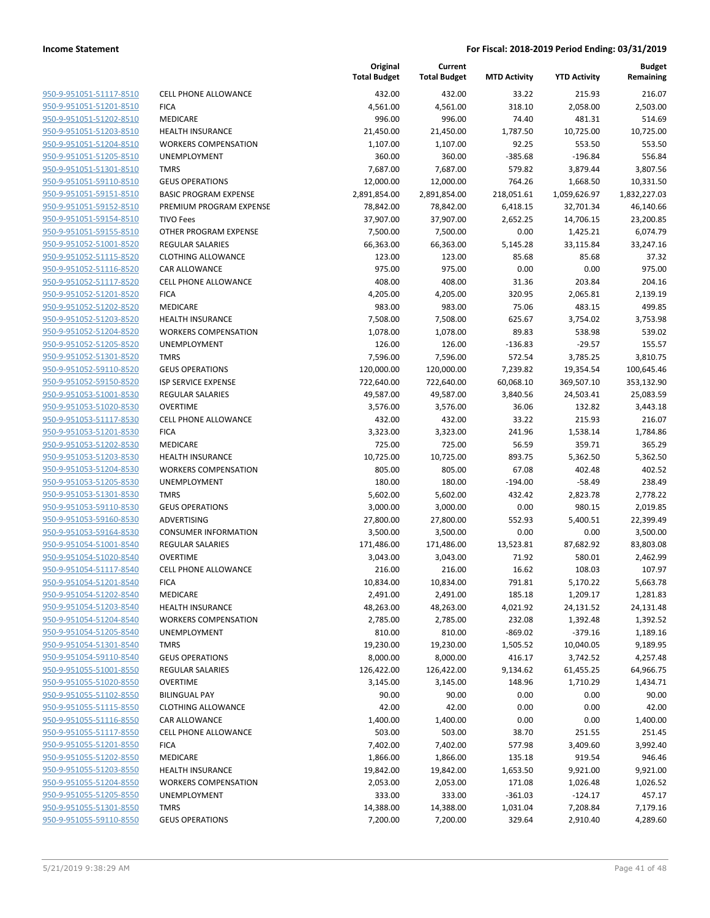|                         |                              | Original<br><b>Total Budget</b> | Current<br><b>Total Budget</b> | <b>MTD Activity</b> | <b>YTD Activity</b> | <b>Budget</b><br>Remaining |
|-------------------------|------------------------------|---------------------------------|--------------------------------|---------------------|---------------------|----------------------------|
| 950-9-951051-51117-8510 | <b>CELL PHONE ALLOWANCE</b>  | 432.00                          | 432.00                         | 33.22               | 215.93              | 216.07                     |
| 950-9-951051-51201-8510 | <b>FICA</b>                  | 4,561.00                        | 4,561.00                       | 318.10              | 2,058.00            | 2,503.00                   |
| 950-9-951051-51202-8510 | MEDICARE                     | 996.00                          | 996.00                         | 74.40               | 481.31              | 514.69                     |
| 950-9-951051-51203-8510 | <b>HEALTH INSURANCE</b>      | 21,450.00                       | 21,450.00                      | 1,787.50            | 10,725.00           | 10,725.00                  |
| 950-9-951051-51204-8510 | <b>WORKERS COMPENSATION</b>  | 1,107.00                        | 1,107.00                       | 92.25               | 553.50              | 553.50                     |
| 950-9-951051-51205-8510 | UNEMPLOYMENT                 | 360.00                          | 360.00                         | $-385.68$           | $-196.84$           | 556.84                     |
| 950-9-951051-51301-8510 | <b>TMRS</b>                  | 7,687.00                        | 7,687.00                       | 579.82              | 3,879.44            | 3,807.56                   |
| 950-9-951051-59110-8510 | <b>GEUS OPERATIONS</b>       | 12,000.00                       | 12,000.00                      | 764.26              | 1,668.50            | 10,331.50                  |
| 950-9-951051-59151-8510 | <b>BASIC PROGRAM EXPENSE</b> | 2,891,854.00                    | 2,891,854.00                   | 218,051.61          | 1,059,626.97        | 1,832,227.03               |
| 950-9-951051-59152-8510 | PREMIUM PROGRAM EXPENSE      | 78,842.00                       | 78,842.00                      | 6,418.15            | 32,701.34           | 46,140.66                  |
| 950-9-951051-59154-8510 | <b>TIVO Fees</b>             | 37,907.00                       | 37,907.00                      | 2,652.25            | 14,706.15           | 23,200.85                  |
| 950-9-951051-59155-8510 | OTHER PROGRAM EXPENSE        | 7,500.00                        | 7,500.00                       | 0.00                | 1,425.21            | 6,074.79                   |
| 950-9-951052-51001-8520 | REGULAR SALARIES             | 66,363.00                       | 66,363.00                      | 5,145.28            | 33,115.84           | 33,247.16                  |
| 950-9-951052-51115-8520 | <b>CLOTHING ALLOWANCE</b>    | 123.00                          | 123.00                         | 85.68               | 85.68               | 37.32                      |
| 950-9-951052-51116-8520 | CAR ALLOWANCE                | 975.00                          | 975.00                         | 0.00                | 0.00                | 975.00                     |
| 950-9-951052-51117-8520 | <b>CELL PHONE ALLOWANCE</b>  | 408.00                          | 408.00                         | 31.36               | 203.84              | 204.16                     |
| 950-9-951052-51201-8520 | <b>FICA</b>                  | 4,205.00                        | 4,205.00                       | 320.95              | 2,065.81            | 2,139.19                   |
| 950-9-951052-51202-8520 | MEDICARE                     | 983.00                          | 983.00                         | 75.06               | 483.15              | 499.85                     |
| 950-9-951052-51203-8520 | <b>HEALTH INSURANCE</b>      | 7,508.00                        | 7,508.00                       | 625.67              | 3,754.02            | 3,753.98                   |
| 950-9-951052-51204-8520 | <b>WORKERS COMPENSATION</b>  | 1,078.00                        | 1,078.00                       | 89.83               | 538.98              | 539.02                     |
| 950-9-951052-51205-8520 | UNEMPLOYMENT                 | 126.00                          | 126.00                         | $-136.83$           | $-29.57$            | 155.57                     |
| 950-9-951052-51301-8520 | <b>TMRS</b>                  | 7,596.00                        | 7,596.00                       | 572.54              | 3,785.25            | 3,810.75                   |
| 950-9-951052-59110-8520 | <b>GEUS OPERATIONS</b>       | 120,000.00                      | 120,000.00                     | 7,239.82            | 19,354.54           | 100,645.46                 |
| 950-9-951052-59150-8520 | <b>ISP SERVICE EXPENSE</b>   | 722,640.00                      | 722,640.00                     | 60,068.10           | 369,507.10          | 353,132.90                 |
| 950-9-951053-51001-8530 | <b>REGULAR SALARIES</b>      | 49,587.00                       | 49,587.00                      | 3,840.56            | 24,503.41           | 25,083.59                  |
| 950-9-951053-51020-8530 | <b>OVERTIME</b>              | 3,576.00                        | 3,576.00                       | 36.06               | 132.82              | 3,443.18                   |
| 950-9-951053-51117-8530 | CELL PHONE ALLOWANCE         | 432.00                          | 432.00                         | 33.22               | 215.93              | 216.07                     |
| 950-9-951053-51201-8530 | <b>FICA</b>                  | 3,323.00                        | 3,323.00                       | 241.96              | 1,538.14            | 1,784.86                   |
| 950-9-951053-51202-8530 | MEDICARE                     | 725.00                          | 725.00                         | 56.59               | 359.71              | 365.29                     |
| 950-9-951053-51203-8530 | <b>HEALTH INSURANCE</b>      | 10,725.00                       | 10,725.00                      | 893.75              | 5,362.50            | 5,362.50                   |
| 950-9-951053-51204-8530 | <b>WORKERS COMPENSATION</b>  | 805.00                          | 805.00                         | 67.08               | 402.48              | 402.52                     |
| 950-9-951053-51205-8530 | UNEMPLOYMENT                 | 180.00                          | 180.00                         | $-194.00$           | $-58.49$            | 238.49                     |
| 950-9-951053-51301-8530 | <b>TMRS</b>                  | 5,602.00                        | 5,602.00                       | 432.42              | 2,823.78            | 2,778.22                   |
| 950-9-951053-59110-8530 | <b>GEUS OPERATIONS</b>       | 3,000.00                        | 3,000.00                       | 0.00                | 980.15              | 2,019.85                   |
| 950-9-951053-59160-8530 | ADVERTISING                  | 27,800.00                       | 27,800.00                      | 552.93              | 5,400.51            | 22,399.49                  |
| 950-9-951053-59164-8530 | <b>CONSUMER INFORMATION</b>  | 3,500.00                        | 3,500.00                       | 0.00                | 0.00                | 3,500.00                   |
| 950-9-951054-51001-8540 | REGULAR SALARIES             | 171,486.00                      | 171,486.00                     | 13,523.81           | 87,682.92           | 83,803.08                  |
| 950-9-951054-51020-8540 | <b>OVERTIME</b>              | 3,043.00                        | 3,043.00                       | 71.92               | 580.01              | 2,462.99                   |
| 950-9-951054-51117-8540 | <b>CELL PHONE ALLOWANCE</b>  | 216.00                          | 216.00                         | 16.62               | 108.03              | 107.97                     |
| 950-9-951054-51201-8540 | <b>FICA</b>                  | 10,834.00                       | 10,834.00                      | 791.81              | 5,170.22            | 5,663.78                   |
| 950-9-951054-51202-8540 | MEDICARE                     | 2,491.00                        | 2,491.00                       | 185.18              | 1,209.17            | 1,281.83                   |
| 950-9-951054-51203-8540 | <b>HEALTH INSURANCE</b>      | 48,263.00                       | 48,263.00                      | 4,021.92            | 24,131.52           | 24,131.48                  |
| 950-9-951054-51204-8540 | <b>WORKERS COMPENSATION</b>  | 2,785.00                        | 2,785.00                       | 232.08              | 1,392.48            | 1,392.52                   |
| 950-9-951054-51205-8540 | UNEMPLOYMENT                 | 810.00                          | 810.00                         | $-869.02$           | $-379.16$           | 1,189.16                   |
| 950-9-951054-51301-8540 | <b>TMRS</b>                  | 19,230.00                       | 19,230.00                      | 1,505.52            | 10,040.05           | 9,189.95                   |
| 950-9-951054-59110-8540 | <b>GEUS OPERATIONS</b>       | 8,000.00                        | 8,000.00                       | 416.17              | 3,742.52            | 4,257.48                   |
| 950-9-951055-51001-8550 | REGULAR SALARIES             | 126,422.00                      | 126,422.00                     | 9,134.62            | 61,455.25           | 64,966.75                  |
| 950-9-951055-51020-8550 | <b>OVERTIME</b>              | 3,145.00                        | 3,145.00                       | 148.96              | 1,710.29            | 1,434.71                   |
| 950-9-951055-51102-8550 | <b>BILINGUAL PAY</b>         | 90.00                           | 90.00                          | 0.00                | 0.00                | 90.00                      |
| 950-9-951055-51115-8550 | <b>CLOTHING ALLOWANCE</b>    | 42.00                           | 42.00                          | 0.00                | 0.00                | 42.00                      |
| 950-9-951055-51116-8550 | CAR ALLOWANCE                | 1,400.00                        | 1,400.00                       | 0.00                | 0.00                | 1,400.00                   |
| 950-9-951055-51117-8550 | <b>CELL PHONE ALLOWANCE</b>  | 503.00                          | 503.00                         | 38.70               | 251.55              | 251.45                     |
| 950-9-951055-51201-8550 | <b>FICA</b>                  | 7,402.00                        | 7,402.00                       | 577.98              | 3,409.60            | 3,992.40                   |
| 950-9-951055-51202-8550 | MEDICARE                     | 1,866.00                        | 1,866.00                       | 135.18              | 919.54              | 946.46                     |
| 950-9-951055-51203-8550 | <b>HEALTH INSURANCE</b>      | 19,842.00                       | 19,842.00                      | 1,653.50            | 9,921.00            | 9,921.00                   |
| 950-9-951055-51204-8550 | <b>WORKERS COMPENSATION</b>  | 2,053.00                        | 2,053.00                       | 171.08              | 1,026.48            | 1,026.52                   |
| 950-9-951055-51205-8550 | UNEMPLOYMENT                 | 333.00                          | 333.00                         | $-361.03$           | $-124.17$           | 457.17                     |
| 950-9-951055-51301-8550 | <b>TMRS</b>                  | 14,388.00                       | 14,388.00                      | 1,031.04            | 7,208.84            | 7,179.16                   |
| 950-9-951055-59110-8550 | <b>GEUS OPERATIONS</b>       | 7,200.00                        | 7,200.00                       | 329.64              | 2,910.40            | 4,289.60                   |
|                         |                              |                                 |                                |                     |                     |                            |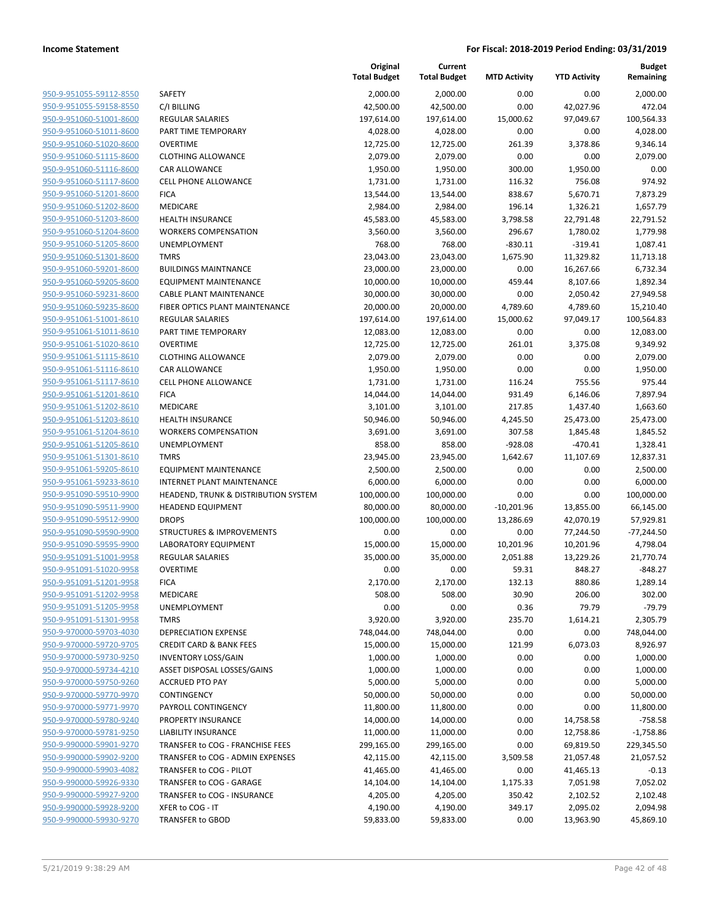| 950-9-951055-59112-8550                                   |
|-----------------------------------------------------------|
| 950-9-951055-59158-8550                                   |
| 950-9-951060-51001-8600                                   |
| 950-9-951060-51011-8600                                   |
| <u>950-9-951060-51020-8600</u>                            |
| 950-9-951060-51115-8600                                   |
| 950-9-951060-51116-8600                                   |
| 950-9-951060-51117-8600                                   |
| 950-9-951060-51201-8600                                   |
| <u>950-9-951060-51202-8600</u>                            |
| 950-9-951060-51203-8600                                   |
| 950-9-951060-51204-8600                                   |
| 950-9-951060-51205-8600                                   |
| 950-9-951060-51301-8600                                   |
| 950-9-951060-59201-8600                                   |
| 950-9-951060-59205-8600                                   |
| 950-9-951060-59231-8600                                   |
| 950-9-951060-59235-8600                                   |
| 950-9-951061-51001-8610                                   |
| <u>950-9-951061-51011-8610</u>                            |
| 950-9-951061-51020-8610<br>950-9-951061-51115-8610        |
|                                                           |
| 950-9-951061-51116-8610                                   |
| 950-9-951061-51117-8610                                   |
| <u>950-9-951061-51201-8610</u>                            |
| 950-9-951061-51202-8610<br>950-9-951061-51203-8610        |
| 950-9-951061-51204-8610                                   |
| 950-9-951061-51205-8610                                   |
|                                                           |
| <u>950-9-951061-51301-8610</u><br>950-9-951061-59205-8610 |
| 950-9-951061-59233-8610                                   |
| 950-9-951090-59510-9900                                   |
| 950-9-951090-59511-9900                                   |
| <u>950-9-951090-59512-9900</u>                            |
| 950-9-951090-59590-9900                                   |
| 950-9-951090-59595-9900                                   |
| 950-9-951091-51001-9958                                   |
| 950-9-951091-51020-9958                                   |
| 950-9-951091-51201-9958                                   |
| 950-9-951091-51202-9958                                   |
| 950-9-951091-51205-9958                                   |
| 950-9-951091-51301-9958                                   |
| <u>950-9-970000-59703-4030</u>                            |
| 950-9-970000-59720-9705                                   |
| 950-9-970000-59730-9250                                   |
| 950-9-970000-59734-4210                                   |
| 950-9-970000-59750-9260                                   |
| 950-9-970000-59770-9970                                   |
| <u>950-9-970000-59771-9970</u>                            |
| <u>950-9-970000-59780-9240</u>                            |
| 950-9-970000-59781-9250                                   |
| 950-9-990000-59901-9270                                   |
| 950-9-990000-59902-9200                                   |
| <u>950-9-990000-59903-4082</u>                            |
| <u>950-9-990000-59926-9330</u>                            |
| 950-9-990000-59927-9200                                   |
| <u>950-9-990000-59928-9200</u>                            |
| 950-9-990000-59930-9270                                   |
|                                                           |

|                                                    |                                                                      | Original<br><b>Total Budget</b> | Current<br><b>Total Budget</b> | <b>MTD Activity</b> | <b>YTD Activity</b>    | <b>Budget</b><br>Remaining |
|----------------------------------------------------|----------------------------------------------------------------------|---------------------------------|--------------------------------|---------------------|------------------------|----------------------------|
| 950-9-951055-59112-8550                            | SAFETY                                                               | 2,000.00                        | 2,000.00                       | 0.00                | 0.00                   | 2,000.00                   |
| 950-9-951055-59158-8550                            | C/I BILLING                                                          | 42,500.00                       | 42,500.00                      | 0.00                | 42,027.96              | 472.04                     |
| 950-9-951060-51001-8600                            | <b>REGULAR SALARIES</b>                                              | 197,614.00                      | 197,614.00                     | 15,000.62           | 97,049.67              | 100,564.33                 |
| 950-9-951060-51011-8600                            | PART TIME TEMPORARY                                                  | 4,028.00                        | 4,028.00                       | 0.00                | 0.00                   | 4,028.00                   |
| 950-9-951060-51020-8600                            | <b>OVERTIME</b>                                                      | 12,725.00                       | 12,725.00                      | 261.39              | 3,378.86               | 9,346.14                   |
| 950-9-951060-51115-8600                            | <b>CLOTHING ALLOWANCE</b>                                            | 2,079.00                        | 2,079.00                       | 0.00                | 0.00                   | 2,079.00                   |
| 950-9-951060-51116-8600                            | CAR ALLOWANCE                                                        | 1,950.00                        | 1,950.00                       | 300.00              | 1,950.00               | 0.00                       |
| 950-9-951060-51117-8600                            | CELL PHONE ALLOWANCE                                                 | 1,731.00                        | 1,731.00                       | 116.32              | 756.08                 | 974.92                     |
| 950-9-951060-51201-8600                            | <b>FICA</b>                                                          | 13,544.00                       | 13,544.00                      | 838.67              | 5,670.71               | 7,873.29                   |
| 950-9-951060-51202-8600                            | <b>MEDICARE</b>                                                      | 2,984.00                        | 2,984.00                       | 196.14              | 1,326.21               | 1,657.79                   |
| 950-9-951060-51203-8600                            | HEALTH INSURANCE                                                     | 45,583.00                       | 45,583.00                      | 3,798.58            | 22,791.48              | 22,791.52                  |
| 950-9-951060-51204-8600                            | <b>WORKERS COMPENSATION</b>                                          | 3,560.00                        | 3,560.00                       | 296.67              | 1,780.02               | 1,779.98                   |
| 950-9-951060-51205-8600                            | UNEMPLOYMENT                                                         | 768.00                          | 768.00                         | $-830.11$           | $-319.41$              | 1,087.41                   |
| 950-9-951060-51301-8600                            | <b>TMRS</b>                                                          | 23,043.00                       | 23,043.00                      | 1,675.90            | 11,329.82              | 11,713.18                  |
| 950-9-951060-59201-8600                            | <b>BUILDINGS MAINTNANCE</b>                                          | 23,000.00                       | 23,000.00                      | 0.00                | 16,267.66              | 6,732.34                   |
| 950-9-951060-59205-8600                            | <b>EQUIPMENT MAINTENANCE</b>                                         | 10,000.00                       | 10,000.00                      | 459.44              | 8,107.66               | 1,892.34                   |
| 950-9-951060-59231-8600                            | <b>CABLE PLANT MAINTENANCE</b>                                       | 30,000.00                       | 30,000.00                      | 0.00                | 2,050.42               | 27,949.58                  |
| 950-9-951060-59235-8600                            | FIBER OPTICS PLANT MAINTENANCE                                       | 20,000.00                       | 20,000.00                      | 4,789.60            | 4,789.60               | 15,210.40                  |
| 950-9-951061-51001-8610                            | <b>REGULAR SALARIES</b>                                              | 197,614.00                      | 197,614.00                     | 15,000.62           | 97,049.17              | 100,564.83                 |
| 950-9-951061-51011-8610                            | PART TIME TEMPORARY                                                  | 12,083.00                       | 12,083.00                      | 0.00                | 0.00                   | 12,083.00                  |
| 950-9-951061-51020-8610                            | <b>OVERTIME</b>                                                      | 12,725.00                       | 12,725.00                      | 261.01              | 3,375.08               | 9,349.92                   |
| 950-9-951061-51115-8610<br>950-9-951061-51116-8610 | <b>CLOTHING ALLOWANCE</b>                                            | 2,079.00                        | 2,079.00<br>1,950.00           | 0.00<br>0.00        | 0.00<br>0.00           | 2,079.00                   |
| 950-9-951061-51117-8610                            | CAR ALLOWANCE<br><b>CELL PHONE ALLOWANCE</b>                         | 1,950.00<br>1,731.00            | 1,731.00                       | 116.24              | 755.56                 | 1,950.00<br>975.44         |
| 950-9-951061-51201-8610                            | <b>FICA</b>                                                          | 14,044.00                       | 14,044.00                      | 931.49              | 6,146.06               | 7,897.94                   |
| 950-9-951061-51202-8610                            | MEDICARE                                                             | 3,101.00                        | 3,101.00                       | 217.85              | 1,437.40               | 1,663.60                   |
| 950-9-951061-51203-8610                            | <b>HEALTH INSURANCE</b>                                              | 50,946.00                       | 50,946.00                      | 4,245.50            | 25,473.00              | 25,473.00                  |
| 950-9-951061-51204-8610                            | <b>WORKERS COMPENSATION</b>                                          | 3,691.00                        | 3,691.00                       | 307.58              | 1,845.48               | 1,845.52                   |
| 950-9-951061-51205-8610                            | UNEMPLOYMENT                                                         | 858.00                          | 858.00                         | $-928.08$           | $-470.41$              | 1,328.41                   |
| 950-9-951061-51301-8610                            | <b>TMRS</b>                                                          | 23,945.00                       | 23,945.00                      | 1,642.67            | 11,107.69              | 12,837.31                  |
| 950-9-951061-59205-8610                            | EQUIPMENT MAINTENANCE                                                | 2,500.00                        | 2,500.00                       | 0.00                | 0.00                   | 2,500.00                   |
| 950-9-951061-59233-8610                            | INTERNET PLANT MAINTENANCE                                           | 6,000.00                        | 6,000.00                       | 0.00                | 0.00                   | 6,000.00                   |
| 950-9-951090-59510-9900                            | HEADEND, TRUNK & DISTRIBUTION SYSTEM                                 | 100,000.00                      | 100,000.00                     | 0.00                | 0.00                   | 100,000.00                 |
| 950-9-951090-59511-9900                            | <b>HEADEND EQUIPMENT</b>                                             | 80,000.00                       | 80,000.00                      | $-10,201.96$        | 13,855.00              | 66,145.00                  |
| 950-9-951090-59512-9900                            | <b>DROPS</b>                                                         | 100,000.00                      | 100,000.00                     | 13,286.69           | 42,070.19              | 57,929.81                  |
| 950-9-951090-59590-9900                            | STRUCTURES & IMPROVEMENTS                                            | 0.00                            | 0.00                           | 0.00                | 77,244.50              | $-77,244.50$               |
| 950-9-951090-59595-9900                            | LABORATORY EQUIPMENT                                                 | 15,000.00                       | 15,000.00                      | 10,201.96           | 10,201.96              | 4,798.04                   |
| 950-9-951091-51001-9958                            | <b>REGULAR SALARIES</b>                                              | 35,000.00                       | 35,000.00                      | 2,051.88            | 13,229.26              | 21,770.74                  |
| 950-9-951091-51020-9958                            | <b>OVERTIME</b>                                                      | 0.00                            | 0.00                           | 59.31               | 848.27                 | $-848.27$                  |
| 950-9-951091-51201-9958                            | <b>FICA</b>                                                          | 2,170.00                        | 2,170.00                       | 132.13              | 880.86                 | 1,289.14                   |
| 950-9-951091-51202-9958                            | MEDICARE                                                             | 508.00                          | 508.00                         | 30.90               | 206.00                 | 302.00                     |
| 950-9-951091-51205-9958                            | UNEMPLOYMENT                                                         | 0.00                            | 0.00                           | 0.36                | 79.79                  | $-79.79$                   |
| 950-9-951091-51301-9958                            | <b>TMRS</b>                                                          | 3,920.00                        | 3,920.00                       | 235.70              | 1,614.21               | 2,305.79                   |
| 950-9-970000-59703-4030                            | <b>DEPRECIATION EXPENSE</b>                                          | 748,044.00                      | 748,044.00                     | 0.00                | 0.00                   | 748,044.00                 |
| 950-9-970000-59720-9705                            | <b>CREDIT CARD &amp; BANK FEES</b>                                   | 15,000.00                       | 15,000.00                      | 121.99              | 6,073.03               | 8,926.97                   |
| 950-9-970000-59730-9250                            | <b>INVENTORY LOSS/GAIN</b>                                           | 1,000.00                        | 1,000.00                       | 0.00                | 0.00                   | 1,000.00                   |
| 950-9-970000-59734-4210                            | ASSET DISPOSAL LOSSES/GAINS                                          | 1,000.00                        | 1,000.00                       | 0.00                | 0.00                   | 1,000.00                   |
| 950-9-970000-59750-9260                            | <b>ACCRUED PTO PAY</b>                                               | 5,000.00                        | 5,000.00                       | 0.00                | 0.00                   | 5,000.00                   |
| 950-9-970000-59770-9970                            | CONTINGENCY                                                          | 50,000.00                       | 50,000.00                      | 0.00                | 0.00                   | 50,000.00                  |
| 950-9-970000-59771-9970                            | PAYROLL CONTINGENCY                                                  | 11,800.00                       | 11,800.00                      | 0.00                | 0.00                   | 11,800.00                  |
| 950-9-970000-59780-9240                            | PROPERTY INSURANCE                                                   | 14,000.00                       | 14,000.00                      | 0.00                | 14,758.58              | $-758.58$                  |
| 950-9-970000-59781-9250<br>950-9-990000-59901-9270 | LIABILITY INSURANCE                                                  | 11,000.00                       | 11,000.00                      | 0.00                | 12,758.86              | $-1,758.86$                |
| 950-9-990000-59902-9200                            | TRANSFER to COG - FRANCHISE FEES<br>TRANSFER to COG - ADMIN EXPENSES | 299,165.00<br>42,115.00         | 299,165.00<br>42,115.00        | 0.00                | 69,819.50<br>21,057.48 | 229,345.50<br>21,057.52    |
| 950-9-990000-59903-4082                            | TRANSFER to COG - PILOT                                              | 41,465.00                       | 41,465.00                      | 3,509.58<br>0.00    | 41,465.13              | $-0.13$                    |
| 950-9-990000-59926-9330                            | TRANSFER to COG - GARAGE                                             | 14,104.00                       | 14,104.00                      | 1,175.33            | 7,051.98               | 7,052.02                   |
| 950-9-990000-59927-9200                            | TRANSFER to COG - INSURANCE                                          | 4,205.00                        | 4,205.00                       | 350.42              | 2,102.52               | 2,102.48                   |
| 950-9-990000-59928-9200                            | XFER to COG - IT                                                     | 4,190.00                        | 4,190.00                       | 349.17              | 2,095.02               | 2,094.98                   |
| 950-9-990000-59930-9270                            | TRANSFER to GBOD                                                     | 59,833.00                       | 59,833.00                      | 0.00                | 13,963.90              | 45,869.10                  |
|                                                    |                                                                      |                                 |                                |                     |                        |                            |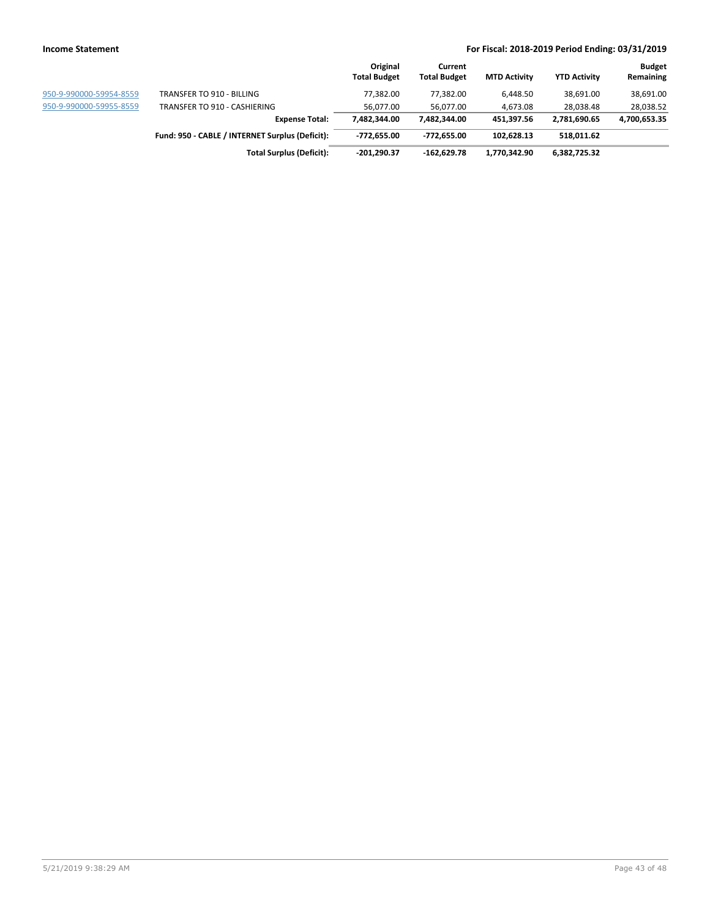|                         |                                                 | Original<br><b>Total Budget</b> | Current<br><b>Total Budget</b> | <b>MTD Activity</b> | <b>YTD Activity</b> | <b>Budget</b><br>Remaining |
|-------------------------|-------------------------------------------------|---------------------------------|--------------------------------|---------------------|---------------------|----------------------------|
| 950-9-990000-59954-8559 | TRANSFER TO 910 - BILLING                       | 77.382.00                       | 77.382.00                      | 6.448.50            | 38,691.00           | 38,691.00                  |
| 950-9-990000-59955-8559 | TRANSFER TO 910 - CASHIERING                    | 56.077.00                       | 56.077.00                      | 4.673.08            | 28,038.48           | 28,038.52                  |
|                         | <b>Expense Total:</b>                           | 7.482.344.00                    | 7.482.344.00                   | 451,397.56          | 2,781,690.65        | 4,700,653.35               |
|                         | Fund: 950 - CABLE / INTERNET Surplus (Deficit): | -772.655.00                     | -772.655.00                    | 102.628.13          | 518,011.62          |                            |
|                         | <b>Total Surplus (Deficit):</b>                 | -201,290.37                     | -162.629.78                    | 1,770,342.90        | 6,382,725.32        |                            |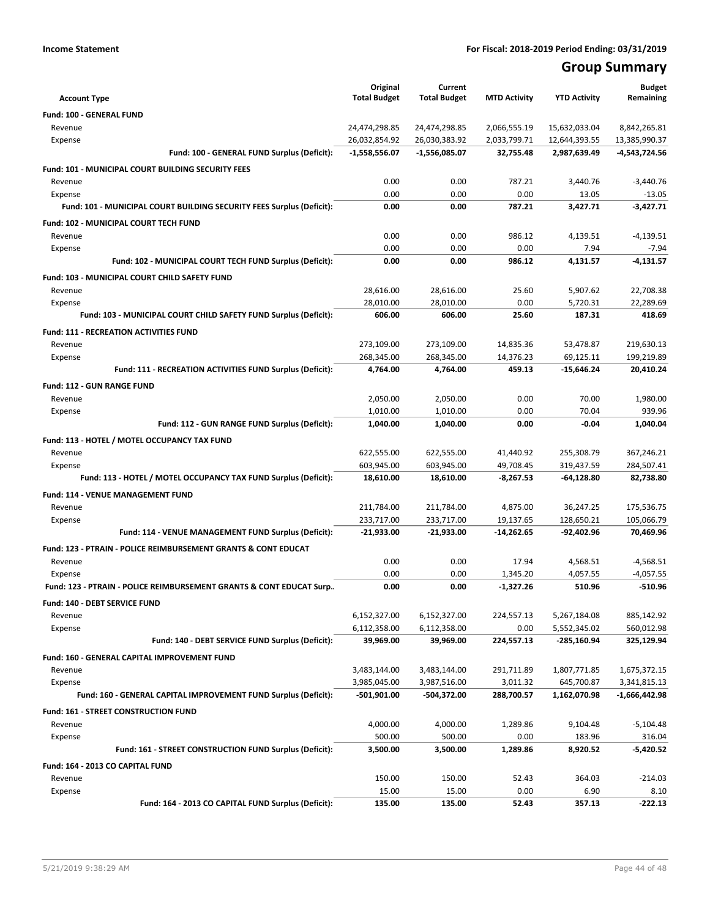## **Group Summary**

| <b>Account Type</b>                                                       | Original<br><b>Total Budget</b> | Current<br><b>Total Budget</b> | <b>MTD Activity</b> | <b>YTD Activity</b> | <b>Budget</b><br>Remaining |
|---------------------------------------------------------------------------|---------------------------------|--------------------------------|---------------------|---------------------|----------------------------|
| Fund: 100 - GENERAL FUND                                                  |                                 |                                |                     |                     |                            |
| Revenue                                                                   | 24,474,298.85                   | 24,474,298.85                  | 2,066,555.19        | 15,632,033.04       | 8,842,265.81               |
| Expense                                                                   | 26,032,854.92                   | 26,030,383.92                  | 2,033,799.71        | 12,644,393.55       | 13,385,990.37              |
| Fund: 100 - GENERAL FUND Surplus (Deficit):                               | $-1,558,556.07$                 | -1,556,085.07                  | 32,755.48           | 2,987,639.49        | -4,543,724.56              |
| <b>Fund: 101 - MUNICIPAL COURT BUILDING SECURITY FEES</b>                 |                                 |                                |                     |                     |                            |
| Revenue                                                                   | 0.00                            | 0.00                           | 787.21              | 3,440.76            | $-3,440.76$                |
| Expense                                                                   | 0.00                            | 0.00                           | 0.00                | 13.05               | $-13.05$                   |
| Fund: 101 - MUNICIPAL COURT BUILDING SECURITY FEES Surplus (Deficit):     | 0.00                            | 0.00                           | 787.21              | 3,427.71            | $-3,427.71$                |
| Fund: 102 - MUNICIPAL COURT TECH FUND                                     |                                 |                                |                     |                     |                            |
| Revenue                                                                   | 0.00                            | 0.00                           | 986.12              | 4,139.51            | $-4,139.51$                |
| Expense                                                                   | 0.00                            | 0.00                           | 0.00                | 7.94                | $-7.94$                    |
| Fund: 102 - MUNICIPAL COURT TECH FUND Surplus (Deficit):                  | 0.00                            | 0.00                           | 986.12              | 4,131.57            | $-4,131.57$                |
| <b>Fund: 103 - MUNICIPAL COURT CHILD SAFETY FUND</b>                      |                                 |                                |                     |                     |                            |
| Revenue                                                                   | 28,616.00                       | 28,616.00                      | 25.60               | 5,907.62            | 22,708.38                  |
| Expense                                                                   | 28,010.00                       | 28,010.00                      | 0.00                | 5,720.31            | 22,289.69                  |
| Fund: 103 - MUNICIPAL COURT CHILD SAFETY FUND Surplus (Deficit):          | 606.00                          | 606.00                         | 25.60               | 187.31              | 418.69                     |
| <b>Fund: 111 - RECREATION ACTIVITIES FUND</b>                             |                                 |                                |                     |                     |                            |
| Revenue                                                                   | 273,109.00                      | 273,109.00                     | 14,835.36           | 53,478.87           | 219,630.13                 |
| Expense                                                                   | 268,345.00                      | 268,345.00                     | 14,376.23           | 69.125.11           | 199,219.89                 |
| Fund: 111 - RECREATION ACTIVITIES FUND Surplus (Deficit):                 | 4,764.00                        | 4,764.00                       | 459.13              | -15,646.24          | 20,410.24                  |
| <b>Fund: 112 - GUN RANGE FUND</b>                                         |                                 |                                |                     |                     |                            |
| Revenue                                                                   | 2,050.00                        | 2,050.00                       | 0.00                | 70.00               | 1,980.00                   |
| Expense                                                                   | 1,010.00                        | 1,010.00                       | 0.00                | 70.04               | 939.96                     |
| Fund: 112 - GUN RANGE FUND Surplus (Deficit):                             | 1,040.00                        | 1,040.00                       | 0.00                | $-0.04$             | 1,040.04                   |
| Fund: 113 - HOTEL / MOTEL OCCUPANCY TAX FUND                              |                                 |                                |                     |                     |                            |
| Revenue                                                                   | 622,555.00                      | 622,555.00                     | 41,440.92           | 255,308.79          | 367,246.21                 |
| Expense                                                                   | 603,945.00                      | 603,945.00                     | 49,708.45           | 319,437.59          | 284,507.41                 |
| Fund: 113 - HOTEL / MOTEL OCCUPANCY TAX FUND Surplus (Deficit):           | 18,610.00                       | 18,610.00                      | $-8,267.53$         | -64,128.80          | 82,738.80                  |
| Fund: 114 - VENUE MANAGEMENT FUND                                         |                                 |                                |                     |                     |                            |
| Revenue                                                                   | 211,784.00                      | 211,784.00                     | 4,875.00            | 36,247.25           | 175,536.75                 |
| Expense                                                                   | 233,717.00                      | 233,717.00                     | 19,137.65           | 128,650.21          | 105,066.79                 |
| Fund: 114 - VENUE MANAGEMENT FUND Surplus (Deficit):                      | $-21,933.00$                    | $-21,933.00$                   | $-14,262.65$        | $-92,402.96$        | 70,469.96                  |
| <b>Fund: 123 - PTRAIN - POLICE REIMBURSEMENT GRANTS &amp; CONT EDUCAT</b> |                                 |                                |                     |                     |                            |
| Revenue                                                                   | 0.00                            | 0.00                           | 17.94               | 4,568.51            | $-4,568.51$                |
| Expense                                                                   | 0.00                            | 0.00                           | 1,345.20            | 4,057.55            | $-4,057.55$                |
| Fund: 123 - PTRAIN - POLICE REIMBURSEMENT GRANTS & CONT EDUCAT Surp       | 0.00                            | 0.00                           | $-1,327.26$         | 510.96              | $-510.96$                  |
| Fund: 140 - DEBT SERVICE FUND                                             |                                 |                                |                     |                     |                            |
| Revenue                                                                   | 6,152,327.00                    | 6,152,327.00                   | 224,557.13          | 5,267,184.08        | 885,142.92                 |
| Expense                                                                   | 6,112,358.00                    | 6,112,358.00                   | 0.00                | 5,552,345.02        | 560,012.98                 |
| Fund: 140 - DEBT SERVICE FUND Surplus (Deficit):                          | 39,969.00                       | 39,969.00                      | 224,557.13          | -285,160.94         | 325,129.94                 |
| Fund: 160 - GENERAL CAPITAL IMPROVEMENT FUND                              |                                 |                                |                     |                     |                            |
| Revenue                                                                   | 3,483,144.00                    | 3,483,144.00                   | 291,711.89          | 1,807,771.85        | 1,675,372.15               |
| Expense                                                                   | 3,985,045.00                    | 3,987,516.00                   | 3,011.32            | 645,700.87          | 3,341,815.13               |
| Fund: 160 - GENERAL CAPITAL IMPROVEMENT FUND Surplus (Deficit):           | -501,901.00                     | -504,372.00                    | 288,700.57          | 1,162,070.98        | -1,666,442.98              |
| Fund: 161 - STREET CONSTRUCTION FUND                                      |                                 |                                |                     |                     |                            |
| Revenue                                                                   | 4,000.00                        | 4,000.00                       | 1,289.86            | 9,104.48            | $-5,104.48$                |
| Expense                                                                   | 500.00                          | 500.00                         | 0.00                | 183.96              | 316.04                     |
| Fund: 161 - STREET CONSTRUCTION FUND Surplus (Deficit):                   | 3,500.00                        | 3,500.00                       | 1,289.86            | 8,920.52            | $-5,420.52$                |
| Fund: 164 - 2013 CO CAPITAL FUND                                          |                                 |                                |                     |                     |                            |
| Revenue                                                                   | 150.00                          | 150.00                         | 52.43               | 364.03              | $-214.03$                  |
| Expense                                                                   | 15.00                           | 15.00                          | 0.00                | 6.90                | 8.10                       |
| Fund: 164 - 2013 CO CAPITAL FUND Surplus (Deficit):                       | 135.00                          | 135.00                         | 52.43               | 357.13              | $-222.13$                  |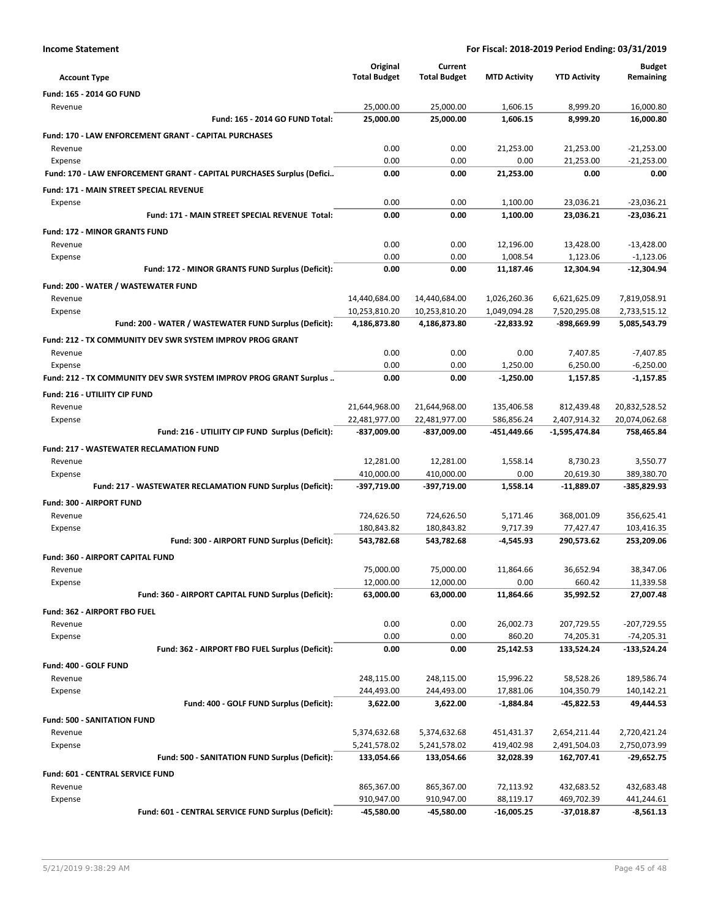| <b>Account Type</b>                                                   | Original<br><b>Total Budget</b> | Current<br><b>Total Budget</b> | <b>MTD Activity</b>   | <b>YTD Activity</b>     | <b>Budget</b><br>Remaining |
|-----------------------------------------------------------------------|---------------------------------|--------------------------------|-----------------------|-------------------------|----------------------------|
| <b>Fund: 165 - 2014 GO FUND</b>                                       |                                 |                                |                       |                         |                            |
| Revenue                                                               | 25,000.00                       | 25,000.00                      | 1,606.15              | 8,999.20                | 16,000.80                  |
| Fund: 165 - 2014 GO FUND Total:                                       | 25,000.00                       | 25,000.00                      | 1,606.15              | 8,999.20                | 16,000.80                  |
| <b>Fund: 170 - LAW ENFORCEMENT GRANT - CAPITAL PURCHASES</b>          |                                 |                                |                       |                         |                            |
| Revenue                                                               | 0.00                            | 0.00                           | 21,253.00             | 21,253.00               | $-21,253.00$               |
| Expense                                                               | 0.00                            | 0.00                           | 0.00                  | 21,253.00               | $-21,253.00$               |
| Fund: 170 - LAW ENFORCEMENT GRANT - CAPITAL PURCHASES Surplus (Defici | 0.00                            | 0.00                           | 21.253.00             | 0.00                    | 0.00                       |
| <b>Fund: 171 - MAIN STREET SPECIAL REVENUE</b>                        |                                 |                                |                       |                         |                            |
| Expense                                                               | 0.00                            | 0.00                           | 1,100.00              | 23,036.21               | $-23,036.21$               |
| Fund: 171 - MAIN STREET SPECIAL REVENUE Total:                        | 0.00                            | 0.00                           | 1,100.00              | 23,036.21               | -23,036.21                 |
| <b>Fund: 172 - MINOR GRANTS FUND</b>                                  |                                 |                                |                       |                         |                            |
| Revenue                                                               | 0.00                            | 0.00                           | 12,196.00             | 13,428.00               | $-13,428.00$               |
| Expense                                                               | 0.00                            | 0.00                           | 1,008.54              | 1,123.06                | $-1,123.06$                |
| Fund: 172 - MINOR GRANTS FUND Surplus (Deficit):                      | 0.00                            | 0.00                           | 11,187.46             | 12,304.94               | $-12,304.94$               |
| Fund: 200 - WATER / WASTEWATER FUND                                   |                                 |                                |                       |                         |                            |
| Revenue                                                               | 14,440,684.00                   | 14,440,684.00                  | 1,026,260.36          | 6,621,625.09            | 7,819,058.91               |
| Expense                                                               | 10,253,810.20                   | 10,253,810.20                  | 1,049,094.28          | 7,520,295.08            | 2,733,515.12               |
| Fund: 200 - WATER / WASTEWATER FUND Surplus (Deficit):                | 4,186,873.80                    | 4,186,873.80                   | $-22.833.92$          | -898,669.99             | 5,085,543.79               |
|                                                                       |                                 |                                |                       |                         |                            |
| Fund: 212 - TX COMMUNITY DEV SWR SYSTEM IMPROV PROG GRANT<br>Revenue  | 0.00                            | 0.00                           | 0.00                  | 7,407.85                | $-7,407.85$                |
| Expense                                                               | 0.00                            | 0.00                           | 1,250.00              | 6,250.00                | $-6,250.00$                |
| Fund: 212 - TX COMMUNITY DEV SWR SYSTEM IMPROV PROG GRANT Surplus     | 0.00                            | 0.00                           | -1,250.00             | 1,157.85                | $-1,157.85$                |
|                                                                       |                                 |                                |                       |                         |                            |
| Fund: 216 - UTILIITY CIP FUND                                         |                                 |                                | 135,406.58            | 812,439.48              | 20,832,528.52              |
| Revenue<br>Expense                                                    | 21,644,968.00<br>22,481,977.00  | 21,644,968.00<br>22,481,977.00 | 586,856.24            | 2,407,914.32            | 20,074,062.68              |
| Fund: 216 - UTILIITY CIP FUND Surplus (Deficit):                      | -837,009.00                     | -837,009.00                    | -451,449.66           | $-1,595,474.84$         | 758,465.84                 |
|                                                                       |                                 |                                |                       |                         |                            |
| <b>Fund: 217 - WASTEWATER RECLAMATION FUND</b>                        |                                 |                                |                       |                         |                            |
| Revenue<br>Expense                                                    | 12,281.00<br>410,000.00         | 12,281.00<br>410,000.00        | 1,558.14<br>0.00      | 8,730.23<br>20,619.30   | 3,550.77<br>389,380.70     |
| Fund: 217 - WASTEWATER RECLAMATION FUND Surplus (Deficit):            | -397,719.00                     | -397,719.00                    | 1,558.14              | $-11,889.07$            | -385,829.93                |
|                                                                       |                                 |                                |                       |                         |                            |
| <b>Fund: 300 - AIRPORT FUND</b>                                       |                                 |                                |                       |                         |                            |
| Revenue                                                               | 724,626.50                      | 724,626.50                     | 5,171.46              | 368,001.09              | 356,625.41                 |
| Expense<br>Fund: 300 - AIRPORT FUND Surplus (Deficit):                | 180,843.82<br>543,782.68        | 180,843.82<br>543,782.68       | 9,717.39<br>-4,545.93 | 77,427.47<br>290,573.62 | 103,416.35<br>253,209.06   |
|                                                                       |                                 |                                |                       |                         |                            |
| <b>Fund: 360 - AIRPORT CAPITAL FUND</b>                               |                                 |                                |                       |                         |                            |
| Revenue                                                               | 75,000.00<br>12,000.00          | 75,000.00<br>12,000.00         | 11.864.66<br>0.00     | 36,652.94<br>660.42     | 38,347.06                  |
| Expense<br>Fund: 360 - AIRPORT CAPITAL FUND Surplus (Deficit):        | 63,000.00                       | 63,000.00                      | 11,864.66             | 35,992.52               | 11,339.58<br>27,007.48     |
|                                                                       |                                 |                                |                       |                         |                            |
| Fund: 362 - AIRPORT FBO FUEL                                          |                                 |                                |                       |                         |                            |
| Revenue                                                               | 0.00                            | 0.00                           | 26,002.73             | 207,729.55              | $-207,729.55$              |
| Expense                                                               | 0.00<br>0.00                    | 0.00<br>0.00                   | 860.20<br>25,142.53   | 74,205.31               | $-74,205.31$               |
| Fund: 362 - AIRPORT FBO FUEL Surplus (Deficit):                       |                                 |                                |                       | 133,524.24              | $-133,524.24$              |
| Fund: 400 - GOLF FUND                                                 |                                 |                                |                       |                         |                            |
| Revenue                                                               | 248,115.00                      | 248,115.00                     | 15,996.22             | 58,528.26               | 189,586.74                 |
| Expense                                                               | 244,493.00                      | 244,493.00                     | 17,881.06             | 104,350.79              | 140,142.21                 |
| Fund: 400 - GOLF FUND Surplus (Deficit):                              | 3,622.00                        | 3,622.00                       | $-1,884.84$           | $-45,822.53$            | 49,444.53                  |
| <b>Fund: 500 - SANITATION FUND</b>                                    |                                 |                                |                       |                         |                            |
| Revenue                                                               | 5,374,632.68                    | 5,374,632.68                   | 451,431.37            | 2,654,211.44            | 2,720,421.24               |
| Expense                                                               | 5,241,578.02                    | 5,241,578.02                   | 419,402.98            | 2,491,504.03            | 2,750,073.99               |
| Fund: 500 - SANITATION FUND Surplus (Deficit):                        | 133,054.66                      | 133,054.66                     | 32,028.39             | 162,707.41              | -29,652.75                 |
| Fund: 601 - CENTRAL SERVICE FUND                                      |                                 |                                |                       |                         |                            |
| Revenue                                                               | 865,367.00                      | 865,367.00                     | 72,113.92             | 432,683.52              | 432,683.48                 |
| Expense                                                               | 910,947.00                      | 910,947.00                     | 88,119.17             | 469,702.39              | 441,244.61                 |
| Fund: 601 - CENTRAL SERVICE FUND Surplus (Deficit):                   | -45,580.00                      | -45,580.00                     | $-16,005.25$          | $-37,018.87$            | $-8,561.13$                |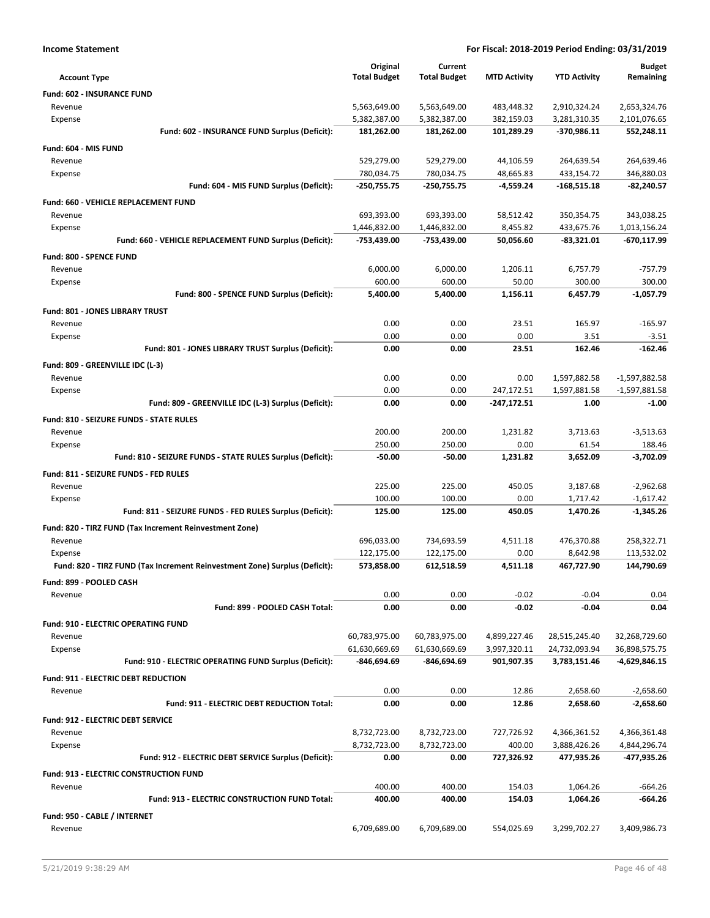| <b>Income Statement</b>                                                    | For Fiscal: 2018-2019 Period Ending: 03/31/2019 |                     |                     |                              |                                  |
|----------------------------------------------------------------------------|-------------------------------------------------|---------------------|---------------------|------------------------------|----------------------------------|
|                                                                            | Original                                        | Current             |                     |                              | <b>Budget</b>                    |
| <b>Account Type</b>                                                        | <b>Total Budget</b>                             | <b>Total Budget</b> | <b>MTD Activity</b> | <b>YTD Activity</b>          | Remaining                        |
| Fund: 602 - INSURANCE FUND                                                 |                                                 |                     |                     |                              |                                  |
| Revenue                                                                    | 5,563,649.00                                    | 5,563,649.00        | 483,448.32          | 2,910,324.24                 | 2,653,324.76                     |
| Expense                                                                    | 5,382,387.00                                    | 5,382,387.00        | 382,159.03          | 3,281,310.35                 | 2,101,076.65                     |
| Fund: 602 - INSURANCE FUND Surplus (Deficit):                              | 181,262.00                                      | 181,262.00          | 101,289.29          | -370,986.11                  | 552,248.11                       |
| Fund: 604 - MIS FUND                                                       |                                                 |                     |                     |                              |                                  |
| Revenue                                                                    | 529,279.00                                      | 529,279.00          | 44,106.59           | 264,639.54                   | 264,639.46                       |
| Expense                                                                    | 780,034.75                                      | 780,034.75          | 48,665.83           | 433,154.72                   | 346,880.03                       |
| Fund: 604 - MIS FUND Surplus (Deficit):                                    | -250,755.75                                     | -250,755.75         | -4,559.24           | $-168,515.18$                | $-82,240.57$                     |
| Fund: 660 - VEHICLE REPLACEMENT FUND                                       |                                                 |                     |                     |                              |                                  |
| Revenue                                                                    | 693,393.00                                      | 693,393.00          | 58,512.42           | 350,354.75                   | 343,038.25                       |
| Expense                                                                    | 1,446,832.00                                    | 1,446,832.00        | 8,455.82            | 433,675.76                   | 1,013,156.24                     |
| Fund: 660 - VEHICLE REPLACEMENT FUND Surplus (Deficit):                    | -753,439.00                                     | -753,439.00         | 50,056.60           | -83,321.01                   | -670,117.99                      |
| Fund: 800 - SPENCE FUND                                                    |                                                 |                     |                     |                              |                                  |
| Revenue                                                                    | 6,000.00                                        | 6,000.00            | 1,206.11            | 6,757.79                     | $-757.79$                        |
| Expense<br>Fund: 800 - SPENCE FUND Surplus (Deficit):                      | 600.00<br>5.400.00                              | 600.00<br>5.400.00  | 50.00<br>1,156.11   | 300.00                       | 300.00                           |
|                                                                            |                                                 |                     |                     | 6,457.79                     | $-1,057.79$                      |
| <b>Fund: 801 - JONES LIBRARY TRUST</b>                                     |                                                 |                     |                     |                              |                                  |
| Revenue                                                                    | 0.00<br>0.00                                    | 0.00<br>0.00        | 23.51<br>0.00       | 165.97<br>3.51               | $-165.97$                        |
| Expense<br>Fund: 801 - JONES LIBRARY TRUST Surplus (Deficit):              | 0.00                                            | 0.00                | 23.51               | 162.46                       | $-3.51$<br>$-162.46$             |
|                                                                            |                                                 |                     |                     |                              |                                  |
| Fund: 809 - GREENVILLE IDC (L-3)                                           | 0.00                                            | 0.00                | 0.00                |                              |                                  |
| Revenue<br>Expense                                                         | 0.00                                            | 0.00                | 247,172.51          | 1,597,882.58<br>1,597,881.58 | $-1,597,882.58$<br>-1,597,881.58 |
| Fund: 809 - GREENVILLE IDC (L-3) Surplus (Deficit):                        | 0.00                                            | 0.00                | -247,172.51         | 1.00                         | $-1.00$                          |
| Fund: 810 - SEIZURE FUNDS - STATE RULES                                    |                                                 |                     |                     |                              |                                  |
| Revenue                                                                    | 200.00                                          | 200.00              | 1,231.82            | 3,713.63                     | $-3,513.63$                      |
| Expense                                                                    | 250.00                                          | 250.00              | 0.00                | 61.54                        | 188.46                           |
| Fund: 810 - SEIZURE FUNDS - STATE RULES Surplus (Deficit):                 | $-50.00$                                        | $-50.00$            | 1,231.82            | 3,652.09                     | $-3,702.09$                      |
| Fund: 811 - SEIZURE FUNDS - FED RULES                                      |                                                 |                     |                     |                              |                                  |
| Revenue                                                                    | 225.00                                          | 225.00              | 450.05              | 3,187.68                     | $-2,962.68$                      |
| Expense                                                                    | 100.00                                          | 100.00              | 0.00                | 1,717.42                     | $-1,617.42$                      |
| Fund: 811 - SEIZURE FUNDS - FED RULES Surplus (Deficit):                   | 125.00                                          | 125.00              | 450.05              | 1,470.26                     | $-1,345.26$                      |
| Fund: 820 - TIRZ FUND (Tax Increment Reinvestment Zone)                    |                                                 |                     |                     |                              |                                  |
| Revenue                                                                    | 696,033.00                                      | 734,693.59          | 4,511.18            | 476,370.88                   | 258,322.71                       |
| Expense                                                                    | 122,175.00                                      | 122,175.00          | 0.00                | 8,642.98                     | 113,532.02                       |
| Fund: 820 - TIRZ FUND (Tax Increment Reinvestment Zone) Surplus (Deficit): | 573,858.00                                      | 612,518.59          | 4,511.18            | 467,727.90                   | 144,790.69                       |
| Fund: 899 - POOLED CASH                                                    |                                                 |                     |                     |                              |                                  |
| Revenue                                                                    | 0.00                                            | 0.00                | $-0.02$             | $-0.04$                      | 0.04                             |
| Fund: 899 - POOLED CASH Total:                                             | 0.00                                            | 0.00                | $-0.02$             | $-0.04$                      | 0.04                             |
| Fund: 910 - ELECTRIC OPERATING FUND                                        |                                                 |                     |                     |                              |                                  |
| Revenue                                                                    | 60,783,975.00                                   | 60,783,975.00       | 4,899,227.46        | 28,515,245.40                | 32,268,729.60                    |
| Expense                                                                    | 61,630,669.69                                   | 61,630,669.69       | 3,997,320.11        | 24,732,093.94                | 36,898,575.75                    |
| Fund: 910 - ELECTRIC OPERATING FUND Surplus (Deficit):                     | -846,694.69                                     | -846,694.69         | 901,907.35          | 3,783,151.46                 | -4,629,846.15                    |
| <b>Fund: 911 - ELECTRIC DEBT REDUCTION</b>                                 |                                                 |                     |                     |                              |                                  |
| Revenue                                                                    | 0.00                                            | 0.00                | 12.86               | 2,658.60                     | $-2,658.60$                      |
| Fund: 911 - ELECTRIC DEBT REDUCTION Total:                                 | 0.00                                            | 0.00                | 12.86               | 2,658.60                     | $-2,658.60$                      |
| Fund: 912 - ELECTRIC DEBT SERVICE                                          |                                                 |                     |                     |                              |                                  |
| Revenue                                                                    | 8,732,723.00                                    | 8,732,723.00        | 727,726.92          | 4,366,361.52                 | 4,366,361.48                     |
| Expense                                                                    | 8,732,723.00                                    | 8,732,723.00        | 400.00              | 3,888,426.26                 | 4,844,296.74                     |
| Fund: 912 - ELECTRIC DEBT SERVICE Surplus (Deficit):                       | 0.00                                            | 0.00                | 727,326.92          | 477,935.26                   | -477,935.26                      |
| Fund: 913 - ELECTRIC CONSTRUCTION FUND                                     |                                                 |                     |                     |                              |                                  |
| Revenue                                                                    | 400.00                                          | 400.00              | 154.03              | 1,064.26                     | $-664.26$                        |
| Fund: 913 - ELECTRIC CONSTRUCTION FUND Total:                              | 400.00                                          | 400.00              | 154.03              | 1,064.26                     | -664.26                          |
| Fund: 950 - CABLE / INTERNET                                               |                                                 |                     |                     |                              |                                  |
| Revenue                                                                    | 6,709,689.00                                    | 6,709,689.00        | 554,025.69          | 3,299,702.27                 | 3,409,986.73                     |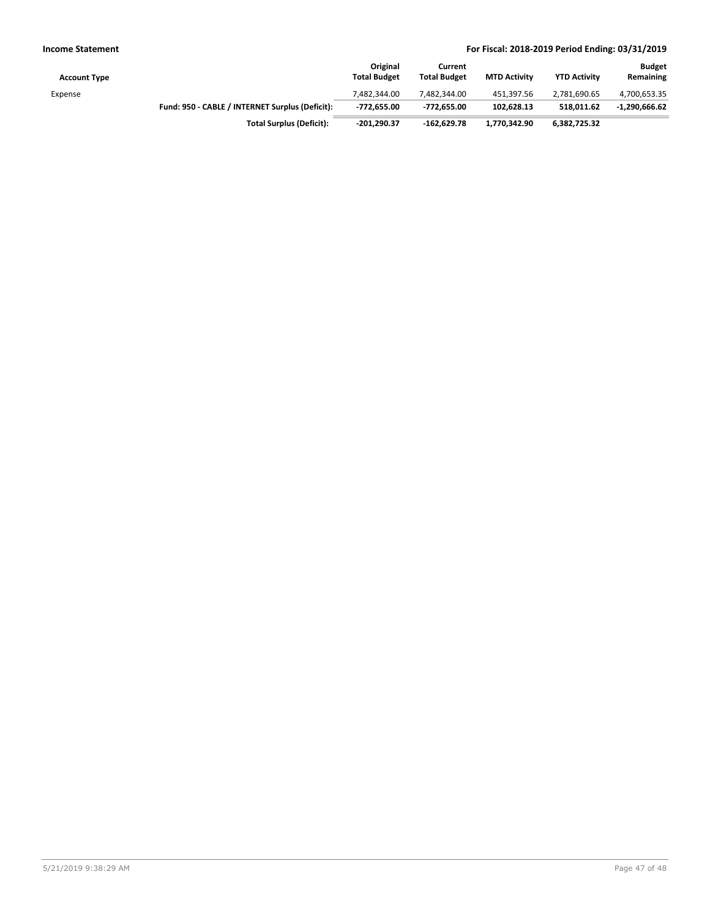| <b>Account Type</b> |                                                 | Original<br><b>Total Budget</b> | Current<br><b>Total Budget</b> | <b>MTD Activity</b> | <b>YTD Activity</b> | <b>Budget</b><br>Remaining |
|---------------------|-------------------------------------------------|---------------------------------|--------------------------------|---------------------|---------------------|----------------------------|
| Expense             |                                                 | 7.482.344.00                    | 7.482.344.00                   | 451.397.56          | 2,781,690.65        | 4,700,653.35               |
|                     | Fund: 950 - CABLE / INTERNET Surplus (Deficit): | -772.655.00                     | -772.655.00                    | 102,628.13          | 518.011.62          | -1,290,666.62              |
|                     | <b>Total Surplus (Deficit):</b>                 | $-201,290.37$                   | $-162.629.78$                  | 1,770,342.90        | 6,382,725.32        |                            |